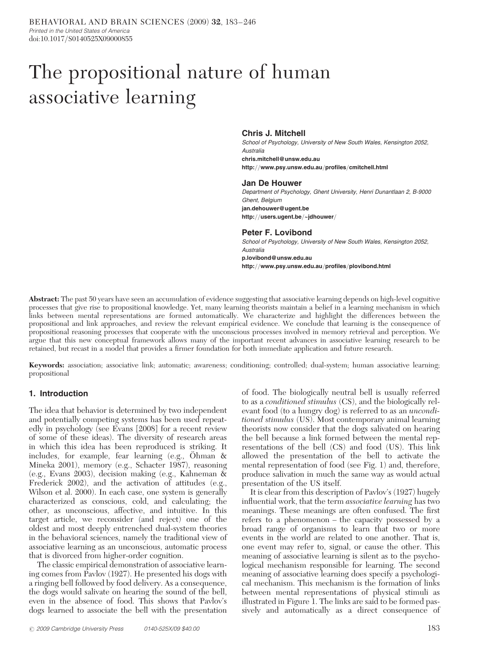# The propositional nature of human associative learning

### Chris J. Mitchell

School of Psychology, University of New South Wales, Kensington 2052, Australia chris.mitchell@unsw.edu.au http://www.psy.unsw.edu.au/profiles/cmitchell.html

### Jan De Houwer

Department of Psychology, Ghent University, Henri Dunantlaan 2, B-9000 Ghent, Belgium jan.dehouwer@ugent.be http://users.ugent.be/~jdhouwer/

Peter F. Lovibond

School of Psychology, University of New South Wales, Kensington 2052, Australia p.lovibond@unsw.edu.au http://www.psy.unsw.edu.au/profiles/plovibond.html

Abstract: The past 50 years have seen an accumulation of evidence suggesting that associative learning depends on high-level cognitive processes that give rise to propositional knowledge. Yet, many learning theorists maintain a belief in a learning mechanism in which links between mental representations are formed automatically. We characterize and highlight the differences between the propositional and link approaches, and review the relevant empirical evidence. We conclude that learning is the consequence of propositional reasoning processes that cooperate with the unconscious processes involved in memory retrieval and perception. We argue that this new conceptual framework allows many of the important recent advances in associative learning research to be retained, but recast in a model that provides a firmer foundation for both immediate application and future research.

Keywords: association; associative link; automatic; awareness; conditioning; controlled; dual-system; human associative learning; propositional

### 1. Introduction

The idea that behavior is determined by two independent and potentially competing systems has been used repeatedly in psychology (see Evans [2008] for a recent review of some of these ideas). The diversity of research areas in which this idea has been reproduced is striking. It includes, for example, fear learning  $(e.g., \nOthman \&)$ Mineka 2001), memory (e.g., Schacter 1987), reasoning (e.g., Evans 2003), decision making (e.g., Kahneman & Frederick 2002), and the activation of attitudes (e.g., Wilson et al. 2000). In each case, one system is generally characterized as conscious, cold, and calculating; the other, as unconscious, affective, and intuitive. In this target article, we reconsider (and reject) one of the oldest and most deeply entrenched dual-system theories in the behavioral sciences, namely the traditional view of associative learning as an unconscious, automatic process that is divorced from higher-order cognition.

The classic empirical demonstration of associative learning comes from Pavlov (1927). He presented his dogs with a ringing bell followed by food delivery. As a consequence, the dogs would salivate on hearing the sound of the bell, even in the absence of food. This shows that Pavlov's dogs learned to associate the bell with the presentation of food. The biologically neutral bell is usually referred to as a conditioned stimulus (CS), and the biologically relevant food (to a hungry dog) is referred to as an unconditioned stimulus (US). Most contemporary animal learning theorists now consider that the dogs salivated on hearing the bell because a link formed between the mental representations of the bell (CS) and food (US). This link allowed the presentation of the bell to activate the mental representation of food (see Fig. 1) and, therefore, produce salivation in much the same way as would actual presentation of the US itself.

It is clear from this description of Pavlov's (1927) hugely influential work, that the term associative learning has two meanings. These meanings are often confused. The first refers to a phenomenon – the capacity possessed by a broad range of organisms to learn that two or more events in the world are related to one another. That is, one event may refer to, signal, or cause the other. This meaning of associative learning is silent as to the psychological mechanism responsible for learning. The second meaning of associative learning does specify a psychological mechanism. This mechanism is the formation of links between mental representations of physical stimuli as illustrated in Figure 1. The links are said to be formed passively and automatically as a direct consequence of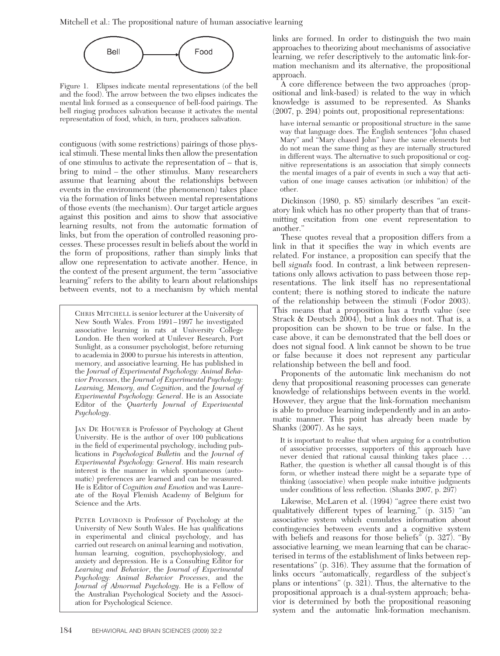

Figure 1. Elipses indicate mental representations (of the bell and the food). The arrow between the two elipses indicates the mental link formed as a consequence of bell-food pairings. The bell ringing produces salivation because it activates the mental representation of food, which, in turn, produces salivation.

contiguous (with some restrictions) pairings of those physical stimuli. These mental links then allow the presentation of one stimulus to activate the representation of – that is, bring to mind – the other stimulus. Many researchers assume that learning about the relationships between events in the environment (the phenomenon) takes place via the formation of links between mental representations of those events (the mechanism). Our target article argues against this position and aims to show that associative learning results, not from the automatic formation of links, but from the operation of controlled reasoning processes. These processes result in beliefs about the world in the form of propositions, rather than simply links that allow one representation to activate another. Hence, in the context of the present argument, the term "associative learning" refers to the ability to learn about relationships between events, not to a mechanism by which mental

CHRIS MITCHELL is senior lecturer at the University of New South Wales. From 1991– 1997 he investigated associative learning in rats at University College London. He then worked at Unilever Research, Port Sunlight, as a consumer psychologist, before returning to academia in 2000 to pursue his interests in attention, memory, and associative learning. He has published in the Journal of Experimental Psychology: Animal Behavior Processes, the Journal of Experimental Psychology: Learning, Memory, and Cognition, and the Journal of Experimental Psychology: General. He is an Associate Editor of the Quarterly Journal of Experimental Psychology.

JAN DE HOUWER is Professor of Psychology at Ghent University. He is the author of over 100 publications in the field of experimental psychology, including publications in Psychological Bulletin and the Journal of Experimental Psychology: General. His main research interest is the manner in which spontaneous (automatic) preferences are learned and can be measured. He is Editor of Cognition and Emotion and was Laureate of the Royal Flemish Academy of Belgium for Science and the Arts.

PETER LOVIBOND is Professor of Psychology at the University of New South Wales. He has qualifications in experimental and clinical psychology, and has carried out research on animal learning and motivation, human learning, cognition, psychophysiology, and anxiety and depression. He is a Consulting Editor for Learning and Behavior, the Journal of Experimental Psychology: Animal Behavior Processes, and the Journal of Abnormal Psychology. He is a Fellow of the Australian Psychological Society and the Association for Psychological Science.

links are formed. In order to distinguish the two main approaches to theorizing about mechanisms of associative learning, we refer descriptively to the automatic link-formation mechanism and its alternative, the propositional approach.

A core difference between the two approaches (propositional and link-based) is related to the way in which knowledge is assumed to be represented. As Shanks (2007, p. 294) points out, propositional representations:

have internal semantic or propositional structure in the same way that language does. The English sentences "John chased Mary" and "Mary chased John" have the same elements but do not mean the same thing as they are internally structured in different ways. The alternative to such propositional or cognitive representations is an association that simply connects the mental images of a pair of events in such a way that activation of one image causes activation (or inhibition) of the other.

Dickinson (1980, p. 85) similarly describes "an excitatory link which has no other property than that of transmitting excitation from one event representation to another."

These quotes reveal that a proposition differs from a link in that it specifies the way in which events are related. For instance, a proposition can specify that the bell *signals* food. In contrast, a link between representations only allows activation to pass between those representations. The link itself has no representational content; there is nothing stored to indicate the nature of the relationship between the stimuli (Fodor 2003). This means that a proposition has a truth value (see Strack & Deutsch  $2004$ , but a link does not. That is, a proposition can be shown to be true or false. In the case above, it can be demonstrated that the bell does or does not signal food. A link cannot be shown to be true or false because it does not represent any particular relationship between the bell and food.

Proponents of the automatic link mechanism do not deny that propositional reasoning processes can generate knowledge of relationships between events in the world. However, they argue that the link-formation mechanism is able to produce learning independently and in an automatic manner. This point has already been made by Shanks (2007). As he says,

It is important to realise that when arguing for a contribution of associative processes, supporters of this approach have never denied that rational causal thinking takes place ... Rather, the question is whether all causal thought is of this form, or whether instead there might be a separate type of thinking (associative) when people make intuitive judgments under conditions of less reflection. (Shanks 2007, p. 297)

Likewise, McLaren et al. (1994) "agree there exist two qualitatively different types of learning," (p. 315) "an associative system which cumulates information about contingencies between events and a cognitive system with beliefs and reasons for those beliefs" (p. 327). "By associative learning, we mean learning that can be characterised in terms of the establishment of links between representations" (p. 316). They assume that the formation of links occurs "automatically, regardless of the subject's plans or intentions" (p. 321). Thus, the alternative to the propositional approach is a dual-system approach; behavior is determined by both the propositional reasoning system and the automatic link-formation mechanism.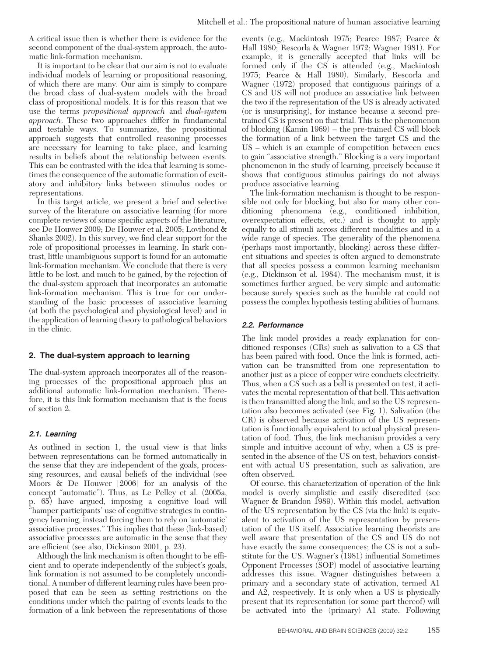A critical issue then is whether there is evidence for the second component of the dual-system approach, the automatic link-formation mechanism.

It is important to be clear that our aim is not to evaluate individual models of learning or propositional reasoning, of which there are many. Our aim is simply to compare the broad class of dual-system models with the broad class of propositional models. It is for this reason that we use the terms propositional approach and dual-system approach. These two approaches differ in fundamental and testable ways. To summarize, the propositional approach suggests that controlled reasoning processes are necessary for learning to take place, and learning results in beliefs about the relationship between events. This can be contrasted with the idea that learning is sometimes the consequence of the automatic formation of excitatory and inhibitory links between stimulus nodes or representations.

In this target article, we present a brief and selective survey of the literature on associative learning (for more complete reviews of some specific aspects of the literature, see De Houwer 2009; De Houwer et al. 2005; Lovibond & Shanks 2002). In this survey, we find clear support for the role of propositional processes in learning. In stark contrast, little unambiguous support is found for an automatic link-formation mechanism. We conclude that there is very little to be lost, and much to be gained, by the rejection of the dual-system approach that incorporates an automatic link-formation mechanism. This is true for our understanding of the basic processes of associative learning (at both the psychological and physiological level) and in the application of learning theory to pathological behaviors in the clinic.

#### 2. The dual-system approach to learning

The dual-system approach incorporates all of the reasoning processes of the propositional approach plus an additional automatic link-formation mechanism. Therefore, it is this link formation mechanism that is the focus of section 2.

#### 2.1. Learning

As outlined in section 1, the usual view is that links between representations can be formed automatically in the sense that they are independent of the goals, processing resources, and causal beliefs of the individual (see Moors & De Houwer [2006] for an analysis of the concept "automatic"). Thus, as Le Pelley et al. (2005a, p. 65) have argued, imposing a cognitive load will "hamper participants' use of cognitive strategies in contingency learning, instead forcing them to rely on 'automatic' associative processes." This implies that these (link-based) associative processes are automatic in the sense that they are efficient (see also, Dickinson 2001, p. 23).

Although the link mechanism is often thought to be efficient and to operate independently of the subject's goals, link formation is not assumed to be completely unconditional. A number of different learning rules have been proposed that can be seen as setting restrictions on the conditions under which the pairing of events leads to the formation of a link between the representations of those events (e.g., Mackintosh 1975; Pearce 1987; Pearce & Hall 1980; Rescorla & Wagner 1972; Wagner 1981). For example, it is generally accepted that links will be formed only if the CS is attended (e.g., Mackintosh 1975; Pearce & Hall 1980). Similarly, Rescorla and Wagner (1972) proposed that contiguous pairings of a CS and US will not produce an associative link between the two if the representation of the US is already activated (or is unsurprising), for instance because a second pretrained CS is present on that trial. This is the phenomenon of blocking ( $\hat{K}$ amin 1969) – the pre-trained  $\hat{C}S$  will block the formation of a link between the target CS and the US – which is an example of competition between cues to gain "associative strength." Blocking is a very important phenomenon in the study of learning, precisely because it shows that contiguous stimulus pairings do not always produce associative learning.

The link-formation mechanism is thought to be responsible not only for blocking, but also for many other conditioning phenomena (e.g., conditioned inhibition, overexpectation effects, etc.) and is thought to apply equally to all stimuli across different modalities and in a wide range of species. The generality of the phenomena (perhaps most importantly, blocking) across these different situations and species is often argued to demonstrate that all species possess a common learning mechanism (e.g., Dickinson et al. 1984). The mechanism must, it is sometimes further argued, be very simple and automatic because surely species such as the humble rat could not possess the complex hypothesis testing abilities of humans.

#### 2.2. Performance

The link model provides a ready explanation for conditioned responses (CRs) such as salivation to a CS that has been paired with food. Once the link is formed, activation can be transmitted from one representation to another just as a piece of copper wire conducts electricity. Thus, when a CS such as a bell is presented on test, it activates the mental representation of that bell. This activation is then transmitted along the link, and so the US representation also becomes activated (see Fig. 1). Salivation (the CR) is observed because activation of the US representation is functionally equivalent to actual physical presentation of food. Thus, the link mechanism provides a very simple and intuitive account of why, when a CS is presented in the absence of the US on test, behaviors consistent with actual US presentation, such as salivation, are often observed.

Of course, this characterization of operation of the link model is overly simplistic and easily discredited (see Wagner & Brandon 1989). Within this model, activation of the US representation by the CS (via the link) is equivalent to activation of the US representation by presentation of the US itself. Associative learning theorists are well aware that presentation of the CS and US do not have exactly the same consequences; the CS is not a substitute for the US. Wagner's (1981) influential Sometimes Opponent Processes (SOP) model of associative learning addresses this issue. Wagner distinguishes between a primary and a secondary state of activation, termed A1 and A2, respectively. It is only when a US is physically present that its representation (or some part thereof) will be activated into the (primary) A1 state. Following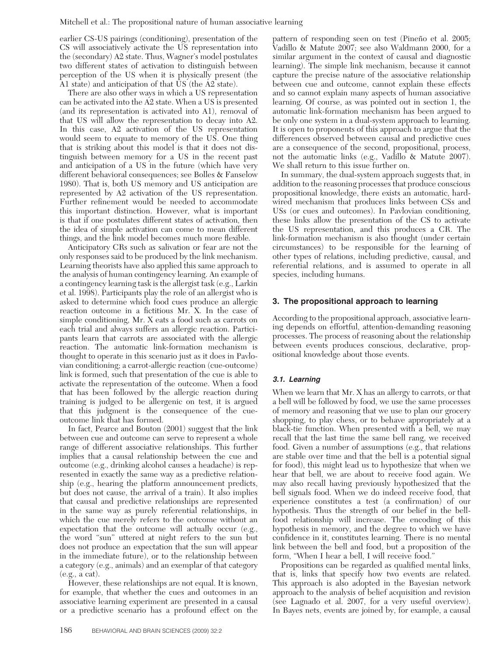earlier CS-US pairings (conditioning), presentation of the CS will associatively activate the US representation into the (secondary) A2 state. Thus, Wagner's model postulates two different states of activation to distinguish between perception of the US when it is physically present (the A1 state) and anticipation of that  $\tilde{U}S$  (the  $\tilde{A}2$  state).

There are also other ways in which a US representation can be activated into the A2 state. When a US is presented (and its representation is activated into A1), removal of that US will allow the representation to decay into A2. In this case, A2 activation of the US representation would seem to equate to memory of the US. One thing that is striking about this model is that it does not distinguish between memory for a US in the recent past and anticipation of a US in the future (which have very different behavioral consequences; see Bolles & Fanselow 1980). That is, both US memory and US anticipation are represented by A2 activation of the US representation. Further refinement would be needed to accommodate this important distinction. However, what is important is that if one postulates different states of activation, then the idea of simple activation can come to mean different things, and the link model becomes much more flexible.

Anticipatory CRs such as salivation or fear are not the only responses said to be produced by the link mechanism. Learning theorists have also applied this same approach to the analysis of human contingency learning. An example of a contingency learning task is the allergist task (e.g., Larkin et al. 1998). Participants play the role of an allergist who is asked to determine which food cues produce an allergic reaction outcome in a fictitious Mr. X. In the case of simple conditioning, Mr. X eats a food such as carrots on each trial and always suffers an allergic reaction. Participants learn that carrots are associated with the allergic reaction. The automatic link-formation mechanism is thought to operate in this scenario just as it does in Pavlovian conditioning; a carrot-allergic reaction (cue-outcome) link is formed, such that presentation of the cue is able to activate the representation of the outcome. When a food that has been followed by the allergic reaction during training is judged to be allergenic on test, it is argued that this judgment is the consequence of the cueoutcome link that has formed.

In fact, Pearce and Bouton (2001) suggest that the link between cue and outcome can serve to represent a whole range of different associative relationships. This further implies that a causal relationship between the cue and outcome (e.g., drinking alcohol causes a headache) is represented in exactly the same way as a predictive relationship (e.g., hearing the platform announcement predicts, but does not cause, the arrival of a train). It also implies that causal and predictive relationships are represented in the same way as purely referential relationships, in which the cue merely refers to the outcome without an expectation that the outcome will actually occur (e.g., the word "sun" uttered at night refers to the sun but does not produce an expectation that the sun will appear in the immediate future), or to the relationship between a category (e.g., animals) and an exemplar of that category (e.g., a cat).

However, these relationships are not equal. It is known, for example, that whether the cues and outcomes in an associative learning experiment are presented in a causal or a predictive scenario has a profound effect on the

pattern of responding seen on test (Pineño et al. 2005; Vadillo & Matute 2007; see also Waldmann 2000, for a similar argument in the context of causal and diagnostic learning). The simple link mechanism, because it cannot capture the precise nature of the associative relationship between cue and outcome, cannot explain these effects and so cannot explain many aspects of human associative learning. Of course, as was pointed out in section 1, the automatic link-formation mechanism has been argued to be only one system in a dual-system approach to learning. It is open to proponents of this approach to argue that the differences observed between causal and predictive cues are a consequence of the second, propositional, process, not the automatic links (e.g., Vadillo & Matute 2007). We shall return to this issue further on.

In summary, the dual-system approach suggests that, in addition to the reasoning processes that produce conscious propositional knowledge, there exists an automatic, hardwired mechanism that produces links between CSs and USs (or cues and outcomes). In Pavlovian conditioning, these links allow the presentation of the CS to activate the US representation, and this produces a CR. The link-formation mechanism is also thought (under certain circumstances) to be responsible for the learning of other types of relations, including predictive, causal, and referential relations, and is assumed to operate in all species, including humans.

### 3. The propositional approach to learning

According to the propositional approach, associative learning depends on effortful, attention-demanding reasoning processes. The process of reasoning about the relationship between events produces conscious, declarative, propositional knowledge about those events.

### 3.1. Learning

When we learn that Mr. X has an allergy to carrots, or that a bell will be followed by food, we use the same processes of memory and reasoning that we use to plan our grocery shopping, to play chess, or to behave appropriately at a black-tie function. When presented with a bell, we may recall that the last time the same bell rang, we received food. Given a number of assumptions (e.g., that relations are stable over time and that the bell is a potential signal for food), this might lead us to hypothesize that when we hear that bell, we are about to receive food again. We may also recall having previously hypothesized that the bell signals food. When we do indeed receive food, that experience constitutes a test (a confirmation) of our hypothesis. Thus the strength of our belief in the bellfood relationship will increase. The encoding of this hypothesis in memory, and the degree to which we have confidence in it, constitutes learning. There is no mental link between the bell and food, but a proposition of the form, "When I hear a bell, I will receive food."

Propositions can be regarded as qualified mental links, that is, links that specify how two events are related. This approach is also adopted in the Bayesian network approach to the analysis of belief acquisition and revision (see Lagnado et al. 2007, for a very useful overview). In Bayes nets, events are joined by, for example, a causal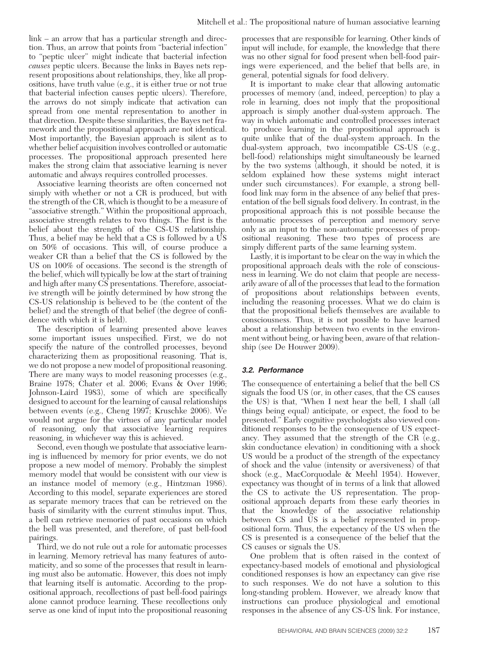link – an arrow that has a particular strength and direction. Thus, an arrow that points from "bacterial infection" to "peptic ulcer" might indicate that bacterial infection causes peptic ulcers. Because the links in Bayes nets represent propositions about relationships, they, like all propositions, have truth value (e.g., it is either true or not true that bacterial infection causes peptic ulcers). Therefore, the arrows do not simply indicate that activation can spread from one mental representation to another in that direction. Despite these similarities, the Bayes net framework and the propositional approach are not identical. Most importantly, the Bayesian approach is silent as to whether belief acquisition involves controlled or automatic processes. The propositional approach presented here makes the strong claim that associative learning is never automatic and always requires controlled processes.

Associative learning theorists are often concerned not simply with whether or not a CR is produced, but with the strength of the CR, which is thought to be a measure of "associative strength." Within the propositional approach, associative strength relates to two things. The first is the belief about the strength of the CS-US relationship. Thus, a belief may be held that a CS is followed by a US on 50% of occasions. This will, of course produce a weaker CR than a belief that the CS is followed by the US on 100% of occasions. The second is the strength of the belief, which will typically be low at the start of training and high after many CS presentations. Therefore, associative strength will be jointly determined by how strong the CS-US relationship is believed to be (the content of the belief) and the strength of that belief (the degree of confidence with which it is held).

The description of learning presented above leaves some important issues unspecified. First, we do not specify the nature of the controlled processes, beyond characterizing them as propositional reasoning. That is, we do not propose a new model of propositional reasoning. There are many ways to model reasoning processes (e.g., Braine 1978; Chater et al. 2006; Evans & Over 1996; Johnson-Laird 1983), some of which are specifically designed to account for the learning of causal relationships between events (e.g., Cheng 1997; Kruschke 2006). We would not argue for the virtues of any particular model of reasoning, only that associative learning requires reasoning, in whichever way this is achieved.

Second, even though we postulate that associative learning is influenced by memory for prior events, we do not propose a new model of memory. Probably the simplest memory model that would be consistent with our view is an instance model of memory (e.g., Hintzman 1986). According to this model, separate experiences are stored as separate memory traces that can be retrieved on the basis of similarity with the current stimulus input. Thus, a bell can retrieve memories of past occasions on which the bell was presented, and therefore, of past bell-food pairings.

Third, we do not rule out a role for automatic processes in learning. Memory retrieval has many features of automaticity, and so some of the processes that result in learning must also be automatic. However, this does not imply that learning itself is automatic. According to the propositional approach, recollections of past bell-food pairings alone cannot produce learning. These recollections only serve as one kind of input into the propositional reasoning

processes that are responsible for learning. Other kinds of input will include, for example, the knowledge that there was no other signal for food present when bell-food pairings were experienced, and the belief that bells are, in general, potential signals for food delivery.

It is important to make clear that allowing automatic processes of memory (and, indeed, perception) to play a role in learning, does not imply that the propositional approach is simply another dual-system approach. The way in which automatic and controlled processes interact to produce learning in the propositional approach is quite unlike that of the dual-system approach. In the dual-system approach, two incompatible CS-US (e.g., bell-food) relationships might simultaneously be learned by the two systems (although, it should be noted, it is seldom explained how these systems might interact under such circumstances). For example, a strong bellfood link may form in the absence of any belief that presentation of the bell signals food delivery. In contrast, in the propositional approach this is not possible because the automatic processes of perception and memory serve only as an input to the non-automatic processes of propositional reasoning. These two types of process are simply different parts of the same learning system.

Lastly, it is important to be clear on the way in which the propositional approach deals with the role of consciousness in learning. We do not claim that people are necessarily aware of all of the processes that lead to the formation of propositions about relationships between events, including the reasoning processes. What we do claim is that the propositional beliefs themselves are available to consciousness. Thus, it is not possible to have learned about a relationship between two events in the environment without being, or having been, aware of that relationship (see De Houwer 2009).

### 3.2. Performance

The consequence of entertaining a belief that the bell CS signals the food US (or, in other cases, that the CS causes the US) is that, "When I next hear the bell, I shall (all things being equal) anticipate, or expect, the food to be presented." Early cognitive psychologists also viewed conditioned responses to be the consequence of US expectancy. They assumed that the strength of the CR (e.g., skin conductance elevation) in conditioning with a shock US would be a product of the strength of the expectancy of shock and the value (intensity or aversiveness) of that shock (e.g., MacCorquodale & Meehl 1954). However, expectancy was thought of in terms of a link that allowed the CS to activate the US representation. The propositional approach departs from these early theories in that the knowledge of the associative relationship between CS and US is a belief represented in propositional form. Thus, the expectancy of the US when the CS is presented is a consequence of the belief that the CS causes or signals the US.

One problem that is often raised in the context of expectancy-based models of emotional and physiological conditioned responses is how an expectancy can give rise to such responses. We do not have a solution to this long-standing problem. However, we already know that instructions can produce physiological and emotional responses in the absence of any CS-US link. For instance,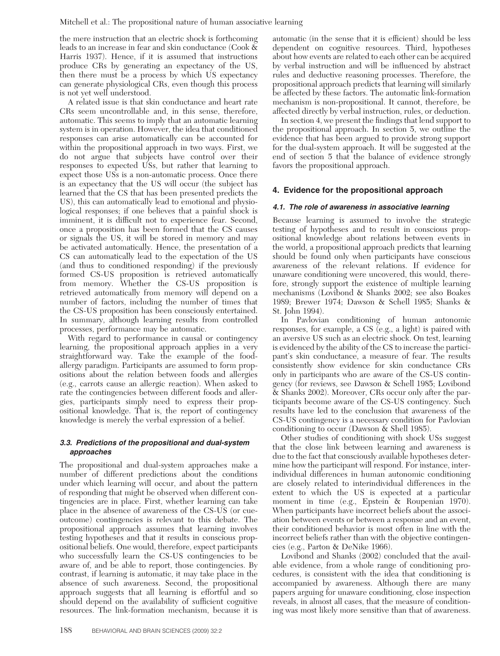the mere instruction that an electric shock is forthcoming leads to an increase in fear and skin conductance (Cook & Harris 1937). Hence, if it is assumed that instructions produce CRs by generating an expectancy of the US, then there must be a process by which US expectancy can generate physiological CRs, even though this process is not yet well understood.

A related issue is that skin conductance and heart rate CRs seem uncontrollable and, in this sense, therefore, automatic. This seems to imply that an automatic learning system is in operation. However, the idea that conditioned responses can arise automatically can be accounted for within the propositional approach in two ways. First, we do not argue that subjects have control over their responses to expected USs, but rather that learning to expect those USs is a non-automatic process. Once there is an expectancy that the US will occur (the subject has learned that the CS that has been presented predicts the US), this can automatically lead to emotional and physiological responses; if one believes that a painful shock is imminent, it is difficult not to experience fear. Second, once a proposition has been formed that the CS causes or signals the US, it will be stored in memory and may be activated automatically. Hence, the presentation of a CS can automatically lead to the expectation of the US (and thus to conditioned responding) if the previously formed CS-US proposition is retrieved automatically from memory. Whether the CS-US proposition is retrieved automatically from memory will depend on a number of factors, including the number of times that the CS-US proposition has been consciously entertained. In summary, although learning results from controlled processes, performance may be automatic.

With regard to performance in causal or contingency learning, the propositional approach applies in a very straightforward way. Take the example of the foodallergy paradigm. Participants are assumed to form propositions about the relation between foods and allergies (e.g., carrots cause an allergic reaction). When asked to rate the contingencies between different foods and allergies, participants simply need to express their propositional knowledge. That is, the report of contingency knowledge is merely the verbal expression of a belief.

### 3.3. Predictions of the propositional and dual-system approaches

The propositional and dual-system approaches make a number of different predictions about the conditions under which learning will occur, and about the pattern of responding that might be observed when different contingencies are in place. First, whether learning can take place in the absence of awareness of the CS-US (or cueoutcome) contingencies is relevant to this debate. The propositional approach assumes that learning involves testing hypotheses and that it results in conscious propositional beliefs. One would, therefore, expect participants who successfully learn the CS-US contingencies to be aware of, and be able to report, those contingencies. By contrast, if learning is automatic, it may take place in the absence of such awareness. Second, the propositional approach suggests that all learning is effortful and so should depend on the availability of sufficient cognitive resources. The link-formation mechanism, because it is

automatic (in the sense that it is efficient) should be less dependent on cognitive resources. Third, hypotheses about how events are related to each other can be acquired by verbal instruction and will be influenced by abstract rules and deductive reasoning processes. Therefore, the propositional approach predicts that learning will similarly be affected by these factors. The automatic link-formation mechanism is non-propositional. It cannot, therefore, be affected directly by verbal instruction, rules, or deduction.

In section 4, we present the findings that lend support to the propositional approach. In section 5, we outline the evidence that has been argued to provide strong support for the dual-system approach. It will be suggested at the end of section 5 that the balance of evidence strongly favors the propositional approach.

### 4. Evidence for the propositional approach

### 4.1. The role of awareness in associative learning

Because learning is assumed to involve the strategic testing of hypotheses and to result in conscious propositional knowledge about relations between events in the world, a propositional approach predicts that learning should be found only when participants have conscious awareness of the relevant relations. If evidence for unaware conditioning were uncovered, this would, therefore, strongly support the existence of multiple learning mechanisms (Lovibond & Shanks 2002; see also Boakes 1989; Brewer 1974; Dawson & Schell 1985; Shanks & St. John 1994).

In Pavlovian conditioning of human autonomic responses, for example, a CS (e.g., a light) is paired with an aversive US such as an electric shock. On test, learning is evidenced by the ability of the CS to increase the participant's skin conductance, a measure of fear. The results consistently show evidence for skin conductance CRs only in participants who are aware of the CS-US contingency (for reviews, see Dawson & Schell 1985; Lovibond & Shanks 2002). Moreover, CRs occur only after the participants become aware of the CS-US contingency. Such results have led to the conclusion that awareness of the CS-US contingency is a necessary condition for Pavlovian conditioning to occur (Dawson & Shell 1985).

Other studies of conditioning with shock USs suggest that the close link between learning and awareness is due to the fact that consciously available hypotheses determine how the participant will respond. For instance, interindividual differences in human autonomic conditioning are closely related to interindividual differences in the extent to which the US is expected at a particular moment in time (e.g., Epstein & Roupenian 1970). When participants have incorrect beliefs about the association between events or between a response and an event, their conditioned behavior is most often in line with the incorrect beliefs rather than with the objective contingencies (e.g., Parton & DeNike 1966).

Lovibond and Shanks (2002) concluded that the available evidence, from a whole range of conditioning procedures, is consistent with the idea that conditioning is accompanied by awareness. Although there are many papers arguing for unaware conditioning, close inspection reveals, in almost all cases, that the measure of conditioning was most likely more sensitive than that of awareness.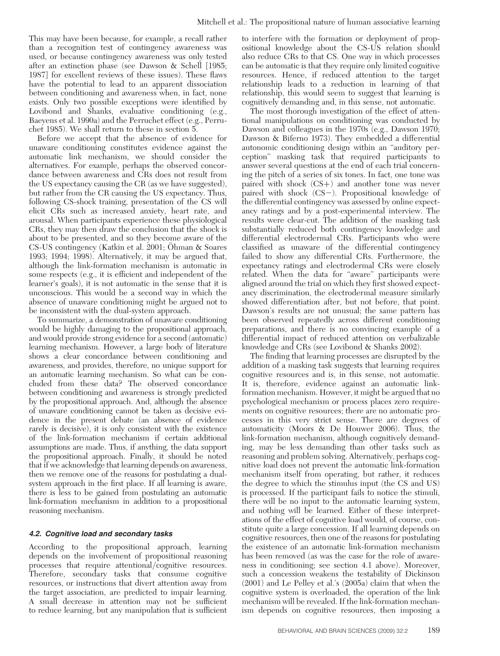This may have been because, for example, a recall rather than a recognition test of contingency awareness was used, or because contingency awareness was only tested after an extinction phase (see Dawson & Schell [1985; 1987] for excellent reviews of these issues). These flaws have the potential to lead to an apparent dissociation between conditioning and awareness when, in fact, none exists. Only two possible exceptions were identified by Lovibond and Shanks, evaluative conditioning (e.g., Baeyens et al. 1990a) and the Perruchet effect (e.g., Perruchet 1985). We shall return to these in section 5.

Before we accept that the absence of evidence for unaware conditioning constitutes evidence against the automatic link mechanism, we should consider the alternatives. For example, perhaps the observed concordance between awareness and CRs does not result from the US expectancy causing the CR (as we have suggested), but rather from the CR causing the US expectancy. Thus, following CS-shock training, presentation of the CS will elicit CRs such as increased anxiety, heart rate, and arousal. When participants experience these physiological CRs, they may then draw the conclusion that the shock is about to be presented, and so they become aware of the CS-US contingency (Katkin et al. 2001; Öhman & Soares 1993; 1994; 1998). Alternatively, it may be argued that, although the link-formation mechanism is automatic in some respects (e.g., it is efficient and independent of the learner's goals), it is not automatic in the sense that it is unconscious. This would be a second way in which the absence of unaware conditioning might be argued not to be inconsistent with the dual-system approach.

To summarize, a demonstration of unaware conditioning would be highly damaging to the propositional approach, and would provide strong evidence for a second (automatic) learning mechanism. However, a large body of literature shows a clear concordance between conditioning and awareness, and provides, therefore, no unique support for an automatic learning mechanism. So what can be concluded from these data? The observed concordance between conditioning and awareness is strongly predicted by the propositional approach. And, although the absence of unaware conditioning cannot be taken as decisive evidence in the present debate (an absence of evidence rarely is decisive), it is only consistent with the existence of the link-formation mechanism if certain additional assumptions are made. Thus, if anything, the data support the propositional approach. Finally, it should be noted that if we acknowledge that learning depends on awareness, then we remove one of the reasons for postulating a dualsystem approach in the first place. If all learning is aware, there is less to be gained from postulating an automatic link-formation mechanism in addition to a propositional reasoning mechanism.

### 4.2. Cognitive load and secondary tasks

According to the propositional approach, learning depends on the involvement of propositional reasoning processes that require attentional/cognitive resources. Therefore, secondary tasks that consume cognitive resources, or instructions that divert attention away from the target association, are predicted to impair learning. A small decrease in attention may not be sufficient to reduce learning, but any manipulation that is sufficient

to interfere with the formation or deployment of propositional knowledge about the CS-US relation should also reduce CRs to that CS. One way in which processes can be automatic is that they require only limited cognitive resources. Hence, if reduced attention to the target relationship leads to a reduction in learning of that relationship, this would seem to suggest that learning is cognitively demanding and, in this sense, not automatic.

The most thorough investigation of the effect of attentional manipulations on conditioning was conducted by Dawson and colleagues in the 1970s (e.g., Dawson 1970; Dawson & Biferno 1973). They embedded a differential autonomic conditioning design within an "auditory perception" masking task that required participants to answer several questions at the end of each trial concerning the pitch of a series of six tones. In fact, one tone was paired with shock  $(CS+)$  and another tone was never paired with shock  $(CS-)$ . Propositional knowledge of the differential contingency was assessed by online expectancy ratings and by a post-experimental interview. The results were clear-cut. The addition of the masking task substantially reduced both contingency knowledge and differential electrodermal CRs. Participants who were classified as unaware of the differential contingency failed to show any differential CRs. Furthermore, the expectancy ratings and electrodermal CRs were closely related. When the data for "aware" participants were aligned around the trial on which they first showed expectancy discrimination, the electrodermal measure similarly showed differentiation after, but not before, that point. Dawson's results are not unusual; the same pattern has been observed repeatedly across different conditioning preparations, and there is no convincing example of a differential impact of reduced attention on verbalizable knowledge and CRs (see Lovibond & Shanks 2002).

The finding that learning processes are disrupted by the addition of a masking task suggests that learning requires cognitive resources and is, in this sense, not automatic. It is, therefore, evidence against an automatic linkformation mechanism. However, it might be argued that no psychological mechanism or process places zero requirements on cognitive resources; there are no automatic processes in this very strict sense. There are degrees of automaticity (Moors & De Houwer 2006). Thus, the link-formation mechanism, although cognitively demanding, may be less demanding than other tasks such as reasoning and problem solving. Alternatively, perhaps cognitive load does not prevent the automatic link-formation mechanism itself from operating, but rather, it reduces the degree to which the stimulus input (the CS and US) is processed. If the participant fails to notice the stimuli, there will be no input to the automatic learning system, and nothing will be learned. Either of these interpretations of the effect of cognitive load would, of course, constitute quite a large concession. If all learning depends on cognitive resources, then one of the reasons for postulating the existence of an automatic link-formation mechanism has been removed (as was the case for the role of awareness in conditioning; see section 4.1 above). Moreover, such a concession weakens the testability of Dickinson (2001) and Le Pelley et al.'s (2005a) claim that when the cognitive system is overloaded, the operation of the link mechanism will be revealed. If the link-formation mechanism depends on cognitive resources, then imposing a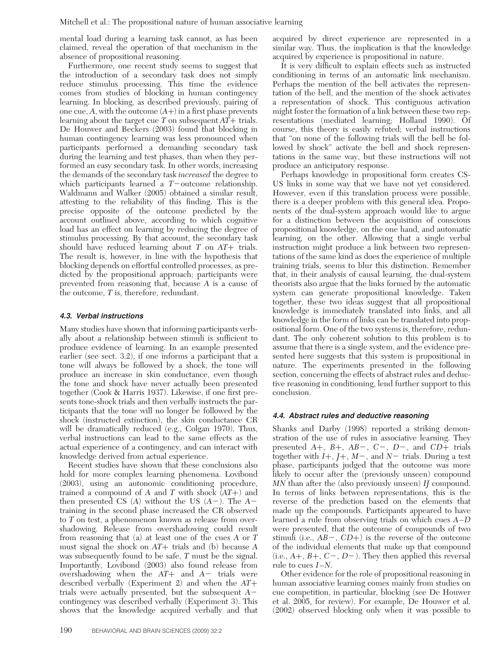mental load during a learning task cannot, as has been claimed, reveal the operation of that mechanism in the absence of propositional reasoning.

Furthermore, one recent study seems to suggest that the introduction of a secondary task does not simply reduce stimulus processing. This time the evidence comes from studies of blocking in human contingency learning. In blocking, as described previously, pairing of one cue, A, with the outcome  $(A+)$  in a first phase prevents learning about the target cue  $T$  on subsequent  $AT+$  trials. De Houwer and Beckers (2003) found that blocking in human contingency learning was less pronounced when participants performed a demanding secondary task during the learning and test phases, than when they performed an easy secondary task. In other words, increasing the demands of the secondary task increased the degree to which participants learned a  $T$ -outcome relationship. Waldmann and Walker (2005) obtained a similar result, attesting to the reliability of this finding. This is the precise opposite of the outcome predicted by the account outlined above, according to which cognitive load has an effect on learning by reducing the degree of stimulus processing. By that account, the secondary task should have reduced learning about  $T$  on  $AT+$  trials. The result is, however, in line with the hypothesis that blocking depends on effortful controlled processes, as predicted by the propositional approach; participants were prevented from reasoning that, because A is a cause of the outcome, T is, therefore, redundant.

#### 4.3. Verbal instructions

Many studies have shown that informing participants verbally about a relationship between stimuli is sufficient to produce evidence of learning. In an example presented earlier (see sect. 3.2), if one informs a participant that a tone will always be followed by a shock, the tone will produce an increase in skin conductance, even though the tone and shock have never actually been presented together (Cook & Harris 1937). Likewise, if one first presents tone-shock trials and then verbally instructs the participants that the tone will no longer be followed by the shock (instructed extinction), the skin conductance CR will be dramatically reduced (e.g., Colgan 1970). Thus, verbal instructions can lead to the same effects as the actual experience of a contingency, and can interact with knowledge derived from actual experience.

Recent studies have shown that these conclusions also hold for more complex learning phenomena. Lovibond (2003), using an autonomic conditioning procedure, trained a compound of A and T with shock  $AT$ +) and then presented CS  $(A)$  without the US  $(A-)$ . The  $A$ training in the second phase increased the CR observed to T on test, a phenomenon known as release from overshadowing. Release from overshadowing could result from reasoning that (a) at least one of the cues A or T must signal the shock on  $AT+$  trials and (b) because A was subsequently found to be safe, T must be the signal. Importantly, Lovibond (2003) also found release from overshadowing when the  $AT+$  and  $A-$  trials were described verbally (Experiment 2) and when the  $AT+$ trials were actually presented, but the subsequent  $A$ contingency was described verbally (Experiment 3). This shows that the knowledge acquired verbally and that

acquired by direct experience are represented in a similar way. Thus, the implication is that the knowledge acquired by experience is propositional in nature.

It is very difficult to explain effects such as instructed conditioning in terms of an automatic link mechanism. Perhaps the mention of the bell activates the representation of the bell, and the mention of the shock activates a representation of shock. This contiguous activation might foster the formation of a link between these two representations (mediated learning; Holland 1990). Of course, this theory is easily refuted; verbal instructions that "on none of the following trials will the bell be followed by shock" activate the bell and shock representations in the same way, but these instructions will not produce an anticipatory response.

Perhaps knowledge in propositional form creates CS-US links in some way that we have not yet considered. However, even if this translation process were possible, there is a deeper problem with this general idea. Proponents of the dual-system approach would like to argue for a distinction between the acquisition of conscious propositional knowledge, on the one hand, and automatic learning, on the other. Allowing that a single verbal instruction might produce a link between two representations of the same kind as does the experience of multiple training trials, seems to blur this distinction. Remember that, in their analysis of causal learning, the dual-system theorists also argue that the links formed by the automatic system can generate propositional knowledge. Taken together, these two ideas suggest that all propositional knowledge is immediately translated into links, and all knowledge in the form of links can be translated into propositional form. One of the two systems is, therefore, redundant. The only coherent solution to this problem is to assume that there is a single system, and the evidence presented here suggests that this system is propositional in nature. The experiments presented in the following section, concerning the effects of abstract rules and deductive reasoning in conditioning, lend further support to this conclusion.

#### 4.4. Abstract rules and deductive reasoning

Shanks and Darby (1998) reported a striking demonstration of the use of rules in associative learning. They presented  $A+$ ,  $B+$ ,  $AB-$ ,  $C-$ ,  $D-$ , and  $CD+$  trials together with  $I_+, I_+, M_-,$  and  $N-$  trials. During a test phase, participants judged that the outcome was more likely to occur after the (previously unseen) compound MN than after the (also previously unseen) II compound. In terms of links between representations, this is the reverse of the prediction based on the elements that made up the compounds. Participants appeared to have learned a rule from observing trials on which cues A–D were presented, that the outcome of compounds of two stimuli (i.e.,  $AB-$ ,  $CD+$ ) is the reverse of the outcome of the individual elements that make up that compound  $(i.e., A+, B+, C-, D-)$ . They then applied this reversal rule to cues I–N.

Other evidence for the role of propositional reasoning in human associative learning comes mainly from studies on cue competition, in particular, blocking (see De Houwer et al. 2005, for review). For example, De Houwer et al. (2002) observed blocking only when it was possible to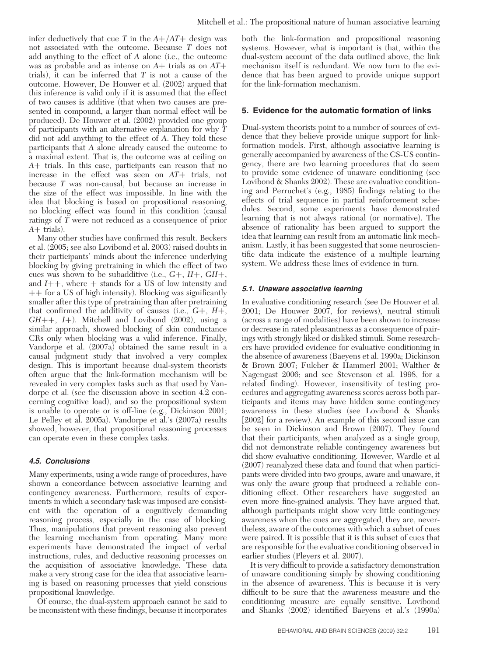infer deductively that cue T in the  $A + \sqrt{AT}$  design was not associated with the outcome. Because T does not add anything to the effect of A alone (i.e., the outcome was as probable and as intense on  $A+$  trials as on  $AT+$ trials), it can be inferred that  $T$  is not a cause of the outcome. However, De Houwer et al. (2002) argued that this inference is valid only if it is assumed that the effect of two causes is additive (that when two causes are presented in compound, a larger than normal effect will be produced). De Houwer et al. (2002) provided one group of participants with an alternative explanation for why  $T$ did not add anything to the effect of A. They told these participants that A alone already caused the outcome to a maximal extent. That is, the outcome was at ceiling on  $A+$  trials. In this case, participants can reason that no increase in the effect was seen on  $AT+$  trials, not because T was non-causal, but because an increase in the size of the effect was impossible. In line with the idea that blocking is based on propositional reasoning, no blocking effect was found in this condition (causal ratings of T were not reduced as a consequence of prior  $A+$  trials).

Many other studies have confirmed this result. Beckers et al. (2005; see also Lovibond et al. 2003) raised doubts in their participants' minds about the inference underlying blocking by giving pretraining in which the effect of two cues was shown to be subadditive (i.e.,  $G+$ ,  $H+$ ,  $GH+$ , and  $I_{++}$ , where  $+$  stands for a US of low intensity and  $++$  for a US of high intensity). Blocking was significantly smaller after this type of pretraining than after pretraining that confirmed the additivity of causes (i.e.,  $G_{+}$ ,  $H_{+}$ ,  $GH++$ ,  $I+$ ). Mitchell and Lovibond (2002), using a similar approach, showed blocking of skin conductance CRs only when blocking was a valid inference. Finally, Vandorpe et al. (2007a) obtained the same result in a causal judgment study that involved a very complex design. This is important because dual-system theorists often argue that the link-formation mechanism will be revealed in very complex tasks such as that used by Vandorpe et al. (see the discussion above in section 4.2 concerning cognitive load), and so the propositional system is unable to operate or is off-line (e.g., Dickinson 2001; Le Pelley et al. 2005a). Vandorpe et al.'s (2007a) results showed, however, that propositional reasoning processes can operate even in these complex tasks.

#### 4.5. Conclusions

Many experiments, using a wide range of procedures, have shown a concordance between associative learning and contingency awareness. Furthermore, results of experiments in which a secondary task was imposed are consistent with the operation of a cognitively demanding reasoning process, especially in the case of blocking. Thus, manipulations that prevent reasoning also prevent the learning mechanism from operating. Many more experiments have demonstrated the impact of verbal instructions, rules, and deductive reasoning processes on the acquisition of associative knowledge. These data make a very strong case for the idea that associative learning is based on reasoning processes that yield conscious propositional knowledge.

Of course, the dual-system approach cannot be said to be inconsistent with these findings, because it incorporates both the link-formation and propositional reasoning systems. However, what is important is that, within the dual-system account of the data outlined above, the link mechanism itself is redundant. We now turn to the evidence that has been argued to provide unique support for the link-formation mechanism.

#### 5. Evidence for the automatic formation of links

Dual-system theorists point to a number of sources of evidence that they believe provide unique support for linkformation models. First, although associative learning is generally accompanied by awareness of the CS-US contingency, there are two learning procedures that do seem to provide some evidence of unaware conditioning (see Lovibond & Shanks 2002). These are evaluative conditioning and Perruchet's (e.g., 1985) findings relating to the effects of trial sequence in partial reinforcement schedules. Second, some experiments have demonstrated learning that is not always rational (or normative). The absence of rationality has been argued to support the idea that learning can result from an automatic link mechanism. Lastly, it has been suggested that some neuroscientific data indicate the existence of a multiple learning system. We address these lines of evidence in turn.

#### 5.1. Unaware associative learning

In evaluative conditioning research (see De Houwer et al. 2001; De Houwer 2007, for reviews), neutral stimuli (across a range of modalities) have been shown to increase or decrease in rated pleasantness as a consequence of pairings with strongly liked or disliked stimuli. Some researchers have provided evidence for evaluative conditioning in the absence of awareness (Baeyens et al. 1990a; Dickinson & Brown 2007; Fulcher & Hammerl 2001; Walther & Nagengast 2006; and see Stevenson et al. 1998, for a related finding). However, insensitivity of testing procedures and aggregating awareness scores across both participants and items may have hidden some contingency awareness in these studies (see Lovibond & Shanks [2002] for a review). An example of this second issue can be seen in Dickinson and Brown (2007). They found that their participants, when analyzed as a single group, did not demonstrate reliable contingency awareness but did show evaluative conditioning. However, Wardle et al (2007) reanalyzed these data and found that when participants were divided into two groups, aware and unaware, it was only the aware group that produced a reliable conditioning effect. Other researchers have suggested an even more fine-grained analysis. They have argued that, although participants might show very little contingency awareness when the cues are aggregated, they are, nevertheless, aware of the outcomes with which a subset of cues were paired. It is possible that it is this subset of cues that are responsible for the evaluative conditioning observed in earlier studies (Pleyers et al. 2007).

It is very difficult to provide a satisfactory demonstration of unaware conditioning simply by showing conditioning in the absence of awareness. This is because it is very difficult to be sure that the awareness measure and the conditioning measure are equally sensitive. Lovibond and Shanks (2002) identified Baeyens et al.'s (1990a)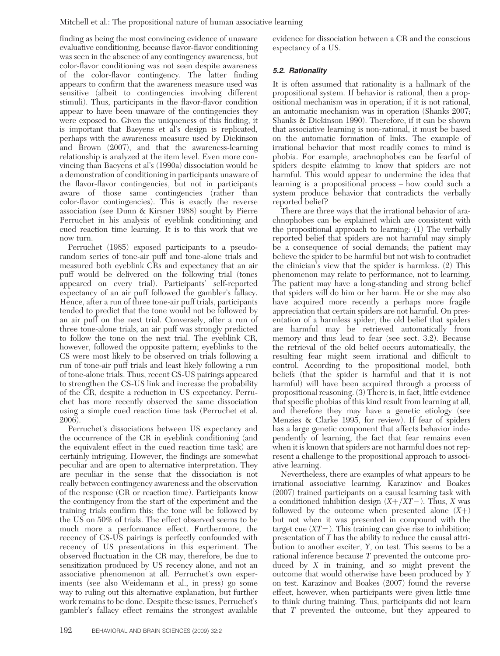finding as being the most convincing evidence of unaware evaluative conditioning, because flavor-flavor conditioning was seen in the absence of any contingency awareness, but color-flavor conditioning was not seen despite awareness of the color-flavor contingency. The latter finding appears to confirm that the awareness measure used was sensitive (albeit to contingencies involving different stimuli). Thus, participants in the flavor-flavor condition appear to have been unaware of the contingencies they were exposed to. Given the uniqueness of this finding, it is important that Baeyens et al's design is replicated, perhaps with the awareness measure used by Dickinson and Brown (2007), and that the awareness-learning relationship is analyzed at the item level. Even more convincing than Baeyens et al's (1990a) dissociation would be a demonstration of conditioning in participants unaware of the flavor-flavor contingencies, but not in participants aware of those same contingencies (rather than color-flavor contingencies). This is exactly the reverse association (see Dunn & Kirsner 1988) sought by Pierre Perruchet in his analysis of eyeblink conditioning and cued reaction time learning. It is to this work that we now turn.

Perruchet (1985) exposed participants to a pseudorandom series of tone-air puff and tone-alone trials and measured both eyeblink CRs and expectancy that an air puff would be delivered on the following trial (tones appeared on every trial). Participants' self-reported expectancy of an air puff followed the gambler's fallacy. Hence, after a run of three tone-air puff trials, participants tended to predict that the tone would not be followed by an air puff on the next trial. Conversely, after a run of three tone-alone trials, an air puff was strongly predicted to follow the tone on the next trial. The eyeblink CR, however, followed the opposite pattern; eyeblinks to the CS were most likely to be observed on trials following a run of tone-air puff trials and least likely following a run of tone-alone trials. Thus, recent CS-US pairings appeared to strengthen the CS-US link and increase the probability of the CR, despite a reduction in US expectancy. Perruchet has more recently observed the same dissociation using a simple cued reaction time task (Perruchet et al. 2006).

Perruchet's dissociations between US expectancy and the occurrence of the CR in eyeblink conditioning (and the equivalent effect in the cued reaction time task) are certainly intriguing. However, the findings are somewhat peculiar and are open to alternative interpretation. They are peculiar in the sense that the dissociation is not really between contingency awareness and the observation of the response (CR or reaction time). Participants know the contingency from the start of the experiment and the training trials confirm this; the tone will be followed by the US on 50% of trials. The effect observed seems to be much more a performance effect. Furthermore, the recency of CS-US pairings is perfectly confounded with recency of US presentations in this experiment. The observed fluctuation in the CR may, therefore, be due to sensitization produced by US recency alone, and not an associative phenomenon at all. Perruchet's own experiments (see also Weidemann et al., in press) go some way to ruling out this alternative explanation, but further work remains to be done. Despite these issues, Perruchet's gambler's fallacy effect remains the strongest available

evidence for dissociation between a CR and the conscious expectancy of a US.

### 5.2. Rationality

It is often assumed that rationality is a hallmark of the propositional system. If behavior is rational, then a propositional mechanism was in operation; if it is not rational, an automatic mechanism was in operation (Shanks 2007; Shanks & Dickinson 1990). Therefore, if it can be shown that associative learning is non-rational, it must be based on the automatic formation of links. The example of irrational behavior that most readily comes to mind is phobia. For example, arachnophobes can be fearful of spiders despite claiming to know that spiders are not harmful. This would appear to undermine the idea that learning is a propositional process – how could such a system produce behavior that contradicts the verbally reported belief?

There are three ways that the irrational behavior of arachnophobes can be explained which are consistent with the propositional approach to learning: (1) The verbally reported belief that spiders are not harmful may simply be a consequence of social demands; the patient may believe the spider to be harmful but not wish to contradict the clinician's view that the spider is harmless. (2) This phenomenon may relate to performance, not to learning. The patient may have a long-standing and strong belief that spiders will do him or her harm. He or she may also have acquired more recently a perhaps more fragile appreciation that certain spiders are not harmful. On presentation of a harmless spider, the old belief that spiders are harmful may be retrieved automatically from memory and thus lead to fear (see sect. 3.2). Because the retrieval of the old belief occurs automatically, the resulting fear might seem irrational and difficult to control. According to the propositional model, both beliefs (that the spider is harmful and that it is not harmful) will have been acquired through a process of propositional reasoning. (3) There is, in fact, little evidence that specific phobias of this kind result from learning at all, and therefore they may have a genetic etiology (see Menzies & Clarke 1995, for review). If fear of spiders has a large genetic component that affects behavior independently of learning, the fact that fear remains even when it is known that spiders are not harmful does not represent a challenge to the propositional approach to associative learning.

Nevertheless, there are examples of what appears to be irrational associative learning. Karazinov and Boakes (2007) trained participants on a causal learning task with a conditioned inhibition design  $(X+/XT-)$ . Thus, X was followed by the outcome when presented alone  $(X+)$ but not when it was presented in compound with the target cue  $(XT-)$ . This training can give rise to inhibition; presentation of T has the ability to reduce the causal attribution to another exciter, Y, on test. This seems to be a rational inference because T prevented the outcome produced by X in training, and so might prevent the outcome that would otherwise have been produced by Y on test. Karazinov and Boakes (2007) found the reverse effect, however, when participants were given little time to think during training. Thus, participants did not learn that T prevented the outcome, but they appeared to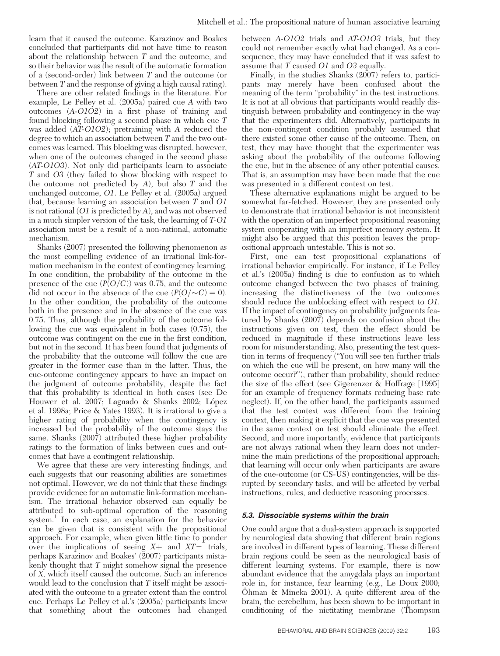learn that it caused the outcome. Karazinov and Boakes concluded that participants did not have time to reason about the relationship between  $T$  and the outcome, and so their behavior was the result of the automatic formation of a (second-order) link between T and the outcome (or between T and the response of giving a high causal rating).

There are other related findings in the literature. For example, Le Pelley et al. (2005a) paired cue A with two outcomes (A-O1O2) in a first phase of training and found blocking following a second phase in which cue T was added (AT-O1O2); pretraining with A reduced the degree to which an association between T and the two outcomes was learned. This blocking was disrupted, however, when one of the outcomes changed in the second phase (AT-O1O3). Not only did participants learn to associate T and O3 (they failed to show blocking with respect to the outcome not predicted by  $A$ ), but also  $T$  and the unchanged outcome, O1. Le Pelley et al. (2005a) argued that, because learning an association between T and O1 is not rational (O1 is predicted by A), and was not observed in a much simpler version of the task, the learning of T-O1 association must be a result of a non-rational, automatic mechanism.

Shanks (2007) presented the following phenomenon as the most compelling evidence of an irrational link-formation mechanism in the context of contingency learning. In one condition, the probability of the outcome in the presence of the cue  $(P(O/C))$  was 0.75, and the outcome did not occur in the absence of the cue  $(P(O/\sim C) = 0)$ . In the other condition, the probability of the outcome both in the presence and in the absence of the cue was 0.75. Thus, although the probability of the outcome following the cue was equivalent in both cases (0.75), the outcome was contingent on the cue in the first condition, but not in the second. It has been found that judgments of the probability that the outcome will follow the cue are greater in the former case than in the latter. Thus, the cue-outcome contingency appears to have an impact on the judgment of outcome probability, despite the fact that this probability is identical in both cases (see De Houwer et al. 2007; Lagnado & Shanks 2002; López et al. 1998a; Price & Yates 1993). It is irrational to give a higher rating of probability when the contingency is increased but the probability of the outcome stays the same. Shanks  $(2007)$  attributed these higher probability ratings to the formation of links between cues and outcomes that have a contingent relationship.

We agree that these are very interesting findings, and each suggests that our reasoning abilities are sometimes not optimal. However, we do not think that these findings provide evidence for an automatic link-formation mechanism. The irrational behavior observed can equally be attributed to sub-optimal operation of the reasoning system.<sup>1</sup> In each case, an explanation for the behavior can be given that is consistent with the propositional approach. For example, when given little time to ponder over the implications of seeing  $X$ + and  $XT$ <sup>-</sup> trials, perhaps Karazinov and Boakes' (2007) participants mistakenly thought that  $T$  might somehow signal the presence of  $\overline{X}$ , which itself caused the outcome. Such an inference would lead to the conclusion that T itself might be associated with the outcome to a greater extent than the control cue. Perhaps Le Pelley et al.'s (2005a) participants knew that something about the outcomes had changed

between A-O1O2 trials and AT-O1O3 trials, but they could not remember exactly what had changed. As a consequence, they may have concluded that it was safest to assume that T caused O1 and O3 equally.

Finally, in the studies Shanks (2007) refers to, participants may merely have been confused about the meaning of the term "probability" in the test instructions. It is not at all obvious that participants would readily distinguish between probability and contingency in the way that the experimenters did. Alternatively, participants in the non-contingent condition probably assumed that there existed some other cause of the outcome. Then, on test, they may have thought that the experimenter was asking about the probability of the outcome following the cue, but in the absence of any other potential causes. That is, an assumption may have been made that the cue was presented in a different context on test.

These alternative explanations might be argued to be somewhat far-fetched. However, they are presented only to demonstrate that irrational behavior is not inconsistent with the operation of an imperfect propositional reasoning system cooperating with an imperfect memory system. It might also be argued that this position leaves the propositional approach untestable. This is not so.

First, one can test propositional explanations of irrational behavior empirically. For instance, if Le Pelley et al.'s (2005a) finding is due to confusion as to which outcome changed between the two phases of training, increasing the distinctiveness of the two outcomes should reduce the unblocking effect with respect to O1. If the impact of contingency on probability judgments featured by Shanks (2007) depends on confusion about the instructions given on test, then the effect should be reduced in magnitude if these instructions leave less room for misunderstanding. Also, presenting the test question in terms of frequency ("You will see ten further trials on which the cue will be present, on how many will the outcome occur?"), rather than probability, should reduce the size of the effect (see Gigerenzer & Hoffrage [1995] for an example of frequency formats reducing base rate neglect). If, on the other hand, the participants assumed that the test context was different from the training context, then making it explicit that the cue was presented in the same context on test should eliminate the effect. Second, and more importantly, evidence that participants are not always rational when they learn does not undermine the main predictions of the propositional approach; that learning will occur only when participants are aware of the cue-outcome (or CS-US) contingencies, will be disrupted by secondary tasks, and will be affected by verbal instructions, rules, and deductive reasoning processes.

#### 5.3. Dissociable systems within the brain

One could argue that a dual-system approach is supported by neurological data showing that different brain regions are involved in different types of learning. These different brain regions could be seen as the neurological basis of different learning systems. For example, there is now abundant evidence that the amygdala plays an important role in, for instance, fear learning (e.g., Le Doux 2000;  $\ddot{\text{Oh}}$  man & Mineka 2001). A quite different area of the brain, the cerebellum, has been shown to be important in conditioning of the nictitating membrane (Thompson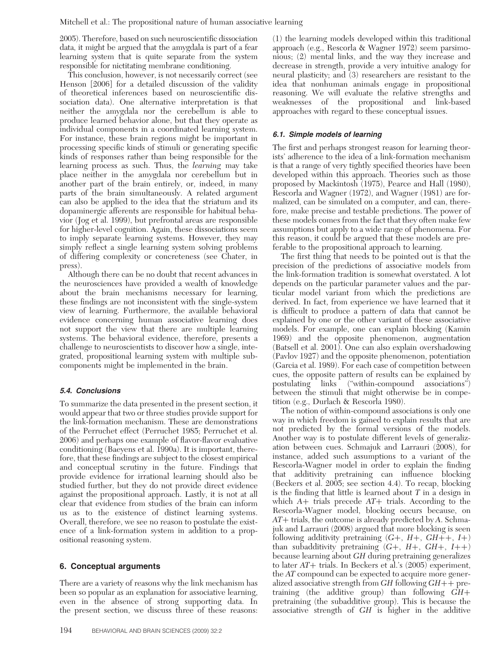2005). Therefore, based on such neuroscientific dissociation data, it might be argued that the amygdala is part of a fear learning system that is quite separate from the system responsible for nictitating membrane conditioning.

This conclusion, however, is not necessarily correct (see Henson [2006] for a detailed discussion of the validity of theoretical inferences based on neuroscientific dissociation data). One alternative interpretation is that neither the amygdala nor the cerebellum is able to produce learned behavior alone, but that they operate as individual components in a coordinated learning system. For instance, these brain regions might be important in processing specific kinds of stimuli or generating specific kinds of responses rather than being responsible for the learning process as such. Thus, the learning may take place neither in the amygdala nor cerebellum but in another part of the brain entirely, or, indeed, in many parts of the brain simultaneously. A related argument can also be applied to the idea that the striatum and its dopaminergic afferents are responsible for habitual behavior (Jog et al. 1999), but prefrontal areas are responsible for higher-level cognition. Again, these dissociations seem to imply separate learning systems. However, they may simply reflect a single learning system solving problems of differing complexity or concreteness (see Chater, in press).

Although there can be no doubt that recent advances in the neurosciences have provided a wealth of knowledge about the brain mechanisms necessary for learning, these findings are not inconsistent with the single-system view of learning. Furthermore, the available behavioral evidence concerning human associative learning does not support the view that there are multiple learning systems. The behavioral evidence, therefore, presents a challenge to neuroscientists to discover how a single, integrated, propositional learning system with multiple subcomponents might be implemented in the brain.

### 5.4. Conclusions

To summarize the data presented in the present section, it would appear that two or three studies provide support for the link-formation mechanism. These are demonstrations of the Perruchet effect (Perruchet 1985; Perruchet et al. 2006) and perhaps one example of flavor-flavor evaluative conditioning (Baeyens et al. 1990a). It is important, therefore, that these findings are subject to the closest empirical and conceptual scrutiny in the future. Findings that provide evidence for irrational learning should also be studied further, but they do not provide direct evidence against the propositional approach. Lastly, it is not at all clear that evidence from studies of the brain can inform us as to the existence of distinct learning systems. Overall, therefore, we see no reason to postulate the existence of a link-formation system in addition to a propositional reasoning system.

### 6. Conceptual arguments

There are a variety of reasons why the link mechanism has been so popular as an explanation for associative learning, even in the absence of strong supporting data. In the present section, we discuss three of these reasons:

(1) the learning models developed within this traditional approach (e.g., Rescorla & Wagner 1972) seem parsimonious; (2) mental links, and the way they increase and decrease in strength, provide a very intuitive analogy for neural plasticity; and (3) researchers are resistant to the idea that nonhuman animals engage in propositional reasoning. We will evaluate the relative strengths and weaknesses of the propositional and link-based approaches with regard to these conceptual issues.

### 6.1. Simple models of learning

The first and perhaps strongest reason for learning theorists' adherence to the idea of a link-formation mechanism is that a range of very tightly specified theories have been developed within this approach. Theories such as those proposed by Mackintosh (1975), Pearce and Hall (1980), Rescorla and Wagner (1972), and Wagner (1981) are formalized, can be simulated on a computer, and can, therefore, make precise and testable predictions. The power of these models comes from the fact that they often make few assumptions but apply to a wide range of phenomena. For this reason, it could be argued that these models are preferable to the propositional approach to learning.

The first thing that needs to be pointed out is that the precision of the predictions of associative models from the link-formation tradition is somewhat overstated. A lot depends on the particular parameter values and the particular model variant from which the predictions are derived. In fact, from experience we have learned that it is difficult to produce a pattern of data that cannot be explained by one or the other variant of these associative models. For example, one can explain blocking (Kamin 1969) and the opposite phenomenon, augmentation (Batsell et al. 2001). One can also explain overshadowing (Pavlov 1927) and the opposite phenomenon, potentiation (Garcia et al. 1989). For each case of competition between cues, the opposite pattern of results can be explained by postulating links ("within-compound associations") between the stimuli that might otherwise be in competition (e.g., Durlach & Rescorla 1980).

The notion of within-compound associations is only one way in which freedom is gained to explain results that are not predicted by the formal versions of the models. Another way is to postulate different levels of generalization between cues. Schmajuk and Larrauri (2008), for instance, added such assumptions to a variant of the Rescorla-Wagner model in order to explain the finding that additivity pretraining can influence blocking (Beckers et al. 2005; see section 4.4). To recap, blocking is the finding that little is learned about  $T$  in a design in which  $A+$  trials precede  $AT+$  trials. According to the Rescorla-Wagner model, blocking occurs because, on  $AT$ + trials, the outcome is already predicted by A. Schmajuk and Larrauri (2008) argued that more blocking is seen following additivity pretraining  $(G+, H+, GH+, I+)$ than subadditivity pretraining  $(G+, H+, GH+, I++)$ because learning about GH during pretraining generalizes to later  $AT+$  trials. In Beckers et al.'s (2005) experiment, the AT compound can be expected to acquire more generalized associative strength from  $GH$  following  $GH++$  pretraining (the additive group) than following  $GH+$ pretraining (the subadditive group). This is because the associative strength of GH is higher in the additive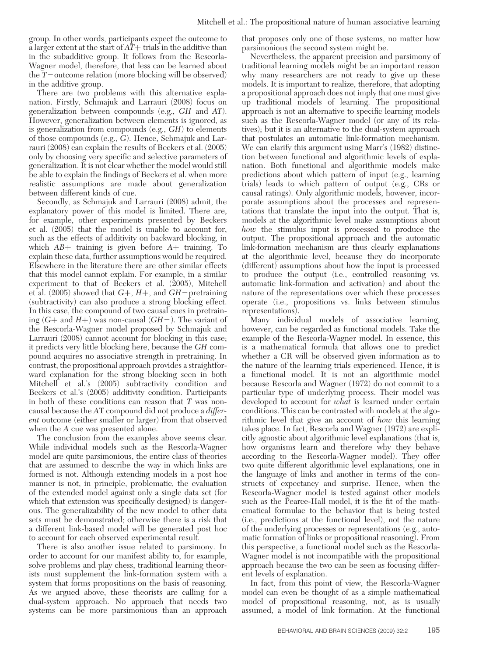group. In other words, participants expect the outcome to a larger extent at the start of  $A\bar{T}$  trials in the additive than in the subadditive group. It follows from the Rescorla-Wagner model, therefore, that less can be learned about the  $T$ -outcome relation (more blocking will be observed) in the additive group.

There are two problems with this alternative explanation. Firstly, Schmajuk and Larrauri (2008) focus on generalization between compounds (e.g., GH and AT). However, generalization between elements is ignored, as is generalization from compounds (e.g.,  $GH$ ) to elements of those compounds (e.g.,  $\bar{G}$ ). Hence, Schmajuk and Larrauri (2008) can explain the results of Beckers et al. (2005) only by choosing very specific and selective parameters of generalization. It is not clear whether the model would still be able to explain the findings of Beckers et al. when more realistic assumptions are made about generalization between different kinds of cue.

Secondly, as Schmajuk and Larrauri (2008) admit, the explanatory power of this model is limited. There are, for example, other experiments presented by Beckers et al. (2005) that the model is unable to account for, such as the effects of additivity on backward blocking, in which  $AB+$  training is given before  $A+$  training. To explain these data, further assumptions would be required. Elsewhere in the literature there are other similar effects that this model cannot explain. For example, in a similar experiment to that of Beckers et al.  $(2005)$ , Mitchell et al. (2005) showed that  $G+$ ,  $H+$ , and  $GH-$ pretraining (subtractivity) can also produce a strong blocking effect. In this case, the compound of two causal cues in pretraining  $(G+$  and  $H+$ ) was non-causal  $(GH-)$ . The variant of the Rescorla-Wagner model proposed by Schmajuk and Larrauri (2008) cannot account for blocking in this case; it predicts very little blocking here, because the GH compound acquires no associative strength in pretraining. In contrast, the propositional approach provides a straightforward explanation for the strong blocking seen in both Mitchell et al.'s (2005) subtractivity condition and Beckers et al.'s (2005) additivity condition. Participants in both of these conditions can reason that T was noncausal because the AT compound did not produce a different outcome (either smaller or larger) from that observed when the A cue was presented alone.

The conclusion from the examples above seems clear. While individual models such as the Rescorla-Wagner model are quite parsimonious, the entire class of theories that are assumed to describe the way in which links are formed is not. Although extending models in a post hoc manner is not, in principle, problematic, the evaluation of the extended model against only a single data set (for which that extension was specifically designed) is dangerous. The generalizability of the new model to other data sets must be demonstrated; otherwise there is a risk that a different link-based model will be generated post hoc to account for each observed experimental result.

There is also another issue related to parsimony. In order to account for our manifest ability to, for example, solve problems and play chess, traditional learning theorists must supplement the link-formation system with a system that forms propositions on the basis of reasoning. As we argued above, these theorists are calling for a dual-system approach. No approach that needs two systems can be more parsimonious than an approach that proposes only one of those systems, no matter how parsimonious the second system might be.

Nevertheless, the apparent precision and parsimony of traditional learning models might be an important reason why many researchers are not ready to give up these models. It is important to realize, therefore, that adopting a propositional approach does not imply that one must give up traditional models of learning. The propositional approach is not an alternative to specific learning models such as the Rescorla-Wagner model (or any of its relatives); but it is an alternative to the dual-system approach that postulates an automatic link-formation mechanism. We can clarify this argument using Marr's (1982) distinction between functional and algorithmic levels of explanation. Both functional and algorithmic models make predictions about which pattern of input (e.g., learning trials) leads to which pattern of output (e.g., CRs or causal ratings). Only algorithmic models, however, incorporate assumptions about the processes and representations that translate the input into the output. That is, models at the algorithmic level make assumptions about how the stimulus input is processed to produce the output. The propositional approach and the automatic link-formation mechanism are thus clearly explanations at the algorithmic level, because they do incorporate (different) assumptions about how the input is processed to produce the output (i.e., controlled reasoning vs. automatic link-formation and activation) and about the nature of the representations over which these processes operate (i.e., propositions vs. links between stimulus representations).

Many individual models of associative learning, however, can be regarded as functional models. Take the example of the Rescorla-Wagner model. In essence, this is a mathematical formula that allows one to predict whether a CR will be observed given information as to the nature of the learning trials experienced. Hence, it is a functional model. It is not an algorithmic model because Rescorla and Wagner (1972) do not commit to a particular type of underlying process. Their model was developed to account for *what* is learned under certain conditions. This can be contrasted with models at the algorithmic level that give an account of how this learning takes place. In fact, Rescorla and Wagner (1972) are explicitly agnostic about algorithmic level explanations (that is, how organisms learn and therefore why they behave according to the Rescorla-Wagner model). They offer two quite different algorithmic level explanations, one in the language of links and another in terms of the constructs of expectancy and surprise. Hence, when the Rescorla-Wagner model is tested against other models such as the Pearce-Hall model, it is the fit of the mathematical formulae to the behavior that is being tested (i.e., predictions at the functional level), not the nature of the underlying processes or representations (e.g., automatic formation of links or propositional reasoning). From this perspective, a functional model such as the Rescorla-Wagner model is not incompatible with the propositional approach because the two can be seen as focusing different levels of explanation.

In fact, from this point of view, the Rescorla-Wagner model can even be thought of as a simple mathematical model of propositional reasoning, not, as is usually assumed, a model of link formation. At the functional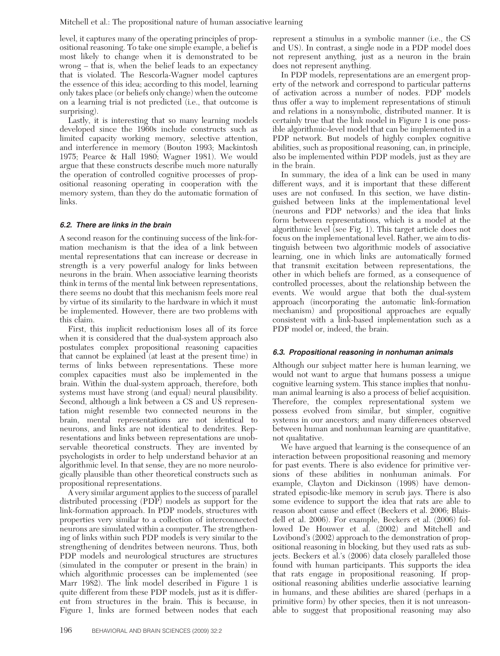level, it captures many of the operating principles of propositional reasoning. To take one simple example, a belief is most likely to change when it is demonstrated to be wrong – that is, when the belief leads to an expectancy that is violated. The Rescorla-Wagner model captures the essence of this idea; according to this model, learning only takes place (or beliefs only change) when the outcome on a learning trial is not predicted (i.e., that outcome is surprising).

Lastly, it is interesting that so many learning models developed since the 1960s include constructs such as limited capacity working memory, selective attention, and interference in memory (Bouton 1993; Mackintosh 1975; Pearce & Hall 1980; Wagner 1981). We would argue that these constructs describe much more naturally the operation of controlled cognitive processes of propositional reasoning operating in cooperation with the memory system, than they do the automatic formation of links.

### 6.2. There are links in the brain

A second reason for the continuing success of the link-formation mechanism is that the idea of a link between mental representations that can increase or decrease in strength is a very powerful analogy for links between neurons in the brain. When associative learning theorists think in terms of the mental link between representations, there seems no doubt that this mechanism feels more real by virtue of its similarity to the hardware in which it must be implemented. However, there are two problems with this claim.

First, this implicit reductionism loses all of its force when it is considered that the dual-system approach also postulates complex propositional reasoning capacities that cannot be explained (at least at the present time) in terms of links between representations. These more complex capacities must also be implemented in the brain. Within the dual-system approach, therefore, both systems must have strong (and equal) neural plausibility. Second, although a link between a CS and US representation might resemble two connected neurons in the brain, mental representations are not identical to neurons, and links are not identical to dendrites. Representations and links between representations are unobservable theoretical constructs. They are invented by psychologists in order to help understand behavior at an algorithmic level. In that sense, they are no more neurologically plausible than other theoretical constructs such as propositional representations.

A very similar argument applies to the success of parallel distributed processing (PDP) models as support for the link-formation approach. In PDP models, structures with properties very similar to a collection of interconnected neurons are simulated within a computer. The strengthening of links within such PDP models is very similar to the strengthening of dendrites between neurons. Thus, both PDP models and neurological structures are structures (simulated in the computer or present in the brain) in which algorithmic processes can be implemented (see Marr 1982). The link model described in Figure 1 is quite different from these PDP models, just as it is different from structures in the brain. This is because, in Figure 1, links are formed between nodes that each

represent a stimulus in a symbolic manner (i.e., the CS and US). In contrast, a single node in a PDP model does not represent anything, just as a neuron in the brain does not represent anything.

In PDP models, representations are an emergent property of the network and correspond to particular patterns of activation across a number of nodes. PDP models thus offer a way to implement representations of stimuli and relations in a nonsymbolic, distributed manner. It is certainly true that the link model in Figure 1 is one possible algorithmic-level model that can be implemented in a PDP network. But models of highly complex cognitive abilities, such as propositional reasoning, can, in principle, also be implemented within PDP models, just as they are in the brain.

In summary, the idea of a link can be used in many different ways, and it is important that these different uses are not confused. In this section, we have distinguished between links at the implementational level (neurons and PDP networks) and the idea that links form between representations, which is a model at the algorithmic level (see Fig. 1). This target article does not focus on the implementational level. Rather, we aim to distinguish between two algorithmic models of associative learning, one in which links are automatically formed that transmit excitation between representations, the other in which beliefs are formed, as a consequence of controlled processes, about the relationship between the events. We would argue that both the dual-system approach (incorporating the automatic link-formation mechanism) and propositional approaches are equally consistent with a link-based implementation such as a PDP model or, indeed, the brain.

### 6.3. Propositional reasoning in nonhuman animals

Although our subject matter here is human learning, we would not want to argue that humans possess a unique cognitive learning system. This stance implies that nonhuman animal learning is also a process of belief acquisition. Therefore, the complex representational system we possess evolved from similar, but simpler, cognitive systems in our ancestors; and many differences observed between human and nonhuman learning are quantitative, not qualitative.

We have argued that learning is the consequence of an interaction between propositional reasoning and memory for past events. There is also evidence for primitive versions of these abilities in nonhuman animals. For example, Clayton and Dickinson (1998) have demonstrated episodic-like memory in scrub jays. There is also some evidence to support the idea that rats are able to reason about cause and effect (Beckers et al. 2006; Blaisdell et al. 2006). For example, Beckers et al. (2006) followed De Houwer et al. (2002) and Mitchell and Lovibond's (2002) approach to the demonstration of propositional reasoning in blocking, but they used rats as subjects. Beckers et al.'s (2006) data closely paralleled those found with human participants. This supports the idea that rats engage in propositional reasoning. If propositional reasoning abilities underlie associative learning in humans, and these abilities are shared (perhaps in a primitive form) by other species, then it is not unreasonable to suggest that propositional reasoning may also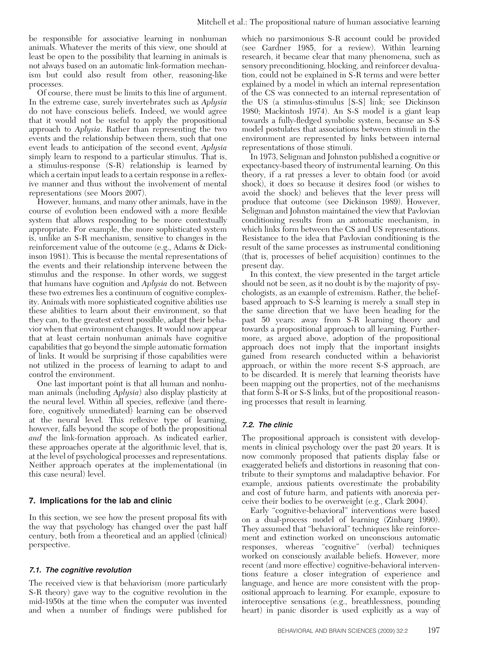be responsible for associative learning in nonhuman animals. Whatever the merits of this view, one should at least be open to the possibility that learning in animals is not always based on an automatic link-formation mechanism but could also result from other, reasoning-like processes.

Of course, there must be limits to this line of argument. In the extreme case, surely invertebrates such as Aplysia do not have conscious beliefs. Indeed, we would agree that it would not be useful to apply the propositional approach to Aplysia. Rather than representing the two events and the relationship between them, such that one event leads to anticipation of the second event, Aplysia simply learn to respond to a particular stimulus. That is, a stimulus-response (S-R) relationship is learned by which a certain input leads to a certain response in a reflexive manner and thus without the involvement of mental representations (see Moors 2007).

However, humans, and many other animals, have in the course of evolution been endowed with a more flexible system that allows responding to be more contextually appropriate. For example, the more sophisticated system is, unlike an S-R mechanism, sensitive to changes in the reinforcement value of the outcome (e.g., Adams & Dickinson 1981). This is because the mental representations of the events and their relationship intervene between the stimulus and the response. In other words, we suggest that humans have cognition and Aplysia do not. Between these two extremes lies a continuum of cognitive complexity. Animals with more sophisticated cognitive abilities use these abilities to learn about their environment, so that they can, to the greatest extent possible, adapt their behavior when that environment changes. It would now appear that at least certain nonhuman animals have cognitive capabilities that go beyond the simple automatic formation of links. It would be surprising if those capabilities were not utilized in the process of learning to adapt to and control the environment.

One last important point is that all human and nonhuman animals (including Aplysia) also display plasticity at the neural level. Within all species, reflexive (and therefore, cognitively unmediated) learning can be observed at the neural level. This reflexive type of learning, however, falls beyond the scope of both the propositional and the link-formation approach. As indicated earlier, these approaches operate at the algorithmic level, that is, at the level of psychological processes and representations. Neither approach operates at the implementational (in this case neural) level.

### 7. Implications for the lab and clinic

In this section, we see how the present proposal fits with the way that psychology has changed over the past half century, both from a theoretical and an applied (clinical) perspective.

### 7.1. The cognitive revolution

The received view is that behaviorism (more particularly S-R theory) gave way to the cognitive revolution in the mid-1950s at the time when the computer was invented and when a number of findings were published for

which no parsimonious S-R account could be provided (see Gardner 1985, for a review). Within learning research, it became clear that many phenomena, such as sensory preconditioning, blocking, and reinforcer devaluation, could not be explained in S-R terms and were better explained by a model in which an internal representation of the CS was connected to an internal representation of the US (a stimulus-stimulus [S-S] link; see Dickinson 1980; Mackintosh 1974). An S-S model is a giant leap towards a fully-fledged symbolic system, because an S-S model postulates that associations between stimuli in the environment are represented by links between internal representations of those stimuli.

In 1973, Seligman and Johnston published a cognitive or expectancy-based theory of instrumental learning. On this theory, if a rat presses a lever to obtain food (or avoid shock), it does so because it desires food (or wishes to avoid the shock) and believes that the lever press will produce that outcome (see Dickinson 1989). However, Seligman and Johnston maintained the view that Pavlovian conditioning results from an automatic mechanism, in which links form between the CS and US representations. Resistance to the idea that Pavlovian conditioning is the result of the same processes as instrumental conditioning (that is, processes of belief acquisition) continues to the present day.

In this context, the view presented in the target article should not be seen, as it no doubt is by the majority of psychologists, as an example of extremism. Rather, the beliefbased approach to S-S learning is merely a small step in the same direction that we have been heading for the past 50 years: away from S-R learning theory and towards a propositional approach to all learning. Furthermore, as argued above, adoption of the propositional approach does not imply that the important insights gained from research conducted within a behaviorist approach, or within the more recent S-S approach, are to be discarded. It is merely that learning theorists have been mapping out the properties, not of the mechanisms that form S-R or S-S links, but of the propositional reasoning processes that result in learning.

### 7.2. The clinic

The propositional approach is consistent with developments in clinical psychology over the past 20 years. It is now commonly proposed that patients display false or exaggerated beliefs and distortions in reasoning that contribute to their symptoms and maladaptive behavior. For example, anxious patients overestimate the probability and cost of future harm, and patients with anorexia perceive their bodies to be overweight (e.g., Clark 2004).

Early "cognitive-behavioral" interventions were based on a dual-process model of learning (Zinbarg 1990). They assumed that "behavioral" techniques like reinforcement and extinction worked on unconscious automatic responses, whereas "cognitive" (verbal) techniques worked on consciously available beliefs. However, more recent (and more effective) cognitive-behavioral interventions feature a closer integration of experience and language, and hence are more consistent with the propositional approach to learning. For example, exposure to interoceptive sensations (e.g., breathlessness, pounding heart) in panic disorder is used explicitly as a way of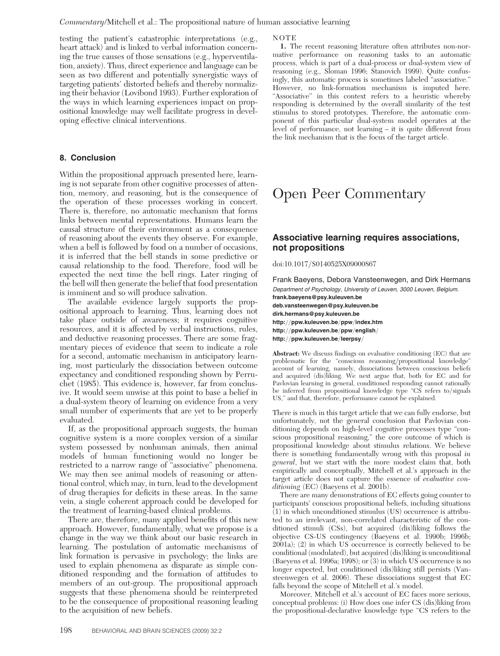testing the patient's catastrophic interpretations (e.g., heart attack) and is linked to verbal information concerning the true causes of those sensations (e.g., hyperventilation, anxiety). Thus, direct experience and language can be seen as two different and potentially synergistic ways of targeting patients' distorted beliefs and thereby normalizing their behavior (Lovibond 1993). Further exploration of the ways in which learning experiences impact on propositional knowledge may well facilitate progress in developing effective clinical interventions.

### 8. Conclusion

Within the propositional approach presented here, learning is not separate from other cognitive processes of attention, memory, and reasoning, but is the consequence of the operation of these processes working in concert. There is, therefore, no automatic mechanism that forms links between mental representations. Humans learn the causal structure of their environment as a consequence of reasoning about the events they observe. For example, when a bell is followed by food on a number of occasions, it is inferred that the bell stands in some predictive or causal relationship to the food. Therefore, food will be expected the next time the bell rings. Later ringing of the bell will then generate the belief that food presentation is imminent and so will produce salivation.

The available evidence largely supports the propositional approach to learning. Thus, learning does not take place outside of awareness; it requires cognitive resources, and it is affected by verbal instructions, rules, and deductive reasoning processes. There are some fragmentary pieces of evidence that seem to indicate a role for a second, automatic mechanism in anticipatory learning, most particularly the dissociation between outcome expectancy and conditioned responding shown by Perruchet (1985). This evidence is, however, far from conclusive. It would seem unwise at this point to base a belief in a dual-system theory of learning on evidence from a very small number of experiments that are yet to be properly evaluated.

If, as the propositional approach suggests, the human cognitive system is a more complex version of a similar system possessed by nonhuman animals, then animal models of human functioning would no longer be restricted to a narrow range of "associative" phenomena. We may then see animal models of reasoning or attentional control, which may, in turn, lead to the development of drug therapies for deficits in these areas. In the same vein, a single coherent approach could be developed for the treatment of learning-based clinical problems.

There are, therefore, many applied benefits of this new approach. However, fundamentally, what we propose is a change in the way we think about our basic research in learning. The postulation of automatic mechanisms of link formation is pervasive in psychology; the links are used to explain phenomena as disparate as simple conditioned responding and the formation of attitudes to members of an out-group. The propositional approach suggests that these phenomena should be reinterpreted to be the consequence of propositional reasoning leading to the acquisition of new beliefs.

NOTE

1. The recent reasoning literature often attributes non-normative performance on reasoning tasks to an automatic process, which is part of a dual-process or dual-system view of reasoning (e.g., Sloman 1996; Stanovich 1999). Quite confusingly, this automatic process is sometimes labeled "associative." However, no link-formation mechanism is imputed here. "Associative" in this context refers to a heuristic whereby responding is determined by the overall similarity of the test stimulus to stored prototypes. Therefore, the automatic component of this particular dual-system model operates at the level of performance, not learning – it is quite different from the link mechanism that is the focus of the target article.

## Open Peer Commentary

### Associative learning requires associations, not propositions

doi:10.1017/S0140525X09000867

Frank Baeyens, Debora Vansteenwegen, and Dirk Hermans Department of Psychology, University of Leuven, 3000 Leuven, Belgium. frank.baeyens@psy.kuleuven.be deb.vansteenwegen@psy.kuleuven.be dirk.hermans@psy.kuleuven.be http://ppw.kuleuven.be/ppw/index.htm http://ppw.kuleuven.be/ppw/english/ http://ppw.kuleuven.be/leerpsy/

Abstract: We discuss findings on evaluative conditioning (EC) that are problematic for the "conscious reasoning/propositional knowledge" account of learning, namely, dissociations between conscious beliefs and acquired (dis)liking. We next argue that, both for EC and for Pavlovian learning in general, conditioned responding cannot rationally be inferred from propositional knowledge type "CS refers to/signals US," and that, therefore, performance cannot be explained.

There is much in this target article that we can fully endorse, but unfortunately, not the general conclusion that Pavlovian conditioning depends on high-level cognitive processes type "conscious propositional reasoning," the core outcome of which is propositional knowledge about stimulus relations. We believe there is something fundamentally wrong with this proposal in general, but we start with the more modest claim that, both empirically and conceptually, Mitchell et al.'s approach in the target article does not capture the essence of *evaluative con*ditioning (EC) (Baeyens et al. 2001b).

There are many demonstrations of EC effects going counter to participants' conscious propositional beliefs, including situations (1) in which unconditioned stimulus (US) occurrence is attributed to an irrelevant, non-correlated characteristic of the conditioned stimuli (CSs), but acquired (dis)liking follows the objective CS-US contingency (Baeyens et al. 1990b; 1996b; 2001a); (2) in which US occurrence is correctly believed to be conditional (modulated), but acquired (dis)liking is unconditional (Baeyens et al. 1996a; 1998); or (3) in which US occurrence is no longer expected, but conditioned (dis)liking still persists (Vansteenwegen et al. 2006). These dissociations suggest that EC falls beyond the scope of Mitchell et al.'s model.

Moreover, Mitchell et al.'s account of EC faces more serious, conceptual problems: (i) How does one infer CS (dis)liking from the propositional-declarative knowledge type "CS refers to the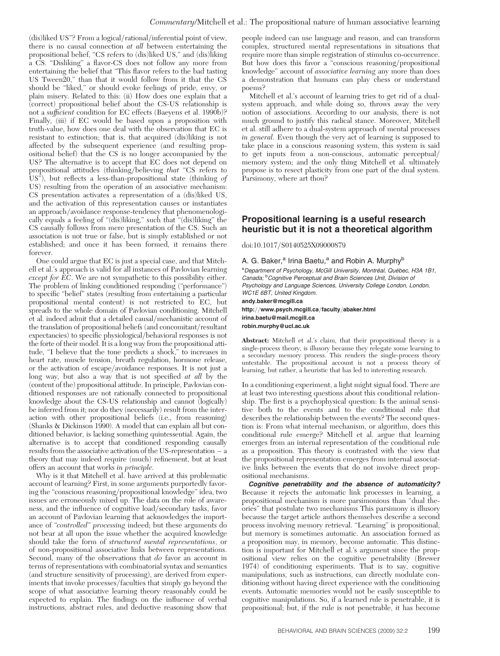(dis)liked US"? From a logical/rational/inferential point of view, there is no causal connection at all between entertaining the propositional belief, "CS refers to (dis)liked US," and (dis)liking a CS. "Disliking" a flavor-CS does not follow any more from entertaining the belief that "This flavor refers to the bad tasting US Tween20," than that it would follow from it that the  $\overrightarrow{CS}$ should be "liked," or should evoke feelings of pride, envy, or plain misery. Related to this: (ii) How does one explain that a (correct) propositional belief about the CS-US relationship is not a sufficient condition for EC effects (Baeyens et al. 1990b)? Finally, (iii) if EC would be based upon a proposition with truth-value, how does one deal with the observation that EC is resistant to extinction; that is, that acquired (dis)liking is not affected by the subsequent experience (and resulting propositional belief) that the CS is no longer accompanied by the US? The alternative is to accept that EC does not depend on propositional attitudes (thinking/believing that "CS refers to  $\overline{US}$ ), but reflects a less-than-propositional state (thinking of US) resulting from the operation of an associative mechanism: CS presentation activates a representation of a (dis)liked US, and the activation of this representation causes or instantiates an approach/avoidance response-tendency that phenomenologically equals a feeling of "(dis)liking," such that "(dis)liking" the CS causally follows from mere presentation of the CS. Such an association is not true or false, but is simply established or not established; and once it has been formed, it remains there forever.

One could argue that EC is just a special case, and that Mitchell et al.'s approach is valid for all instances of Pavlovian learning except for  $\tilde{E}\tilde{C}$ . We are not sympathetic to this possibility either. The problem of linking conditioned responding ("performance") to specific "belief" states (resulting from entertaining a particular propositional mental content) is not restricted to EC, but spreads to the whole domain of Pavlovian conditioning. Mitchell et al. indeed admit that a detailed causal/mechanistic account of the translation of propositional beliefs (and concomitant/resultant expectancies) to specific physiological/behavioral responses is not the forte of their model. It is a long way from the propositional attitude, "I believe that the tone predicts a shock," to increases in heart rate, muscle tension, breath regulation, hormone release, or the activation of escape/avoidance responses. It is not just a long way, but also a way that is not specified at all by the (content of the) propositional attitude. In principle, Pavlovian conditioned responses are not rationally connected to propositional knowledge about the CS-US relationship and cannot (logically) be inferred from it; nor do they (necessarily) result from the interaction with other propositional beliefs (i.e., from reasoning) (Shanks & Dickinson 1990). A model that can explain all but conditioned behavior, is lacking something quintessential. Again, the alternative is to accept that conditioned responding causally results from the associative activation of the US-representation – a theory that may indeed require (much) refinement, but at least offers an account that works in principle.

Why is it that Mitchell et al. have arrived at this problematic account of learning? First, in some arguments purportedly favoring the "conscious reasoning/propositional knowledge" idea, two issues are erroneously mixed up. The data on the role of awareness, and the influence of cognitive load/secondary tasks, favor an account of Pavlovian learning that acknowledges the importance of "controlled" processing indeed; but these arguments do not bear at all upon the issue whether the acquired knowledge should take the form of structured mental representations, or of non-propositional associative links between representations. Second, many of the observations that do favor an account in terms of representations with combinatorial syntax and semantics (and structure sensitivity of processing), are derived from experiments that invoke processes/faculties that simply go beyond the scope of what associative learning theory reasonably could be expected to explain. The findings on the influence of verbal instructions, abstract rules, and deductive reasoning show that people indeed can use language and reason, and can transform complex, structured mental representations in situations that require more than simple registration of stimulus co-occurrence. But how does this favor a "conscious reasoning/propositional knowledge" account of associative learning any more than does a demonstration that humans can play chess or understand poems?

Mitchell et al.'s account of learning tries to get rid of a dualsystem approach, and while doing so, throws away the very notion of associations. According to our analysis, there is not much ground to justify this radical stance. Moreover, Mitchell et al. still adhere to a dual-system approach of mental processes in general. Even though the very act of learning is supposed to take place in a conscious reasoning system, this system is said to get inputs from a non-conscious, automatic perceptual/ memory system; and the only thing Mitchell et al. ultimately propose is to resect plasticity from one part of the dual system. Parsimony, where art thou?

### Propositional learning is a useful research heuristic but it is not a theoretical algorithm

doi:10.1017/S0140525X09000879

A. G. Baker, $a$  Irina Baetu, $a$  and Robin A. Murphy<sup>b</sup>

<sup>a</sup> Department of Psychology, McGill University, Montréal, Québec, H3A 1B1, Canada; <sup>b</sup>Cognitive Perceptual and Brain Sciences Unit, Division of Psychology and Language Sciences, University College London, London, WC1E 6BT, United Kingdom. andy.baker@mcgill.ca

http://www.psych.mcgill.ca/faculty/abaker.html irina.baetu@mail.mcgill.ca robin.murphy@ucl.ac.uk

Abstract: Mitchell et al.'s claim, that their propositional theory is a single-process theory, is illusory because they relegate some learning to a secondary memory process. This renders the single-process theory untestable. The propositional account is not a process theory of learning, but rather, a heuristic that has led to interesting research.

In a conditioning experiment, a light might signal food. There are at least two interesting questions about this conditional relationship. The first is a psychophysical question: Is the animal sensitive both to the events and to the conditional rule that describes the relationship between the events? The second question is: From what internal mechanism, or algorithm, does this conditional rule emerge? Mitchell et al. argue that learning emerges from an internal representation of the conditional rule as a proposition. This theory is contrasted with the view that the propositional representation emerges from internal associative links between the events that do not involve direct propositional mechanisms.

Cognitive penetrability and the absence of automaticity? Because it rejects the automatic link processes in learning, a propositional mechanism is more parsimonious than "dual theories" that postulate two mechanisms This parsimony is illusory because the target article authors themselves describe a second process involving memory retrieval. "Learning" is propositional, but memory is sometimes automatic. An association formed as a proposition may, in memory, become automatic. This distinction is important for Mitchell et al.'s argument since the propositional view relies on the cognitive penetrability (Brewer 1974) of conditioning experiments. That is to say, cognitive manipulations, such as instructions, can directly modulate conditioning without having direct experience with the conditioning events. Automatic memories would not be easily susceptible to cognitive manipulations. So, if a learned rule is penetrable, it is propositional; but, if the rule is not penetrable, it has become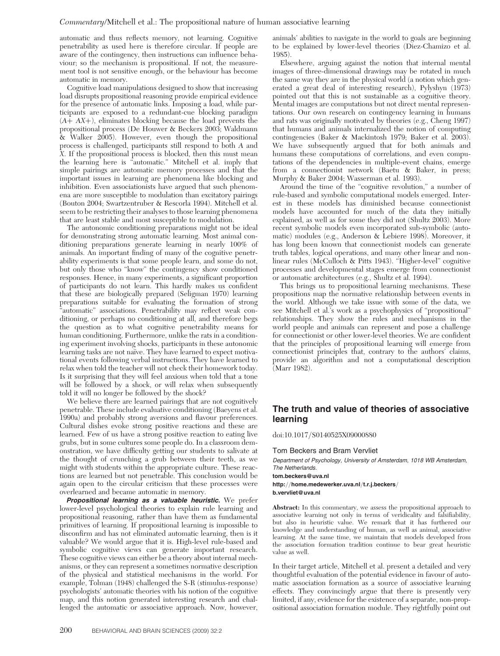automatic and thus reflects memory, not learning. Cognitive penetrability as used here is therefore circular. If people are aware of the contingency, then instructions can influence behaviour; so the mechanism is propositional. If not, the measurement tool is not sensitive enough, or the behaviour has become automatic in memory.

Cognitive load manipulations designed to show that increasing load disrupts propositional reasoning provide empirical evidence for the presence of automatic links. Imposing a load, while participants are exposed to a redundant-cue blocking paradigm  $(A + AX+)$ , eliminates blocking because the load prevents the propositional process (De Houwer & Beckers 2003; Waldmann & Walker 2005). However, even though the propositional process is challenged, participants still respond to both A and X. If the propositional process is blocked, then this must mean the learning here is "automatic." Mitchell et al. imply that simple pairings are automatic memory processes and that the important issues in learning are phenomena like blocking and inhibition. Even associationists have argued that such phenomena are more susceptible to modulation than excitatory pairings (Bouton 2004; Swartzentruber & Rescorla 1994). Mitchell et al. seem to be restricting their analyses to those learning phenomena that are least stable and most susceptible to modulation.

The autonomic conditioning preparations might not be ideal for demonstrating strong automatic learning. Most animal conditioning preparations generate learning in nearly 100% of animals. An important finding of many of the cognitive penetrability experiments is that some people learn, and some do not, but only those who "know" the contingency show conditioned responses. Hence, in many experiments, a significant proportion of participants do not learn. This hardly makes us confident that these are biologically prepared (Seligman 1970) learning preparations suitable for evaluating the formation of strong "automatic" associations. Penetrability may reflect weak conditioning, or perhaps no conditioning at all, and therefore begs the question as to what cognitive penetrability means for human conditioning. Furthermore, unlike the rats in a conditioning experiment involving shocks, participants in these autonomic learning tasks are not naïve. They have learned to expect motivational events following verbal instructions. They have learned to relax when told the teacher will not check their homework today. Is it surprising that they will feel anxious when told that a tone will be followed by a shock, or will relax when subsequently told it will no longer be followed by the shock?

We believe there are learned pairings that are not cognitively penetrable. These include evaluative conditioning (Baeyens et al. 1990a) and probably strong aversions and flavour preferences. Cultural dishes evoke strong positive reactions and these are learned. Few of us have a strong positive reaction to eating live grubs, but in some cultures some people do. In a classroom demonstration, we have difficulty getting our students to salivate at the thought of crunching a grub between their teeth, as we might with students within the appropriate culture. These reactions are learned but not penetrable. This conclusion would be again open to the circular criticism that these processes were overlearned and became automatic in memory.

Propositional learning as a valuable heuristic. We prefer lower-level psychological theories to explain rule learning and propositional reasoning, rather than have them as fundamental primitives of learning. If propositional learning is impossible to disconfirm and has not eliminated automatic learning, then is it valuable? We would argue that it is. High-level rule-based and symbolic cognitive views can generate important research. These cognitive views can either be a theory about internal mechanisms, or they can represent a sometimes normative description of the physical and statistical mechanisms in the world. For example, Tolman (1948) challenged the S-R (stimulus-response) psychologists' automatic theories with his notion of the cognitive map, and this notion generated interesting research and challenged the automatic or associative approach. Now, however, animals' abilities to navigate in the world to goals are beginning to be explained by lower-level theories (Diez-Chamizo et al. 1985).

Elsewhere, arguing against the notion that internal mental images of three-dimensional drawings may be rotated in much the same way they are in the physical world (a notion which generated a great deal of interesting research), Pylyshyn (1973) pointed out that this is not sustainable as a cognitive theory. Mental images are computations but not direct mental representations. Our own research on contingency learning in humans and rats was originally motivated by theories (e.g., Cheng 1997) that humans and animals internalized the notion of computing contingencies (Baker & Mackintosh 1979; Baker et al. 2003). We have subsequently argued that for both animals and humans these computations of correlations, and even computations of the dependencies in multiple-event chains, emerge from a connectionist network (Baetu & Baker, in press; Murphy & Baker 2004; Wasserman et al. 1993).

Around the time of the "cognitive revolution," a number of rule-based and symbolic computational models emerged. Interest in these models has diminished because connectionist models have accounted for much of the data they initially explained, as well as for some they did not (Shultz 2003). More recent symbolic models even incorporated sub-symbolic (automatic) modules (e.g., Anderson & Lebiere 1998). Moreover, it has long been known that connectionist models can generate truth tables, logical operations, and many other linear and nonlinear rules (McCulloch & Pitts 1943). "Higher-level" cognitive processes and developmental stages emerge from connectionist or automatic architectures (e.g., Shultz et al. 1994).

This brings us to propositional learning mechanisms. These propositions map the normative relationship between events in the world. Although we take issue with some of the data, we see Mitchell et al.'s work as a psychophysics of "propositional" relationships. They show the rules and mechanisms in the world people and animals can represent and pose a challenge for connectionist or other lower-level theories. We are confident that the principles of propositional learning will emerge from connectionist principles that, contrary to the authors' claims, provide an algorithm and not a computational description (Marr 1982).

### The truth and value of theories of associative learning

doi:10.1017/S0140525X09000880

Tom Beckers and Bram Vervliet Department of Psychology, University of Amsterdam, 1018 WB Amsterdam, The Netherlands.

tom.beckers@uva.nl

http://home.medewerker.uva.nl/t.r.j.beckers/ b.vervliet@uva.nl

Abstract: In this commentary, we assess the propositional approach to associative learning not only in terms of veridicality and falsifiability, but also in heuristic value. We remark that it has furthered our knowledge and understanding of human, as well as animal, associative learning. At the same time, we maintain that models developed from the association formation tradition continue to bear great heuristic value as well.

In their target article, Mitchell et al. present a detailed and very thoughtful evaluation of the potential evidence in favour of automatic association formation as a source of associative learning effects. They convincingly argue that there is presently very limited, if any, evidence for the existence of a separate, non-propositional association formation module. They rightfully point out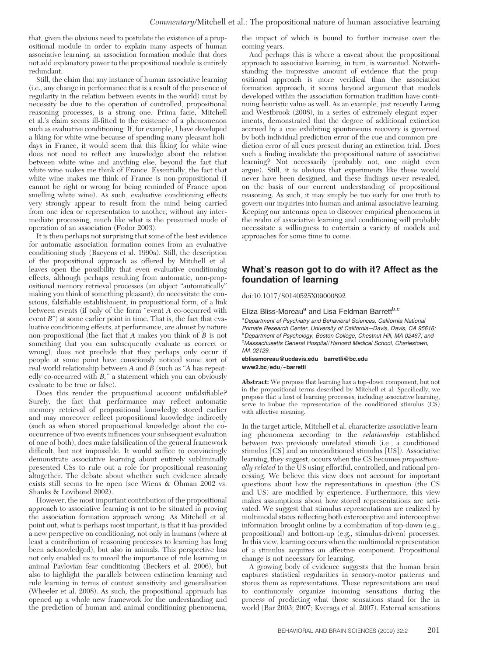that, given the obvious need to postulate the existence of a propositional module in order to explain many aspects of human associative learning, an association formation module that does not add explanatory power to the propositional module is entirely redundant.

Still, the claim that any instance of human associative learning (i.e., any change in performance that is a result of the presence of regularity in the relation between events in the world) must by necessity be due to the operation of controlled, propositional reasoning processes, is a strong one. Prima facie, Mitchell et al.'s claim seems ill-fitted to the existence of a phenomenon such as evaluative conditioning: If, for example, I have developed a liking for white wine because of spending many pleasant holidays in France, it would seem that this liking for white wine does not need to reflect any knowledge about the relation between white wine and anything else, beyond the fact that white wine makes me think of France. Essentially, the fact that white wine makes me think of France is non-propositional (I cannot be right or wrong for being reminded of France upon smelling white wine). As such, evaluative conditioning effects very strongly appear to result from the mind being carried from one idea or representation to another, without any intermediate processing, much like what is the presumed mode of operation of an association (Fodor 2003).

It is then perhaps not surprising that some of the best evidence for automatic association formation comes from an evaluative conditioning study (Baeyens et al. 1990a). Still, the description of the propositional approach as offered by Mitchell et al. leaves open the possibility that even evaluative conditioning effects, although perhaps resulting from automatic, non-propositional memory retrieval processes (an object "automatically" making you think of something pleasant), do necessitate the conscious, falsifiable establishment, in propositional form, of a link between events (if only of the form "event A co-occurred with event B") at some earlier point in time. That is, the fact that evaluative conditioning effects, at performance, are almost by nature non-propositional (the fact that A makes you think of B is not something that you can subsequently evaluate as correct or wrong), does not preclude that they perhaps only occur if people at some point have consciously noticed some sort of real-world relationship between A and B (such as "A has repeatedly co-occurred with  $B$ ," a statement which you can obviously evaluate to be true or false).

Does this render the propositional account unfalsifiable? Surely, the fact that performance may reflect automatic memory retrieval of propositional knowledge stored earlier and may moreover reflect propositional knowledge indirectly (such as when stored propositional knowledge about the cooccurrence of two events influences your subsequent evaluation of one of both), does make falsification of the general framework difficult, but not impossible. It would suffice to convincingly demonstrate associative learning about entirely subliminally presented CSs to rule out a role for propositional reasoning altogether. The debate about whether such evidence already exists still seems to be open (see Wiens  $\&$  Öhman 2002 vs. Shanks & Lovibond 2002).

However, the most important contribution of the propositional approach to associative learning is not to be situated in proving the association formation approach wrong. As Mitchell et al. point out, what is perhaps most important, is that it has provided a new perspective on conditioning, not only in humans (where at least a contribution of reasoning processes to learning has long been acknowledged), but also in animals. This perspective has not only enabled us to unveil the importance of rule learning in animal Pavlovian fear conditioning (Beckers et al. 2006), but also to highlight the parallels between extinction learning and rule learning in terms of context sensitivity and generalisation (Wheeler et al. 2008). As such, the propositional approach has opened up a whole new framework for the understanding and the prediction of human and animal conditioning phenomena,

the impact of which is bound to further increase over the coming years.

And perhaps this is where a caveat about the propositional approach to associative learning, in turn, is warranted. Notwithstanding the impressive amount of evidence that the propositional approach is more veridical than the association formation approach, it seems beyond argument that models developed within the association formation tradition have continuing heuristic value as well. As an example, just recently Leung and Westbrook (2008), in a series of extremely elegant experiments, demonstrated that the degree of additional extinction accrued by a cue exhibiting spontaneous recovery is governed by both individual prediction error of the cue and common prediction error of all cues present during an extinction trial. Does such a finding invalidate the propositional nature of associative learning? Not necessarily (probably not, one might even argue). Still, it is obvious that experiments like these would never have been designed, and these findings never revealed, on the basis of our current understanding of propositional reasoning. As such, it may simply be too early for one truth to govern our inquiries into human and animal associative learning. Keeping our antennas open to discover empirical phenomena in the realm of associative learning and conditioning will probably necessitate a willingness to entertain a variety of models and approaches for some time to come.

### What's reason got to do with it? Affect as the foundation of learning

#### doi:10.1017/S0140525X09000892

Eliza Bliss-Moreau<sup>a</sup> and Lisa Feldman Barrett<sup>b,c</sup>

<sup>a</sup>Department of Psychiatry and Behavioral Sciences, California National Primate Research Center, University of California-Davis, Davis, CA 95616; <sup>b</sup>Department of Psychology, Boston College, Chestnut Hill, MA 02467; and <sup>c</sup>Massachusetts General Hospital/Harvard Medical School, Charlestown, MA 02129.

eblissmoreau@ucdavis.edu barretli@bc.edu www2.bc/edu/~barretli

Abstract: We propose that learning has a top-down component, but not in the propositional terms described by Mitchell et al. Specifically, we propose that a host of learning processes, including associative learning, serve to imbue the representation of the conditioned stimulus (CS) with affective meaning.

In the target article, Mitchell et al. characterize associative learning phenomena according to the relationship established between two previously unrelated stimuli (i.e., a conditioned stimulus [CS] and an unconditioned stimulus [US]). Associative learning, they suggest, occurs when the CS becomes propositionally related to the US using effortful, controlled, and rational processing. We believe this view does not account for important questions about how the representations in question (the CS and US) are modified by experience. Furthermore, this view makes assumptions about how stored representations are activated. We suggest that stimulus representations are realized by multimodal states reflecting both exteroceptive and interoceptive information brought online by a combination of top-down (e.g., propositional) and bottom-up (e.g., stimulus-driven) processes. In this view, learning occurs when the multimodal representation of a stimulus acquires an affective component. Propositional change is not necessary for learning.

A growing body of evidence suggests that the human brain captures statistical regularities in sensory-motor patterns and stores them as representations. These representations are used to continuously organize incoming sensations during the process of predicting what those sensations stand for the in world (Bar 2003; 2007; Kveraga et al. 2007). External sensations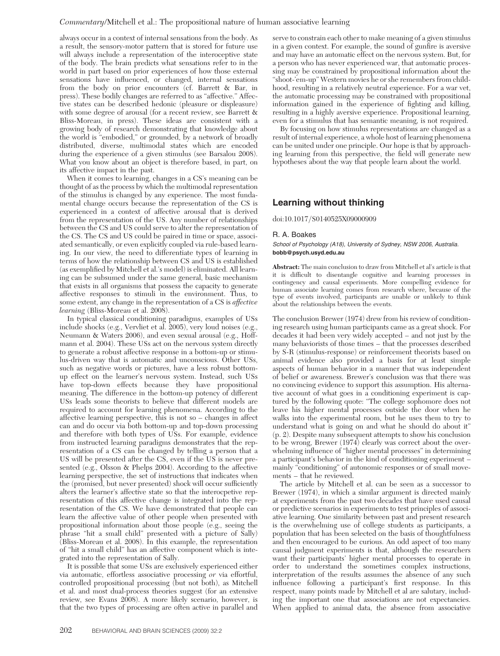always occur in a context of internal sensations from the body. As a result, the sensory-motor pattern that is stored for future use will always include a representation of the interoceptive state of the body. The brain predicts what sensations refer to in the world in part based on prior experiences of how those external sensations have influenced, or changed, internal sensations from the body on prior encounters (cf. Barrett & Bar, in press). These bodily changes are referred to as "affective." Affective states can be described hedonic (pleasure or displeasure) with some degree of arousal (for a recent review, see Barrett & Bliss-Moreau, in press). These ideas are consistent with a growing body of research demonstrating that knowledge about the world is "embodied," or grounded, by a network of broadly distributed, diverse, multimodal states which are encoded during the experience of a given stimulus (see Barsalou 2008). What you know about an object is therefore based, in part, on its affective impact in the past.

When it comes to learning, changes in a CS's meaning can be thought of as the process by which the multimodal representation of the stimulus is changed by any experience. The most fundamental change occurs because the representation of the CS is experienced in a context of affective arousal that is derived from the representation of the US. Any number of relationships between the CS and US could serve to alter the representation of the CS. The CS and US could be paired in time or space, associated semantically, or even explicitly coupled via rule-based learning. In our view, the need to differentiate types of learning in terms of how the relationship between CS and US is established (as exemplified by Mitchell et al.'s model) is eliminated. All learning can be subsumed under the same general, basic mechanism that exists in all organisms that possess the capacity to generate affective responses to stimuli in the environment. Thus, to some extent, any change in the representation of a CS is affective learning (Bliss-Moreau et al. 2008).

In typical classical conditioning paradigms, examples of USs include shocks (e.g., Vervliet et al. 2005), very loud noises (e.g., Neumann & Waters 2006), and even sexual arousal (e.g., Hoffmann et al. 2004). These USs act on the nervous system directly to generate a robust affective response in a bottom-up or stimulus-driven way that is automatic and unconscious. Other USs, such as negative words or pictures, have a less robust bottomup effect on the learner's nervous system. Instead, such USs have top-down effects because they have propositional meaning. The difference in the bottom-up potency of different USs leads some theorists to believe that different models are required to account for learning phenomena. According to the affective learning perspective, this is not so – changes in affect can and do occur via both bottom-up and top-down processing and therefore with both types of USs. For example, evidence from instructed learning paradigms demonstrates that the representation of a CS can be changed by telling a person that a US will be presented after the CS, even if the US is never presented (e.g., Olsson & Phelps 2004). According to the affective learning perspective, the set of instructions that indicates when the (promised, but never presented) shock will occur sufficiently alters the learner's affective state so that the interocpetive representation of this affective change is integrated into the representation of the CS. We have demonstrated that people can learn the affective value of other people when presented with propositional information about those people (e.g., seeing the phrase "hit a small child" presented with a picture of Sally) (Bliss-Moreau et al. 2008). In this example, the representation of "hit a small child" has an affective component which is integrated into the representation of Sally.

It is possible that some USs are exclusively experienced either via automatic, effortless associative processing or via effortful, controlled propositional processing (but not both), as Mitchell et al. and most dual-process theories suggest (for an extensive review, see Evans 2008). A more likely scenario, however, is that the two types of processing are often active in parallel and

serve to constrain each other to make meaning of a given stimulus in a given context. For example, the sound of gunfire is aversive and may have an automatic effect on the nervous system. But, for a person who has never experienced war, that automatic processing may be constrained by propositional information about the "shoot-'em-up" Western movies he or she remembers from childhood, resulting in a relatively neutral experience. For a war vet, the automatic processing may be constrained with propositional information gained in the experience of fighting and killing, resulting in a highly aversive experience. Propositional learning, even for a stimulus that has semantic meaning, is not required.

By focusing on how stimulus representations are changed as a result of internal experience, a whole host of learning phenomena can be united under one principle. Our hope is that by approaching learning from this perspective, the field will generate new hypotheses about the way that people learn about the world.

### Learning without thinking

doi:10.1017/S0140525X09000909

#### R. A. Boakes

School of Psychology (A18), University of Sydney, NSW 2006, Australia. bobb@psych.usyd.edu.au

Abstract: The main conclusion to draw from Mitchell et al's article is that it is difficult to disentangle cognitive and learning processes in contingency and causal experiments. More compelling evidence for human associate learning comes from research where, because of the type of events involved, participants are unable or unlikely to think about the relationships between the events.

The conclusion Brewer (1974) drew from his review of conditioning research using human participants came as a great shock. For decades it had been very widely accepted – and not just by the many behaviorists of those times – that the processes described by S-R (stimulus-response) or reinforcement theorists based on animal evidence also provided a basis for at least simple aspects of human behavior in a manner that was independent of belief or awareness. Brewer's conclusion was that there was no convincing evidence to support this assumption. His alternative account of what goes in a conditioning experiment is captured by the following quote: "The college sophomore does not leave his higher mental processes outside the door when he walks into the experimental room, but he uses them to try to understand what is going on and what he should do about it" (p. 2). Despite many subsequent attempts to show his conclusion to be wrong, Brewer (1974) clearly was correct about the overwhelming influence of "higher mental processes" in determining a participant's behavior in the kind of conditioning experiment – mainly "conditioning" of autonomic responses or of small movements – that he reviewed.

The article by Mitchell et al. can be seen as a successor to Brewer (1974), in which a similar argument is directed mainly at experiments from the past two decades that have used causal or predictive scenarios in experiments to test principles of associative learning. One similarity between past and present research is the overwhelming use of college students as participants, a population that has been selected on the basis of thoughtfulness and then encouraged to be curious. An odd aspect of too many causal judgment experiments is that, although the researchers want their participants' higher mental processes to operate in order to understand the sometimes complex instructions, interpretation of the results assumes the absence of any such influence following a participant's first response. In this respect, many points made by Mitchell et al are salutary, including the important one that associations are not expectancies. When applied to animal data, the absence from associative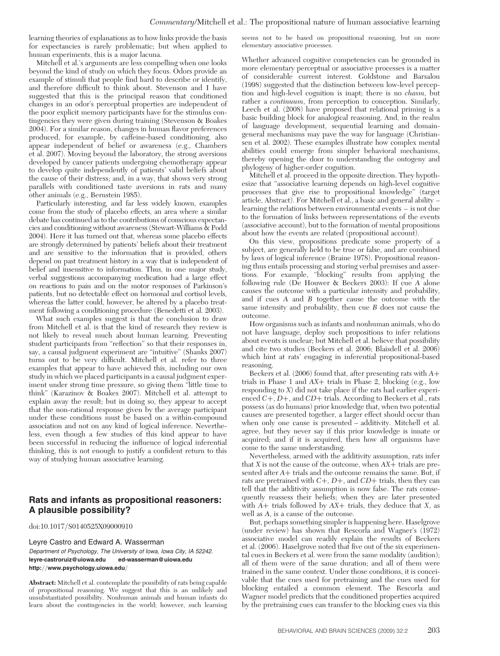learning theories of explanations as to how links provide the basis for expectancies is rarely problematic; but when applied to human experiments, this is a major lacuna.

Mitchell et al.'s arguments are less compelling when one looks beyond the kind of study on which they focus. Odors provide an example of stimuli that people find hard to describe or identify, and therefore difficult to think about. Stevenson and I have suggested that this is the principal reason that conditioned changes in an odor's perceptual properties are independent of the poor explicit memory participants have for the stimulus contingencies they were given during training (Stevenson & Boakes 2004). For a similar reason, changes in human flavor preferences produced, for example, by caffeine-based conditioning, also appear independent of belief or awareness (e.g., Chambers et al. 2007). Moving beyond the laboratory, the strong aversions developed by cancer patients undergoing chemotherapy appear to develop quite independently of patients' valid beliefs about the cause of their distress; and, in a way, that shows very strong parallels with conditioned taste aversions in rats and many other animals (e.g., Bernstein 1985).

Particularly interesting, and far less widely known, examples come from the study of placebo effects, an area where a similar debate has continued as to the contributions of conscious expectancies and conditioning without awareness (Stewart-Williams & Podd 2004). Here it has turned out that, whereas some placebo effects are strongly determined by patients' beliefs about their treatment and are sensitive to the information that is provided, others depend on past treatment history in a way that is independent of belief and insensitive to information. Thus, in one major study, verbal suggestions accompanying medication had a large effect on reactions to pain and on the motor responses of Parkinson's patients, but no detectable effect on hormonal and cortisol levels, whereas the latter could, however, be altered by a placebo treatment following a conditioning procedure (Benedetti et al. 2003).

What such examples suggest is that the conclusion to draw from Mitchell et al. is that the kind of research they review is not likely to reveal much about human learning. Preventing student participants from "reflection" so that their responses in, say, a causal judgment experiment are "intuitive" (Shanks 2007) turns out to be very difficult. Mitchell et al. refer to three examples that appear to have achieved this, including our own study in which we placed participants in a causal judgment experiment under strong time pressure, so giving them "little time to think" (Karazinov & Boakes 2007). Mitchell et al. attempt to explain away the result; but in doing so, they appear to accept that the non-rational response given by the average participant under these conditions must be based on a within-compound association and not on any kind of logical inference. Nevertheless, even though a few studies of this kind appear to have been successful in reducing the influence of logical inferential thinking, this is not enough to justify a confident return to this way of studying human associative learning.

### Rats and infants as propositional reasoners: A plausible possibility?

doi:10.1017/S0140525X09000910

Leyre Castro and Edward A. Wasserman Department of Psychology, The University of Iowa, Iowa City, IA 52242. leyre-castroruiz@uiowa.edu ed-wasserman@uiowa.edu http://www.psychology.uiowa.edu/

Abstract: Mitchell et al. contemplate the possibility of rats being capable of propositional reasoning. We suggest that this is an unlikely and unsubstantiated possibility. Nonhuman animals and human infants do learn about the contingencies in the world; however, such learning seems not to be based on propositional reasoning, but on more elementary associative processes.

Whether advanced cognitive competencies can be grounded in more elementary perceptual or associative processes is a matter of considerable current interest. Goldstone and Barsalou (1998) suggested that the distinction between low-level perception and high-level cognition is inapt; there is no chasm, but rather a continuum, from perception to conception. Similarly, Leech et al. (2008) have proposed that relational priming is a basic building block for analogical reasoning. And, in the realm of language development, sequential learning and domaingeneral mechanisms may pave the way for language (Christiansen et al. 2002). These examples illustrate how complex mental abilities could emerge from simpler behavioral mechanisms, thereby opening the door to understanding the ontogeny and phylogeny of higher-order cognition.

Mitchell et al. proceed in the opposite direction. They hypothesize that "associative learning depends on high-level cognitive processes that give rise to propositional knowledge" (target article, Abstract). For Mitchell et al., a basic and general ability – learning the relations between environmental events – is not due to the formation of links between representations of the events (associative account), but to the formation of mental propositions about how the events are related (propositional account).

On this view, propositions predicate some property of a subject, are generally held to be true or false, and are combined by laws of logical inference (Braine 1978). Propositional reasoning thus entails processing and storing verbal premises and assertions. For example, "blocking" results from applying the following rule (De Houwer & Beckers 2003): If cue A alone causes the outcome with a particular intensity and probability, and if cues A and B together cause the outcome with the same intensity and probability, then cue B does not cause the outcome.

How organisms such as infants and nonhuman animals, who do not have language, deploy such propositions to infer relations about events is unclear; but Mitchell et al. believe that possibility and cite two studies (Beckers et al. 2006; Blaisdell et al. 2006) which hint at rats' engaging in inferential propositional-based reasoning.

Beckers et al. (2006) found that, after presenting rats with  $A+$ trials in Phase 1 and  $AX$  trials in Phase 2, blocking (e.g., low responding to X) did not take place if the rats had earlier experienced  $C +$ ,  $D +$ , and  $CD +$  trials. According to Beckers et al., rats possess (as do humans) prior knowledge that, when two potential causes are presented together, a larger effect should occur than when only one cause is presented – additivity. Mitchell et al. agree, but they never say if this prior knowledge is innate or acquired; and if it is acquired, then how all organisms have come to the same understanding.

Nevertheless, armed with the additivity assumption, rats infer that X is not the cause of the outcome, when  $AX+$  trials are presented after  $A+$  trials and the outcome remains the same. But, if rats are pretrained with  $C+$ ,  $D+$ , and  $CD+$  trials, then they can tell that the additivity assumption is now false. The rats consequently reassess their beliefs; when they are later presented with  $A$ + trials followed by  $AX$ + trials, they deduce that X, as well as A, is a cause of the outcome.

But, perhaps something simpler is happening here. Haselgrove (under review) has shown that Rescorla and Wagner's (1972) associative model can readily explain the results of Beckers et al. (2006). Haselgrove noted that five out of the six experimental cues in Beckers et al. were from the same modality (audition); all of them were of the same duration; and all of them were trained in the same context. Under those conditions, it is conceivable that the cues used for pretraining and the cues used for blocking entailed a common element. The Rescorla and Wagner model predicts that the conditioned properties acquired by the pretraining cues can transfer to the blocking cues via this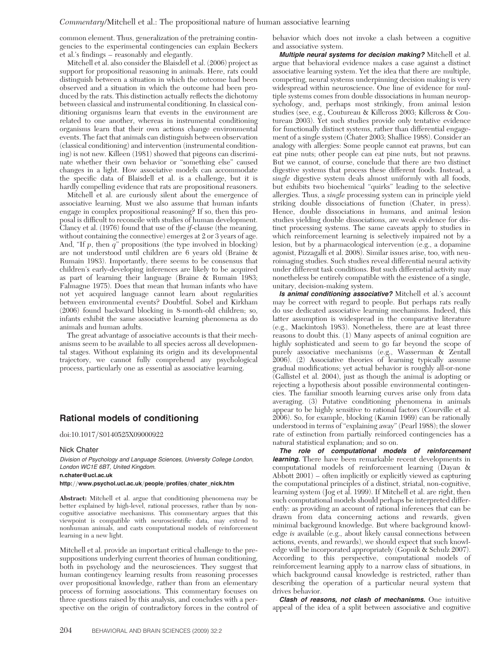common element. Thus, generalization of the pretraining contingencies to the experimental contingencies can explain Beckers et al.'s findings – reasonably and elegantly.

Mitchell et al. also consider the Blaisdell et al. (2006) project as support for propositional reasoning in animals. Here, rats could distinguish between a situation in which the outcome had been observed and a situation in which the outcome had been produced by the rats. This distinction actually reflects the dichotomy between classical and instrumental conditioning. In classical conditioning organisms learn that events in the environment are related to one another, whereas in instrumental conditioning organisms learn that their own actions change environmental events. The fact that animals can distinguish between observation (classical conditioning) and intervention (instrumental conditioning) is not new. Killeen (1981) showed that pigeons can discriminate whether their own behavior or "something else" caused changes in a light. How associative models can accommodate the specific data of Blaisdell et al. is a challenge, but it is hardly compelling evidence that rats are propositional reasoners.

Mitchell et al. are curiously silent about the emergence of associative learning. Must we also assume that human infants engage in complex propositional reasoning? If so, then this proposal is difficult to reconcile with studies of human development. Clancy et al. (1976) found that use of the if-clause (the meaning, without containing the connective) emerges at 2 or 3 years of age. And, "If  $p$ , then  $\bar{q}$ " propositions (the type involved in blocking) are not understood until children are 6 years old (Braine & Rumain 1983). Importantly, there seems to be consensus that children's early-developing inferences are likely to be acquired as part of learning their language (Braine & Rumain 1983; Falmagne 1975). Does that mean that human infants who have not yet acquired language cannot learn about regularities between environmental events? Doubtful. Sobel and Kirkham (2006) found backward blocking in 8-month-old children; so, infants exhibit the same associative learning phenomena as do animals and human adults.

The great advantage of associative accounts is that their mechanisms seem to be available to all species across all developmental stages. Without explaining its origin and its developmental trajectory, we cannot fully comprehend any psychological process, particularly one as essential as associative learning.

### Rational models of conditioning

doi:10.1017/S0140525X09000922

#### Nick Chater

Division of Psychology and Language Sciences, University College London, London WC1E 6BT, United Kingdom.

n.chater@ucl.ac.uk

http://www.psychol.ucl.ac.uk/people/profiles/chater\_nick.htm

Abstract: Mitchell et al. argue that conditioning phenomena may be better explained by high-level, rational processes, rather than by noncognitive associative mechanisms. This commentary argues that this viewpoint is compatible with neuroscientific data, may extend to nonhuman animals, and casts computational models of reinforcement learning in a new light.

Mitchell et al. provide an important critical challenge to the presuppositions underlying current theories of human conditioning, both in psychology and the neurosciences. They suggest that human contingency learning results from reasoning processes over propositional knowledge, rather than from an elementary process of forming associations. This commentary focuses on three questions raised by this analysis, and concludes with a perspective on the origin of contradictory forces in the control of behavior which does not invoke a clash between a cognitive and associative system.

Multiple neural systems for decision making? Mitchell et al. argue that behavioral evidence makes a case against a distinct associative learning system. Yet the idea that there are multiple, competing, neural systems underpinning decision making is very widespread within neuroscience. One line of evidence for multiple systems comes from double dissociations in human neuropsychology, and, perhaps most strikingly, from animal lesion studies (see, e.g., Coutureau & Killcross 2003; Killcross & Coutureau 2003). Yet such studies provide only tentative evidence for functionally distinct systems, rather than differential engagement of a single system (Chater 2003; Shallice 1988). Consider an analogy with allergies: Some people cannot eat prawns, but can eat pine nuts; other people can eat pine nuts, but not prawns. But we cannot, of course, conclude that there are two distinct digestive systems that process these different foods. Instead, a single digestive system deals almost uniformly with all foods, but exhibits two biochemical "quirks" leading to the selective allergies. Thus, a single processing system can in principle yield striking double dissociations of function (Chater, in press). Hence, double dissociations in humans, and animal lesion studies yielding double dissociations, are weak evidence for distinct processing systems. The same caveats apply to studies in which reinforcement learning is selectively impaired not by a lesion, but by a pharmacological intervention (e.g., a dopamine agonist, Pizzagalli et al. 2008). Similar issues arise, too, with neuroimaging studies. Such studies reveal differential neural activity under different task conditions. But such differential activity may nonetheless be entirely compatible with the existence of a single, unitary, decision-making system.

Is animal conditioning associative? Mitchell et al.'s account may be correct with regard to people. But perhaps rats really do use dedicated associative learning mechanisms. Indeed, this latter assumption is widespread in the comparative literature (e.g., Mackintosh 1983). Nonetheless, there are at least three reasons to doubt this. (1) Many aspects of animal cognition are highly sophisticated and seem to go far beyond the scope of purely associative mechanisms (e.g., Wasserman & Zentall 2006). (2) Associative theories of learning typically assume gradual modifications; yet actual behavior is roughly all-or-none (Gallistel et al. 2004), just as though the animal is adopting or rejecting a hypothesis about possible environmental contingencies. The familiar smooth learning curves arise only from data averaging. (3) Putative conditioning phenomena in animals appear to be highly sensitive to rational factors (Courville et al. 2006). So, for example, blocking (Kamin 1969) can be rationally understood in terms of "explaining away" (Pearl 1988); the slower rate of extinction from partially reinforced contingencies has a natural statistical explanation; and so on.

The role of computational models of reinforcement learning. There have been remarkable recent developments in computational models of reinforcement learning (Dayan & Abbott 2001) – often implicitly or explicitly viewed as capturing the computational principles of a distinct, striatal, non-cognitive, learning system (Jog et al. 1999). If Mitchell et al. are right, then such computational models should perhaps be interpreted differently: as providing an account of rational inferences that can be drawn from data concerning actions and rewards, given minimal background knowledge. But where background knowledge is available (e.g., about likely causal connections between actions, events, and rewards), we should expect that such knowledge will be incorporated appropriately (Gopnik & Schulz 2007). According to this perspective, computational models of reinforcement learning apply to a narrow class of situations, in which background causal knowledge is restricted, rather than describing the operation of a particular neural system that drives behavior.

Clash of reasons, not clash of mechanisms. One intuitive appeal of the idea of a split between associative and cognitive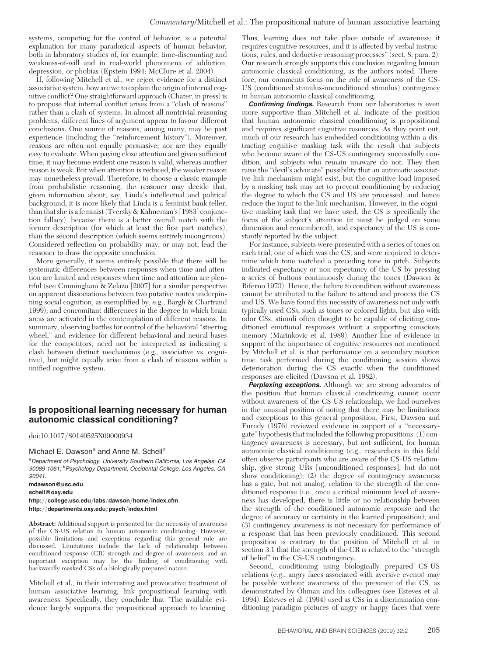systems, competing for the control of behavior, is a potential explanation for many paradoxical aspects of human behavior, both in laboratory studies of, for example, time-discounting and weakness-of-will and in real-world phenomena of addiction, depression, or phobias (Epstein 1994; McClure et al. 2004).

If, following Mitchell et al., we reject evidence for a distinct associative system, how are we to explain the origin of internal cognitive conflict? One straightforward approach (Chater, in press) is to propose that internal conflict arises from a "clash of reasons" rather than a clash of systems. In almost all nontrivial reasoning problems, different lines of argument appear to favour different conclusions. One source of reasons, among many, may be past experience (including the "reinforcement history"). Moreover, reasons are often not equally persuasive; nor are they equally easy to evaluate. When paying close attention and given sufficient time, it may become evident one reason is valid, whereas another reason is weak. But when attention is reduced, the weaker reason may nonetheless prevail. Therefore, to choose a classic example from probabilistic reasoning, the reasoner may decide that, given information about, say, Linda's intellectual and political background, it is more likely that Linda is a feminist bank teller, than that she is a feminist (Tversky & Kahneman's [1983] conjunction fallacy), because there is a better overall match with the former description (for which at least the first part matches), than the second description (which seems entirely incongruous). Considered reflection on probability may, or may not, lead the reasoner to draw the opposite conclusion.

More generally, it seems entirely possible that there will be systematic differences between responses when time and attention are limited and responses when time and attention are plentiful (see Cunningham & Zelazo [2007] for a similar perspective on apparent dissociations between two putative routes underpinning social cognition, as exemplified by, e.g., Bargh & Chartrand 1999); and concomitant differences in the degree to which brain areas are activated in the contemplation of different reasons. In summary, observing battles for control of the behavioral "steering wheel," and evidence for different behavioral and neural bases for the competitors, need not be interpreted as indicating a clash between distinct mechanisms (e.g., associative vs. cognitive), but might equally arise from a clash of reasons within a unified cognitive system.

### Is propositional learning necessary for human autonomic classical conditioning?

doi:10.1017/S0140525X09000934

#### Michael E. Dawson<sup>a</sup> and Anne M. Schell<sup>b</sup>

<sup>a</sup> Department of Psychology, University Southern California, Los Angeles, CA 90089-1061; <sup>b</sup>Psychology Department, Occidental College, Los Angeles, CA 90041.

mdawson@usc.edu

schell@oxy.edu

http://college.usc.edu/labs/dawson/home/index.cfm http://departments.oxy.edu/psych/index.html

Abstract: Additional support is presented for the necessity of awareness of the CS-US relation in human autonomic conditioning. However, possible limitations and exceptions regarding this general rule are discussed. Limitations include the lack of relationship between conditioned response (CR) strength and degree of awareness, and an important exception may be the finding of conditioning with backwardly masked CSs of a biologically prepared nature.

Mitchell et al., in their interesting and provocative treatment of human associative learning, link propositional learning with awareness. Specifically, they conclude that "The available evidence largely supports the propositional approach to learning.

Thus, learning does not take place outside of awareness; it requires cognitive resources, and it is affected by verbal instructions, rules, and deductive reasoning processes" (sect. 8, para. 2). Our research strongly supports this conclusion regarding human autonomic classical conditioning, as the authors noted. Therefore, our comments focus on the role of awareness of the CS-US (conditioned stimulus-unconditioned stimulus) contingency in human autonomic classical conditioning.

**Confirming findings.** Research from our laboratories is even more supportive than Mitchell et al. indicate of the position that human autonomic classical conditioning is propositional and requires significant cognitive resources. As they point out, much of our research has embedded conditioning within a distracting cognitive masking task with the result that subjects who become aware of the CS-US contingency successfully condition, and subjects who remain unaware do not. They then raise the "devil's advocate" possibility that an automatic associative-link mechanism might exist, but the cognitive load imposed by a masking task may act to prevent conditioning by reducing the degree to which the CS and US are processed, and hence reduce the input to the link mechanism. However, in the cognitive masking task that we have used, the CS is specifically the focus of the subject's attention (it must be judged on some dimension and remembered), and expectancy of the US is constantly reported by the subject.

For instance, subjects were presented with a series of tones on each trial, one of which was the CS, and were required to determine which tone matched a preceding tone in pitch. Subjects indicated expectancy or non-expectancy of the US by pressing a series of buttons continuously during the tones (Dawson  $\&$ Biferno 1973). Hence, the failure to condition without awareness cannot be attributed to the failure to attend and process the CS and US. We have found this necessity of awareness not only with typically used CSs, such as tones or colored lights, but also with odor CSs, stimuli often thought to be capable of eliciting conditioned emotional responses without a supporting conscious memory (Marinkovic et al. 1989). Another line of evidence in support of the importance of cognitive resources not mentioned by Mitchell et al. is that performance on a secondary reaction time task performed during the conditioning session shows deterioration during the CS exactly when the conditioned responses are elicited (Dawson et al. 1982).

**Perplexing exceptions.** Although we are strong advocates of the position that human classical conditioning cannot occur without awareness of the CS-US relationship, we find ourselves in the unusual position of noting that there may be limitations and exceptions to this general proposition. First, Dawson and Furedy (1976) reviewed evidence in support of a "necessarygate" hypothesis that included the following propositions: (1) contingency awareness is necessary, but not sufficient, for human autonomic classical conditioning (e.g., researchers in this field often observe participants who are aware of the CS-US relationship, give strong URs [unconditioned responses], but do not show conditioning); (2) the degree of contingency awareness has a gate, but not analog, relation to the strength of the conditioned response (i.e., once a critical minimum level of awareness has developed, there is little or no relationship between the strength of the conditioned autonomic response and the degree of accuracy or certainty in the learned proposition); and (3) contingency awareness is not necessary for performance of a response that has been previously conditioned. This second proposition is contrary to the position of Mitchell et al. in section 3.1 that the strength of the CR is related to the "strength of belief" in the CS-US contingency.

Second, conditioning using biologically prepared CS-US relations (e.g., angry faces associated with aversive events) may be possible without awareness of the presence of the CS, as demonstrated by Öhman and his colleagues (see Esteves et al. 1994). Esteves et al. (1994) used as CSs in a discrimination conditioning paradigm pictures of angry or happy faces that were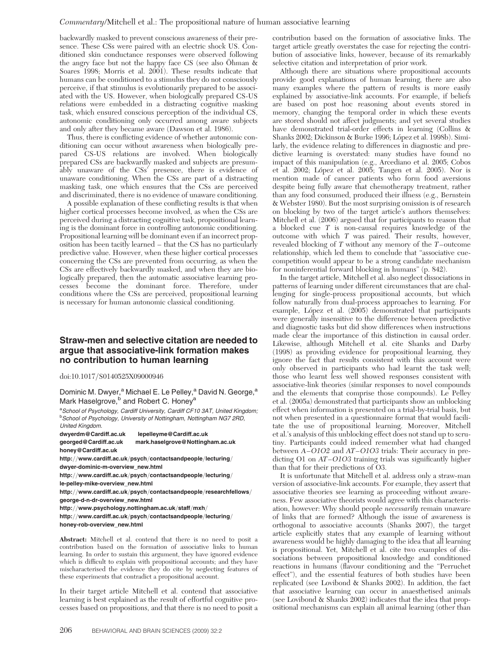backwardly masked to prevent conscious awareness of their presence. These CSs were paired with an electric shock US. Conditioned skin conductance responses were observed following the angry face but not the happy face CS (see also Öhman  $\&$ Soares 1998; Morris et al. 2001). These results indicate that humans can be conditioned to a stimulus they do not consciously perceive, if that stimulus is evolutionarily prepared to be associated with the US. However, when biologically prepared CS-US relations were embedded in a distracting cognitive masking task, which ensured conscious perception of the individual CS, autonomic conditioning only occurred among aware subjects and only after they became aware (Dawson et al. 1986).

Thus, there is conflicting evidence of whether autonomic conditioning can occur without awareness when biologically prepared CS-US relations are involved. When biologically prepared CSs are backwardly masked and subjects are presumably unaware of the CSs' presence, there is evidence of unaware conditioning. When the CSs are part of a distracting masking task, one which ensures that the CSs are perceived and discriminated, there is no evidence of unaware conditioning.

A possible explanation of these conflicting results is that when higher cortical processes become involved, as when the CSs are perceived during a distracting cognitive task, propositional learning is the dominant force in controlling autonomic conditioning. Propositional learning will be dominant even if an incorrect proposition has been tacitly learned – that the CS has no particularly predictive value. However, when these higher cortical processes concerning the CSs are prevented from occurring, as when the CSs are effectively backwardly masked, and when they are biologically prepared, then the automatic associative learning processes become the dominant force. Therefore, under conditions where the CSs are perceived, propositional learning is necessary for human autonomic classical conditioning.

### Straw-men and selective citation are needed to argue that associative-link formation makes no contribution to human learning

doi:10.1017/S0140525X09000946

Dominic M. Dwyer,<sup>a</sup> Michael E. Le Pelley,<sup>a</sup> David N. George,<sup>a</sup> Mark Haselgrove,<sup>b</sup> and Robert C. Honey<sup>a</sup>

a School of Psychology, Cardiff University, Cardiff CF10 3AT, United Kingdom; <sup>b</sup>School of Psychology, University of Nottingham, Nottingham NG7 2RD, United Kingdom.

dwyerdm@Cardiff.ac.uk lepelleyme@Cardiff.ac.uk georged@Cardiff.ac.uk mark.haselgrove@Nottingham.ac.uk honey@Cardiff.ac.uk

http://www.cardiff.ac.uk/psych/contactsandpeople/lecturing/ dwyer-dominic-m-overview\_new.html

http://www.cardiff.ac.uk/psych/contactsandpeople/lecturing/ le-pelley-mike-overview\_new.html

http://www.cardiff.ac.uk/psych/contactsandpeople/researchfellows/ george-d-n-dr-overview\_new.html

http://www.psychology.nottingham.ac.uk/staff/mxh/

http://www.cardiff.ac.uk/psych/contactsandpeople/lecturing/ honey-rob-overview\_new.html

Abstract: Mitchell et al. contend that there is no need to posit a contribution based on the formation of associative links to human learning. In order to sustain this argument, they have ignored evidence which is difficult to explain with propositional accounts; and they have mischaracterised the evidence they do cite by neglecting features of these experiments that contradict a propositional account.

In their target article Mitchell et al. contend that associative learning is best explained as the result of effortful cognitive processes based on propositions, and that there is no need to posit a contribution based on the formation of associative links. The target article greatly overstates the case for rejecting the contribution of associative links, however, because of its remarkably selective citation and interpretation of prior work.

Although there are situations where propositional accounts provide good explanations of human learning, there are also many examples where the pattern of results is more easily explained by associative-link accounts. For example, if beliefs are based on post hoc reasoning about events stored in memory, changing the temporal order in which these events are stored should not affect judgments; and yet several studies have demonstrated trial-order effects in learning (Collins & Shanks 2002; Dickinson & Burke 1996; López et al. 1998b). Similarly, the evidence relating to differences in diagnostic and predictive learning is overstated: many studies have found no impact of this manipulation (e.g., Arcediano et al. 2005; Cobos et al. 2002; López et al. 2005; Tangen et al. 2005). Nor is mention made of cancer patients who form food aversions despite being fully aware that chemotherapy treatment, rather than any food consumed, produced their illness (e.g., Bernstein & Webster 1980). But the most surprising omission is of research on blocking by two of the target article's authors themselves: Mitchell et al. (2006) argued that for participants to reason that a blocked cue T is non-causal requires knowledge of the outcome with which T was paired. Their results, however, revealed blocking of  $T$  without any memory of the  $T$ –outcome relationship, which led them to conclude that "associative cuecompetition would appear to be a strong candidate mechanism for noninferential forward blocking in humans" (p. 842).

In the target article, Mitchell et al. also neglect dissociations in patterns of learning under different circumstances that are challenging for single-process propositional accounts, but which follow naturally from dual-process approaches to learning. For example, López et al. (2005) demonstrated that participants were generally insensitive to the difference between predictive and diagnostic tasks but did show differences when instructions made clear the importance of this distinction in causal order. Likewise, although Mitchell et al. cite Shanks and Darby (1998) as providing evidence for propositional learning, they ignore the fact that results consistent with this account were only observed in participants who had learnt the task well; those who learnt less well showed responses consistent with associative-link theories (similar responses to novel compounds and the elements that comprise those compounds). Le Pelley et al. (2005a) demonstrated that participants show an unblocking effect when information is presented on a trial-by-trial basis, but not when presented in a questionnaire format that would facilitate the use of propositional learning. Moreover, Mitchell et al.'s analysis of this unblocking effect does not stand up to scrutiny. Participants could indeed remember what had changed between A–O1O2 and AT–O1O3 trials: Their accuracy in predicting O1 on AT–O1O3 training trials was significantly higher than that for their predictions of O3.

It is unfortunate that Mitchell et al. address only a straw-man version of associative-link accounts. For example, they assert that associative theories see learning as proceeding without awareness. Few associative theorists would agree with this characterisation, however: Why should people *necessarily* remain unaware of links that are formed? Although the issue of awareness is orthogonal to associative accounts (Shanks 2007), the target article explicitly states that any example of learning without awareness would be highly damaging to the idea that all learning is propositional. Yet, Mitchell et al. cite two examples of dissociations between propositional knowledge and conditioned reactions in humans (flavour conditioning and the "Perruchet effect"), and the essential features of both studies have been replicated (see Lovibond & Shanks 2002). In addition, the fact that associative learning can occur in anaesthetised animals (see Lovibond & Shanks 2002) indicates that the idea that propositional mechanisms can explain all animal learning (other than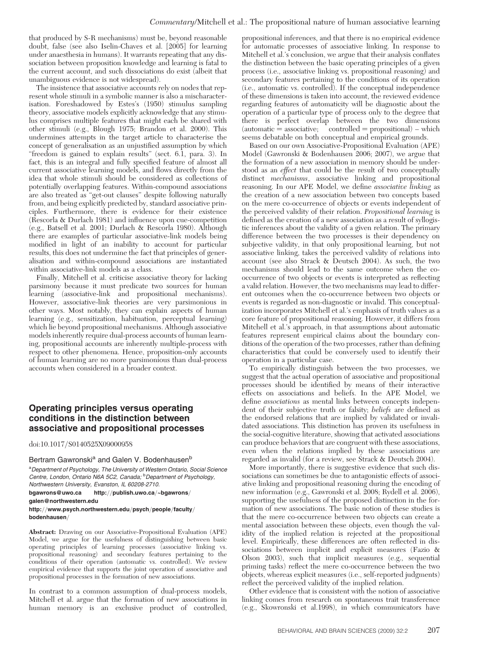that produced by S-R mechanisms) must be, beyond reasonable doubt, false (see also Iselin-Chaves et al. [2005] for learning under anaesthesia in humans). It warrants repeating that any dissociation between proposition knowledge and learning is fatal to the current account, and such dissociations do exist (albeit that unambiguous evidence is not widespread).

The insistence that associative accounts rely on nodes that represent whole stimuli in a symbolic manner is also a mischaracterisation. Foreshadowed by Estes's (1950) stimulus sampling theory, associative models explicitly acknowledge that any stimulus comprises multiple features that might each be shared with other stimuli (e.g., Blough 1975; Brandon et al. 2000). This undermines attempts in the target article to characterise the concept of generalisation as an unjustified assumption by which "freedom is gained to explain results" (sect. 6.1, para. 3). In fact, this is an integral and fully specified feature of almost all current associative learning models, and flows directly from the idea that whole stimuli should be considered as collections of potentially overlapping features. Within-compound associations are also treated as "get-out clauses" despite following naturally from, and being explicitly predicted by, standard associative principles. Furthermore, there is evidence for their existence (Rescorla & Durlach 1981) and influence upon cue-competition (e.g., Batsell et al. 2001; Durlach & Rescorla 1980). Although there are examples of particular associative-link models being modified in light of an inability to account for particular results, this does not undermine the fact that principles of generalisation and within-compound associations are instantiated within associative-link models as a class.

Finally, Mitchell et al. criticise associative theory for lacking parsimony because it must predicate two sources for human learning (associative-link and propositional mechanisms). However, associative-link theories are very parsimonious in other ways. Most notably, they can explain aspects of human learning (e.g., sensitization, habituation, perceptual learning) which lie beyond propositional mechanisms. Although associative models inherently require dual-process accounts of human learning, propositional accounts are inherently multiple-process with respect to other phenomena. Hence, proposition-only accounts of human learning are no more parsimonious than dual-process accounts when considered in a broader context.

### Operating principles versus operating conditions in the distinction between associative and propositional processes

doi:10.1017/S0140525X09000958

Bertram Gawronski<sup>a</sup> and Galen V. Bodenhausen<sup>b</sup> <sup>a</sup> Department of Psychology, The University of Western Ontario, Social Science Centre, London, Ontario N6A 5C2, Canada; <sup>b</sup>Department of Psychology, Northwestern University, Evanston, IL 60208-2710.

bgawrons@uwo.ca http://publish.uwo.ca/~bgawrons/

galen@northwestern.edu

#### http://www.psych.northwestern.edu/psych/people/faculty/ bodenhausen/

Abstract: Drawing on our Associative-Propositional Evaluation (APE) Model, we argue for the usefulness of distinguishing between basic operating principles of learning processes (associative linking vs. propositional reasoning) and secondary features pertaining to the conditions of their operation (automatic vs. controlled). We review empirical evidence that supports the joint operation of associative and propositional processes in the formation of new associations.

In contrast to a common assumption of dual-process models, Mitchell et al. argue that the formation of new associations in human memory is an exclusive product of controlled,

propositional inferences, and that there is no empirical evidence for automatic processes of associative linking. In response to Mitchell et al.'s conclusion, we argue that their analysis conflates the distinction between the basic operating principles of a given process (i.e., associative linking vs. propositional reasoning) and secondary features pertaining to the conditions of its operation (i.e., automatic vs. controlled). If the conceptual independence of these dimensions is taken into account, the reviewed evidence regarding features of automaticity will be diagnostic about the operation of a particular type of process only to the degree that there is perfect overlap between the two dimensions  $($ automatic  $=$  associative; controlled  $=$  propositional $)$  – which seems debatable on both conceptual and empirical grounds.

Based on our own Associative-Propositional Evaluation (APE) Model (Gawronski & Bodenhausen 2006; 2007), we argue that the formation of a new association in memory should be understood as an effect that could be the result of two conceptually distinct *mechanisms*, associative linking and propositional reasoning. In our APE Model, we define associative linking as the creation of a new association between two concepts based on the mere co-occurrence of objects or events independent of the perceived validity of their relation. Propositional learning is defined as the creation of a new association as a result of syllogistic inferences about the validity of a given relation. The primary difference between the two processes is their dependency on subjective validity, in that only propositional learning, but not associative linking, takes the perceived validity of relations into account (see also Strack & Deutsch 2004). As such, the two mechanisms should lead to the same outcome when the cooccurrence of two objects or events is interpreted as reflecting a valid relation. However, the two mechanisms may lead to different outcomes when the co-occurrence between two objects or events is regarded as non-diagnostic or invalid. This conceptualization incorporates Mitchell et al.'s emphasis of truth values as a core feature of propositional reasoning. However, it differs from Mitchell et al.'s approach, in that assumptions about automatic features represent empirical claims about the boundary conditions of the operation of the two processes, rather than defining characteristics that could be conversely used to identify their operation in a particular case.

To empirically distinguish between the two processes, we suggest that the actual operation of associative and propositional processes should be identified by means of their interactive effects on associations and beliefs. In the APE Model, we define associations as mental links between concepts independent of their subjective truth or falsity; beliefs are defined as the endorsed relations that are implied by validated or invalidated associations. This distinction has proven its usefulness in the social-cognitive literature, showing that activated associations can produce behaviors that are congruent with these associations, even when the relations implied by these associations are regarded as invalid (for a review, see Strack & Deutsch 2004).

More importantly, there is suggestive evidence that such dissociations can sometimes be due to antagonistic effects of associative linking and propositional reasoning during the encoding of new information (e.g., Gawronski et al. 2008; Rydell et al. 2006), supporting the usefulness of the proposed distinction in the formation of new associations. The basic notion of these studies is that the mere co-occurrence between two objects can create a mental association between these objects, even though the validity of the implied relation is rejected at the propositional level. Empirically, these differences are often reflected in dissociations between implicit and explicit measures (Fazio & Olson 2003), such that implicit measures (e.g., sequential priming tasks) reflect the mere co-occurrence between the two objects, whereas explicit measures (i.e., self-reported judgments) reflect the perceived validity of the implied relation.

Other evidence that is consistent with the notion of associative linking comes from research on spontaneous trait transference (e.g., Skowronski et al.1998), in which communicators have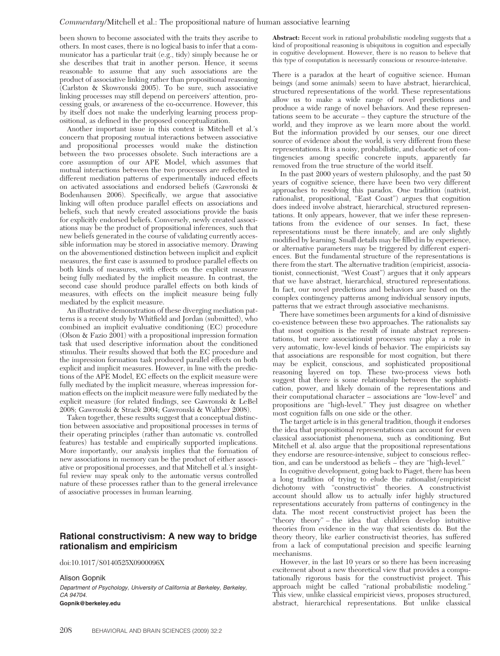been shown to become associated with the traits they ascribe to others. In most cases, there is no logical basis to infer that a communicator has a particular trait (e.g., tidy) simply because he or she describes that trait in another person. Hence, it seems reasonable to assume that any such associations are the product of associative linking rather than propositional reasoning (Carlston & Skowronski 2005). To be sure, such associative linking processes may still depend on perceivers' attention, processing goals, or awareness of the co-occurrence. However, this by itself does not make the underlying learning process propositional, as defined in the proposed conceptualization.

Another important issue in this context is Mitchell et al.'s concern that proposing mutual interactions between associative and propositional processes would make the distinction between the two processes obsolete. Such interactions are a core assumption of our APE Model, which assumes that mutual interactions between the two processes are reflected in different mediation patterns of experimentally induced effects on activated associations and endorsed beliefs (Gawronski & Bodenhausen 2006). Specifically, we argue that associative linking will often produce parallel effects on associations and beliefs, such that newly created associations provide the basis for explicitly endorsed beliefs. Conversely, newly created associations may be the product of propositional inferences, such that new beliefs generated in the course of validating currently accessible information may be stored in associative memory. Drawing on the abovementioned distinction between implicit and explicit measures, the first case is assumed to produce parallel effects on both kinds of measures, with effects on the explicit measure being fully mediated by the implicit measure. In contrast, the second case should produce parallel effects on both kinds of measures, with effects on the implicit measure being fully mediated by the explicit measure.

An illustrative demonstration of these diverging mediation patterns is a recent study by Whitfield and Jordan (submitted), who combined an implicit evaluative conditioning (EC) procedure (Olson & Fazio 2001) with a propositional impression formation task that used descriptive information about the conditioned stimulus. Their results showed that both the EC procedure and the impression formation task produced parallel effects on both explicit and implicit measures. However, in line with the predictions of the APE Model, EC effects on the explicit measure were fully mediated by the implicit measure, whereas impression formation effects on the implicit measure were fully mediated by the explicit measure (for related findings, see Gawronski & LeBel 2008; Gawronski & Strack 2004; Gawronski & Walther 2008).

Taken together, these results suggest that a conceptual distinction between associative and propositional processes in terms of their operating principles (rather than automatic vs. controlled features) has testable and empirically supported implications. More importantly, our analysis implies that the formation of new associations in memory can be the product of either associative or propositional processes, and that Mitchell et al.'s insightful review may speak only to the automatic versus controlled nature of these processes rather than to the general irrelevance of associative processes in human learning.

### Rational constructivism: A new way to bridge rationalism and empiricism

doi:10.1017/S0140525X0900096X

Alison Gopnik

Department of Psychology, University of California at Berkeley, Berkeley, CA 94704.

Gopnik@berkeley.edu

Abstract: Recent work in rational probabilistic modeling suggests that a kind of propositional reasoning is ubiquitous in cognition and especially in cognitive development. However, there is no reason to believe that this type of computation is necessarily conscious or resource-intensive.

There is a paradox at the heart of cognitive science. Human beings (and some animals) seem to have abstract, hierarchical, structured representations of the world. These representations allow us to make a wide range of novel predictions and produce a wide range of novel behaviors. And these representations seem to be accurate – they capture the structure of the world, and they improve as we learn more about the world. But the information provided by our senses, our one direct source of evidence about the world, is very different from these representations. It is a noisy, probabilistic, and chaotic set of contingencies among specific concrete inputs, apparently far removed from the true structure of the world itself.

In the past 2000 years of western philosophy, and the past 50 years of cognitive science, there have been two very different approaches to resolving this paradox. One tradition (nativist, rationalist, propositional, "East Coast") argues that cognition does indeed involve abstract, hierarchical, structured representations. It only appears, however, that we infer these representations from the evidence of our senses. In fact, these representations must be there innately, and are only slightly modified by learning. Small details may be filled in by experience, or alternative parameters may be triggered by different experiences. But the fundamental structure of the representations is there from the start. The alternative tradition (empiricist, associationist, connectionist, "West Coast") argues that it only appears that we have abstract, hierarchical, structured representations. In fact, our novel predictions and behaviors are based on the complex contingency patterns among individual sensory inputs, patterns that we extract through associative mechanisms.

There have sometimes been arguments for a kind of dismissive co-existence between these two approaches. The rationalists say that most cognition is the result of innate abstract representations, but mere associationist processes may play a role in very automatic, low-level kinds of behavior. The empiricists say that associations are responsible for most cognition, but there may be explicit, conscious, and sophisticated propositional reasoning layered on top. These two-process views both suggest that there is some relationship between the sophistication, power, and likely domain of the representations and their computational character – associations are "low-level" and propositions are "high-level." They just disagree on whether most cognition falls on one side or the other.

The target article is in this general tradition, though it endorses the idea that propositional representations can account for even classical associationist phenomena, such as conditioning. But Mitchell et al. also argue that the propositional representations they endorse are resource-intensive, subject to conscious reflection, and can be understood as beliefs – they are "high-level."

In cognitive development, going back to Piaget, there has been a long tradition of trying to elude the rationalist/empiricist dichotomy with "constructivist" theories. A constructivist account should allow us to actually infer highly structured representations accurately from patterns of contingency in the data. The most recent constructivist project has been the "theory theory" – the idea that children develop intuitive theories from evidence in the way that scientists do. But the theory theory, like earlier constructivist theories, has suffered from a lack of computational precision and specific learning mechanisms.

However, in the last 10 years or so there has been increasing excitement about a new theoretical view that provides a computationally rigorous basis for the constructivist project. This approach might be called "rational probabilistic modeling." This view, unlike classical empiricist views, proposes structured, abstract, hierarchical representations. But unlike classical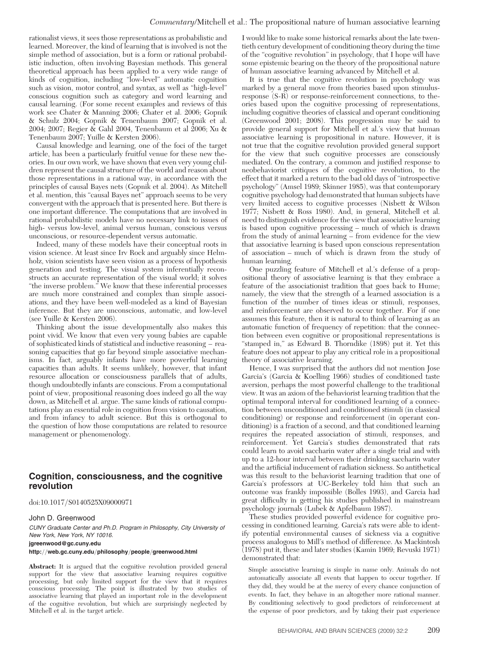rationalist views, it sees those representations as probabilistic and learned. Moreover, the kind of learning that is involved is not the simple method of association, but is a form or rational probabilistic induction, often involving Bayesian methods. This general theoretical approach has been applied to a very wide range of kinds of cognition, including "low-level" automatic cognition such as vision, motor control, and syntax, as well as "high-level" conscious cognition such as category and word learning and causal learning. (For some recent examples and reviews of this work see Chater & Manning 2006; Chater et al. 2006; Gopnik & Schulz 2004; Gopnik & Tenenbaum 2007; Gopnik et al. 2004; 2007; Regier & Gahl 2004, Tenenbaum et al 2006; Xu & Tenenbaum 2007; Yuille & Kersten 2006).

Causal knowledge and learning, one of the foci of the target article, has been a particularly fruitful venue for these new theories. In our own work, we have shown that even very young children represent the causal structure of the world and reason about those representations in a rational way, in accordance with the principles of causal Bayes nets (Gopnik et al. 2004). As Mitchell et al. mention, this "causal Bayes net" approach seems to be very convergent with the approach that is presented here. But there is one important difference. The computations that are involved in rational probabilistic models have no necessary link to issues of high- versus low-level, animal versus human, conscious versus unconscious, or resource-dependent versus automatic.

Indeed, many of these models have their conceptual roots in vision science. At least since Irv Rock and arguably since Helmholz, vision scientists have seen vision as a process of hypothesis generation and testing. The visual system inferentially reconstructs an accurate representation of the visual world; it solves "the inverse problem." We know that these inferential processes are much more constrained and complex than simple associations, and they have been well-modeled as a kind of Bayesian inference. But they are unconscious, automatic, and low-level (see Yuille & Kersten 2006).

Thinking about the issue developmentally also makes this point vivid. We know that even very young babies are capable of sophisticated kinds of statistical and inductive reasoning – reasoning capacities that go far beyond simple associative mechanisms. In fact, arguably infants have more powerful learning capacities than adults. It seems unlikely, however, that infant resource allocation or consciousness parallels that of adults, though undoubtedly infants are conscious. From a computational point of view, propositional reasoning does indeed go all the way down, as Mitchell et al. argue. The same kinds of rational computations play an essential role in cognition from vision to causation, and from infancy to adult science. But this is orthogonal to the question of how those computations are related to resource management or phenomenology.

### Cognition, consciousness, and the cognitive revolution

doi:10.1017/S0140525X09000971

#### John D. Greenwood

CUNY Graduate Center and Ph.D. Program in Philosophy, City University of New York, New York, NY 10016.

jgreenwood@gc.cuny.edu

http://web.gc.cuny.edu/philosophy/people/greenwood.html

Abstract: It is argued that the cognitive revolution provided general support for the view that associative learning requires cognitive processing, but only limited support for the view that it requires conscious processing. The point is illustrated by two studies of associative learning that played an important role in the development of the cognitive revolution, but which are surprisingly neglected by Mitchell et al. in the target article.

I would like to make some historical remarks about the late twentieth century development of conditioning theory during the time of the "cognitive revolution" in psychology, that I hope will have some epistemic bearing on the theory of the propositional nature of human associative learning advanced by Mitchell et al.

It is true that the cognitive revolution in psychology was marked by a general move from theories based upon stimulusresponse (S-R) or response-reinforcement connections, to theories based upon the cognitive processing of representations, including cognitive theories of classical and operant conditioning (Greenwood 2001; 2008). This progression may be said to provide general support for Mitchell et al.'s view that human associative learning is propositional in nature. However, it is not true that the cognitive revolution provided general support for the view that such cognitive processes are consciously mediated. On the contrary, a common and justified response to neobehaviorist critiques of the cognitive revolution, to the effect that it marked a return to the bad old days of "introspective psychology" (Amsel 1989; Skinner 1985), was that contemporary cognitive psychology had demonstrated that human subjects have very limited access to cognitive processes (Nisbett & Wilson 1977; Nisbett & Ross 1980). And, in general, Mitchell et al. need to distinguish evidence for the view that associative learning is based upon cognitive processing – much of which is drawn from the study of animal learning – from evidence for the view that associative learning is based upon conscious representation of association – much of which is drawn from the study of human learning.

One puzzling feature of Mitchell et al.'s defense of a propositional theory of associative learning is that they embrace a feature of the associationist tradition that goes back to Hume; namely, the view that the strength of a learned association is a function of the number of times ideas or stimuli, responses, and reinforcement are observed to occur together. For if one assumes this feature, then it is natural to think of learning as an automatic function of frequency of repetition: that the connection between even cognitive or propositional representations is "stamped in," as Edward B. Thorndike (1898) put it. Yet this feature does not appear to play any critical role in a propositional theory of associative learning.

Hence, I was surprised that the authors did not mention Jose Garcia's (Garcia & Koelling 1966) studies of conditioned taste aversion, perhaps the most powerful challenge to the traditional view. It was an axiom of the behaviorist learning tradition that the optimal temporal interval for conditioned learning of a connection between unconditioned and conditioned stimuli (in classical conditioning) or response and reinforcement (in operant conditioning) is a fraction of a second, and that conditioned learning requires the repeated association of stimuli, responses, and reinforcement. Yet Garcia's studies demonstrated that rats could learn to avoid saccharin water after a single trial and with up to a 12-hour interval between their drinking saccharin water and the artificial inducement of radiation sickness. So antithetical was this result to the behaviorist learning tradition that one of Garcia's professors at UC-Berkeley told him that such an outcome was frankly impossible (Bolles 1993), and Garcia had great difficulty in getting his studies published in mainstream psychology journals (Lubek & Apfelbaum 1987).

These studies provided powerful evidence for cognitive processing in conditioned learning. Garcia's rats were able to identify potential environmental causes of sickness via a cognitive process analogous to Mill's method of difference. As Mackintosh (1978) put it, these and later studies (Kamin 1969; Revuski 1971) demonstrated that:

Simple associative learning is simple in name only. Animals do not automatically associate all events that happen to occur together. If they did, they would be at the mercy of every chance conjunction of events. In fact, they behave in an altogether more rational manner. By conditioning selectively to good predictors of reinforcement at the expense of poor predictors, and by taking their past experience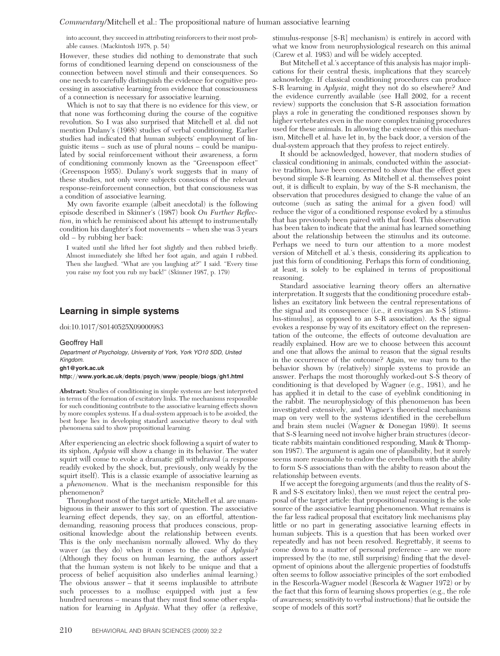into account, they succeed in attributing reinforcers to their most probable causes. (Mackintosh 1978, p. 54)

However, these studies did nothing to demonstrate that such forms of conditioned learning depend on consciousness of the connection between novel stimuli and their consequences. So one needs to carefully distinguish the evidence for cognitive processing in associative learning from evidence that consciousness of a connection is necessary for associative learning.

Which is not to say that there is no evidence for this view, or that none was forthcoming during the course of the cognitive revolution. So I was also surprised that Mitchell et al. did not mention Dulany's (1968) studies of verbal conditioning. Earlier studies had indicated that human subjects' employment of linguistic items – such as use of plural nouns – could be manipulated by social reinforcement without their awareness, a form of conditioning commonly known as the "Greenspoon effect" (Greenspoon 1955). Dulany's work suggests that in many of these studies, not only were subjects conscious of the relevant response-reinforcement connection, but that consciousness was a condition of associative learning.

My own favorite example (albeit anecdotal) is the following episode described in Skinner's (1987) book On Further Reflection, in which he reminisced about his attempt to instrumentally condition his daughter's foot movements – when she was 3 years old – by rubbing her back:

I waited until she lifted her foot slightly and then rubbed briefly. Almost immediately she lifted her foot again, and again I rubbed. Then she laughed. "What are you laughing at?" I said. "Every time you raise my foot you rub my back!" (Skinner 1987, p. 179)

### Learning in simple systems

doi:10.1017/S0140525X09000983

Geoffrey Hall

Department of Psychology, University of York, York YO10 5DD, United Kingdom.

gh1@york.ac.uk

#### http://www.york.ac.uk/depts/psych/www/people/biogs/gh1.html

Abstract: Studies of conditioning in simple systems are best interpreted in terms of the formation of excitatory links. The mechanisms responsible for such conditioning contribute to the associative learning effects shown by more complex systems. If a dual-system approach is to be avoided, the best hope lies in developing standard associative theory to deal with phenomena said to show propositional learning.

After experiencing an electric shock following a squirt of water to its siphon, Aplysia will show a change in its behavior. The water squirt will come to evoke a dramatic gill withdrawal (a response readily evoked by the shock, but, previously, only weakly by the squirt itself). This is a classic example of associative learning as a *phenomenon*. What is the mechanism responsible for this phenomenon?

Throughout most of the target article, Mitchell et al. are unambiguous in their answer to this sort of question. The associative learning effect depends, they say, on an effortful, attentiondemanding, reasoning process that produces conscious, propositional knowledge about the relationship between events. This is the only mechanism normally allowed. Why do they waver (as they do) when it comes to the case of Aplysia? (Although they focus on human learning, the authors assert that the human system is not likely to be unique and that a process of belief acquisition also underlies animal learning.) The obvious answer – that it seems implausible to attribute such processes to a mollusc equipped with just a few hundred neurons – means that they must find some other explanation for learning in Aplysia. What they offer (a reflexive,

stimulus-response [S-R] mechanism) is entirely in accord with what we know from neurophysiological research on this animal (Carew et al. 1983) and will be widely accepted.

But Mitchell et al.'s acceptance of this analysis has major implications for their central thesis, implications that they scarcely acknowledge. If classical conditioning procedures can produce S-R learning in Aplysia, might they not do so elsewhere? And the evidence currently available (see Hall 2002, for a recent review) supports the conclusion that S-R association formation plays a role in generating the conditioned responses shown by higher vertebrates even in the more complex training procedures used for these animals. In allowing the existence of this mechanism, Mitchell et al. have let in, by the back door, a version of the dual-system approach that they profess to reject entirely.

It should be acknowledged, however, that modern studies of classical conditioning in animals, conducted within the associative tradition, have been concerned to show that the effect goes beyond simple S-R learning. As Mitchell et al. themselves point out, it is difficult to explain, by way of the S-R mechanism, the observation that procedures designed to change the value of an outcome (such as sating the animal for a given food) will reduce the vigor of a conditioned response evoked by a stimulus that has previously been paired with that food. This observation has been taken to indicate that the animal has learned something about the relationship between the stimulus and its outcome. Perhaps we need to turn our attention to a more modest version of Mitchell et al.'s thesis, considering its application to just this form of conditioning. Perhaps this form of conditioning, at least, is solely to be explained in terms of propositional reasoning.

Standard associative learning theory offers an alternative interpretation. It suggests that the conditioning procedure establishes an excitatory link between the central representations of the signal and its consequence (i.e., it envisages an S-S [stimulus-stimulus], as opposed to an S-R association). As the signal evokes a response by way of its excitatory effect on the representation of the outcome, the effects of outcome devaluation are readily explained. How are we to choose between this account and one that allows the animal to reason that the signal results in the occurrence of the outcome? Again, we may turn to the behavior shown by (relatively) simple systems to provide an answer. Perhaps the most thoroughly worked-out S-S theory of conditioning is that developed by Wagner (e.g., 1981), and he has applied it in detail to the case of eyeblink conditioning in the rabbit. The neurophysiology of this phenomenon has been investigated extensively, and Wagner's theoretical mechanisms map on very well to the systems identified in the cerebellum and brain stem nuclei (Wagner & Donegan 1989). It seems that S-S learning need not involve higher brain structures (decorticate rabbits maintain conditioned responding, Mauk & Thompson 1987). The argument is again one of plausibility, but it surely seems more reasonable to endow the cerebellum with the ability to form S-S associations than with the ability to reason about the relationship between events.

If we accept the foregoing arguments (and thus the reality of S-R and S-S excitatory links), then we must reject the central proposal of the target article: that propositional reasoning is the sole source of the associative learning phenomenon. What remains is the far less radical proposal that excitatory link mechanisms play little or no part in generating associative learning effects in human subjects. This is a question that has been worked over repeatedly and has not been resolved. Regrettably, it seems to come down to a matter of personal preference – are we more impressed by the (to me, still surprising) finding that the development of opinions about the allergenic properties of foodstuffs often seems to follow associative principles of the sort embodied in the Rescorla-Wagner model (Rescorla & Wagner 1972) or by the fact that this form of learning shows properties (e.g., the role of awareness; sensitivity to verbal instructions) that lie outside the scope of models of this sort?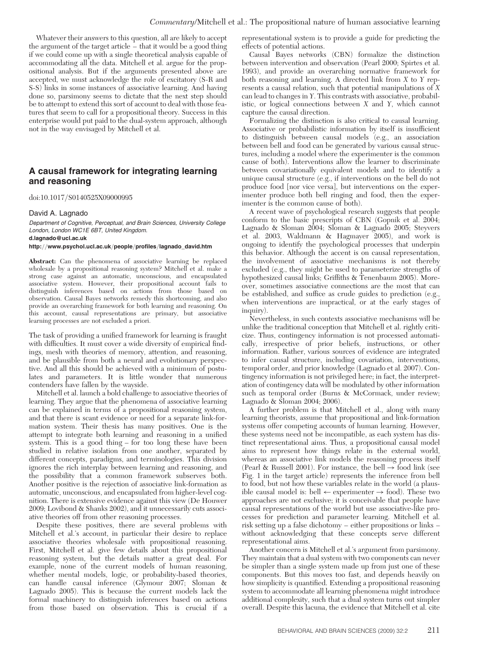Whatever their answers to this question, all are likely to accept the argument of the target article – that it would be a good thing if we could come up with a single theoretical analysis capable of accommodating all the data. Mitchell et al. argue for the propositional analysis. But if the arguments presented above are accepted, we must acknowledge the role of excitatory (S-R and S-S) links in some instances of associative learning. And having done so, parsimony seems to dictate that the next step should be to attempt to extend this sort of account to deal with those features that seem to call for a propositional theory. Success in this enterprise would put paid to the dual-system approach, although not in the way envisaged by Mitchell et al.

### A causal framework for integrating learning and reasoning

doi:10.1017/S0140525X09000995

David A. Lagnado

Department of Cognitive, Perceptual, and Brain Sciences, University College London, London WC1E 6BT, United Kingdom. d.lagnado@ucl.ac.uk

http://www.psychol.ucl.ac.uk/people/profiles/lagnado\_david.htm

Abstract: Can the phenomena of associative learning be replaced wholesale by a propositional reasoning system? Mitchell et al. make a strong case against an automatic, unconscious, and encapsulated associative system. However, their propositional account fails to distinguish inferences based on actions from those based on observation. Causal Bayes networks remedy this shortcoming, and also provide an overarching framework for both learning and reasoning. On this account, causal representations are primary, but associative learning processes are not excluded a priori.

The task of providing a unified framework for learning is fraught with difficulties. It must cover a wide diversity of empirical findings, mesh with theories of memory, attention, and reasoning, and be plausible from both a neural and evolutionary perspective. And all this should be achieved with a minimum of postulates and parameters. It is little wonder that numerous contenders have fallen by the wayside.

Mitchell et al. launch a bold challenge to associative theories of learning. They argue that the phenomena of associative learning can be explained in terms of a propositional reasoning system, and that there is scant evidence or need for a separate link-formation system. Their thesis has many positives. One is the attempt to integrate both learning and reasoning in a unified system. This is a good thing – for too long these have been studied in relative isolation from one another, separated by different concepts, paradigms, and terminologies. This division ignores the rich interplay between learning and reasoning, and the possibility that a common framework subserves both. Another positive is the rejection of associative link-formation as automatic, unconscious, and encapsulated from higher-level cognition. There is extensive evidence against this view (De Houwer 2009; Lovibond & Shanks 2002), and it unnecessarily cuts associative theories off from other reasoning processes.

Despite these positives, there are several problems with Mitchell et al.'s account, in particular their desire to replace associative theories wholesale with propositional reasoning. First, Mitchell et al. give few details about this propositional reasoning system, but the details matter a great deal. For example, none of the current models of human reasoning, whether mental models, logic, or probability-based theories, can handle causal inference (Glymour 2007; Sloman & Lagnado 2005). This is because the current models lack the formal machinery to distinguish inferences based on actions from those based on observation. This is crucial if a representational system is to provide a guide for predicting the effects of potential actions.

Causal Bayes networks (CBN) formalize the distinction between intervention and observation (Pearl 2000; Spirtes et al. 1993), and provide an overarching normative framework for both reasoning and learning. A directed link from X to Y represents a causal relation, such that potential manipulations of  $X$ can lead to changes in Y. This contrasts with associative, probabilistic, or logical connections between  $X$  and  $Y$ , which cannot capture the causal direction.

Formalizing the distinction is also critical to causal learning. Associative or probabilistic information by itself is insufficient to distinguish between causal models (e.g., an association between bell and food can be generated by various causal structures, including a model where the experimenter is the common cause of both). Interventions allow the learner to discriminate between covariationally equivalent models and to identify a unique causal structure (e.g., if interventions on the bell do not produce food [nor vice versa], but interventions on the experimenter produce both bell ringing and food, then the experimenter is the common cause of both).

A recent wave of psychological research suggests that people conform to the basic prescripts of CBN (Gopnik et al. 2004; Lagnado & Sloman 2004; Sloman & Lagnado 2005; Steyvers et al. 2003, Waldmann & Hagmayer 2005), and work is ongoing to identify the psychological processes that underpin this behavior. Although the accent is on causal representation, the involvement of associative mechanisms is not thereby excluded (e.g., they might be used to parameterize strengths of hypothesized causal links; Griffiths & Tenenbaum 2005). Moreover, sometimes associative connections are the most that can be established, and suffice as crude guides to prediction (e.g., when interventions are impractical, or at the early stages of inquiry).

Nevertheless, in such contexts associative mechanisms will be unlike the traditional conception that Mitchell et al. rightly criticize. Thus, contingency information is not processed automatically, irrespective of prior beliefs, instructions, or other information. Rather, various sources of evidence are integrated to infer causal structure, including covariation, interventions, temporal order, and prior knowledge (Lagnado et al. 2007). Contingency information is not privileged here; in fact, the interpretation of contingency data will be modulated by other information such as temporal order (Burns & McCormack, under review; Lagnado & Sloman 2004; 2006).

A further problem is that Mitchell et al., along with many learning theorists, assume that propositional and link-formation systems offer competing accounts of human learning. However, these systems need not be incompatible, as each system has distinct representational aims. Thus, a propositional causal model aims to represent how things relate in the external world, whereas an associative link models the reasoning process itself (Pearl & Russell 2001). For instance, the bell  $\rightarrow$  food link (see Fig. 1 in the target article) represents the inference from bell to food, but not how these variables relate in the world (a plausible causal model is: bell  $\leftarrow$  experimenter  $\rightarrow$  food). These two approaches are not exclusive; it is conceivable that people have causal representations of the world but use associative-like processes for prediction and parameter learning. Mitchell et al. risk setting up a false dichotomy – either propositions or links – without acknowledging that these concepts serve different representational aims.

Another concern is Mitchell et al.'s argument from parsimony. They maintain that a dual system with two components can never be simpler than a single system made up from just one of these components. But this moves too fast, and depends heavily on how simplicity is quantified. Extending a propositional reasoning system to accommodate all learning phenomena might introduce additional complexity, such that a dual system turns out simpler overall. Despite this lacuna, the evidence that Mitchell et al. cite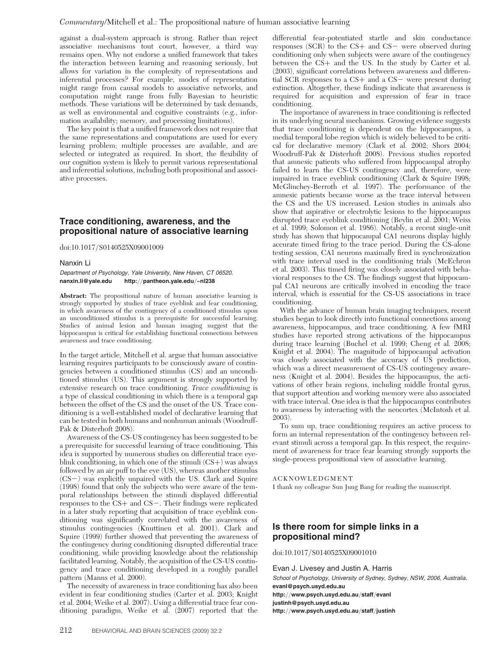against a dual-system approach is strong. Rather than reject associative mechanisms tout court, however, a third way remains open. Why not endorse a unified framework that takes the interaction between learning and reasoning seriously, but allows for variation in the complexity of representations and inferential processes? For example, modes of representation might range from causal models to associative networks, and computation might range from fully Bayesian to heuristic methods. These variations will be determined by task demands, as well as environmental and cognitive constraints (e.g., information availability; memory, and processing limitations).

The key point is that a unified framework does not require that the same representations and computations are used for every learning problem; multiple processes are available, and are selected or integrated as required. In short, the flexibility of our cognition system is likely to permit various representational and inferential solutions, including both propositional and associative processes.

### Trace conditioning, awareness, and the propositional nature of associative learning

doi:10.1017/S0140525X09001009

#### Nanxin Li

Department of Psychology, Yale University, New Haven, CT 06520. nanxin.li@yale.edu http://pantheon.yale.edu/~nl238

Abstract: The propositional nature of human associative learning is strongly supported by studies of trace eyeblink and fear conditioning, in which awareness of the contingency of a conditioned stimulus upon an unconditioned stimulus is a prerequisite for successful learning. Studies of animal lesion and human imaging suggest that the hippocampus is critical for establishing functional connections between awareness and trace conditioning.

In the target article, Mitchell et al. argue that human associative learning requires participants to be consciously aware of contingencies between a conditioned stimulus (CS) and an unconditioned stimulus (US). This argument is strongly supported by extensive research on trace conditioning. Trace conditioning is a type of classical conditioning in which there is a temporal gap between the offset of the CS and the onset of the US. Trace conditioning is a well-established model of declarative learning that can be tested in both humans and nonhuman animals (Woodruff-Pak & Disterhoft 2008).

Awareness of the CS-US contingency has been suggested to be a prerequisite for successful learning of trace conditioning. This idea is supported by numerous studies on differential trace eyeblink conditioning, in which one of the stimuli  $(CS+)$  was always followed by an air puff to the eye (US), whereas another stimulus  $(CS-)$  was explicitly unpaired with the US. Clark and Squire (1998) found that only the subjects who were aware of the temporal relationships between the stimuli displayed differential  $responents$  to the  $CS+$  and  $CS-$ . Their findings were replicated in a later study reporting that acquisition of trace eyeblink conditioning was significantly correlated with the awareness of stimulus contingencies (Knuttinen et al. 2001). Clark and Squire (1999) further showed that preventing the awareness of the contingency during conditioning disrupted differential trace conditioning, while providing knowledge about the relationship facilitated learning. Notably, the acquisition of the CS-US contingency and trace conditioning developed in a roughly parallel pattern (Manns et al. 2000).

The necessity of awareness in trace conditioning has also been evident in fear conditioning studies (Carter et al. 2003; Knight et al. 2004; Weike et al. 2007). Using a differential trace fear conditioning paradigm, Weike et al. (2007) reported that the

differential fear-potentiated startle and skin conductance responses (SCR) to the  $CS+$  and  $CS-$  were observed during conditioning only when subjects were aware of the contingency between the CS+ and the US. In the study by Carter et al. (2003), significant correlations between awareness and differential SCR responses to a  $CS+$  and a  $CS-$  were present during extinction. Altogether, these findings indicate that awareness is required for acquisition and expression of fear in trace conditioning.

The importance of awareness in trace conditioning is reflected in its underlying neural mechanisms. Growing evidence suggests that trace conditioning is dependent on the hippocampus, a medial temporal lobe region which is widely believed to be critical for declarative memory (Clark et al. 2002; Shors 2004; Woodruff-Pak & Disterhoft 2008). Previous studies reported that amnesic patients who suffered from hippocampal atrophy failed to learn the CS-US contingency and, therefore, were impaired in trace eyeblink conditioning (Clark & Squire 1998; McGlinchey-Berroth et al. 1997). The performance of the amnesic patients became worse as the trace interval between the CS and the US increased. Lesion studies in animals also show that aspirative or electrolytic lesions to the hippocampus disrupted trace eyeblink conditioning (Beylin et al. 2001; Weiss et al. 1999; Solomon et al. 1986). Notably, a recent single-unit study has shown that hippocampal CA1 neurons display highly accurate timed firing to the trace period. During the CS-alone testing session, CA1 neurons maximally fired in synchronization with trace interval used in the conditioning trials (McEchron et al. 2003). This timed firing was closely associated with behavioral responses to the CS. The findings suggest that hippocampal CA1 neurons are critically involved in encoding the trace interval, which is essential for the CS-US associations in trace conditioning.

With the advance of human brain imaging techniques, recent studies began to look directly into functional connections among awareness, hippocampus, and trace conditioning. A few fMRI studies have reported strong activations of the hippocampus during trace learning (Buchel et al. 1999; Cheng et al. 2008; Knight et al. 2004). The magnitude of hippocampal activation was closely associated with the accuracy of US prediction, which was a direct measurement of CS-US contingency awareness (Knight et al. 2004). Besides the hippocampus, the activations of other brain regions, including middle frontal gyrus, that support attention and working memory were also associated with trace interval. One idea is that the hippocampus contributes to awareness by interacting with the neocortex (McIntosh et al. 2003).

To sum up, trace conditioning requires an active process to form an internal representation of the contingency between relevant stimuli across a temporal gap. In this respect, the requirement of awareness for trace fear learning strongly supports the single-process propositional view of associative learning.

#### ACKNOWLEDGMENT

I thank my colleague Sun Jung Bang for reading the manuscript.

### Is there room for simple links in a propositional mind?

doi:10.1017/S0140525X09001010

Evan J. Livesey and Justin A. Harris School of Psychology, University of Sydney, Sydney, NSW, 2006, Australia. evanl@psych.usyd.edu.au http://www.psych.usyd.edu.au/staff/evanl justinh@psych.usyd.edu.au http://www.psych.usyd.edu.au/staff/justinh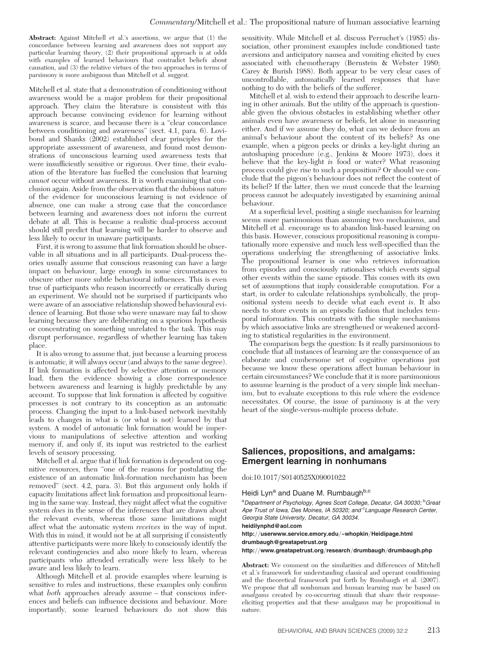Abstract: Against Mitchell et al.'s assertions, we argue that (1) the concordance between learning and awareness does not support any particular learning theory, (2) their propositional approach is at odds with examples of learned behaviours that contradict beliefs about causation, and (3) the relative virtues of the two approaches in terms of parsimony is more ambiguous than Mitchell et al. suggest.

Mitchell et al. state that a demonstration of conditioning without awareness would be a major problem for their propositional approach. They claim the literature is consistent with this approach because convincing evidence for learning without awareness is scarce, and because there is a "clear concordance between conditioning and awareness" (sect. 4.1, para. 6). Lovibond and Shanks (2002) established clear principles for the appropriate assessment of awareness, and found most demonstrations of unconscious learning used awareness tests that were insufficiently sensitive or rigorous. Over time, their evaluation of the literature has fuelled the conclusion that learning cannot occur without awareness. It is worth examining that conclusion again. Aside from the observation that the dubious nature of the evidence for unconscious learning is not evidence of absence, one can make a strong case that the concordance between learning and awareness does not inform the current debate at all. This is because a realistic dual-process account should still predict that learning will be harder to observe and less likely to occur in unaware participants.

First, it is wrong to assume that link formation should be observable in all situations and in all participants. Dual-process theories usually assume that conscious reasoning can have a large impact on behaviour, large enough in some circumstances to obscure other more subtle behavioural influences. This is even true of participants who reason incorrectly or erratically during an experiment. We should not be surprised if participants who were aware of an associative relationship showed behavioural evidence of learning. But those who were unaware may fail to show learning because they are deliberating on a spurious hypothesis or concentrating on something unrelated to the task. This may disrupt performance, regardless of whether learning has taken place.

It is also wrong to assume that, just because a learning process is automatic, it will always occur (and always to the same degree). If link formation is affected by selective attention or memory load, then the evidence showing a close correspondence between awareness and learning is highly predictable by any account. To suppose that link formation is affected by cognitive processes is not contrary to its conception as an automatic process. Changing the input to a link-based network inevitably leads to changes in what is (or what is not) learned by that system. A model of automatic link formation would be impervious to manipulations of selective attention and working memory if, and only if, its input was restricted to the earliest levels of sensory processing.

Mitchell et al. argue that if link formation is dependent on cognitive resources, then "one of the reasons for postulating the existence of an automatic link-formation mechanism has been removed" (sect. 4.2, para. 3). But this argument only holds if capacity limitations affect link formation and propositional learning in the same way. Instead, they might affect what the cognitive system does in the sense of the inferences that are drawn about the relevant events, whereas those same limitations might affect what the automatic system receives in the way of input. With this in mind, it would not be at all surprising if consistently attentive participants were more likely to consciously identify the relevant contingencies and also more likely to learn, whereas participants who attended erratically were less likely to be aware and less likely to learn.

Although Mitchell et al. provide examples where learning is sensitive to rules and instructions, these examples only confirm what *both* approaches already assume – that conscious inferences and beliefs can influence decisions and behaviour. More importantly, some learned behaviours do not show this sensitivity. While Mitchell et al. discuss Perruchet's (1985) dissociation, other prominent examples include conditioned taste aversions and anticipatory nausea and vomiting elicited by cues associated with chemotherapy (Bernstein & Webster 1980; Carey & Burish 1988). Both appear to be very clear cases of uncontrollable, automatically learned responses that have nothing to do with the beliefs of the sufferer.

Mitchell et al. wish to extend their approach to describe learning in other animals. But the utility of the approach is questionable given the obvious obstacles in establishing whether other animals even have awareness or beliefs, let alone in measuring either. And if we assume they do, what can we deduce from an animal's behaviour about the content of its beliefs? As one example, when a pigeon pecks or drinks a key-light during an autoshaping procedure (e.g., Jenkins & Moore 1973), does it believe that the key-light is food or water? What reasoning process could give rise to such a proposition? Or should we conclude that the pigeon's behaviour does not reflect the content of its belief? If the latter, then we must concede that the learning process cannot be adequately investigated by examining animal behaviour.

At a superficial level, positing a single mechanism for learning seems more parsimonious than assuming two mechanisms, and Mitchell et al. encourage us to abandon link-based learning on this basis. However, conscious propositional reasoning is computationally more expensive and much less well-specified than the operations underlying the strengthening of associative links. The propositional learner is one who retrieves information from episodes and consciously rationalises which events signal other events within the same episode. This comes with its own set of assumptions that imply considerable computation. For a start, in order to calculate relationships symbolically, the propositional system needs to decide what each event is. It also needs to store events in an episodic fashion that includes temporal information. This contrasts with the simple mechanisms by which associative links are strengthened or weakened according to statistical regularities in the environment.

The comparison begs the question: Is it really parsimonious to conclude that all instances of learning are the consequence of an elaborate and cumbersome set of cognitive operations just because we know these operations affect human behaviour in certain circumstances? We conclude that it is more parsimonious to assume learning is the product of a very simple link mechanism, but to evaluate exceptions to this rule where the evidence necessitates. Of course, the issue of parsimony is at the very heart of the single-versus-multiple process debate.

### Saliences, propositions, and amalgams: Emergent learning in nonhumans

doi:10.1017/S0140525X09001022

Heidi Lyn<sup>a</sup> and Duane M. Rumbaugh<sup>b,c</sup>

<sup>a</sup>Department of Psychology, Agnes Scott College, Decatur, GA 30030; <sup>b</sup>Great Ape Trust of Iowa, Des Moines, IA 50320; and <sup>c</sup>Language Research Center, Georgia State University, Decatur, GA 30034. heidilynphd@aol.com

http://userwww.service.emory.edu/~whopkin/Heidipage.html drumbaugh@greatapetrust.org

http://www.greatapetrust.org/research/drumbaugh/drumbaugh.php

Abstract: We comment on the similarities and differences of Mitchell et al.'s framework for understanding classical and operant conditioning and the theoretical framework put forth by Rumbaugh et al. (2007). We propose that all nonhuman and human learning may be based on amalgams created by co-occurring stimuli that share their responseeliciting properties and that these amalgams may be propositional in nature.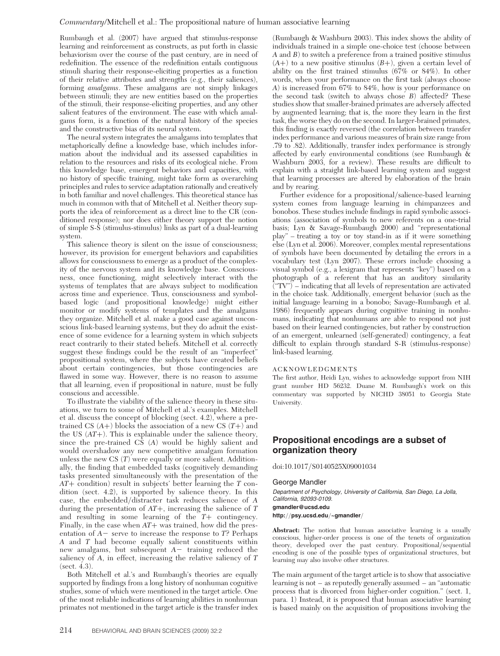Rumbaugh et al. (2007) have argued that stimulus-response learning and reinforcement as constructs, as put forth in classic behaviorism over the course of the past century, are in need of redefinition. The essence of the redefinition entails contiguous stimuli sharing their response-eliciting properties as a function of their relative attributes and strengths (e.g., their saliences), forming amalgams. These amalgams are not simply linkages between stimuli; they are new entities based on the properties of the stimuli, their response-eliciting properties, and any other salient features of the environment. The ease with which amalgams form, is a function of the natural history of the species and the constructive bias of its neural system.

The neural system integrates the amalgams into templates that metaphorically define a knowledge base, which includes information about the individual and its assessed capabilities in relation to the resources and risks of its ecological niche. From this knowledge base, emergent behaviors and capacities, with no history of specific training, might take form as overarching principles and rules to service adaptation rationally and creatively in both familiar and novel challenges. This theoretical stance has much in common with that of Mitchell et al. Neither theory supports the idea of reinforcement as a direct line to the CR (conditioned response); nor does either theory support the notion of simple S-S (stimulus-stimulus) links as part of a dual-learning system.

This salience theory is silent on the issue of consciousness; however, its provision for emergent behaviors and capabilities allows for consciousness to emerge as a product of the complexity of the nervous system and its knowledge base. Consciousness, once functioning, might selectively interact with the systems of templates that are always subject to modification across time and experience. Thus, consciousness and symbolbased logic (and propositional knowledge) might either monitor or modify systems of templates and the amalgams they organize. Mitchell et al. make a good case against unconscious link-based learning systems, but they do admit the existence of some evidence for a learning system in which subjects react contrarily to their stated beliefs. Mitchell et al. correctly suggest these findings could be the result of an "imperfect" propositional system, where the subjects have created beliefs about certain contingencies, but those contingencies are flawed in some way. However, there is no reason to assume that all learning, even if propositional in nature, must be fully conscious and accessible.

To illustrate the viability of the salience theory in these situations, we turn to some of Mitchell et al.'s examples. Mitchell et al. discuss the concept of blocking (sect. 4.2), where a pretrained CS  $(A+)$  blocks the association of a new CS  $(T+)$  and the US  $(AT+)$ . This is explainable under the salience theory, since the pre-trained  $\overline{CS}$  (A) would be highly salient and would overshadow any new competitive amalgam formation unless the new CS  $(T)$  were equally or more salient. Additionally, the finding that embedded tasks (cognitively demanding tasks presented simultaneously with the presentation of the  $AT+$  condition) result in subjects' better learning the T condition (sect. 4.2), is supported by salience theory. In this case, the embedded/distracter task reduces salience of A during the presentation of  $AT+$ , increasing the salience of  $T$ and resulting in some learning of the  $T+$  contingency. Finally, in the case when  $AT+\$  was trained, how did the presentation of  $A$  – serve to increase the response to T? Perhaps A and T had become equally salient constituents within new amalgams, but subsequent  $A-$  training reduced the saliency of  $A$ , in effect, increasing the relative saliency of  $T$ (sect. 4.3).

Both Mitchell et al.'s and Rumbaugh's theories are equally supported by findings from a long history of nonhuman cognitive studies, some of which were mentioned in the target article. One of the most reliable indications of learning abilities in nonhuman primates not mentioned in the target article is the transfer index

(Rumbaugh & Washburn 2003). This index shows the ability of individuals trained in a simple one-choice test (choose between  $A$  and  $B$ ) to switch a preference from a trained positive stimulus  $(A+)$  to a new positive stimulus  $(B+)$ , given a certain level of ability on the first trained stimulus (67% or 84%). In other words, when your performance on the first task (always choose A) is increased from 67% to 84%, how is your performance on the second task (switch to always chose  $B$ ) affected? These studies show that smaller-brained primates are adversely affected by augmented learning; that is, the more they learn in the first task, the worse they do on the second. In larger-brained primates, this finding is exactly reversed (the correlation between transfer index performance and various measures of brain size range from .79 to .82). Additionally, transfer index performance is strongly affected by early environmental conditions (see Rumbaugh & Washburn 2003, for a review). These results are difficult to explain with a straight link-based learning system and suggest that learning processes are altered by elaboration of the brain and by rearing.

Further evidence for a propositional/salience-based learning system comes from language learning in chimpanzees and bonobos. These studies include findings in rapid symbolic associations (association of symbols to new referents on a one-trial basis; Lyn & Savage-Rumbaugh 2000) and "representational play" – treating a toy or toy stand-in as if it were something else (Lyn et al. 2006). Moreover, complex mental representations of symbols have been documented by detailing the errors in a vocabulary test (Lyn 2007). These errors include choosing a visual symbol (e.g., a lexigram that represents "key") based on a photograph of a referent that has an auditory similarity ("TV") – indicating that all levels of representation are activated in the choice task. Additionally, emergent behavior (such as the initial language learning in a bonobo; Savage-Rumbaugh et al. 1986) frequently appears during cognitive training in nonhumans, indicating that nonhumans are able to respond not just based on their learned contingencies, but rather by construction of an emergent, unlearned (self-generated) contingency, a feat difficult to explain through standard S-R (stimulus-response) link-based learning.

#### ACKNOWLEDGMENTS

The first author, Heidi Lyn, wishes to acknowledge support from NIH grant number HD 56232. Duane M. Rumbaugh's work on this commentary was supported by NICHD 38051 to Georgia State University.

### Propositional encodings are a subset of organization theory

doi:10.1017/S0140525X09001034

#### George Mandler

Department of Psychology, University of California, San Diego, La Jolla, California, 92093-0109.

#### gmandler@ucsd.edu

http://psy.ucsd.edu/~gmandler/

Abstract: The notion that human associative learning is a usually conscious, higher-order process is one of the tenets of organization theory, developed over the past century. Propositional/sequential encoding is one of the possible types of organizational structures, but learning may also involve other structures.

The main argument of the target article is to show that associative learning is not – as reputedly generally assumed – an "automatic process that is divorced from higher-order cognition." (sect. 1, para. 1) Instead, it is proposed that human associative learning is based mainly on the acquisition of propositions involving the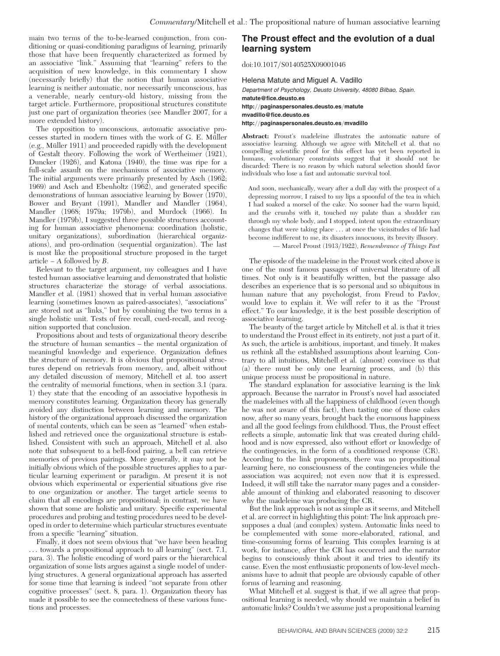main two terms of the to-be-learned conjunction, from conditioning or quasi-conditioning paradigms of learning, primarily those that have been frequently characterized as formed by an associative "link." Assuming that "learning" refers to the acquisition of new knowledge, in this commentary I show (necessarily briefly) that the notion that human associative learning is neither automatic, nor necessarily unconscious, has a venerable, nearly century-old history, missing from the target article. Furthermore, propositional structures constitute just one part of organization theories (see Mandler 2007, for a more extended history).

The opposition to unconscious, automatic associative processes started in modern times with the work of G. E. Müller (e.g., Müller 1911) and proceeded rapidly with the development of Gestalt theory. Following the work of Wertheimer (1921), Duncker (1926), and Katona (1940), the time was ripe for a full-scale assault on the mechanisms of associative memory. The initial arguments were primarily presented by Asch (1962; 1969) and Asch and Ebenholtz (1962), and generated specific demonstrations of human associative learning by Bower (1970), Bower and Bryant (1991), Mandler and Mandler (1964), Mandler (1968; 1979a; 1979b), and Murdock (1966). In Mandler (1979b), I suggested three possible structures accounting for human associative phenomena: coordination (holistic, unitary organizations), subordination (hierarchical organizations), and pro-ordination (sequential organization). The last is most like the propositional structure proposed in the target article – A followed by  $B$ .

Relevant to the target argument, my colleagues and I have tested human associative learning and demonstrated that holistic structures characterize the storage of verbal associations. Mandler et al. (1981) showed that in verbal human associative learning (sometimes known as paired-associates), "associations" are stored not as "links," but by combining the two terms in a single holistic unit. Tests of free recall, cued-recall, and recognition supported that conclusion.

Propositions about and tests of organizational theory describe the structure of human semantics – the mental organization of meaningful knowledge and experience. Organization defines the structure of memory. It is obvious that propositional structures depend on retrievals from memory, and, albeit without any detailed discussion of memory, Mitchell et al. too assert the centrality of memorial functions, when in section 3.1 (para. 1) they state that the encoding of an associative hypothesis in memory constitutes learning. Organization theory has generally avoided any distinction between learning and memory. The history of the organizational approach discussed the organization of mental contents, which can be seen as "learned" when established and retrieved once the organizational structure is established. Consistent with such an approach, Mitchell et al. also note that subsequent to a bell-food pairing, a bell can retrieve memories of previous pairings. More generally, it may not be initially obvious which of the possible structures applies to a particular learning experiment or paradigm. At present it is not obvious which experimental or experiential situations give rise to one organization or another. The target article seems to claim that all encodings are propositional; in contrast, we have shown that some are holistic and unitary. Specific experimental procedures and probing and testing procedures need to be developed in order to determine which particular structures eventuate from a specific "learning" situation.

Finally, it does not seem obvious that "we have been heading ... towards a propositional approach to all learning" (sect. 7.1, para. 3). The holistic encoding of word pairs or the hierarchical organization of some lists argues against a single model of underlying structures. A general organizational approach has asserted for some time that learning is indeed "not separate from other cognitive processes" (sect. 8, para. 1). Organization theory has made it possible to see the connectedness of these various functions and processes.

### The Proust effect and the evolution of a dual learning system

doi:10.1017/S0140525X09001046

Helena Matute and Miguel A. Vadillo Department of Psychology, Deusto University, 48080 Bilbao, Spain. matute@fice.deusto.es http://paginaspersonales.deusto.es/matute mvadillo@fice.deusto.es http://paginaspersonales.deusto.es/mvadillo

Abstract: Proust's madeleine illustrates the automatic nature of associative learning. Although we agree with Mitchell et al. that no compelling scientific proof for this effect has yet been reported in humans, evolutionary constraints suggest that it should not be discarded: There is no reason by which natural selection should favor individuals who lose a fast and automatic survival tool.

And soon, mechanically, weary after a dull day with the prospect of a depressing morrow, I raised to my lips a spoonful of the tea in which I had soaked a morsel of the cake. No sooner had the warm liquid, and the crumbs with it, touched my palate than a shudder ran through my whole body, and I stopped, intent upon the extraordinary changes that were taking place ... at once the vicissitudes of life had become indifferent to me, its disasters innocuous, its brevity illusory. — Marcel Proust (1913/1922), Remembrance of Things Past

The episode of the madeleine in the Proust work cited above is one of the most famous passages of universal literature of all times. Not only is it beautifully written, but the passage also describes an experience that is so personal and so ubiquitous in human nature that any psychologist, from Freud to Pavlov, would love to explain it. We will refer to it as the "Proust effect." To our knowledge, it is the best possible description of associative learning.

The beauty of the target article by Mitchell et al. is that it tries to understand the Proust effect in its entirety, not just a part of it. As such, the article is ambitious, important, and timely. It makes us rethink all the established assumptions about learning. Contrary to all intuitions, Mitchell et al. (almost) convince us that (a) there must be only one learning process, and (b) this unique process must be propositional in nature.

The standard explanation for associative learning is the link approach. Because the narrator in Proust's novel had associated the madeleines with all the happiness of childhood (even though he was not aware of this fact), then tasting one of those cakes now, after so many years, brought back the enormous happiness and all the good feelings from childhood. Thus, the Proust effect reflects a simple, automatic link that was created during childhood and is now expressed, also without effort or knowledge of the contingencies, in the form of a conditioned response (CR). According to the link proponents, there was no propositional learning here, no consciousness of the contingencies while the association was acquired; not even now that it is expressed. Indeed, it will still take the narrator many pages and a considerable amount of thinking and elaborated reasoning to discover why the madeleine was producing the CR.

But the link approach is not as simple as it seems, and Mitchell et al. are correct in highlighting this point: The link approach presupposes a dual (and complex) system. Automatic links need to be complemented with some more-elaborated, rational, and time-consuming forms of learning. This complex learning is at work, for instance, after the CR has occurred and the narrator begins to consciously think about it and tries to identify its cause. Even the most enthusiastic proponents of low-level mechanisms have to admit that people are obviously capable of other forms of learning and reasoning.

What Mitchell et al. suggest is that, if we all agree that propositional learning is needed, why should we maintain a belief in automatic links? Couldn't we assume just a propositional learning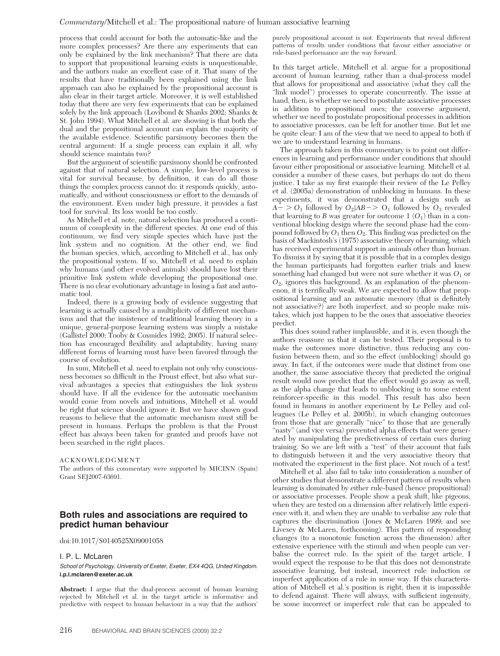process that could account for both the automatic-like and the more complex processes? Are there any experiments that can only be explained by the link mechanism? That there are data to support that propositional learning exists is unquestionable, and the authors make an excellent case of it. That many of the results that have traditionally been explained using the link approach can also be explained by the propositional account is also clear in their target article. Moreover, it is well established today that there are very few experiments that can be explained solely by the link approach (Lovibond & Shanks 2002; Shanks & St. John 1994). What Mitchell et al. are showing is that both the dual and the propositional account can explain the majority of the available evidence. Scientific parsimony becomes then the central argument: If a single process can explain it all, why should science maintain two?

But the argument of scientific parsimony should be confronted against that of natural selection. A simple, low-level process is vital for survival because, by definition, it can do all those things the complex process cannot do: it responds quickly, automatically, and without consciousness or effort to the demands of the environment. Even under high pressure, it provides a fast tool for survival. Its loss would be too costly.

As Mitchell et al. note, natural selection has produced a continuum of complexity in the different species. At one end of this continuum, we find very simple species which have just the link system and no cognition. At the other end, we find the human species, which, according to Mitchell et al., has only the propositional system. If so, Mitchell et al. need to explain why humans (and other evolved animals) should have lost their primitive link system while developing the propositional one. There is no clear evolutionary advantage in losing a fast and automatic tool.

Indeed, there is a growing body of evidence suggesting that learning is actually caused by a multiplicity of different mechanisms and that the insistence of traditional learning theory in a unique, general-purpose learning system was simply a mistake (Gallistel 2000; Tooby & Cosmides 1992; 2005). If natural selection has encouraged flexibility and adaptability, having many different forms of learning must have been favored through the course of evolution.

In sum, Mitchell et al. need to explain not only why consciousness becomes so difficult in the Proust effect, but also what survival advantages a species that extinguishes the link system should have. If all the evidence for the automatic mechanism would come from novels and intuitions, Mitchell et al. would be right that science should ignore it. But we have shown good reasons to believe that the automatic mechanism must still be present in humans. Perhaps the problem is that the Proust effect has always been taken for granted and proofs have not been searched in the right places.

#### ACKNOWLEDGMENT

The authors of this commentary were supported by MICINN (Spain) Grant SEJ2007-63691.

### Both rules and associations are required to predict human behaviour

#### doi:10.1017/S0140525X09001058

#### I. P. L. McLaren

School of Psychology, University of Exeter, Exeter, EX4 4QG, United Kingdom. i.p.l.mclaren@exeter.ac.uk

Abstract: I argue that the dual-process account of human learning rejected by Mitchell et al. in the target article is informative and predictive with respect to human behaviour in a way that the authors'

purely propositional account is not. Experiments that reveal different patterns of results under conditions that favour either associative or rule-based performance are the way forward.

In this target article, Mitchell et al. argue for a propositional account of human learning, rather than a dual-process model that allows for propositional and associative (what they call the "link model") processes to operate concurrently. The issue at hand, then, is whether we need to postulate associative processes in addition to propositional ones; the converse argument, whether we need to postulate propositional processes in addition to associative processes, can be left for another time. But let me be quite clear: I am of the view that we need to appeal to both if we are to understand learning in humans.

The approach taken in this commentary is to point out differences in learning and performance under conditions that should favour either propositional or associative learning. Mitchell et al. consider a number of these cases, but perhaps do not do them justice. I take as my first example their review of the Le Pelley et al. (2005a) demonstration of unblocking in humans. In these experiments, it was demonstrated that a design such as  $A^->O_1$  followed by  $O_2|AB->O_1$  followed by  $O_3$  revealed that learning to B was greater for outcome  $1(O_1)$  than in a conventional blocking design where the second phase had the compound followed by  $O_1$  then  $O_2$ . This finding was predicted on the basis of Mackintosh's (1975) associative theory of learning, which has received experimental support in animals other than human. To dismiss it by saying that it is possible that in a complex design the human participants had forgotten earlier trials and knew something had changed but were not sure whether it was  $O<sub>1</sub>$  or  $O<sub>2</sub>$ , ignores this background. As an explanation of the phenomenon, it is terrifically weak. We are expected to allow that propositional learning and an automatic memory (that is definitely not associative?) are both imperfect, and so people make mistakes, which just happen to be the ones that associative theories predict.

This does sound rather implausible, and it is, even though the authors reassure us that it can be tested. Their proposal is to make the outcomes more distinctive, thus reducing any confusion between them, and so the effect (unblocking) should go away. In fact, if the outcomes were made that distinct from one another, the same associative theory that predicted the original result would now predict that the effect would go away as well, as the alpha change that leads to unblocking is to some extent reinforcer-specific in this model. This result has also been found in humans in another experiment by Le Pelley and colleagues (Le Pelley et al. 2005b), in which changing outcomes from those that are generally "nice" to those that are generally "nasty" (and vice versa) prevented alpha effects that were generated by manipulating the predictiveness of certain cues during training. So we are left with a "test" of their account that fails to distinguish between it and the very associative theory that motivated the experiment in the first place. Not much of a test!

Mitchell et al. also fail to take into consideration a number of other studies that demonstrate a different pattern of results when learning is dominated by either rule-based (hence propositional) or associative processes. People show a peak shift, like pigeons, when they are tested on a dimension after relatively little experience with it, and when they are unable to verbalise any rule that captures the discrimination (Jones & McLaren 1999; and see Livesey & McLaren, forthcoming). This pattern of responding changes (to a monotonic function across the dimension) after extensive experience with the stimuli and when people can verbalise the correct rule. In the spirit of the target article, I would expect the response to be that this does not demonstrate associative learning, but instead, incorrect rule induction or imperfect application of a rule in some way. If this characterisation of Mitchell et al.'s position is right, then it is impossible to defend against. There will always, with sufficient ingenuity, be some incorrect or imperfect rule that can be appealed to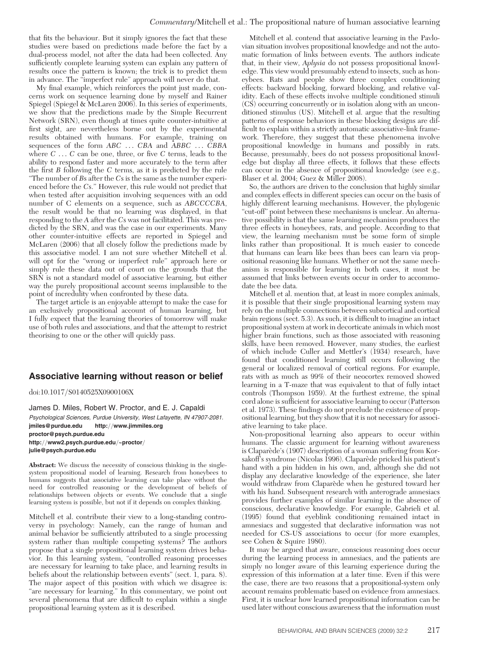that fits the behaviour. But it simply ignores the fact that these studies were based on predictions made before the fact by a dual-process model, not after the data had been collected. Any sufficiently complete learning system can explain any pattern of results once the pattern is known; the trick is to predict them in advance. The "imperfect rule" approach will never do that.

My final example, which reinforces the point just made, concerns work on sequence learning done by myself and Rainer Spiegel (Spiegel & McLaren 2006). In this series of experiments, we show that the predictions made by the Simple Recurrent Network (SRN), even though at times quite counter-intuitive at first sight, are nevertheless borne out by the experimental results obtained with humans. For example, training on sequences of the form ABC ... CBA and ABBC ... CBBA where  $C \ldots C$  can be one, three, or five  $C$  terms, leads to the ability to respond faster and more accurately to the term after the first  $B$  following the  $C$  terms, as it is predicted by the rule "The number of Bs after the Cs is the same as the number experienced before the Cs." However, this rule would not predict that when tested after acquisition involving sequences with an odd number of C elements on a sequence, such as ABCCCCBA, the result would be that no learning was displayed, in that responding to the A after the Cs was not facilitated. This was predicted by the SRN, and was the case in our experiments. Many other counter-intuitive effects are reported in Spiegel and McLaren (2006) that all closely follow the predictions made by this associative model. I am not sure whether Mitchell et al. will opt for the "wrong or imperfect rule" approach here or simply rule these data out of court on the grounds that the SRN is not a standard model of associative learning, but either way the purely propositional account seems implausible to the point of incredulity when confronted by these data.

The target article is an enjoyable attempt to make the case for an exclusively propositional account of human learning, but I fully expect that the learning theories of tomorrow will make use of both rules and associations, and that the attempt to restrict theorising to one or the other will quickly pass.

### Associative learning without reason or belief

doi:10.1017/S0140525X0900106X

James D. Miles, Robert W. Proctor, and E. J. Capaldi Psychological Sciences, Purdue University, West Lafayette, IN 47907-2081. jmiles@purdue.edu http://www.jimmiles.org proctor@psych.purdue.edu http://www2.psych.purdue.edu/~proctor/ julie@psych.purdue.edu

Abstract: We discuss the necessity of conscious thinking in the singlesystem propositional model of learning. Research from honeybees to humans suggests that associative learning can take place without the need for controlled reasoning or the development of beliefs of relationships between objects or events. We conclude that a single learning system is possible, but not if it depends on complex thinking.

Mitchell et al. contribute their view to a long-standing controversy in psychology: Namely, can the range of human and animal behavior be sufficiently attributed to a single processing system rather than multiple competing systems? The authors propose that a single propositional learning system drives behavior. In this learning system, "controlled reasoning processes are necessary for learning to take place, and learning results in beliefs about the relationship between events" (sect. 1, para. 8). The major aspect of this position with which we disagree is: "are necessary for learning." In this commentary, we point out several phenomena that are difficult to explain within a single propositional learning system as it is described.

Mitchell et al. contend that associative learning in the Pavlovian situation involves propositional knowledge and not the automatic formation of links between events. The authors indicate that, in their view, Aplysia do not possess propositional knowledge. This view would presumably extend to insects, such as honeybees. Rats and people show three complex conditioning effects: backward blocking, forward blocking, and relative validity. Each of these effects involve multiple conditioned stimuli (CS) occurring concurrently or in isolation along with an unconditioned stimulus (US). Mitchell et al. argue that the resulting patterns of response behaviors in these blocking designs are difficult to explain within a strictly automatic associative-link framework. Therefore, they suggest that these phenomena involve propositional knowledge in humans and possibly in rats. Because, presumably, bees do not possess propositional knowledge but display all three effects, it follows that these effects can occur in the absence of propositional knowledge (see e.g., Blaser et al. 2004; Guez & Miller 2008).

So, the authors are driven to the conclusion that highly similar and complex effects in different species can occur on the basis of highly different learning mechanisms. However, the phylogenic "cut-off" point between these mechanisms is unclear. An alternative possibility is that the same learning mechanism produces the three effects in honeybees, rats, and people. According to that view, the learning mechanism must be some form of simple links rather than propositional. It is much easier to concede that humans can learn like bees than bees can learn via propositional reasoning like humans. Whether or not the same mechanism is responsible for learning in both cases, it must be assumed that links between events occur in order to accommodate the bee data.

Mitchell et al. mention that, at least in more complex animals, it is possible that their single propositional learning system may rely on the multiple connections between subcortical and cortical brain regions (sect. 5.3). As such, it is difficult to imagine an intact propositional system at work in decorticate animals in which most higher brain functions, such as those associated with reasoning skills, have been removed. However, many studies, the earliest of which include Culler and Mettler's (1934) research, have found that conditioned learning still occurs following the general or localized removal of cortical regions. For example, rats with as much as 99% of their neocortex removed showed learning in a T-maze that was equivalent to that of fully intact controls (Thompson 1959). At the furthest extreme, the spinal cord alone is sufficient for associative learning to occur (Patterson et al. 1973). These findings do not preclude the existence of propositional learning, but they show that it is not necessary for associative learning to take place.

Non-propositional learning also appears to occur within humans. The classic argument for learning without awareness is Claparède's (1907) description of a woman suffering from Korsakoff's syndrome (Nicolas 1996). Claparède pricked his patient's hand with a pin hidden in his own, and, although she did not display any declarative knowledge of the experience, she later would withdraw from Claparède when he gestured toward her with his hand. Subsequent research with anterograde amnesiacs provides further examples of similar learning in the absence of conscious, declarative knowledge. For example, Gabrieli et al. (1995) found that eyeblink conditioning remained intact in amnesiacs and suggested that declarative information was not needed for CS-US associations to occur (for more examples, see Cohen & Squire 1980).

It may be argued that aware, conscious reasoning does occur during the learning process in amnesiacs, and the patients are simply no longer aware of this learning experience during the expression of this information at a later time. Even if this were the case, there are two reasons that a propositional-system only account remains problematic based on evidence from amnesiacs. First, it is unclear how learned propositional information can be used later without conscious awareness that the information must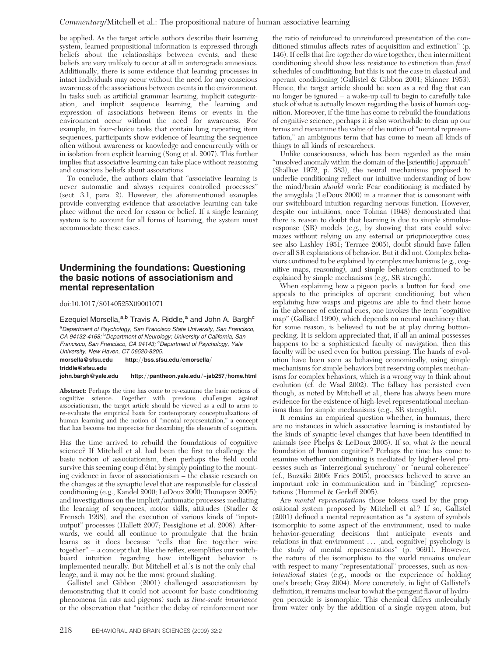be applied. As the target article authors describe their learning system, learned propositional information is expressed through beliefs about the relationships between events, and these beliefs are very unlikely to occur at all in anterograde amnesiacs. Additionally, there is some evidence that learning processes in intact individuals may occur without the need for any conscious awareness of the associations between events in the environment. In tasks such as artificial grammar learning, implicit categorization, and implicit sequence learning, the learning and expression of associations between items or events in the environment occur without the need for awareness. For example, in four-choice tasks that contain long repeating item sequences, participants show evidence of learning the sequence often without awareness or knowledge and concurrently with or in isolation from explicit learning (Song et al. 2007). This further implies that associative learning can take place without reasoning and conscious beliefs about associations.

To conclude, the authors claim that "associative learning is never automatic and always requires controlled processes" (sect. 3.1, para. 2). However, the aforementioned examples provide converging evidence that associative learning can take place without the need for reason or belief. If a single learning system is to account for all forms of learning, the system must accommodate these cases.

### Undermining the foundations: Questioning the basic notions of associationism and mental representation

doi:10.1017/S0140525X09001071

Ezequiel Morsella, a,b Travis A. Riddle, a and John A. Bargh<sup>c</sup> <sup>a</sup>Department of Psychology, San Francisco State University, San Francisco, CA 94132-4168; <sup>b</sup>Department of Neurology; University of California, San Francisco, San Francisco, CA 94143; <sup>c</sup>Department of Psychology, Yale University, New Haven, CT 06520-8205. morsella@sfsu.edu http://bss.sfsu.edu/emorsella/ triddle@sfsu.edu

john.bargh@yale.edu http://pantheon.yale.edu/~jab257/home.html

Abstract: Perhaps the time has come to re-examine the basic notions of cognitive science. Together with previous challenges against associationism, the target article should be viewed as a call to arms to re-evaluate the empirical basis for contemporary conceptualizations of human learning and the notion of "mental representation," a concept that has become too imprecise for describing the elements of cognition.

Has the time arrived to rebuild the foundations of cognitive science? If Mitchell et al. had been the first to challenge the basic notion of associationism, then perhaps the field could survive this seeming coup d'état by simply pointing to the mounting evidence in favor of associationism – the classic research on the changes at the synaptic level that are responsible for classical conditioning (e.g., Kandel 2000; LeDoux 2000; Thompson 2005); and investigations on the implicit/automatic processes mediating the learning of sequences, motor skills, attitudes (Stadler & Frensch 1998), and the execution of various kinds of "inputoutput" processes (Hallett 2007; Pessiglione et al. 2008). Afterwards, we could all continue to promulgate that the brain learns as it does because "cells that fire together wire together" – a concept that, like the reflex, exemplifies our switchboard intuition regarding how intelligent behavior is implemented neurally. But Mitchell et al.'s is not the only challenge, and it may not be the most ground shaking.

Gallistel and Gibbon (2001) challenged associationism by demonstrating that it could not account for basic conditioning phenomena (in rats and pigeons) such as time-scale invariance or the observation that "neither the delay of reinforcement nor

the ratio of reinforced to unreinforced presentation of the conditioned stimulus affects rates of acquisition and extinction" (p. 146). If cells that fire together do wire together, then intermittent conditioning should show less resistance to extinction than fixed schedules of conditioning; but this is not the case in classical and operant conditioning (Gallistel & Gibbon 2001; Skinner 1953). Hence, the target article should be seen as a red flag that can no longer be ignored – a wake-up call to begin to carefully take stock of what is actually known regarding the basis of human cognition. Moreover, if the time has come to rebuild the foundations of cognitive science, perhaps it is also worthwhile to clean up our terms and reexamine the value of the notion of "mental representation," an ambiguous term that has come to mean all kinds of things to all kinds of researchers.

Unlike consciousness, which has been regarded as the main "unsolved anomaly within the domain of the [scientific] approach" (Shallice 1972, p. 383), the neural mechanisms proposed to underlie conditioning reflect our intuitive understanding of how the mind/brain should work: Fear conditioning is mediated by the amygdala (LeDoux 2000) in a manner that is consonant with our switchboard intuition regarding nervous function. However, despite our intuitions, once Tolman (1948) demonstrated that there is reason to doubt that learning is due to simple stimulusresponse (SR) models (e.g., by showing that rats could solve mazes without relying on any external or prioprioceptive cues; see also Lashley 1951; Terrace 2005), doubt should have fallen over all SR explanations of behavior. But it did not. Complex behaviors continued to be explained by complex mechanisms (e.g., cognitive maps, reasoning), and simple behaviors continued to be explained by simple mechanisms (e.g., SR strength).

When explaining how a pigeon pecks a button for food, one appeals to the principles of operant conditioning, but when explaining how wasps and pigeons are able to find their home in the absence of external cues, one invokes the term "cognitive map" (Gallistel 1990), which depends on neural machinery that, for some reason, is believed to not be at play during buttonpecking. It is seldom appreciated that, if all an animal possesses happens to be a sophisticated faculty of navigation, then this faculty will be used even for button pressing. The hands of evolution have been seen as behaving economically, using simple mechanisms for simple behaviors but reserving complex mechanisms for complex behaviors, which is a wrong way to think about evolution (cf. de Waal 2002). The fallacy has persisted even though, as noted by Mitchell et al., there has always been more evidence for the existence of high-level representational mechanisms than for simple mechanisms (e.g., SR strength).

It remains an empirical question whether, in humans, there are no instances in which associative learning is instantiated by the kinds of synaptic-level changes that have been identified in animals (see Phelps & LeDoux 2005). If so, what is the neural foundation of human cognition? Perhaps the time has come to examine whether conditioning is mediated by higher-level processes such as "interregional synchrony" or "neural coherence" (cf., Buzsa´ki 2006; Fries 2005), processes believed to serve an important role in communication and in "binding" representations (Hummel & Gerloff 2005).

Are mental representations those tokens used by the propositional system proposed by Mitchell et al.? If so, Gallistel (2001) defined a mental representation as "a system of symbols isomorphic to some aspect of the environment, used to make behavior-generating decisions that anticipate events and relations in that environment ... [and, cognitive] psychology is the study of mental representations" (p. 9691). However, the nature of the isomorphism to the world remains unclear with respect to many "representational" processes, such as nonintentional states (e.g., moods or the experience of holding one's breath; Gray 2004). More concretely, in light of Gallistel's definition, it remains unclear to what the pungent flavor of hydrogen peroxide is isomorphic. This chemical differs molecularly from water only by the addition of a single oxygen atom, but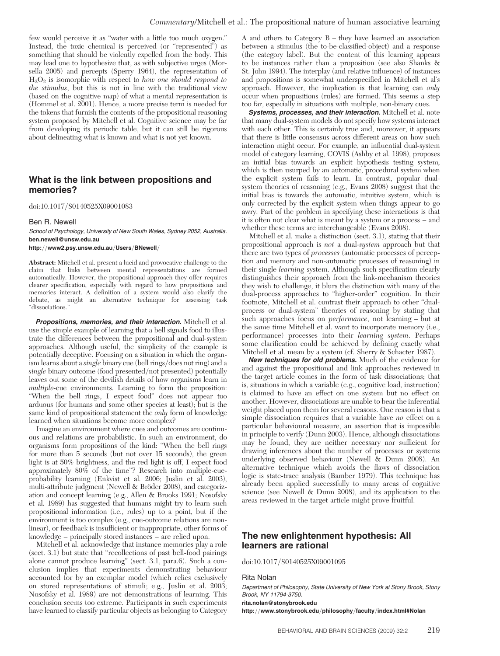few would perceive it as "water with a little too much oxygen." Instead, the toxic chemical is perceived (or "represented") as something that should be violently expelled from the body. This may lead one to hypothesize that, as with subjective urges (Morsella 2005) and percepts (Sperry 1964), the representation of  $H<sub>2</sub>O<sub>2</sub>$  is isomorphic with respect to how one should respond to the stimulus, but this is not in line with the traditional view (based on the cognitive map) of what a mental representation is (Hommel et al. 2001). Hence, a more precise term is needed for the tokens that furnish the contents of the propositional reasoning system proposed by Mitchell et al. Cognitive science may be far from developing its periodic table, but it can still be rigorous about delineating what is known and what is not yet known.

### What is the link between propositions and memories?

doi:10.1017/S0140525X09001083

Ben R. Newell

School of Psychology, University of New South Wales, Sydney 2052, Australia. ben.newell@unsw.edu.au

http://www2.psy.unsw.edu.au/Users/BNewell/

**Abstract:** Mitchell et al. present a lucid and provocative challenge to the claim that links between mental representations are formed automatically. However, the propositional approach they offer requires clearer specification, especially with regard to how propositions and memories interact. A definition of a system would also clarify the debate, as might an alternative technique for assessing task "dissociations."

Propositions, memories, and their interaction. Mitchell et al. use the simple example of learning that a bell signals food to illustrate the differences between the propositional and dual-system approaches. Although useful, the simplicity of the example is potentially deceptive. Focusing on a situation in which the organism learns about a single binary cue (bell rings/does not ring) and a single binary outcome (food presented/not presented) potentially leaves out some of the devilish details of how organisms learn in multiple-cue environments. Learning to form the proposition: "When the bell rings, I expect food" does not appear too arduous (for humans and some other species at least); but is the same kind of propositional statement the *only* form of knowledge learned when situations become more complex?

Imagine an environment where cues and outcomes are continuous and relations are probabilistic. In such an environment, do organisms form propositions of the kind: "When the bell rings for more than 5 seconds (but not over 15 seconds), the green light is at 50% brightness, and the red light is off, I expect food approximately 80% of the time"? Research into multiple-cueprobability learning (Enkvist et al. 2006; Juslin et al. 2003), multi-attribute judgment (Newell & Bröder 2008), and categorization and concept learning (e.g., Allen & Brooks 1991; Nosofsky et al. 1989) has suggested that humans might try to learn such propositional information (i.e., rules) up to a point, but if the environment is too complex (e.g., cue-outcome relations are nonlinear), or feedback is insufficient or inappropriate, other forms of knowledge – principally stored instances – are relied upon.

Mitchell et al. acknowledge that instance memories play a role (sect. 3.1) but state that "recollections of past bell-food pairings alone cannot produce learning" (sect. 3.1, para.6). Such a conclusion implies that experiments demonstrating behaviour accounted for by an exemplar model (which relies exclusively on stored representations of stimuli; e.g., Juslin et al. 2003; Nosofsky et al. 1989) are not demonstrations of learning. This conclusion seems too extreme. Participants in such experiments have learned to classify particular objects as belonging to Category A and others to Category B – they have learned an association between a stimulus (the to-be-classified-object) and a response (the category label). But the content of this learning appears to be instances rather than a proposition (see also Shanks & St. John 1994). The interplay (and relative influence) of instances and propositions is somewhat underspecified in Mitchell et al's approach. However, the implication is that learning can only occur when propositions (rules) are formed. This seems a step too far, especially in situations with multiple, non-binary cues.

Systems, processes, and their interaction. Mitchell et al. note that many dual-system models do not specify how systems interact with each other. This is certainly true and, moreover, it appears that there is little consensus across different areas on how such interaction might occur. For example, an influential dual-system model of category learning, COVIS (Ashby et al. 1998), proposes an initial bias towards an explicit hypothesis testing system, which is then usurped by an automatic, procedural system when the explicit system fails to learn. In contrast, popular dualsystem theories of reasoning (e.g., Evans 2008) suggest that the initial bias is towards the automatic, intuitive system, which is only corrected by the explicit system when things appear to go awry. Part of the problem in specifying these interactions is that it is often not clear what is meant by a system or a process – and whether these terms are interchangeable (Evans 2008).

Mitchell et al. make a distinction (sect. 3.1), stating that their propositional approach is not a dual-system approach but that there are two types of processes (automatic processes of perception and memory and non-automatic processes of reasoning) in their single learning system. Although such specification clearly distinguishes their approach from the link-mechanism theories they wish to challenge, it blurs the distinction with many of the dual-process approaches to "higher-order" cognition. In their footnote, Mitchell et al. contrast their approach to other "dualprocess or dual-system" theories of reasoning by stating that such approaches focus on *performance*, not learning – but at the same time Mitchell et al. want to incorporate memory (i.e., performance) processes into their learning system. Perhaps some clarification could be achieved by defining exactly what Mitchell et al. mean by a system (cf. Sherry & Schacter 1987).

New techniques for old problems. Much of the evidence for and against the propositional and link approaches reviewed in the target article comes in the form of task dissociations; that is, situations in which a variable (e.g., cognitive load, instruction) is claimed to have an effect on one system but no effect on another. However, dissociations are unable to bear the inferential weight placed upon them for several reasons. One reason is that a simple dissociation requires that a variable have no effect on a particular behavioural measure, an assertion that is impossible in principle to verify (Dunn 2003). Hence, although dissociations may be found, they are neither necessary nor sufficient for drawing inferences about the number of processes or systems underlying observed behaviour (Newell & Dunn 2008). An alternative technique which avoids the flaws of dissociation logic is state-trace analysis (Bamber 1979). This technique has already been applied successfully to many areas of cognitive science (see Newell & Dunn 2008), and its application to the areas reviewed in the target article might prove fruitful.

### The new enlightenment hypothesis: All learners are rational

doi:10.1017/S0140525X09001095

Rita Nolan

Department of Philosophy, State University of New York at Stony Brook, Stony Brook, NY 11794-3750.

rita.nolan@stonybrook.edu

http://www.stonybrook.edu/philosophy/faculty/index.html#Nolan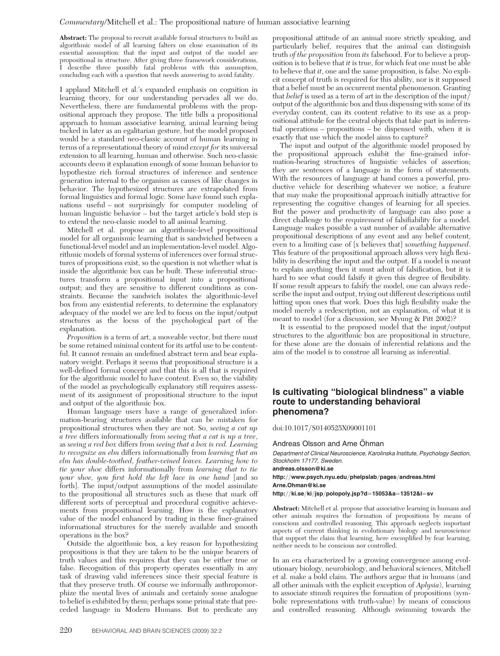Abstract: The proposal to recruit available formal structures to build an algorithmic model of all learning falters on close examination of its essential assumption: that the input and output of the model are propositional in structure. After giving three framework considerations, I describe three possibly fatal problems with this assumption, concluding each with a question that needs answering to avoid fatality.

I applaud Mitchell et al.'s expanded emphasis on cognition in learning theory, for our understanding pervades all we do. Nevertheless, there are fundamental problems with the propositional approach they propose. The title bills a propositional approach to human associative learning, animal learning being tucked in later as an egalitarian gesture, but the model proposed would be a standard neo-classic account of human learning in terms of a representational theory of mind except for its universal extension to all learning, human and otherwise. Such neo-classic accounts deem it explanation enough of some human behavior to hypothesize rich formal structures of inference and sentence generation internal to the organism as causes of like changes in behavior. The hypothesized structures are extrapolated from formal linguistics and formal logic. Some have found such explanations useful – not surprisingly for computer modeling of human linguistic behavior – but the target article's bold step is to extend the neo-classic model to all animal learning.

Mitchell et al. propose an algorithmic-level propositional model for all organismic learning that is sandwiched between a functional-level model and an implementation-level model. Algorithmic models of formal systems of inferences over formal structures of propositions exist, so the question is not whether what is inside the algorithmic box can be built. These inferential structures transform a propositional input into a propositional output; and they are sensitive to different conditions as constraints. Because the sandwich isolates the algorithmic-level box from any existential referents, to determine the explanatory adequacy of the model we are led to focus on the input/output structures as the locus of the psychological part of the explanation.

Proposition is a term of art, a moveable vector, but there must be some retained minimal content for its artful use to be contentful. It cannot remain an undefined abstract term and bear explanatory weight. Perhaps it seems that propositional structure is a well-defined formal concept and that this is all that is required for the algorithmic model to have content. Even so, the viability of the model as psychologically explanatory still requires assessment of its assignment of propositional structure to the input and output of the algorithmic box.

Human language users have a range of generalized information-bearing structures available that can be mistaken for propositional structures when they are not. So, seeing a cat up a tree differs informationally from seeing that a cat is up a tree, as seeing a red box differs from seeing that a box is red. Learning to recognize an elm differs informationally from learning that an elm has double-toothed, feather-veined leaves. Learning how to tie your shoe differs informationally from learning that to tie your shoe, you first hold the left lace in one hand [and so forth]. The input/output assumptions of the model assimilate to the propositional all structures such as these that mark off different sorts of perceptual and procedural cognitive achievements from propositional learning. How is the explanatory value of the model enhanced by trading in these finer-grained informational structures for the merely available and smooth operations in the box?

Outside the algorithmic box, a key reason for hypothesizing propositions is that they are taken to be the unique bearers of truth values and this requires that they can be either true or false. Recognition of this property operates essentially in any task of drawing valid inferences since their special feature is that they preserve truth. Of course we informally anthropomorphize the mental lives of animals and certainly some analogue to belief is exhibited by them; perhaps some primal state that preceded language in Modern Humans. But to predicate any

propositional attitude of an animal more strictly speaking, and particularly belief, requires that the animal can distinguish truth of the proposition from its falsehood. For to believe a proposition is to believe that it is true, for which feat one must be able to believe that  $it$ , one and the same proposition, is false. No explicit concept of truth is required for this ability, nor is it supposed that a belief must be an occurrent mental phenomenon. Granting that *belief* is used as a term of art in the description of the input output of the algorithmic box and thus dispensing with some of its everyday content, can its content relative to its use as a propositional attitude for the central objects that take part in inferential operations – propositions – be dispensed with, when it is exactly that use which the model aims to capture?

The input and output of the algorithmic model proposed by the propositional approach exhibit the fine-grained information-bearing structures of linguistic vehicles of assertion; they are sentences of a language in the form of statements. With the resources of language at hand comes a powerful, productive vehicle for describing whatever we notice; a feature that may make the propositional approach initially attractive for representing the cognitive changes of learning for all species. But the power and productivity of language can also pose a direct challenge to the requirement of falsifiability for a model. Language makes possible a vast number of available alternative propositional descriptions of any event and any belief content, even to a limiting case of [x believes that] something happened. This feature of the propositional approach allows very high flexibility in describing the input and the output. If a model is meant to explain anything then it must admit of falsification, but it is hard to see what could falsify it given this degree of flexibility. If some result appears to falsify the model, one can always redescribe the input and output, trying out different descriptions until hitting upon ones that work. Does this high flexibility make the model merely a redescription, not an explanation, of what it is meant to model (for a discussion, see Myung & Pitt 2002)?

It is essential to the proposed model that the input/output structures to the algorithmic box are propositional in structure, for these alone are the domain of inferential relations and the aim of the model is to construe all learning as inferential.

### Is cultivating "biological blindness" a viable route to understanding behavioral phenomena?

doi:10.1017/S0140525X09001101

Andreas Olsson and Ame Ohman

Department of Clinical Neuroscience, Karolinska Institute, Psychology Section, Stockholm 17177, Sweden.

andreas.olsson@ki.se http://www.psych.nyu.edu/phelpslab/pages/andreas.html Arne.Ohman@ki.se

http://ki.se/ki/jsp/polopoly.jsp?d=15053&a=13512&l=sv

Abstract: Mitchell et al. propose that associative learning in humans and other animals requires the formation of propositions by means of conscious and controlled reasoning. This approach neglects important aspects of current thinking in evolutionary biology and neuroscience that support the claim that learning, here exemplified by fear learning, neither needs to be conscious nor controlled.

In an era characterized by a growing convergence among evolutionary biology, neurobiology, and behavioral sciences, Mitchell et al. make a bold claim. The authors argue that in humans (and all other animals with the explicit exception of Aplysia), learning to associate stimuli requires the formation of propositions (symbolic representations with truth-value) by means of conscious and controlled reasoning. Although swimming towards the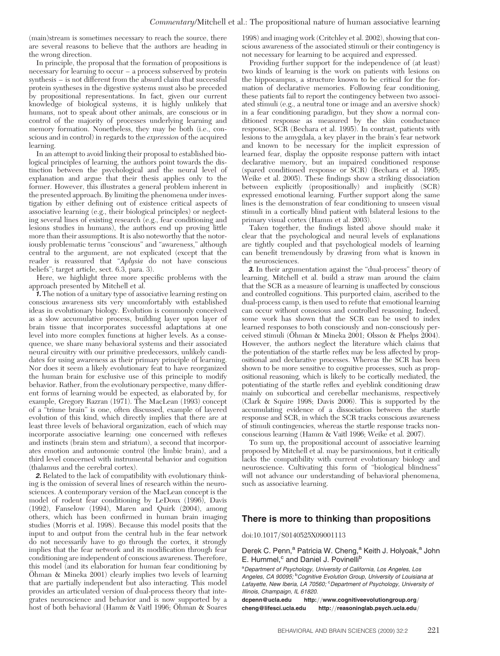(main)stream is sometimes necessary to reach the source, there are several reasons to believe that the authors are heading in the wrong direction.

In principle, the proposal that the formation of propositions is necessary for learning to occur – a process subserved by protein synthesis – is not different from the absurd claim that successful protein syntheses in the digestive systems must also be preceded by propositional representations. In fact, given our current knowledge of biological systems, it is highly unlikely that humans, not to speak about other animals, are conscious or in control of the majority of processes underlying learning and memory formation. Nonetheless, they may be both (i.e., conscious and in control) in regards to the expression of the acquired learning.

In an attempt to avoid linking their proposal to established biological principles of learning, the authors point towards the distinction between the psychological and the neural level of explanation and argue that their thesis applies only to the former. However, this illustrates a general problem inherent in the presented approach. By limiting the phenomena under investigation by either defining out of existence critical aspects of associative learning (e.g., their biological principles) or neglecting several lines of existing research (e.g., fear conditioning and lesions studies in humans), the authors end up proving little more than their assumptions. It is also noteworthy that the notoriously problematic terms "conscious" and "awareness," although central to the argument, are not explicated (except that the reader is reassured that "Aplysia do not have conscious beliefs"; target article, sect. 6.3, para. 3).

Here, we highlight three more specific problems with the approach presented by Mitchell et al.

1. The notion of a unitary type of associative learning resting on conscious awareness sits very uncomfortably with established ideas in evolutionary biology. Evolution is commonly conceived as a slow accumulative process, building layer upon layer of brain tissue that incorporates successful adaptations at one level into more complex functions at higher levels. As a consequence, we share many behavioral systems and their associated neural circuitry with our primitive predecessors, unlikely candidates for using awareness as their primary principle of learning. Nor does it seem a likely evolutionary feat to have reorganized the human brain for exclusive use of this principle to modify behavior. Rather, from the evolutionary perspective, many different forms of learning would be expected, as elaborated by, for example, Gregory Razran (1971). The MacLean (1993) concept of a "triune brain" is one, often discussed, example of layered evolution of this kind, which directly implies that there are at least three levels of behavioral organization, each of which may incorporate associative learning: one concerned with reflexes and instincts (brain stem and striatum), a second that incorporates emotion and autonomic control (the limbic brain), and a third level concerned with instrumental behavior and cognition (thalamus and the cerebral cortex).

2. Related to the lack of compatibility with evolutionary thinking is the omission of several lines of research within the neurosciences. A contemporary version of the MacLean concept is the model of rodent fear conditioning by LeDoux (1996), Davis (1992), Fanselow (1994), Maren and Quirk (2004), among others, which has been confirmed in human brain imaging studies (Morris et al. 1998). Because this model posits that the input to and output from the central hub in the fear network do not necessarily have to go through the cortex, it strongly implies that the fear network and its modification through fear conditioning are independent of conscious awareness. Therefore, this model (and its elaboration for human fear conditioning by  $\ddot{\text{Ohman}}$  & Mineka 2001) clearly implies two levels of learning that are partially independent but also interacting. This model provides an articulated version of dual-process theory that integrates neuroscience and behavior and is now supported by a host of both behavioral (Hamm & Vaitl 1996; Ohman & Soares

1998) and imaging work (Critchley et al. 2002), showing that conscious awareness of the associated stimuli or their contingency is not necessary for learning to be acquired and expressed.

Providing further support for the independence of (at least) two kinds of learning is the work on patients with lesions on the hippocampus, a structure known to be critical for the formation of declarative memories. Following fear conditioning, these patients fail to report the contingency between two associated stimuli (e.g., a neutral tone or image and an aversive shock) in a fear conditioning paradigm, but they show a normal conditioned response as measured by the skin conductance response, SCR (Bechara et al. 1995). In contrast, patients with lesions to the amygdala, a key player in the brain's fear network and known to be necessary for the implicit expression of learned fear, display the opposite response pattern with intact declarative memory, but an impaired conditioned response (spared conditioned response or SCR) (Bechara et al. 1995; Weike et al. 2005). These findings show a striking dissociation between explicitly (propositionally) and implicitly (SCR) expressed emotional learning. Further support along the same lines is the demonstration of fear conditioning to unseen visual stimuli in a cortically blind patient with bilateral lesions to the primary visual cortex (Hamm et al. 2003).

Taken together, the findings listed above should make it clear that the psychological and neural levels of explanations are tightly coupled and that psychological models of learning can benefit tremendously by drawing from what is known in the neurosciences.

3. In their argumentation against the "dual-process" theory of learning, Mitchell et al. build a straw man around the claim that the SCR as a measure of learning is unaffected by conscious and controlled cognitions. This purported claim, ascribed to the dual-process camp, is then used to refute that emotional learning can occur without conscious and controlled reasoning. Indeed, some work has shown that the SCR can be used to index learned responses to both consciously and non-consciously perceived stimuli (Öhman & Mineka 2001; Olsson & Phelps 2004). However, the authors neglect the literature which claims that the potentiation of the startle reflex may be less affected by propositional and declarative processes. Whereas the SCR has been shown to be more sensitive to cognitive processes, such as propositional reasoning, which is likely to be cortically mediated, the potentiating of the startle reflex and eyeblink conditioning draw mainly on subcortical and cerebellar mechanisms, respectively (Clark & Squire 1998; Davis 2006). This is supported by the accumulating evidence of a dissociation between the startle response and SCR, in which the SCR tracks conscious awareness of stimuli contingencies, whereas the startle response tracks nonconscious learning (Hamm & Vaitl 1996; Weike et al. 2007).

To sum up, the propositional account of associative learning proposed by Mitchell et al. may be parsimonious, but it critically lacks the compatibility with current evolutionary biology and neuroscience. Cultivating this form of "biological blindness" will not advance our understanding of behavioral phenomena, such as associative learning.

### There is more to thinking than propositions

doi:10.1017/S0140525X09001113

Derek C. Penn,<sup>a</sup> Patricia W. Cheng,<sup>a</sup> Keith J. Holyoak,<sup>a</sup> John E. Hummel,<sup>c</sup> and Daniel J. Povinelli<sup>b</sup>

<sup>a</sup> Department of Psychology, University of California, Los Angeles, Los Angeles, CA 90095; <sup>b</sup>Cognitive Evolution Group, University of Louisiana at Lafayette, New Iberia, LA 70560; °Department of Psychology, University of Illinois, Champaign, IL 61820.

dcpenn@ucla.edu http://www.cognitiveevolutiongroup.org/ cheng@lifesci.ucla.edu http://reasoninglab.psych.ucla.edu/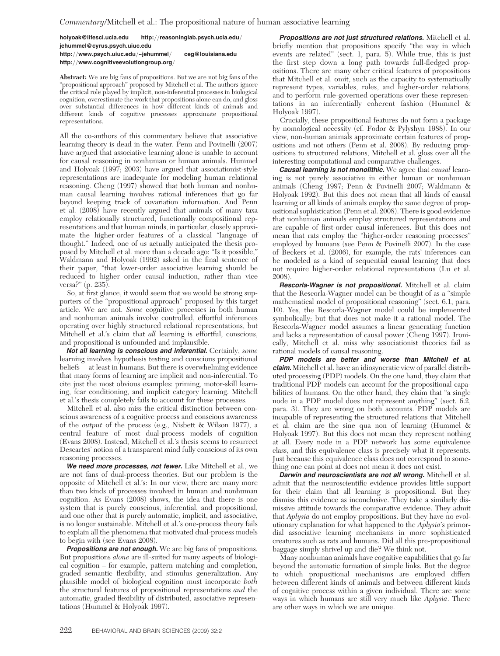holyoak@lifesci.ucla.edu http://reasoninglab.psych.ucla.edu/ jehummel@cyrus.psych.uiuc.edu http://www.psych.uiuc.edu/~jehummel/ ceg@louisiana.edu http://www.cognitiveevolutiongroup.org/

Abstract: We are big fans of propositions. But we are not big fans of the "propositional approach" proposed by Mitchell et al. The authors ignore the critical role played by implicit, non-inferential processes in biological cognition, overestimate the work that propositions alone can do, and gloss over substantial differences in how different kinds of animals and different kinds of cognitive processes approximate propositional representations.

All the co-authors of this commentary believe that associative learning theory is dead in the water. Penn and Povinelli (2007) have argued that associative learning alone is unable to account for causal reasoning in nonhuman or human animals. Hummel and Holyoak (1997; 2003) have argued that associationist-style representations are inadequate for modeling human relational reasoning. Cheng (1997) showed that both human and nonhuman causal learning involves rational inferences that go far beyond keeping track of covariation information. And Penn et al. (2008) have recently argued that animals of many taxa employ relationally structured, functionally compositional representations and that human minds, in particular, closely approximate the higher-order features of a classical "language of thought." Indeed, one of us actually anticipated the thesis proposed by Mitchell et al. more than a decade ago: "Is it possible," Waldmann and Holyoak (1992) asked in the final sentence of their paper, "that lower-order associative learning should be reduced to higher order causal induction, rather than vice versa?" (p. 235).

So, at first glance, it would seem that we would be strong supporters of the "propositional approach" proposed by this target article. We are not. Some cognitive processes in both human and nonhuman animals involve controlled, effortful inferences operating over highly structured relational representations, but Mitchell et al.'s claim that all learning is effortful, conscious, and propositional is unfounded and implausible.

Not all learning is conscious and inferential. Certainly, some learning involves hypothesis testing and conscious propositional beliefs – at least in humans. But there is overwhelming evidence that many forms of learning are implicit and non-inferential. To cite just the most obvious examples: priming, motor-skill learning, fear conditioning, and implicit category learning. Mitchell et al.'s thesis completely fails to account for these processes.

Mitchell et al. also miss the critical distinction between conscious awareness of a cognitive process and conscious awareness of the output of the process (e.g., Nisbett & Wilson 1977), a central feature of most dual-process models of cognition (Evans 2008). Instead, Mitchell et al.'s thesis seems to resurrect Descartes' notion of a transparent mind fully conscious of its own reasoning processes.

We need more processes, not fewer. Like Mitchell et al., we are not fans of dual-process theories. But our problem is the opposite of Mitchell et al.'s: In our view, there are many more than two kinds of processes involved in human and nonhuman cognition. As Evans (2008) shows, the idea that there is one system that is purely conscious, inferential, and propositional, and one other that is purely automatic, implicit, and associative, is no longer sustainable. Mitchell et al.'s one-process theory fails to explain all the phenomena that motivated dual-process models to begin with (see Evans 2008).

**Propositions are not enough.** We are big fans of propositions. But propositions alone are ill-suited for many aspects of biological cognition – for example, pattern matching and completion, graded semantic flexibility, and stimulus generalization. Any plausible model of biological cognition must incorporate both the structural features of propositional representations and the automatic, graded flexibility of distributed, associative representations (Hummel & Holyoak 1997).

Propositions are not just structured relations. Mitchell et al. briefly mention that propositions specify "the way in which events are related" (sect. 1, para. 5). While true, this is just the first step down a long path towards full-fledged propositions. There are many other critical features of propositions that Mitchell et al. omit, such as the capacity to systematically represent types, variables, roles, and higher-order relations, and to perform rule-governed operations over these representations in an inferentially coherent fashion (Hummel & Holyoak 1997).

Crucially, these propositional features do not form a package by nomological necessity (cf. Fodor & Pylyshyn 1988). In our view, non-human animals approximate certain features of propositions and not others (Penn et al. 2008). By reducing propositions to structured relations, Mitchell et al. gloss over all the interesting computational and comparative challenges.

**Causal learning is not monolithic.** We agree that *causal* learning is not purely associative in either human or nonhuman animals (Cheng 1997; Penn & Povinelli 2007; Waldmann & Holyoak 1992). But this does not mean that all kinds of causal learning or all kinds of animals employ the same degree of propositional sophistication (Penn et al. 2008). There is good evidence that nonhuman animals employ structured representations and are capable of first-order causal inferences. But this does not mean that rats employ the "higher-order reasoning processes" employed by humans (see Penn & Povinelli 2007). In the case of Beckers et al. (2006), for example, the rats' inferences can be modeled as a kind of sequential causal learning that does not require higher-order relational representations (Lu et al. 2008).

Rescorla-Wagner is not propositional. Mitchell et al. claim that the Rescorla-Wagner model can be thought of as a "simple mathematical model of propositional reasoning" (sect. 6.1, para. 10). Yes, the Rescorla-Wagner model could be implemented symbolically; but that does not make it a rational model. The Rescorla-Wagner model assumes a linear generating function and lacks a representation of causal power (Cheng 1997). Ironically, Mitchell et al. miss why associationist theories fail as rational models of causal reasoning.

PDP models are better and worse than Mitchell et al. claim. Mitchell et al. have an idiosyncratic view of parallel distributed processing (PDP) models. On the one hand, they claim that traditional PDP models can account for the propositional capabilities of humans. On the other hand, they claim that "a single node in a PDP model does not represent anything" (sect. 6.2, para. 3). They are wrong on both accounts. PDP models are incapable of representing the structured relations that Mitchell et al. claim are the sine qua non of learning (Hummel & Holyoak 1997). But this does not mean they represent nothing at all. Every node in a PDP network has some equivalence class, and this equivalence class is precisely what it represents. Just because this equivalence class does not correspond to something one can point at does not mean it does not exist.

Darwin and neuroscientists are not all wrong. Mitchell et al. admit that the neuroscientific evidence provides little support for their claim that all learning is propositional. But they dismiss this evidence as inconclusive. They take a similarly dismissive attitude towards the comparative evidence. They admit that Aplysia do not employ propositions. But they have no evolutionary explanation for what happened to the Aplysia's primordial associative learning mechanisms in more sophisticated creatures such as rats and humans. Did all this pre-propositional baggage simply shrivel up and die? We think not.

Many nonhuman animals have cognitive capabilities that go far beyond the automatic formation of simple links. But the degree to which propositional mechanisms are employed differs between different kinds of animals and between different kinds of cognitive process within a given individual. There are some ways in which humans are still very much like Aplysia. There are other ways in which we are unique.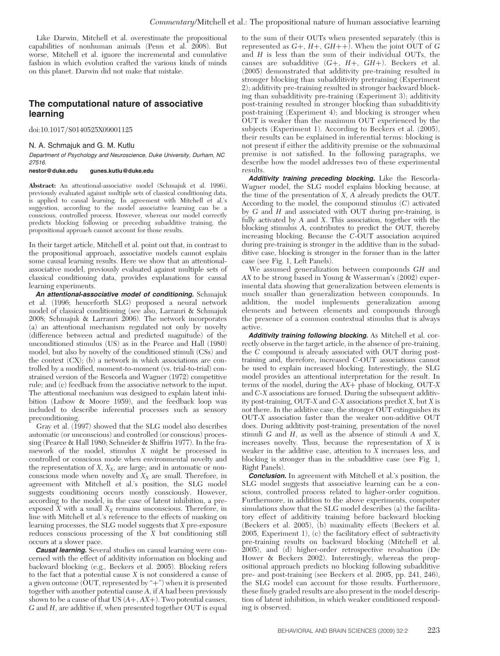Like Darwin, Mitchell et al. overestimate the propositional capabilities of nonhuman animals (Penn et al. 2008). But worse, Mitchell et al. ignore the incremental and cumulative fashion in which evolution crafted the various kinds of minds on this planet. Darwin did not make that mistake.

### The computational nature of associative learning

doi:10.1017/S0140525X09001125

#### N. A. Schmajuk and G. M. Kutlu

Department of Psychology and Neuroscience, Duke University, Durham, NC 27516.

#### nestor@duke.edu gunes.kutlu@duke.edu

Abstract: An attentional-associative model (Schmajuk et al. 1996), previously evaluated against multiple sets of classical conditioning data, is applied to causal learning. In agreement with Mitchell et al.'s suggestion, according to the model associative learning can be a conscious, controlled process. However, whereas our model correctly predicts blocking following or preceding subadditive training, the propositional approach cannot account for those results.

In their target article, Mitchell et al. point out that, in contrast to the propositional approach, associative models cannot explain some causal learning results. Here we show that an attentionalassociative model, previously evaluated against multiple sets of classical conditioning data, provides explanations for causal learning experiments.

An attentional-associative model of conditioning. Schmajuk et al. (1996; henceforth SLG) proposed a neural network model of classical conditioning (see also, Larrauri & Schmajuk 2008; Schmajuk & Larrauri 2006). The network incorporates (a) an attentional mechanism regulated not only by novelty (difference between actual and predicted magnitude) of the unconditioned stimulus (US) as in the Pearce and Hall (1980) model, but also by novelty of the conditioned stimuli (CSs) and the context (CX); (b) a network in which associations are controlled by a modified, moment-to-moment (vs. trial-to-trial) constrained version of the Rescorla and Wagner (1972) competitive rule; and (c) feedback from the associative network to the input. The attentional mechanism was designed to explain latent inhibition (Lubow & Moore 1959), and the feedback loop was included to describe inferential processes such as sensory preconditioning.

Gray et al. (1997) showed that the SLG model also describes automatic (or unconscious) and controlled (or conscious) processing (Pearce & Hall 1980; Schneider & Shiffrin 1977). In the framework of the model, stimulus X might be processed in controlled or conscious mode when environmental novelty and the representation of  $X$ ,  $X_X$ , are large; and in automatic or nonconscious mode when novelty and  $X_X$  are small. Therefore, in agreement with Mitchell et al.'s position, the SLG model suggests conditioning occurs mostly consciously. However, according to the model, in the case of latent inhibition, a preexposed  $X$  with a small  $X_X$  remains unconscious. Therefore, in line with Mitchell et al.'s reference to the effects of masking on learning processes, the SLG model suggests that X pre-exposure reduces conscious processing of the X but conditioning still occurs at a slower pace.

**Causal learning.** Several studies on causal learning were concerned with the effect of additivity information on blocking and backward blocking (e.g., Beckers et al. 2005). Blocking refers to the fact that a potential cause  $X$  is not considered a cause of a given outcome ( $\overline{O}UT$ , represented by "+") when it is presented together with another potential cause A, if A had been previously shown to be a cause of that US  $(A+, AX+)$ . Two potential causes, G and H, are additive if, when presented together OUT is equal

to the sum of their OUTs when presented separately (this is represented as  $G_+, H_+, GH_+$ ). When the joint OUT of G and  $H$  is less than the sum of their individual OUTs, the causes are subadditive  $(G+, H+, GH+)$ . Beckers et al. (2005) demonstrated that additivity pre-training resulted in stronger blocking than subadditivity pretraining (Experiment 2); additivity pre-training resulted in stronger backward blocking than subadditivity pre-training (Experiment 3); additivity post-training resulted in stronger blocking than subadditivity post-training (Experiment 4); and blocking is stronger when OUT is weaker than the maximum OUT experienced by the subjects (Experiment 1). According to Beckers et al. (2005), their results can be explained in inferential terms: blocking is not present if either the additivity premise or the submaximal premise is not satisfied. In the following paragraphs, we describe how the model addresses two of these experimental results.

Additivity training preceding blocking. Like the Rescorla-Wagner model, the SLG model explains blocking because, at the time of the presentation of  $X$ ,  $\overline{A}$  already predicts the OUT. According to the model, the compound stimulus  $(C)$  activated by G and H and associated with OUT during pre-training, is fully activated by A and X. This association, together with the blocking stimulus A, contributes to predict the OUT, thereby increasing blocking. Because the C-OUT association acquired during pre-training is stronger in the additive than in the subadditive case, blocking is stronger in the former than in the latter case (see Fig. 1, Left Panels).

We assumed generalization between compounds GH and AX to be strong based in Young & Wasserman's (2002) experimental data showing that generalization between elements is much smaller than generalization between compounds. In addition, the model implements generalization among elements and between elements and compounds through the presence of a common contextual stimulus that is always active.

Additivity training following blocking. As Mitchell et al. correctly observe in the target article, in the absence of pre-training, the C compound is already associated with OUT during posttraining and, therefore, increased C-OUT associations cannot be used to explain increased blocking. Interestingly, the SLG model provides an attentional interpretation for the result. In terms of the model, during the  $AX+$  phase of blocking, OUT-X and C-X associations are formed. During the subsequent additivity post-training, OUT-X and  $C$ -X associations predict  $X$ , but  $X$  is not there. In the additive case, the stronger OUT extinguishes its OUT-X association faster than the weaker non-additive OUT does. During additivity post-training, presentation of the novel stimuli  $G$  and  $H$ , as well as the absence of stimuli  $A$  and  $X$ , increases novelty. Thus, because the representation of X is weaker in the additive case, attention to  $\tilde{X}$  increases less, and blocking is stronger than in the subadditive case (see Fig. 1, Right Panels).

**Conclusion.** In agreement with Mitchell et al.'s position, the SLG model suggests that associative learning can be a conscious, controlled process related to higher-order cognition. Furthermore, in addition to the above experiments, computer simulations show that the SLG model describes (a) the facilitatory effect of additivity training before backward blocking (Beckers et al. 2005), (b) maximality effects (Beckers et al. 2005, Experiment 1), (c) the facilitatory effect of subtractivity pre-training results on backward blocking (Mitchell et al. 2005), and (d) higher-order retrospective revaluation (De Hower & Beckers 2002). Interestingly, whereas the propositional approach predicts no blocking following subadditive pre- and post-training (see Beckers et al. 2005, pp. 241, 246), the SLG model can account for those results. Furthermore, these finely graded results are also present in the model description of latent inhibition, in which weaker conditioned responding is observed.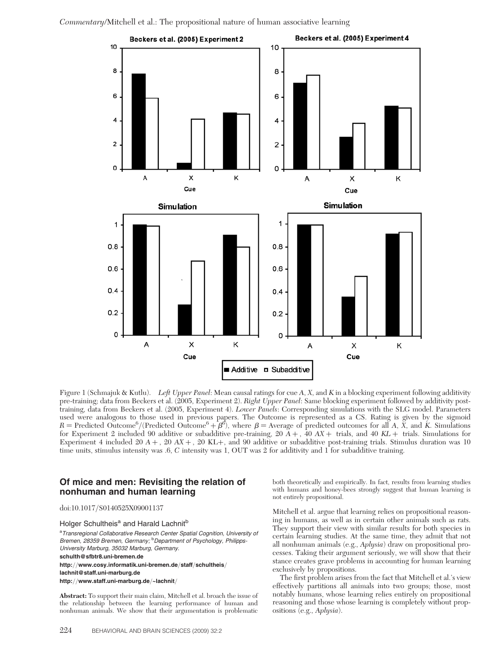

Figure 1 (Schmajuk & Kutlu). Left Upper Panel: Mean causal ratings for cue  $A$ ,  $X$ , and  $K$  in a blocking experiment following additivity pre-training; data from Beckers et al. (2005, Experiment 2). Right Upper Panel: Same blocking experiment followed by additivity posttraining, data from Beckers et al. (2005, Experiment 4). Lower Panels: Corresponding simulations with the SLG model. Parameters used were analogous to those used in previous papers. The Outcome is represented as a CS. Rating is given by the sigmoid  $R = \text{Predicted Outcome}^6/(\text{Predicted Outcome}^6 + \beta^6)$ , where  $\beta = \text{Average of predicted outcomes for all } A, X$ , and  $K$ . Simulations for Experiment 2 included 90 additive or subadditive pre-training, 20  $\bar{A}$  +, 40 AX + trials, and 40 KL + trials. Simulations for Experiment 4 included 20  $A +$ , 20  $AX +$ , 20 KL+, and 90 additive or subadditive post-training trials. Stimulus duration was 10 time units, stimulus intensity was .6, C intensity was 1, OUT was 2 for additivity and 1 for subadditive training.

### Of mice and men: Revisiting the relation of nonhuman and human learning

#### doi:10.1017/S0140525X09001137

#### Holger Schultheis<sup>a</sup> and Harald Lachnit<sup>b</sup>

a Transregional Collaborative Research Center Spatial Cognition, University of Bremen, 28359 Bremen, Germany; <sup>b</sup>Department of Psychology, Philipps-University Marburg, 35032 Marburg, Germany. schulth@sfbtr8.uni-bremen.de http://www.cosy.informatik.uni-bremen.de/staff/schultheis/

lachnit@staff.uni-marburg.de http://www.staff.uni-marburg.de/~lachnit/

Abstract: To support their main claim, Mitchell et al. broach the issue of the relationship between the learning performance of human and nonhuman animals. We show that their argumentation is problematic both theoretically and empirically. In fact, results from learning studies with humans and honey-bees strongly suggest that human learning is not entirely propositional.

Mitchell et al. argue that learning relies on propositional reasoning in humans, as well as in certain other animals such as rats. They support their view with similar results for both species in certain learning studies. At the same time, they admit that not all nonhuman animals (e.g., Aplysia) draw on propositional processes. Taking their argument seriously, we will show that their stance creates grave problems in accounting for human learning exclusively by propositions.

The first problem arises from the fact that Mitchell et al.'s view effectively partitions all animals into two groups; those, most notably humans, whose learning relies entirely on propositional reasoning and those whose learning is completely without propositions (e.g., Aplysia).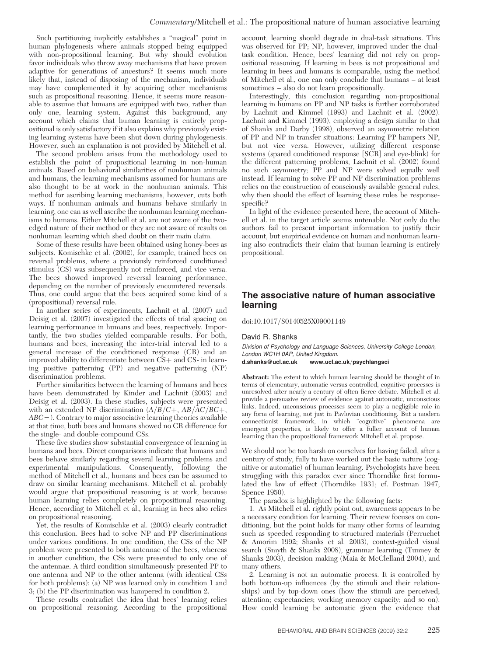Such partitioning implicitly establishes a "magical" point in human phylogenesis where animals stopped being equipped with non-propositional learning. But why should evolution favor individuals who throw away mechanisms that have proven adaptive for generations of ancestors? It seems much more likely that, instead of disposing of the mechanism, individuals may have complemented it by acquiring other mechanisms such as propositional reasoning. Hence, it seems more reasonable to assume that humans are equipped with two, rather than only one, learning system. Against this background, any account which claims that human learning is entirely propositional is only satisfactory if it also explains why previously existing learning systems have been shut down during phylogenesis. However, such an explanation is not provided by Mitchell et al.

The second problem arises from the methodology used to establish the point of propositional learning in non-human animals. Based on behavioral similarities of nonhuman animals and humans, the learning mechanisms assumed for humans are also thought to be at work in the nonhuman animals. This method for ascribing learning mechanisms, however, cuts both ways. If nonhuman animals and humans behave similarly in learning, one can as well ascribe the nonhuman learning mechanisms to humans. Either Mitchell et al. are not aware of the twoedged nature of their method or they are not aware of results on nonhuman learning which shed doubt on their main claim.

Some of these results have been obtained using honey-bees as subjects. Komischke et al. (2002), for example, trained bees on reversal problems, where a previously reinforced conditioned stimulus (CS) was subsequently not reinforced, and vice versa. The bees showed improved reversal learning performance, depending on the number of previously encountered reversals. Thus, one could argue that the bees acquired some kind of a (propositional) reversal rule.

In another series of experiments, Lachnit et al. (2007) and Deisig et al. (2007) investigated the effects of trial spacing on learning performance in humans and bees, respectively. Importantly, the two studies yielded comparable results. For both, humans and bees, increasing the inter-trial interval led to a general increase of the conditioned response (CR) and an improved ability to differentiate between  $CS$  and  $CS$ - in learning positive patterning (PP) and negative patterning (NP) discrimination problems.

Further similarities between the learning of humans and bees have been demonstrated by Kinder and Lachnit (2003) and Deisig et al. (2003). In these studies, subjects were presented with an extended NP discrimination  $(A/B/C+$ ,  $AB/AC/BC+$ ,  $ABC-$ ). Contrary to major associative learning theories available at that time, both bees and humans showed no CR difference for the single- and double-compound CSs.

These five studies show substantial convergence of learning in humans and bees. Direct comparisons indicate that humans and bees behave similarly regarding several learning problems and experimental manipulations. Consequently, following the method of Mitchell et al., humans and bees can be assumed to draw on similar learning mechanisms. Mitchell et al. probably would argue that propositional reasoning is at work, because human learning relies completely on propositional reasoning. Hence, according to Mitchell et al., learning in bees also relies on propositional reasoning.

Yet, the results of Komischke et al. (2003) clearly contradict this conclusion. Bees had to solve NP and PP discriminations under various conditions. In one condition, the CSs of the NP problem were presented to both antennae of the bees, whereas in another condition, the CSs were presented to only one of the antennae. A third condition simultaneously presented PP to one antenna and NP to the other antenna (with identical CSs for both problems): (a) NP was learned only in condition 1 and 3; (b) the PP discrimination was hampered in condition 2.

These results contradict the idea that bees' learning relies on propositional reasoning. According to the propositional

account, learning should degrade in dual-task situations. This was observed for PP; NP, however, improved under the dualtask condition. Hence, bees' learning did not rely on propositional reasoning. If learning in bees is not propositional and learning in bees and humans is comparable, using the method of Mitchell et al., one can only conclude that humans – at least sometimes – also do not learn propositionally.

Interestingly, this conclusion regarding non-propositional learning in humans on PP and NP tasks is further corroborated by Lachnit and Kimmel (1993) and Lachnit et al. (2002). Lachnit and Kimmel (1993), employing a design similar to that of Shanks and Darby (1998), observed an asymmetric relation of PP and NP in transfer situations: Learning PP hampers NP, but not vice versa. However, utilizing different response systems (spared conditioned response [SCR] and eye-blink) for the different patterning problems, Lachnit et al. (2002) found no such asymmetry; PP and NP were solved equally well instead. If learning to solve PP and NP discrimination problems relies on the construction of consciously available general rules, why then should the effect of learning these rules be responsespecific?

In light of the evidence presented here, the account of Mitchell et al. in the target article seems untenable. Not only do the authors fail to present important information to justify their account, but empirical evidence on human and nonhuman learning also contradicts their claim that human learning is entirely propositional.

### The associative nature of human associative learning

doi:10.1017/S0140525X09001149

#### David R. Shanks

Division of Psychology and Language Sciences, University College London, London WC1H 0AP, United Kingdom.

d.shanks@ucl.ac.uk www.ucl.ac.uk/psychlangsci

Abstract: The extent to which human learning should be thought of in terms of elementary, automatic versus controlled, cognitive processes is unresolved after nearly a century of often fierce debate. Mitchell et al. provide a persuasive review of evidence against automatic, unconscious links. Indeed, unconscious processes seem to play a negligible role in any form of learning, not just in Pavlovian conditioning. But a modern connectionist framework, in which "cognitive" phenomena are emergent properties, is likely to offer a fuller account of human learning than the propositional framework Mitchell et al. propose.

We should not be too harsh on ourselves for having failed, after a century of study, fully to have worked out the basic nature (cognitive or automatic) of human learning. Psychologists have been struggling with this paradox ever since Thorndike first formulated the law of effect (Thorndike 1931; cf. Postman 1947; Spence 1950).

The paradox is highlighted by the following facts:

1. As Mitchell et al. rightly point out, awareness appears to be a necessary condition for learning. Their review focuses on conditioning, but the point holds for many other forms of learning such as speeded responding to structured materials (Perruchet & Amorim 1992; Shanks et al. 2003), context-guided visual search (Smyth & Shanks 2008), grammar learning (Tunney & Shanks 2003), decision making (Maia & McClelland 2004), and many others.

2. Learning is not an automatic process. It is controlled by both bottom-up influences (by the stimuli and their relationships) and by top-down ones (how the stimuli are perceived; attention; expectancies; working memory capacity; and so on). How could learning be automatic given the evidence that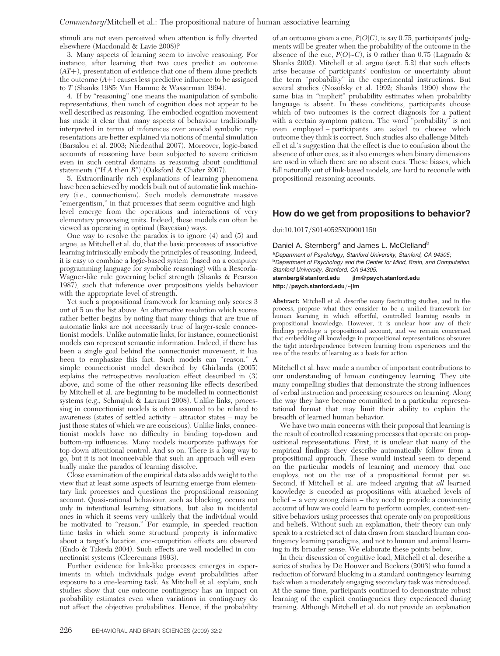stimuli are not even perceived when attention is fully diverted elsewhere (Macdonald & Lavie 2008)?

3. Many aspects of learning seem to involve reasoning. For instance, after learning that two cues predict an outcome  $(AT+)$ , presentation of evidence that one of them alone predicts the outcome  $(A+)$  causes less predictive influence to be assigned to T (Shanks 1985; Van Hamme & Wasserman 1994).

4. If by "reasoning" one means the manipulation of symbolic representations, then much of cognition does not appear to be well described as reasoning. The embodied cognition movement has made it clear that many aspects of behaviour traditionally interpreted in terms of inferences over amodal symbolic representations are better explained via notions of mental simulation (Barsalou et al. 2003; Niedenthal 2007). Moreover, logic-based accounts of reasoning have been subjected to severe criticism even in such central domains as reasoning about conditional statements ("If A then B") (Oaksford & Chater 2007).

5. Extraordinarily rich explanations of learning phenomena have been achieved by models built out of automatic link machinery (i.e., connectionism). Such models demonstrate massive "emergentism," in that processes that seem cognitive and highlevel emerge from the operations and interactions of very elementary processing units. Indeed, these models can often be viewed as operating in optimal (Bayesian) ways.

One way to resolve the paradox is to ignore (4) and (5) and argue, as Mitchell et al. do, that the basic processes of associative learning intrinsically embody the principles of reasoning. Indeed, it is easy to combine a logic-based system (based on a computer programming language for symbolic reasoning) with a Rescorla-Wagner-like rule governing belief strength (Shanks & Pearson 1987), such that inference over propositions yields behaviour with the appropriate level of strength.

Yet such a propositional framework for learning only scores 3 out of 5 on the list above. An alternative resolution which scores rather better begins by noting that many things that are true of automatic links are not necessarily true of larger-scale connectionist models. Unlike automatic links, for instance, connectionist models can represent semantic information. Indeed, if there has been a single goal behind the connectionist movement, it has been to emphasize this fact. Such models can "reason." A simple connectionist model described by Ghirlanda (2005) explains the retrospective revaluation effect described in (3) above, and some of the other reasoning-like effects described by Mitchell et al. are beginning to be modelled in connectionist systems (e.g., Schmajuk & Larrauri 2008). Unlike links, processing in connectionist models is often assumed to be related to awareness (states of settled activity – attractor states – may be just those states of which we are conscious). Unlike links, connectionist models have no difficulty in binding top-down and bottom-up influences. Many models incorporate pathways for top-down attentional control. And so on. There is a long way to go, but it is not inconceivable that such an approach will eventually make the paradox of learning dissolve.

Close examination of the empirical data also adds weight to the view that at least some aspects of learning emerge from elementary link processes and questions the propositional reasoning account. Quasi-rational behaviour, such as blocking, occurs not only in intentional learning situations, but also in incidental ones in which it seems very unlikely that the individual would be motivated to "reason." For example, in speeded reaction time tasks in which some structural property is informative about a target's location, cue-competition effects are observed (Endo & Takeda 2004). Such effects are well modelled in connectionist systems (Cleeremans 1993).

Further evidence for link-like processes emerges in experiments in which individuals judge event probabilities after exposure to a cue-learning task. As Mitchell et al. explain, such studies show that cue-outcome contingency has an impact on probability estimates even when variations in contingency do not affect the objective probabilities. Hence, if the probability

of an outcome given a cue,  $P(O|C)$ , is say 0.75, participants' judgments will be greater when the probability of the outcome in the absence of the cue,  $P(O|{\sim}C)$ , is 0 rather than 0.75 (Lagnado & Shanks 2002). Mitchell et al. argue (sect. 5.2) that such effects arise because of participants' confusion or uncertainty about the term "probability" in the experimental instructions. But several studies (Nosofsky et al. 1992; Shanks 1990) show the same bias in "implicit" probability estimates when probability language is absent. In these conditions, participants choose which of two outcomes is the correct diagnosis for a patient with a certain symptom pattern. The word "probability" is not even employed – participants are asked to choose which outcome they think is correct. Such studies also challenge Mitchell et al.'s suggestion that the effect is due to confusion about the absence of other cues, as it also emerges when binary dimensions are used in which there are no absent cues. These biases, which fall naturally out of link-based models, are hard to reconcile with propositional reasoning accounts.

### How do we get from propositions to behavior?

#### doi:10.1017/S0140525X09001150

Daniel A. Sternberg<sup>a</sup> and James L. McClelland<sup>b</sup>

aDepartment of Psychology, Stanford University, Stanford, CA 94305; <sup>b</sup> Department of Psychology and the Center for Mind, Brain, and Computation, Stanford University, Stanford, CA 94305.

#### sternberg@stanford.edu jlm@psych.stanford.edu http://psych.stanford.edu/~jlm

Abstract: Mitchell et al. describe many fascinating studies, and in the process, propose what they consider to be a unified framework for human learning in which effortful, controlled learning results in propositional knowledge. However, it is unclear how any of their findings privilege a propositional account, and we remain concerned that embedding all knowledge in propositional representations obscures the tight interdependence between learning from experiences and the use of the results of learning as a basis for action.

Mitchell et al. have made a number of important contributions to our understanding of human contingency learning. They cite many compelling studies that demonstrate the strong influences of verbal instruction and processing resources on learning. Along the way they have become committed to a particular representational format that may limit their ability to explain the breadth of learned human behavior.

We have two main concerns with their proposal that learning is the result of controlled reasoning processes that operate on propositional representations. First, it is unclear that many of the empirical findings they describe automatically follow from a propositional approach. These would instead seem to depend on the particular models of learning and memory that one employs, not on the use of a propositional format per se. Second, if Mitchell et al. are indeed arguing that all learned knowledge is encoded as propositions with attached levels of belief – a very strong claim – they need to provide a convincing account of how we could learn to perform complex, context-sensitive behaviors using processes that operate only on propositions and beliefs. Without such an explanation, their theory can only speak to a restricted set of data drawn from standard human contingency learning paradigms, and not to human and animal learning in its broader sense. We elaborate these points below.

In their discussion of cognitive load, Mitchell et al. describe a series of studies by De Houwer and Beckers (2003) who found a reduction of forward blocking in a standard contingency learning task when a moderately engaging secondary task was introduced. At the same time, participants continued to demonstrate robust learning of the explicit contingencies they experienced during training. Although Mitchell et al. do not provide an explanation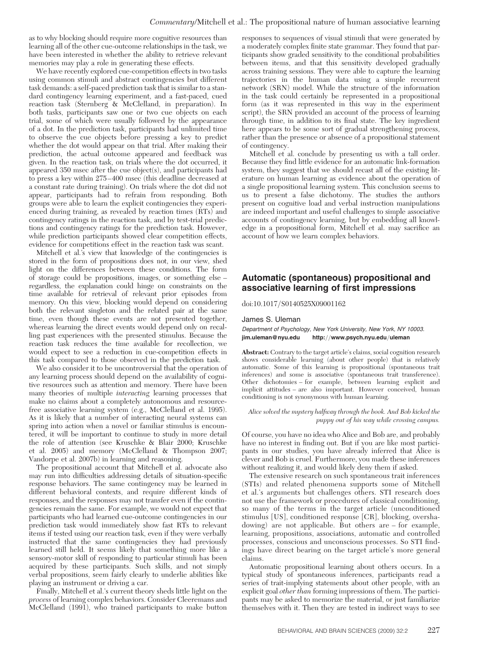as to why blocking should require more cognitive resources than learning all of the other cue-outcome relationships in the task, we have been interested in whether the ability to retrieve relevant memories may play a role in generating these effects.

We have recently explored cue-competition effects in two tasks using common stimuli and abstract contingencies but different task demands: a self-paced prediction task that is similar to a standard contingency learning experiment, and a fast-paced, cued reaction task (Sternberg & McClelland, in preparation). In both tasks, participants saw one or two cue objects on each trial, some of which were usually followed by the appearance of a dot. In the prediction task, participants had unlimited time to observe the cue objects before pressing a key to predict whether the dot would appear on that trial. After making their prediction, the actual outcome appeared and feedback was given. In the reaction task, on trials where the dot occurred, it appeared 350 msec after the cue object(s), and participants had to press a key within 275– 400 msec (this deadline decreased at a constant rate during training). On trials where the dot did not appear, participants had to refrain from responding. Both groups were able to learn the explicit contingencies they experienced during training, as revealed by reaction times (RTs) and contingency ratings in the reaction task, and by test-trial predictions and contingency ratings for the prediction task. However, while prediction participants showed clear competition effects, evidence for competitions effect in the reaction task was scant.

Mitchell et al.'s view that knowledge of the contingencies is stored in the form of propositions does not, in our view, shed light on the differences between these conditions. The form of storage could be propositions, images, or something else – regardless, the explanation could hinge on constraints on the time available for retrieval of relevant prior episodes from memory. On this view, blocking would depend on considering both the relevant singleton and the related pair at the same time, even though these events are not presented together, whereas learning the direct events would depend only on recalling past experiences with the presented stimulus. Because the reaction task reduces the time available for recollection, we would expect to see a reduction in cue-competition effects in this task compared to those observed in the prediction task.

We also consider it to be uncontroversial that the operation of any learning process should depend on the availability of cognitive resources such as attention and memory. There have been many theories of multiple interacting learning processes that make no claims about a completely autonomous and resourcefree associative learning system (e.g., McClelland et al. 1995). As it is likely that a number of interacting neural systems can spring into action when a novel or familiar stimulus is encountered, it will be important to continue to study in more detail the role of attention (see Kruschke & Blair 2000; Kruschke et al. 2005) and memory (McClelland & Thompson 2007; Vandorpe et al. 2007b) in learning and reasoning.

The propositional account that Mitchell et al. advocate also may run into difficulties addressing details of situation-specific response behaviors. The same contingency may be learned in different behavioral contexts, and require different kinds of responses, and the responses may not transfer even if the contingencies remain the same. For example, we would not expect that participants who had learned cue-outcome contingencies in our prediction task would immediately show fast RTs to relevant items if tested using our reaction task, even if they were verbally instructed that the same contingencies they had previously learned still held. It seems likely that something more like a sensory-motor skill of responding to particular stimuli has been acquired by these participants. Such skills, and not simply verbal propositions, seem fairly clearly to underlie abilities like playing an instrument or driving a car.

Finally, Mitchell et al.'s current theory sheds little light on the process of learning complex behaviors. Consider Cleeremans and McClelland (1991), who trained participants to make button

responses to sequences of visual stimuli that were generated by a moderately complex finite state grammar. They found that participants show graded sensitivity to the conditional probabilities between items, and that this sensitivity developed gradually across training sessions. They were able to capture the learning trajectories in the human data using a simple recurrent network (SRN) model. While the structure of the information in the task could certainly be represented in a propositional form (as it was represented in this way in the experiment script), the SRN provided an account of the process of learning through time, in addition to its final state. The key ingredient here appears to be some sort of gradual strengthening process, rather than the presence or absence of a propositional statement of contingency.

Mitchell et al. conclude by presenting us with a tall order. Because they find little evidence for an automatic link-formation system, they suggest that we should recast all of the existing literature on human learning as evidence about the operation of a single propositional learning system. This conclusion seems to us to present a false dichotomy. The studies the authors present on cognitive load and verbal instruction manipulations are indeed important and useful challenges to simple associative accounts of contingency learning, but by embedding all knowledge in a propositional form, Mitchell et al. may sacrifice an account of how we learn complex behaviors.

### Automatic (spontaneous) propositional and associative learning of first impressions

doi:10.1017/S0140525X09001162

James S. Uleman

Department of Psychology, New York University, New York, NY 10003. jim.uleman@nyu.edu http://www.psych.nyu.edu/uleman

Abstract: Contrary to the target article's claims, social cognition research shows considerable learning (about other people) that is relatively automatic. Some of this learning is propositional (spontaneous trait inferences) and some is associative (spontaneous trait transference). Other dichotomies – for example, between learning explicit and implicit attitudes – are also important. However conceived, human conditioning is not synonymous with human learning.

Alice solved the mystery halfway through the book. And Bob kicked the puppy out of his way while crossing campus.

Of course, you have no idea who Alice and Bob are, and probably have no interest in finding out. But if you are like most participants in our studies, you have already inferred that Alice is clever and Bob is cruel. Furthermore, you made these inferences without realizing it, and would likely deny them if asked.

The extensive research on such spontaneous trait inferences (STIs) and related phenomena supports some of Mitchell et al.'s arguments but challenges others. STI research does not use the framework or procedures of classical conditioning, so many of the terms in the target article (unconditioned stimulus [US], conditioned response [CR], blocking, overshadowing) are not applicable. But others are – for example, learning, propositions, associations, automatic and controlled processes, conscious and unconscious processes. So STI findings have direct bearing on the target article's more general claims.

Automatic propositional learning about others occurs. In a typical study of spontaneous inferences, participants read a series of trait-implying statements about other people, with an explicit goal other than forming impressions of them. The participants may be asked to memorize the material, or just familiarize themselves with it. Then they are tested in indirect ways to see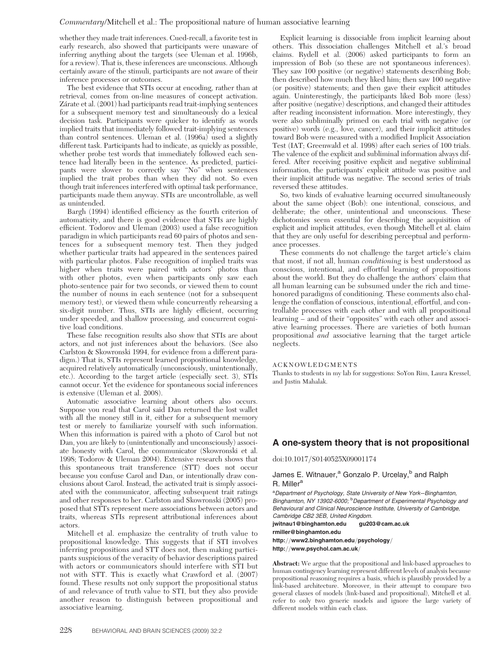whether they made trait inferences. Cued-recall, a favorite test in early research, also showed that participants were unaware of inferring anything about the targets (see Uleman et al. 1996b, for a review). That is, these inferences are unconscious. Although certainly aware of the stimuli, participants are not aware of their inference processes or outcomes.

The best evidence that STIs occur at encoding, rather than at retrieval, comes from on-line measures of concept activation. Zárate et al. (2001) had participants read trait-implying sentences for a subsequent memory test and simultaneously do a lexical decision task. Participants were quicker to identify as words implied traits that immediately followed trait-implying sentences than control sentences. Uleman et al. (1996a) used a slightly different task. Participants had to indicate, as quickly as possible, whether probe test words that immediately followed each sentence had literally been in the sentence. As predicted, participants were slower to correctly say "No" when sentences implied the trait probes than when they did not. So even though trait inferences interfered with optimal task performance, participants made them anyway. STIs are uncontrollable, as well as unintended.

Bargh (1994) identified efficiency as the fourth criterion of automaticity, and there is good evidence that STIs are highly efficient. Todorov and Uleman (2003) used a false recognition paradigm in which participants read 60 pairs of photos and sentences for a subsequent memory test. Then they judged whether particular traits had appeared in the sentences paired with particular photos. False recognition of implied traits was higher when traits were paired with actors' photos than with other photos, even when participants only saw each photo-sentence pair for two seconds, or viewed them to count the number of nouns in each sentence (not for a subsequent memory test), or viewed them while concurrently rehearsing a six-digit number. Thus, STIs are highly efficient, occurring under speeded, and shallow processing, and concurrent cognitive load conditions.

These false recognition results also show that STIs are about actors, and not just inferences about the behaviors. (See also Carlston & Skowronski 1994, for evidence from a different paradigm.) That is, STIs represent learned propositional knowledge, acquired relatively automatically (unconsciously, unintentionally, etc.). According to the target article (especially sect. 3), STIs cannot occur. Yet the evidence for spontaneous social inferences is extensive (Uleman et al. 2008).

Automatic associative learning about others also occurs. Suppose you read that Carol said Dan returned the lost wallet with all the money still in it, either for a subsequent memory test or merely to familiarize yourself with such information. When this information is paired with a photo of Carol but not Dan, you are likely to (unintentionally and unconsciously) associate honesty with Carol, the communicator (Skowronski et al. 1998; Todorov & Uleman 2004). Extensive research shows that this spontaneous trait transference (STT) does not occur because you confuse Carol and Dan, or intentionally draw conclusions about Carol. Instead, the activated trait is simply associated with the communicator, affecting subsequent trait ratings and other responses to her. Carlston and Skowronski (2005) proposed that STTs represent mere associations between actors and traits, whereas STIs represent attributional inferences about actors.

Mitchell et al. emphasize the centrality of truth value to propositional knowledge. This suggests that if STI involves inferring propositions and STT does not, then making participants suspicious of the veracity of behavior descriptions paired with actors or communicators should interfere with STI but not with STT. This is exactly what Crawford et al. (2007) found. These results not only support the propositional status of and relevance of truth value to STI, but they also provide another reason to distinguish between propositional and associative learning.

Explicit learning is dissociable from implicit learning about others. This dissociation challenges Mitchell et al.'s broad claims. Rydell et al. (2006) asked participants to form an impression of Bob (so these are not spontaneous inferences). They saw 100 positive (or negative) statements describing Bob; then described how much they liked him; then saw 100 negative (or positive) statements; and then gave their explicit attitudes again. Uninterestingly, the participants liked Bob more (less) after positive (negative) descriptions, and changed their attitudes after reading inconsistent information. More interestingly, they were also subliminally primed on each trial with negative (or positive) words (e.g., love, cancer), and their implicit attitudes toward Bob were measured with a modified Implicit Association Test (IAT; Greenwald et al. 1998) after each series of 100 trials. The valence of the explicit and subliminal information always differed. After receiving positive explicit and negative subliminal information, the participants' explicit attitude was positive and their implicit attitude was negative. The second series of trials reversed these attitudes.

So, two kinds of evaluative learning occurred simultaneously about the same object (Bob): one intentional, conscious, and deliberate; the other, unintentional and unconscious. These dichotomies seem essential for describing the acquisition of explicit and implicit attitudes, even though Mitchell et al. claim that they are only useful for describing perceptual and performance processes.

These comments do not challenge the target article's claim that most, if not all, human *conditioning* is best understood as conscious, intentional, and effortful learning of propositions about the world. But they do challenge the authors' claim that all human learning can be subsumed under the rich and timehonored paradigms of conditioning. These comments also challenge the conflation of conscious, intentional, effortful, and controllable processes with each other and with all propositional learning – and of their "opposites" with each other and associative learning processes. There are varieties of both human propositional and associative learning that the target article neglects.

#### ACKNOWLEDGMENTS

Thanks to students in my lab for suggestions: SoYon Rim, Laura Kressel, and Justin Mahalak.

### A one-system theory that is not propositional

doi:10.1017/S0140525X09001174

#### James E. Witnauer, $^{\rm a}$  Gonzalo P. Urcelay, $^{\rm b}$  and Ralph R. Miller<sup>a</sup>

aDepartment of Psychology, State University of New York–Binghamton, Binghamton, NY 13902-6000; <sup>b</sup>Department of Experimental Psychology and Behavioural and Clinical Neuroscience Institute, University of Cambridge, Cambridge CB2 3EB, United Kingdom.

jwitnau1@binghamton.edu gu203@cam.ac.uk rmiller@binghamton.edu

http://www2.binghamton.edu/psychology/ http://www.psychol.cam.ac.uk/

Abstract: We argue that the propositional and link-based approaches to human contingency learning represent different levels of analysis because propositional reasoning requires a basis, which is plausibly provided by a link-based architecture. Moreover, in their attempt to compare two general classes of models (link-based and propositional), Mitchell et al. refer to only two generic models and ignore the large variety of different models within each class.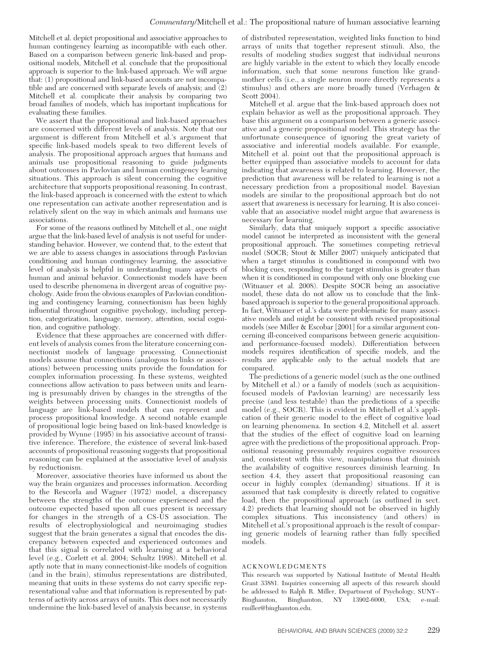Mitchell et al. depict propositional and associative approaches to human contingency learning as incompatible with each other. Based on a comparison between generic link-based and propositional models, Mitchell et al. conclude that the propositional approach is superior to the link-based approach. We will argue that: (1) propositional and link-based accounts are not incompatible and are concerned with separate levels of analysis; and (2) Mitchell et al. complicate their analysis by comparing two broad families of models, which has important implications for evaluating these families.

We assert that the propositional and link-based approaches are concerned with different levels of analysis. Note that our argument is different from Mitchell et al.'s argument that specific link-based models speak to two different levels of analysis. The propositional approach argues that humans and animals use propositional reasoning to guide judgments about outcomes in Pavlovian and human contingency learning situations. This approach is silent concerning the cognitive architecture that supports propositional reasoning. In contrast, the link-based approach is concerned with the extent to which one representation can activate another representation and is relatively silent on the way in which animals and humans use associations.

For some of the reasons outlined by Mitchell et al., one might argue that the link-based level of analysis is not useful for understanding behavior. However, we contend that, to the extent that we are able to assess changes in associations through Pavlovian conditioning and human contingency learning, the associative level of analysis is helpful in understanding many aspects of human and animal behavior. Connectionist models have been used to describe phenomena in divergent areas of cognitive psychology. Aside from the obvious examples of Pavlovian conditioning and contingency learning, connectionism has been highly influential throughout cognitive psychology, including perception, categorization, language, memory, attention, social cognition, and cognitive pathology.

Evidence that these approaches are concerned with different levels of analysis comes from the literature concerning connectionist models of language processing. Connectionist models assume that connections (analogous to links or associations) between processing units provide the foundation for complex information processing. In these systems, weighted connections allow activation to pass between units and learning is presumably driven by changes in the strengths of the weights between processing units. Connectionist models of language are link-based models that can represent and process propositional knowledge. A second notable example of propositional logic being based on link-based knowledge is provided by Wynne (1995) in his associative account of transitive inference. Therefore, the existence of several link-based accounts of propositional reasoning suggests that propositional reasoning can be explained at the associative level of analysis by reductionism.

Moreover, associative theories have informed us about the way the brain organizes and processes information. According to the Rescorla and Wagner (1972) model, a discrepancy between the strengths of the outcome experienced and the outcome expected based upon all cues present is necessary for changes in the strength of a CS-US association. The results of electrophysiological and neuroimaging studies suggest that the brain generates a signal that encodes the discrepancy between expected and experienced outcomes and that this signal is correlated with learning at a behavioral level (e.g., Corlett et al. 2004; Schultz 1998). Mitchell et al. aptly note that in many connectionist-like models of cognition (and in the brain), stimulus representations are distributed, meaning that units in these systems do not carry specific representational value and that information is represented by patterns of activity across arrays of units. This does not necessarily undermine the link-based level of analysis because, in systems

of distributed representation, weighted links function to bind arrays of units that together represent stimuli. Also, the results of modeling studies suggest that individual neurons are highly variable in the extent to which they locally encode information, such that some neurons function like grandmother cells (i.e., a single neuron more directly represents a stimulus) and others are more broadly tuned (Verhagen & Scott 2004).

Mitchell et al. argue that the link-based approach does not explain behavior as well as the propositional approach. They base this argument on a comparison between a generic associative and a generic propositional model. This strategy has the unfortunate consequence of ignoring the great variety of associative and inferential models available. For example, Mitchell et al. point out that the propositional approach is better equipped than associative models to account for data indicating that awareness is related to learning. However, the prediction that awareness will be related to learning is not a necessary prediction from a propositional model. Bayesian models are similar to the propositional approach but do not assert that awareness is necessary for learning. It is also conceivable that an associative model might argue that awareness is necessary for learning.

Similarly, data that uniquely support a specific associative model cannot be interpreted as inconsistent with the general propositional approach. The sometimes competing retrieval model (SOCR; Stout & Miller 2007) uniquely anticipated that when a target stimulus is conditioned in compound with two blocking cues, responding to the target stimulus is greater than when it is conditioned in compound with only one blocking cue (Witnauer et al. 2008). Despite SOCR being an associative model, these data do not allow us to conclude that the linkbased approach is superior to the general propositional approach. In fact, Witnauer et al.'s data were problematic for many associative models and might be consistent with revised propositional models (see Miller & Escobar [2001] for a similar argument concerning ill-conceived comparisons between generic acquisitionand performance-focused models). Differentiation between models requires identification of specific models, and the results are applicable only to the actual models that are compared.

The predictions of a generic model (such as the one outlined by Mitchell et al.) or a family of models (such as acquisitionfocused models of Pavlovian learning) are necessarily less precise (and less testable) than the predictions of a specific model (e.g., SOCR). This is evident in Mitchell et al.'s application of their generic model to the effect of cognitive load on learning phenomena. In section 4.2, Mitchell et al. assert that the studies of the effect of cognitive load on learning agree with the predictions of the propositional approach. Propositional reasoning presumably requires cognitive resources and, consistent with this view, manipulations that diminish the availability of cognitive resources diminish learning. In section 4.4, they assert that propositional reasoning can occur in highly complex (demanding) situations. If it is assumed that task complexity is directly related to cognitive load, then the propositional approach (as outlined in sect. 4.2) predicts that learning should not be observed in highly complex situations. This inconsistency (and others) in Mitchell et al.'s propositional approach is the result of comparing generic models of learning rather than fully specified models.

#### ACKNOWLEDGMENTS

This research was supported by National Institute of Mental Health Grant 33881. Inquiries concerning all aspects of this research should be addressed to Ralph R. Miller, Department of Psychology, SUNY– Binghamton, Binghamton, NY 13902-6000, USA; e-mail: rmiller@binghamton.edu.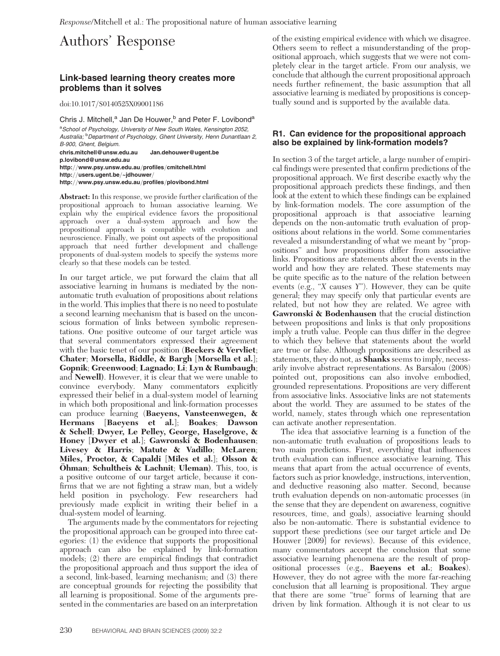# Authors' Response

### Link-based learning theory creates more problems than it solves

doi:10.1017/S0140525X09001186

Chris J. Mitchell,<sup>a</sup> Jan De Houwer,<sup>b</sup> and Peter F. Lovibond<sup>a</sup> <sup>a</sup>School of Psychology, University of New South Wales, Kensington 2052, Australia; <sup>b</sup>Department of Psychology, Ghent University, Henn Dunantlaan 2, B-900, Ghent, Belgium. chris.mitchell@unsw.edu.au Jan.dehouwer@ugent.be p.lovibond@unsw.edu.au http://www.psy.unsw.edu.au/profiles/cmitchell.html

http://users.ugent.be/~jdhouwer/ http://www.psy.unsw.edu.au/profiles/plovibond.html

Abstract: In this response, we provide further clarification of the propositional approach to human associative learning. We explain why the empirical evidence favors the propositional approach over a dual-system approach and how the propositional approach is compatible with evolution and neuroscience. Finally, we point out aspects of the propositional approach that need further development and challenge proponents of dual-system models to specify the systems more clearly so that these models can be tested.

In our target article, we put forward the claim that all associative learning in humans is mediated by the nonautomatic truth evaluation of propositions about relations in the world. This implies that there is no need to postulate a second learning mechanism that is based on the unconscious formation of links between symbolic representations. One positive outcome of our target article was that several commentators expressed their agreement with the basic tenet of our position (Beckers & Vervliet; Chater; Morsella, Riddle, & Bargh [Morsella et al.]; Gopnik; Greenwood; Lagnado; Li; Lyn & Rumbaugh; and Newell). However, it is clear that we were unable to convince everybody. Many commentators explicitly expressed their belief in a dual-system model of learning in which both propositional and link-formation processes can produce learning (Baeyens, Vansteenwegen, & Hermans [Baeyens et al.]; Boakes; Dawson & Schell; Dwyer, Le Pelley, George, Haselgrove, & Honey [Dwyer et al.]; Gawronski & Bodenhausen; Livesey & Harris; Matute & Vadillo; McLaren; Miles, Proctor, & Capaldi [Miles et al.]; Olsson & **Ohman; Schultheis & Lachnit; Uleman).** This, too, is a positive outcome of our target article, because it confirms that we are not fighting a straw man, but a widely held position in psychology. Few researchers had previously made explicit in writing their belief in a dual-system model of learning.

The arguments made by the commentators for rejecting the propositional approach can be grouped into three categories: (1) the evidence that supports the propositional approach can also be explained by link-formation models; (2) there are empirical findings that contradict the propositional approach and thus support the idea of a second, link-based, learning mechanism; and (3) there are conceptual grounds for rejecting the possibility that all learning is propositional. Some of the arguments presented in the commentaries are based on an interpretation of the existing empirical evidence with which we disagree. Others seem to reflect a misunderstanding of the propositional approach, which suggests that we were not completely clear in the target article. From our analysis, we conclude that although the current propositional approach needs further refinement, the basic assumption that all associative learning is mediated by propositions is conceptually sound and is supported by the available data.

### R1. Can evidence for the propositional approach also be explained by link-formation models?

In section 3 of the target article, a large number of empirical findings were presented that confirm predictions of the propositional approach. We first describe exactly why the propositional approach predicts these findings, and then look at the extent to which these findings can be explained by link-formation models. The core assumption of the propositional approach is that associative learning depends on the non-automatic truth evaluation of propositions about relations in the world. Some commentaries revealed a misunderstanding of what we meant by "propositions" and how propositions differ from associative links. Propositions are statements about the events in the world and how they are related. These statements may be quite specific as to the nature of the relation between events (e.g., " $X$  causes  $Y$ "). However, they can be quite general; they may specify only that particular events are related, but not how they are related. We agree with Gawronski & Bodenhausen that the crucial distinction between propositions and links is that only propositions imply a truth value. People can thus differ in the degree to which they believe that statements about the world are true or false. Although propositions are described as statements, they do not, as **Shanks** seems to imply, necessarily involve abstract representations. As Barsalou (2008) pointed out, propositions can also involve embodied, grounded representations. Propositions are very different from associative links. Associative links are not statements about the world. They are assumed to be states of the world, namely, states through which one representation can activate another representation.

The idea that associative learning is a function of the non-automatic truth evaluation of propositions leads to two main predictions. First, everything that influences truth evaluation can influence associative learning. This means that apart from the actual occurrence of events, factors such as prior knowledge, instructions, intervention, and deductive reasoning also matter. Second, because truth evaluation depends on non-automatic processes (in the sense that they are dependent on awareness, cognitive resources, time, and goals), associative learning should also be non-automatic. There is substantial evidence to support these predictions (see our target article and De Houwer [2009] for reviews). Because of this evidence, many commentators accept the conclusion that some associative learning phenomena are the result of propositional processes (e.g., Baeyens et al.; Boakes). However, they do not agree with the more far-reaching conclusion that all learning is propositional. They argue that there are some "true" forms of learning that are driven by link formation. Although it is not clear to us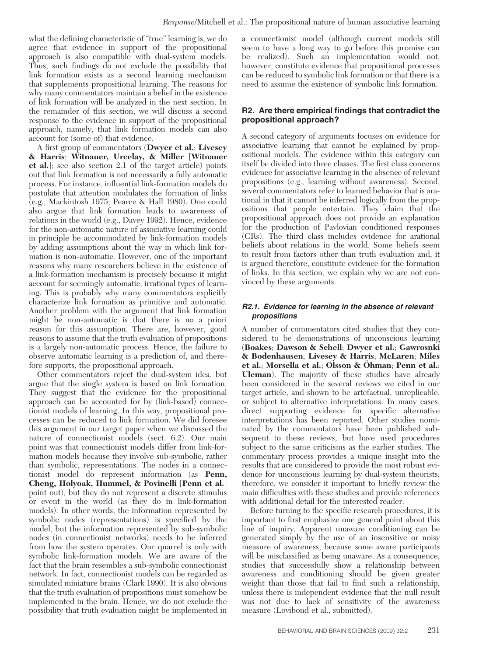what the defining characteristic of "true" learning is, we do agree that evidence in support of the propositional approach is also compatible with dual-system models. Thus, such findings do not exclude the possibility that link formation exists as a second learning mechanism that supplements propositional learning. The reasons for why many commentators maintain a belief in the existence of link formation will be analyzed in the next section. In the remainder of this section, we will discuss a second response to the evidence in support of the propositional approach, namely, that link formation models can also account for (some of) that evidence.

A first group of commentators (Dwyer et al.; Livesey & Harris; Witnauer, Urcelay, & Miller [Witnauer et al.]; see also section 2.1 of the target article) points out that link formation is not necessarily a fully automatic process. For instance, influential link-formation models do postulate that attention modulates the formation of links (e.g., Mackintosh 1975; Pearce & Hall 1980). One could also argue that link formation leads to awareness of relations in the world (e.g., Davey 1992). Hence, evidence for the non-automatic nature of associative learning could in principle be accommodated by link-formation models by adding assumptions about the way in which link formation is non-automatic. However, one of the important reasons why many researchers believe in the existence of a link-formation mechanism is precisely because it might account for seemingly automatic, irrational types of learning. This is probably why many commentators explicitly characterize link formation as primitive and automatic. Another problem with the argument that link formation might be non-automatic is that there is no a priori reason for this assumption. There are, however, good reasons to assume that the truth evaluation of propositions is a largely non-automatic process. Hence, the failure to observe automatic learning is a prediction of, and therefore supports, the propositional approach.

Other commentators reject the dual-system idea, but argue that the single system is based on link formation. They suggest that the evidence for the propositional approach can be accounted for by (link-based) connectionist models of learning. In this way, propositional processes can be reduced to link formation. We did foresee this argument in our target paper when we discussed the nature of connectionist models (sect. 6.2). Our main point was that connectionist models differ from link-formation models because they involve sub-symbolic, rather than symbolic, representations. The nodes in a connectionist model do represent information (as Penn, Cheng, Holyoak, Hummel, & Povinelli [Penn et al.] point out), but they do not represent a discrete stimulus or event in the world (as they do in link-formation models). In other words, the information represented by symbolic nodes (representations) is specified by the model, but the information represented by sub-symbolic nodes (in connectionist networks) needs to be inferred from how the system operates. Our quarrel is only with symbolic link-formation models. We are aware of the fact that the brain resembles a sub-symbolic connectionist network. In fact, connectionist models can be regarded as simulated miniature brains (Clark 1990). It is also obvious that the truth evaluation of propositions must somehow be implemented in the brain. Hence, we do not exclude the possibility that truth evaluation might be implemented in

a connectionist model (although current models still seem to have a long way to go before this promise can be realized). Such an implementation would not, however, constitute evidence that propositional processes can be reduced to symbolic link formation or that there is a need to assume the existence of symbolic link formation.

### R2. Are there empirical findings that contradict the propositional approach?

A second category of arguments focuses on evidence for associative learning that cannot be explained by propositional models. The evidence within this category can itself be divided into three classes. The first class concerns evidence for associative learning in the absence of relevant propositions (e.g., learning without awareness). Second, several commentators refer to learned behavior that is arational in that it cannot be inferred logically from the propositions that people entertain. They claim that the propositional approach does not provide an explanation for the production of Pavlovian conditioned responses (CRs). The third class includes evidence for arational beliefs about relations in the world. Some beliefs seem to result from factors other than truth evaluation and, it is argued therefore, constitute evidence for the formation of links. In this section, we explain why we are not convinced by these arguments.

### R2.1. Evidence for learning in the absence of relevant propositions

A number of commentators cited studies that they considered to be demonstrations of unconscious learning (Boakes; Dawson & Schell; Dwyer et al.; Gawrosnki & Bodenhausen; Livesey & Harris; McLaren; Miles et al.; Morsella et al.; Olsson & Öhman; Penn et al.; Uleman). The majority of these studies have already been considered in the several reviews we cited in our target article, and shown to be artefactual, unreplicable, or subject to alternative interpretations. In many cases, direct supporting evidence for specific alternative interpretations has been reported. Other studies nominated by the commentators have been published subsequent to these reviews, but have used procedures subject to the same criticisms as the earlier studies. The commentary process provides a unique insight into the results that are considered to provide the most robust evidence for unconscious learning by dual-system theorists; therefore, we consider it important to briefly review the main difficulties with these studies and provide references with additional detail for the interested reader.

Before turning to the specific research procedures, it is important to first emphasize one general point about this line of inquiry. Apparent unaware conditioning can be generated simply by the use of an insensitive or noisy measure of awareness, because some aware participants will be misclassified as being unaware. As a consequence, studies that successfully show a relationship between awareness and conditioning should be given greater weight than those that fail to find such a relationship, unless there is independent evidence that the null result was not due to lack of sensitivity of the awareness measure (Lovibond et al., submitted).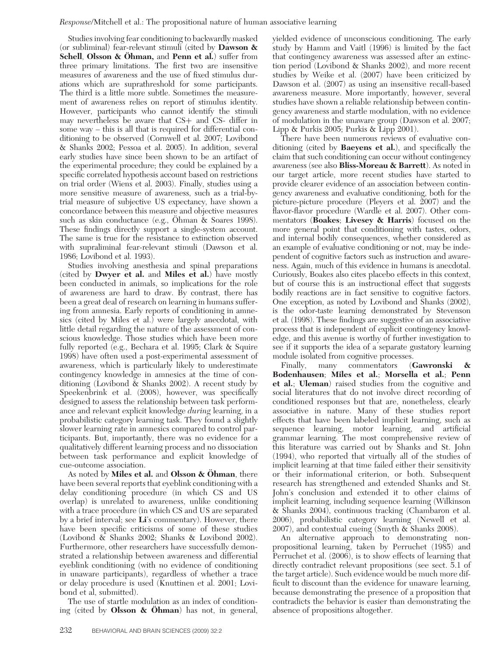Studies involving fear conditioning to backwardly masked (or subliminal) fear-relevant stimuli (cited by **Dawson**  $\&$ Schell, Olsson & Öhman, and Penn et al.) suffer from three primary limitations. The first two are insensitive measures of awareness and the use of fixed stimulus durations which are suprathreshold for some participants. The third is a little more subtle. Sometimes the measurement of awareness relies on report of stimulus identity. However, participants who cannot identify the stimuli may nevertheless be aware that  $CS$  and  $CS$ - differ in some way – this is all that is required for differential conditioning to be observed (Cornwell et al. 2007; Lovibond & Shanks 2002; Pessoa et al. 2005). In addition, several early studies have since been shown to be an artifact of the experimental procedure; they could be explained by a specific correlated hypothesis account based on restrictions on trial order (Wiens et al. 2003). Finally, studies using a more sensitive measure of awareness, such as a trial-bytrial measure of subjective US expectancy, have shown a concordance between this measure and objective measures such as skin conductance (e.g., Ohman  $\&$  Soares 1998). These findings directly support a single-system account. The same is true for the resistance to extinction observed with supraliminal fear-relevant stimuli (Dawson et al. 1986; Lovibond et al. 1993).

Studies involving anesthesia and spinal preparations (cited by Dwyer et al. and Miles et al.) have mostly been conducted in animals, so implications for the role of awareness are hard to draw. By contrast, there has been a great deal of research on learning in humans suffering from amnesia. Early reports of conditioning in amnesics (cited by Miles et al.) were largely anecdotal, with little detail regarding the nature of the assessment of conscious knowledge. Those studies which have been more fully reported (e.g., Bechara et al. 1995; Clark & Squire 1998) have often used a post-experimental assessment of awareness, which is particularly likely to underestimate contingency knowledge in amnesics at the time of conditioning (Lovibond & Shanks 2002). A recent study by Speekenbrink et al. (2008), however, was specifically designed to assess the relationship between task performance and relevant explicit knowledge during learning, in a probabilistic category learning task. They found a slightly slower learning rate in amnesics compared to control participants. But, importantly, there was no evidence for a qualitatively different learning process and no dissociation between task performance and explicit knowledge of cue-outcome association.

As noted by **Miles et al.** and **Olsson & Öhman**, there have been several reports that eyeblink conditioning with a delay conditioning procedure (in which CS and US overlap) is unrelated to awareness, unlike conditioning with a trace procedure (in which CS and US are separated by a brief interval; see Li's commentary). However, there have been specific criticisms of some of these studies (Lovibond & Shanks 2002; Shanks & Lovibond 2002). Furthermore, other researchers have successfully demonstrated a relationship between awareness and differential eyeblink conditioning (with no evidence of conditioning in unaware participants), regardless of whether a trace or delay procedure is used (Knuttinen et al. 2001; Lovibond et al, submitted).

The use of startle modulation as an index of conditioning (cited by Olsson  $\&$  Öhman) has not, in general, yielded evidence of unconscious conditioning. The early study by Hamm and Vaitl (1996) is limited by the fact that contingency awareness was assessed after an extinction period (Lovibond & Shanks 2002), and more recent studies by Weike et al. (2007) have been criticized by Dawson et al. (2007) as using an insensitive recall-based awareness measure. More importantly, however, several studies have shown a reliable relationship between contingency awareness and startle modulation, with no evidence of modulation in the unaware group (Dawson et al. 2007; Lipp & Purkis 2005; Purkis & Lipp 2001).

There have been numerous reviews of evaluative conditioning (cited by Baeyens et al.), and specifically the claim that such conditioning can occur without contingency awareness (see also **Bliss-Moreau & Barrett**). As noted in our target article, more recent studies have started to provide clearer evidence of an association between contingency awareness and evaluative conditioning, both for the picture-picture procedure (Pleyers et al. 2007) and the flavor-flavor procedure (Wardle et al. 2007). Other commentators (**Boakes**; **Livesey & Harris**) focused on the more general point that conditioning with tastes, odors, and internal bodily consequences, whether considered as an example of evaluative conditioning or not, may be independent of cognitive factors such as instruction and awareness. Again, much of this evidence in humans is anecdotal. Curiously, Boakes also cites placebo effects in this context, but of course this is an instructional effect that suggests bodily reactions are in fact sensitive to cognitive factors. One exception, as noted by Lovibond and Shanks (2002), is the odor-taste learning demonstrated by Stevenson et al. (1998). These findings are suggestive of an associative process that is independent of explicit contingency knowledge, and this avenue is worthy of further investigation to see if it supports the idea of a separate gustatory learning module isolated from cognitive processes.

Finally, many commentators (Gawronski & Bodenhausen; Miles et al.; Morsella et al.; Penn et al.; Uleman) raised studies from the cognitive and social literatures that do not involve direct recording of conditioned responses but that are, nonetheless, clearly associative in nature. Many of these studies report effects that have been labeled implicit learning, such as sequence learning, motor learning, and artificial grammar learning. The most comprehensive review of this literature was carried out by Shanks and St. John (1994), who reported that virtually all of the studies of implicit learning at that time failed either their sensitivity or their informational criterion, or both. Subsequent research has strengthened and extended Shanks and St. John's conclusion and extended it to other claims of implicit learning, including sequence learning (Wilkinson & Shanks 2004), continuous tracking (Chambaron et al. 2006), probabilistic category learning (Newell et al. 2007), and contextual cueing (Smyth & Shanks 2008).

An alternative approach to demonstrating nonpropositional learning, taken by Perruchet (1985) and Perruchet et al. (2006), is to show effects of learning that directly contradict relevant propositions (see sect. 5.1 of the target article). Such evidence would be much more difficult to discount than the evidence for unaware learning, because demonstrating the presence of a proposition that contradicts the behavior is easier than demonstrating the absence of propositions altogether.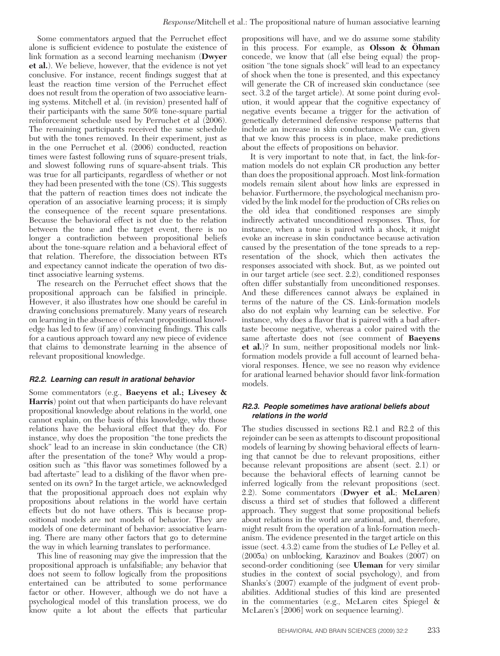Some commentators argued that the Perruchet effect alone is sufficient evidence to postulate the existence of link formation as a second learning mechanism (Dwyer et al.). We believe, however, that the evidence is not yet conclusive. For instance, recent findings suggest that at least the reaction time version of the Perruchet effect does not result from the operation of two associative learning systems. Mitchell et al. (in revision) presented half of their participants with the same 50% tone-square partial reinforcement schedule used by Perruchet et al (2006). The remaining participants received the same schedule but with the tones removed. In their experiment, just as in the one Perruchet et al. (2006) conducted, reaction times were fastest following runs of square-present trials, and slowest following runs of square-absent trials. This was true for all participants, regardless of whether or not they had been presented with the tone (CS). This suggests that the pattern of reaction times does not indicate the operation of an associative learning process; it is simply the consequence of the recent square presentations. Because the behavioral effect is not due to the relation between the tone and the target event, there is no longer a contradiction between propositional beliefs about the tone-square relation and a behavioral effect of that relation. Therefore, the dissociation between RTs and expectancy cannot indicate the operation of two distinct associative learning systems.

The research on the Perruchet effect shows that the propositional approach can be falsified in principle. However, it also illustrates how one should be careful in drawing conclusions prematurely. Many years of research on learning in the absence of relevant propositional knowledge has led to few (if any) convincing findings. This calls for a cautious approach toward any new piece of evidence that claims to demonstrate learning in the absence of relevant propositional knowledge.

### R2.2. Learning can result in arational behavior

Some commentators (e.g., Baeyens et al.; Livesey & Harris) point out that when participants do have relevant propositional knowledge about relations in the world, one cannot explain, on the basis of this knowledge, why those relations have the behavioral effect that they do. For instance, why does the proposition "the tone predicts the shock" lead to an increase in skin conductance (the CR) after the presentation of the tone? Why would a proposition such as "this flavor was sometimes followed by a bad aftertaste" lead to a disliking of the flavor when presented on its own? In the target article, we acknowledged that the propositional approach does not explain why propositions about relations in the world have certain effects but do not have others. This is because propositional models are not models of behavior. They are models of one determinant of behavior: associative learning. There are many other factors that go to determine the way in which learning translates to performance.

This line of reasoning may give the impression that the propositional approach is unfalsifiable; any behavior that does not seem to follow logically from the propositions entertained can be attributed to some performance factor or other. However, although we do not have a psychological model of this translation process, we do know quite a lot about the effects that particular

propositions will have, and we do assume some stability in this process. For example, as **Olsson & Ohman** concede, we know that (all else being equal) the proposition "the tone signals shock" will lead to an expectancy of shock when the tone is presented, and this expectancy will generate the CR of increased skin conductance (see sect. 3.2 of the target article). At some point during evolution, it would appear that the cognitive expectancy of negative events became a trigger for the activation of genetically determined defensive response patterns that include an increase in skin conductance. We can, given that we know this process is in place, make predictions about the effects of propositions on behavior.

It is very important to note that, in fact, the link-formation models do not explain CR production any better than does the propositional approach. Most link-formation models remain silent about how links are expressed in behavior. Furthermore, the psychological mechanism provided by the link model for the production of CRs relies on the old idea that conditioned responses are simply indirectly activated unconditioned responses. Thus, for instance, when a tone is paired with a shock, it might evoke an increase in skin conductance because activation caused by the presentation of the tone spreads to a representation of the shock, which then activates the responses associated with shock. But, as we pointed out in our target article (see sect. 2.2), conditioned responses often differ substantially from unconditioned responses. And these differences cannot always be explained in terms of the nature of the CS. Link-formation models also do not explain why learning can be selective. For instance, why does a flavor that is paired with a bad aftertaste become negative, whereas a color paired with the same aftertaste does not (see comment of Baeyens et al.)? In sum, neither propositional models nor linkformation models provide a full account of learned behavioral responses. Hence, we see no reason why evidence for arational learned behavior should favor link-formation models.

### R2.3. People sometimes have arational beliefs about relations in the world

The studies discussed in sections R2.1 and R2.2 of this rejoinder can be seen as attempts to discount propositional models of learning by showing behavioral effects of learning that cannot be due to relevant propositions, either because relevant propositions are absent (sect. 2.1) or because the behavioral effects of learning cannot be inferred logically from the relevant propositions (sect. 2.2). Some commentators (Dwyer et al.; McLaren) discuss a third set of studies that followed a different approach. They suggest that some propositional beliefs about relations in the world are arational, and, therefore, might result from the operation of a link-formation mechanism. The evidence presented in the target article on this issue (sect. 4.3.2) came from the studies of Le Pelley et al. (2005a) on unblocking, Karazinov and Boakes (2007) on second-order conditioning (see Uleman for very similar studies in the context of social psychology), and from Shanks's (2007) example of the judgment of event probabilities. Additional studies of this kind are presented in the commentaries (e.g., McLaren cites Spiegel & McLaren's [2006] work on sequence learning).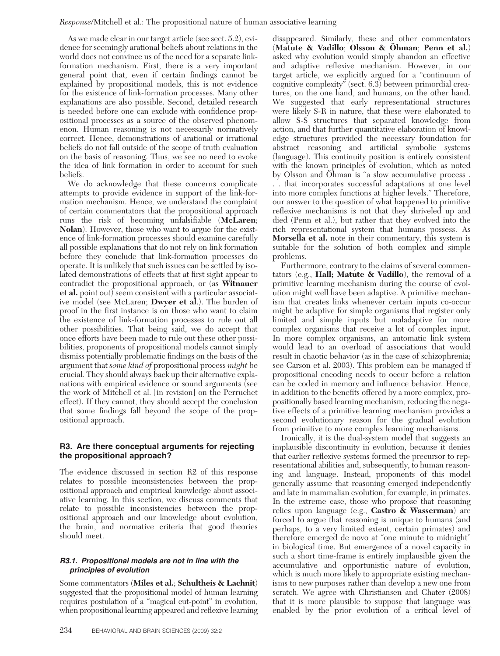As we made clear in our target article (see sect. 5.2), evidence for seemingly arational beliefs about relations in the world does not convince us of the need for a separate linkformation mechanism. First, there is a very important general point that, even if certain findings cannot be explained by propositional models, this is not evidence for the existence of link-formation processes. Many other explanations are also possible. Second, detailed research is needed before one can exclude with confidence propositional processes as a source of the observed phenomenon. Human reasoning is not necessarily normatively correct. Hence, demonstrations of arational or irrational beliefs do not fall outside of the scope of truth evaluation on the basis of reasoning. Thus, we see no need to evoke the idea of link formation in order to account for such beliefs.

We do acknowledge that these concerns complicate attempts to provide evidence in support of the link-formation mechanism. Hence, we understand the complaint of certain commentators that the propositional approach runs the risk of becoming unfalsifiable (**McLaren**; Nolan). However, those who want to argue for the existence of link-formation processes should examine carefully all possible explanations that do not rely on link formation before they conclude that link-formation processes do operate. It is unlikely that such issues can be settled by isolated demonstrations of effects that at first sight appear to contradict the propositional approach, or (as Witnauer et al. point out) seem consistent with a particular associative model (see McLaren; Dwyer et al.). The burden of proof in the first instance is on those who want to claim the existence of link-formation processes to rule out all other possibilities. That being said, we do accept that once efforts have been made to rule out these other possibilities, proponents of propositional models cannot simply dismiss potentially problematic findings on the basis of the argument that some kind of propositional process might be crucial. They should always back up their alternative explanations with empirical evidence or sound arguments (see the work of Mitchell et al. [in revision] on the Perruchet effect). If they cannot, they should accept the conclusion that some findings fall beyond the scope of the propositional approach.

### R3. Are there conceptual arguments for rejecting the propositional approach?

The evidence discussed in section R2 of this response relates to possible inconsistencies between the propositional approach and empirical knowledge about associative learning. In this section, we discuss comments that relate to possible inconsistencies between the propositional approach and our knowledge about evolution, the brain, and normative criteria that good theories should meet.

### R3.1. Propositional models are not in line with the principles of evolution

Some commentators (Miles et al.; Schultheis & Lachnit) suggested that the propositional model of human learning requires postulation of a "magical cut-point" in evolution, when propositional learning appeared and reflexive learning

disappeared. Similarly, these and other commentators (Matute & Vadillo; Olsson & Ohman; Penn et al.) asked why evolution would simply abandon an effective and adaptive reflexive mechanism. However, in our target article, we explicitly argued for a "continuum of cognitive complexity" (sect. 6.3) between primordial creatures, on the one hand, and humans, on the other hand. We suggested that early representational structures were likely S-R in nature, that these were elaborated to allow S-S structures that separated knowledge from action, and that further quantitative elaboration of knowledge structures provided the necessary foundation for abstract reasoning and artificial symbolic systems (language). This continuity position is entirely consistent with the known principles of evolution, which as noted by Olsson and Öhman is "a slow accumulative process. . . that incorporates successful adaptations at one level into more complex functions at higher levels." Therefore, our answer to the question of what happened to primitive reflexive mechanisms is not that they shriveled up and died (Penn et al.), but rather that they evolved into the rich representational system that humans possess. As Morsella et al. note in their commentary, this system is suitable for the solution of both complex and simple problems.

Furthermore, contrary to the claims of several commentators (e.g., **Hall; Matute & Vadillo**), the removal of a primitive learning mechanism during the course of evolution might well have been adaptive. A primitive mechanism that creates links whenever certain inputs co-occur might be adaptive for simple organisms that register only limited and simple inputs but maladaptive for more complex organisms that receive a lot of complex input. In more complex organisms, an automatic link system would lead to an overload of associations that would result in chaotic behavior (as in the case of schizophrenia; see Carson et al. 2003). This problem can be managed if propositional encoding needs to occur before a relation can be coded in memory and influence behavior. Hence, in addition to the benefits offered by a more complex, propositionally based learning mechanism, reducing the negative effects of a primitive learning mechanism provides a second evolutionary reason for the gradual evolution from primitive to more complex learning mechanisms.

Ironically, it is the dual-system model that suggests an implausible discontinuity in evolution, because it denies that earlier reflexive systems formed the precursor to representational abilities and, subsequently, to human reasoning and language. Instead, proponents of this model generally assume that reasoning emerged independently and late in mammalian evolution, for example, in primates. In the extreme case, those who propose that reasoning relies upon language (e.g., Castro  $\&$  Wasserman) are forced to argue that reasoning is unique to humans (and perhaps, to a very limited extent, certain primates) and therefore emerged de novo at "one minute to midnight" in biological time. But emergence of a novel capacity in such a short time-frame is entirely implausible given the accumulative and opportunistic nature of evolution, which is much more likely to appropriate existing mechanisms to new purposes rather than develop a new one from scratch. We agree with Christiansen and Chater (2008) that it is more plausible to suppose that language was enabled by the prior evolution of a critical level of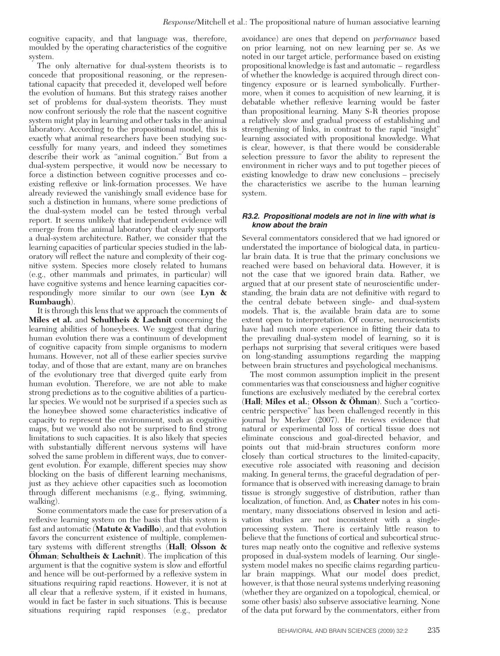cognitive capacity, and that language was, therefore, moulded by the operating characteristics of the cognitive system.

The only alternative for dual-system theorists is to concede that propositional reasoning, or the representational capacity that preceded it, developed well before the evolution of humans. But this strategy raises another set of problems for dual-system theorists. They must now confront seriously the role that the nascent cognitive system might play in learning and other tasks in the animal laboratory. According to the propositional model, this is exactly what animal researchers have been studying successfully for many years, and indeed they sometimes describe their work as "animal cognition." But from a dual-system perspective, it would now be necessary to force a distinction between cognitive processes and coexisting reflexive or link-formation processes. We have already reviewed the vanishingly small evidence base for such a distinction in humans, where some predictions of the dual-system model can be tested through verbal report. It seems unlikely that independent evidence will emerge from the animal laboratory that clearly supports a dual-system architecture. Rather, we consider that the learning capacities of particular species studied in the laboratory will reflect the nature and complexity of their cognitive system. Species more closely related to humans (e.g., other mammals and primates, in particular) will have cognitive systems and hence learning capacities correspondingly more similar to our own (see Lyn & Rumbaugh).

It is through this lens that we approach the comments of Miles et al. and Schultheis & Lachnit concerning the learning abilities of honeybees. We suggest that during human evolution there was a continuum of development of cognitive capacity from simple organisms to modern humans. However, not all of these earlier species survive today, and of those that are extant, many are on branches of the evolutionary tree that diverged quite early from human evolution. Therefore, we are not able to make strong predictions as to the cognitive abilities of a particular species. We would not be surprised if a species such as the honeybee showed some characteristics indicative of capacity to represent the environment, such as cognitive maps, but we would also not be surprised to find strong limitations to such capacities. It is also likely that species with substantially different nervous systems will have solved the same problem in different ways, due to convergent evolution. For example, different species may show blocking on the basis of different learning mechanisms, just as they achieve other capacities such as locomotion through different mechanisms (e.g., flying, swimming, walking).

Some commentators made the case for preservation of a reflexive learning system on the basis that this system is fast and automatic (Matute  $\&$  Vadillo), and that evolution favors the concurrent existence of multiple, complementary systems with different strengths (Hall; Olsson &  $Ohman$ ; Schultheis  $& Lachnit$ ). The implication of this argument is that the cognitive system is slow and effortful and hence will be out-performed by a reflexive system in situations requiring rapid reactions. However, it is not at all clear that a reflexive system, if it existed in humans, would in fact be faster in such situations. This is because situations requiring rapid responses (e.g., predator

avoidance) are ones that depend on performance based on prior learning, not on new learning per se. As we noted in our target article, performance based on existing propositional knowledge is fast and automatic – regardless of whether the knowledge is acquired through direct contingency exposure or is learned symbolically. Furthermore, when it comes to acquisition of new learning, it is debatable whether reflexive learning would be faster than propositional learning. Many S-R theories propose a relatively slow and gradual process of establishing and strengthening of links, in contrast to the rapid "insight" learning associated with propositional knowledge. What is clear, however, is that there would be considerable selection pressure to favor the ability to represent the environment in richer ways and to put together pieces of existing knowledge to draw new conclusions – precisely the characteristics we ascribe to the human learning system.

### R3.2. Propositional models are not in line with what is know about the brain

Several commentators considered that we had ignored or understated the importance of biological data, in particular brain data. It is true that the primary conclusions we reached were based on behavioral data. However, it is not the case that we ignored brain data. Rather, we argued that at our present state of neuroscientific understanding, the brain data are not definitive with regard to the central debate between single- and dual-system models. That is, the available brain data are to some extent open to interpretation. Of course, neuroscientists have had much more experience in fitting their data to the prevailing dual-system model of learning, so it is perhaps not surprising that several critiques were based on long-standing assumptions regarding the mapping between brain structures and psychological mechanisms.

The most common assumption implicit in the present commentaries was that consciousness and higher cognitive functions are exclusively mediated by the cerebral cortex (Hall; Miles et al.; Olsson  $\&$  Öhman). Such a "corticocentric perspective" has been challenged recently in this journal by Merker (2007). He reviews evidence that natural or experimental loss of cortical tissue does not eliminate conscious and goal-directed behavior, and points out that mid-brain structures conform more closely than cortical structures to the limited-capacity, executive role associated with reasoning and decision making. In general terms, the graceful degradation of performance that is observed with increasing damage to brain tissue is strongly suggestive of distribution, rather than localization, of function. And, as Chater notes in his commentary, many dissociations observed in lesion and activation studies are not inconsistent with a singleprocessing system. There is certainly little reason to believe that the functions of cortical and subcortical structures map neatly onto the cognitive and reflexive systems proposed in dual-system models of learning. Our singlesystem model makes no specific claims regarding particular brain mappings. What our model does predict, however, is that those neural systems underlying reasoning (whether they are organized on a topological, chemical, or some other basis) also subserve associative learning. None of the data put forward by the commentators, either from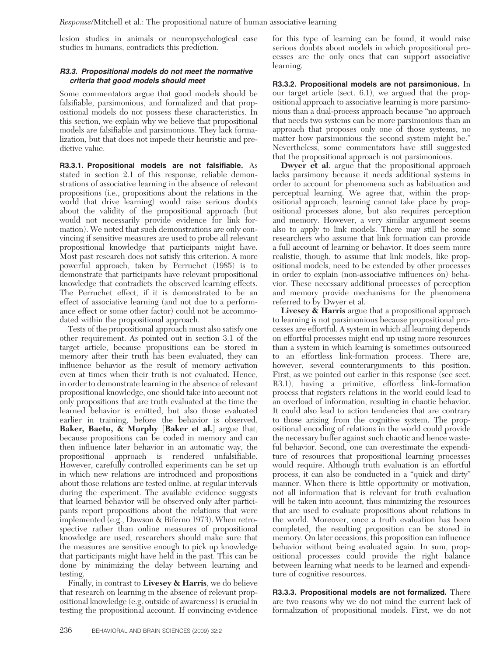lesion studies in animals or neuropsychological case studies in humans, contradicts this prediction.

### R3.3. Propositional models do not meet the normative criteria that good models should meet

Some commentators argue that good models should be falsifiable, parsimonious, and formalized and that propositional models do not possess these characteristics. In this section, we explain why we believe that propositional models are falsifiable and parsimonious. They lack formalization, but that does not impede their heuristic and predictive value.

R3.3.1. Propositional models are not falsifiable. As stated in section 2.1 of this response, reliable demonstrations of associative learning in the absence of relevant propositions (i.e., propositions about the relations in the world that drive learning) would raise serious doubts about the validity of the propositional approach (but would not necessarily provide evidence for link formation). We noted that such demonstrations are only convincing if sensitive measures are used to probe all relevant propositional knowledge that participants might have. Most past research does not satisfy this criterion. A more powerful approach, taken by Perruchet (1985) is to demonstrate that participants have relevant propositional knowledge that contradicts the observed learning effects. The Perruchet effect, if it is demonstrated to be an effect of associative learning (and not due to a performance effect or some other factor) could not be accommodated within the propositional approach.

Tests of the propositional approach must also satisfy one other requirement. As pointed out in section 3.1 of the target article, because propositions can be stored in memory after their truth has been evaluated, they can influence behavior as the result of memory activation even at times when their truth is not evaluated. Hence, in order to demonstrate learning in the absence of relevant propositional knowledge, one should take into account not only propositions that are truth evaluated at the time the learned behavior is emitted, but also those evaluated earlier in training, before the behavior is observed. Baker, Baetu, & Murphy [Baker et al.] argue that, because propositions can be coded in memory and can then influence later behavior in an automatic way, the propositional approach is rendered unfalsifiable. However, carefully controlled experiments can be set up in which new relations are introduced and propositions about those relations are tested online, at regular intervals during the experiment. The available evidence suggests that learned behavior will be observed only after participants report propositions about the relations that were implemented (e.g., Dawson & Biferno 1973). When retrospective rather than online measures of propositional knowledge are used, researchers should make sure that the measures are sensitive enough to pick up knowledge that participants might have held in the past. This can be done by minimizing the delay between learning and testing.

Finally, in contrast to Livesey & Harris, we do believe that research on learning in the absence of relevant propositional knowledge (e.g. outside of awareness) is crucial in testing the propositional account. If convincing evidence

for this type of learning can be found, it would raise serious doubts about models in which propositional processes are the only ones that can support associative learning.

R3.3.2. Propositional models are not parsimonious. In our target article (sect. 6.1), we argued that the propositional approach to associative learning is more parsimonious than a dual-process approach because "no approach that needs two systems can be more parsimonious than an approach that proposes only one of those systems, no matter how parsimonious the second system might be." Nevertheless, some commentators have still suggested that the propositional approach is not parsimonious.

**Dwyer et al.** argue that the propositional approach lacks parsimony because it needs additional systems in order to account for phenomena such as habituation and perceptual learning. We agree that, within the propositional approach, learning cannot take place by propositional processes alone, but also requires perception and memory. However, a very similar argument seems also to apply to link models. There may still be some researchers who assume that link formation can provide a full account of learning or behavior. It does seem more realistic, though, to assume that link models, like propositional models, need to be extended by other processes in order to explain (non-associative influences on) behavior. These necessary additional processes of perception and memory provide mechanisms for the phenomena referred to by Dwyer et al.

Livesey & Harris argue that a propositional approach to learning is not parsimonious because propositional processes are effortful. A system in which all learning depends on effortful processes might end up using more resources than a system in which learning is sometimes outsourced to an effortless link-formation process. There are, however, several counterarguments to this position. First, as we pointed out earlier in this response (see sect. R3.1), having a primitive, effortless link-formation process that registers relations in the world could lead to an overload of information, resulting in chaotic behavior. It could also lead to action tendencies that are contrary to those arising from the cognitive system. The propositional encoding of relations in the world could provide the necessary buffer against such chaotic and hence wasteful behavior. Second, one can overestimate the expenditure of resources that propositional learning processes would require. Although truth evaluation is an effortful process, it can also be conducted in a "quick and dirty" manner. When there is little opportunity or motivation, not all information that is relevant for truth evaluation will be taken into account, thus minimizing the resources that are used to evaluate propositions about relations in the world. Moreover, once a truth evaluation has been completed, the resulting proposition can be stored in memory. On later occasions, this proposition can influence behavior without being evaluated again. In sum, propositional processes could provide the right balance between learning what needs to be learned and expenditure of cognitive resources.

R3.3.3. Propositional models are not formalized. There are two reasons why we do not mind the current lack of formalization of propositional models. First, we do not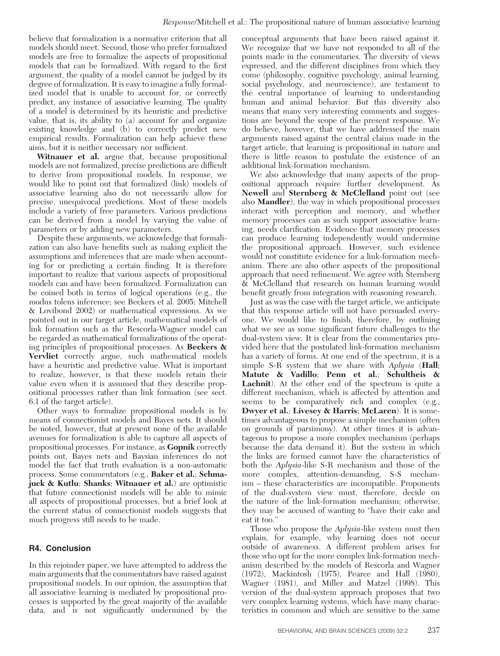believe that formalization is a normative criterion that all models should meet. Second, those who prefer formalized models are free to formalize the aspects of propositional models that can be formalized. With regard to the first argument, the quality of a model cannot be judged by its degree of formalization. It is easy to imagine a fully formalized model that is unable to account for, or correctly predict, any instance of associative learning. The quality of a model is determined by its heuristic and predictive value, that is, its ability to (a) account for and organize existing knowledge and (b) to correctly predict new empirical results. Formalization can help achieve these aims, but it is neither necessary nor sufficient.

Witnauer et al. argue that, because propositional models are not formalized, precise predictions are difficult to derive from propositional models. In response, we would like to point out that formalized (link) models of associative learning also do not necessarily allow for precise, unequivocal predictions. Most of these models include a variety of free parameters. Various predictions can be derived from a model by varying the value of parameters or by adding new parameters.

Despite these arguments, we acknowledge that formalization can also have benefits such as making explicit the assumptions and inferences that are made when accounting for or predicting a certain finding. It is therefore important to realize that various aspects of propositional models can and have been formalized. Formalization can be coined both in terms of logical operations (e.g., the modus tolens inference; see Beckers et al. 2005; Mitchell & Lovibond 2002) or mathematical expressions. As we pointed out in our target article, mathematical models of link formation such as the Rescorla-Wagner model can be regarded as mathematical formalizations of the operating principles of propositional processes. As Beckers & Vervliet correctly argue, such mathematical models have a heuristic and predictive value. What is important to realize, however, is that these models retain their value even when it is assumed that they describe propositional processes rather than link formation (see sect. 6.1 of the target article).

Other ways to formalize propositional models is by means of connectionist models and Bayes nets. It should be noted, however, that at present none of the available avenues for formalization is able to capture all aspects of propositional processes. For instance, as Gopnik correctly points out, Bayes nets and Baysian inferences do not model the fact that truth evaluation is a non-automatic process. Some commentators (e.g., Baker et al.; Schmajuck & Kutlu; Shanks; Witnauer et al.) are optimistic that future connectionist models will be able to mimic all aspects of propositional processes, but a brief look at the current status of connectionist models suggests that much progress still needs to be made.

### R4. Conclusion

In this rejoinder paper, we have attempted to address the main arguments that the commentators have raised against propositional models. In our opinion, the assumption that all associative learning is mediated by propositional processes is supported by the great majority of the available data, and is not significantly undermined by the

conceptual arguments that have been raised against it. We recognize that we have not responded to all of the points made in the commentaries. The diversity of views expressed, and the different disciplines from which they come (philosophy, cognitive psychology, animal learning, social psychology, and neuroscience), are testament to the central importance of learning to understanding human and animal behavior. But this diversity also means that many very interesting comments and suggestions are beyond the scope of the present response. We do believe, however, that we have addressed the main arguments raised against the central claims made in the target article, that learning is propositional in nature and there is little reason to postulate the existence of an additional link-formation mechanism.

We also acknowledge that many aspects of the propositional approach require further development. As Newell and Sternberg & McClelland point out (see also Mandler), the way in which propositional processes interact with perception and memory, and whether memory processes can as such support associative learning, needs clarification. Evidence that memory processes can produce learning independently would undermine the propositional approach. However, such evidence would not constitute evidence for a link-formation mechanism. There are also other aspects of the propositional approach that need refinement. We agree with Sternberg & McClelland that research on human learning would benefit greatly from integration with reasoning research.

Just as was the case with the target article, we anticipate that this response article will not have persuaded everyone. We would like to finish, therefore, by outlining what we see as some significant future challenges to the dual-system view. It is clear from the commentaries provided here that the postulated link-formation mechanism has a variety of forms. At one end of the spectrum, it is a simple S-R system that we share with  $\Delta plysia$  (**Hall**; Matute & Vadillo; Penn et al.; Schultheis & Lachnit). At the other end of the spectrum is quite a different mechanism, which is affected by attention and seems to be comparatively rich and complex (e.g., Dwyer et al.; Livesey & Harris; McLaren). It is sometimes advantageous to propose a simple mechanism (often on grounds of parsimony). At other times it is advantageous to propose a more complex mechanism (perhaps because the data demand it). But the system in which the links are formed cannot have the characteristics of both the Aplysia-like S-R mechanism and those of the more complex, attention-demanding, S-S mechanism – these characteristics are incompatible. Proponents of the dual-system view must, therefore, decide on the nature of the link-formation mechanism; otherwise, they may be accused of wanting to "have their cake and eat it too."

Those who propose the *Aplysia*-like system must then explain, for example, why learning does not occur outside of awareness. A different problem arises for those who opt for the more complex link-formation mechanism described by the models of Rescorla and Wagner (1972), Mackintosh (1975), Pearce and Hall (1980), Wagner (1981), and Miller and Matzel (1998). This version of the dual-system approach proposes that two very complex learning systems, which have many characteristics in common and which are sensitive to the same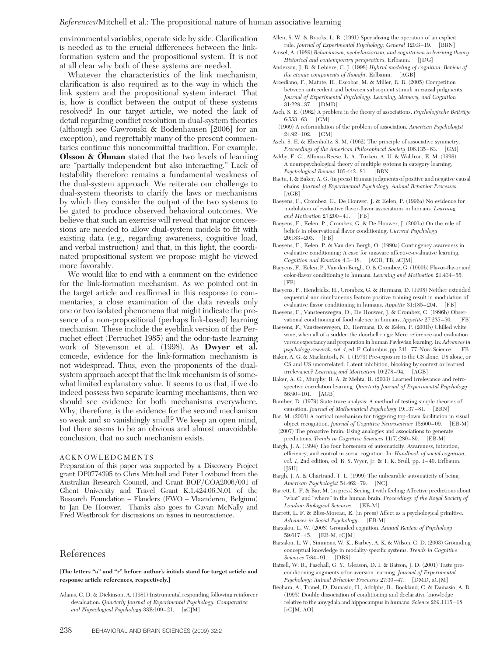environmental variables, operate side by side. Clarification is needed as to the crucial differences between the linkformation system and the propositional system. It is not at all clear why both of these systems are needed.

Whatever the characteristics of the link mechanism, clarification is also required as to the way in which the link system and the propositional system interact. That is, how is conflict between the output of these systems resolved? In our target article, we noted the lack of detail regarding conflict resolution in dual-system theories (although see Gawronski & Bodenhausen [2006] for an exception), and regrettably many of the present commentaries continue this noncommittal tradition. For example, **Olsson & Ohman** stated that the two levels of learning are "partially independent but also interacting." Lack of testability therefore remains a fundamental weakness of the dual-system approach. We reiterate our challenge to dual-system theorists to clarify the laws or mechanisms by which they consider the output of the two systems to be gated to produce observed behavioral outcomes. We believe that such an exercise will reveal that major concessions are needed to allow dual-system models to fit with existing data (e.g., regarding awareness, cognitive load, and verbal instruction) and that, in this light, the coordinated propositional system we propose might be viewed more favorably.

We would like to end with a comment on the evidence for the link-formation mechanism. As we pointed out in the target article and reaffirmed in this response to commentaries, a close examination of the data reveals only one or two isolated phenomena that might indicate the presence of a non-propositional (perhaps link-based) learning mechanism. These include the eyeblink version of the Perruchet effect (Perruchet 1985) and the odor-taste learning work of Stevenson et al. (1998). As Dwyer et al. concede, evidence for the link-formation mechanism is not widespread. Thus, even the proponents of the dualsystem approach accept that the link mechanism is of somewhat limited explanatory value. It seems to us that, if we do indeed possess two separate learning mechanisms, then we should see evidence for both mechanisms everywhere. Why, therefore, is the evidence for the second mechanism so weak and so vanishingly small? We keep an open mind, but there seems to be an obvious and almost unavoidable conclusion, that no such mechanism exists.

#### ACKNOWLEDGMENTS

Preparation of this paper was supported by a Discovery Project grant DP0774395 to Chris Mitchell and Peter Lovibond from the Australian Research Council, and Grant BOF/GOA2006/001 of Ghent University and Travel Grant K.1.424.06.N.01 of the Research Foundation – Flanders (FWO – Vlaanderen, Belgium) to Jan De Houwer. Thanks also goes to Gavan McNally and Fred Westbrook for discussions on issues in neuroscience.

### References

#### [The letters "a" and "r" before author's initials stand for target article and response article references, respectively.]

Adams, C. D. & Dickinson, A. (1981) Instrumental responding following reinforcer devaluation. Quarterly Journal of Experimental Psychology: Comparative and Physiological Psychology 33B:109-21. [aCJM]

- Allen, S. W. & Brooks, L. R. (1991) Specializing the operation of an explicit rule. Journal of Experimental Psychology: General 120:3– 19. [BRN] Amsel, A. (1989) Behaviorism, neobehaviorism, and cognitivism in learning theory:
- Historical and contemporary perspectives. Erlbaum. [JDG]
- Anderson, J. R. & Lebiere, C. J. (1998) Hybrid modeling of cognition: Review of the atomic components of thought. Erlbaum. [AGB]
- Arcediano, F., Matute, H., Escobar, M. & Miller, R. R. (2005) Competition between antecedent and between subsequent stimuli in causal judgments. Journal of Experimental Psychology: Learning, Memory, and Cognition 31:228-37. [DMD]
- Asch, S. E. (1962) A problem in the theory of associations. Psychologische Beiträge 6:553– 63. [GM]
- (1969) A reformulation of the problem of association. American Psychologist 24:92– 102. [GM]
- Asch, S. E. & Ebenholtz, S. M. (1962) The principle of associative symmetry. Proceedings of the American Philosophical Society 106:135-63. [GM]
- Ashby, F. G., Alfonso-Reese, L. A., Turken, A. U. & Waldron, E. M. (1998) A neuropsychological theory of multiple systems in category learning. Psychological Review 105:442-81. [BRN]
- Baetu, I. & Baker, A. G. (in press) Human judgments of positive and negative causal chains. Journal of Experimental Psychology: Animal Behavior Processes. [AGB]
- Baeyens, F., Crombez, G., De Houwer, J. & Eelen, P. (1996a) No evidence for modulation of evaluative flavor-flavor associations in humans. Learning and Motivation 27:200-41. [FB]
- Baeyens, F., Eelen, P., Crombez, G. & De Houwer, J. (2001a) On the role of beliefs in observational flavor conditioning. Current Psychology 20:183 – 203. [FB]
- Baeyens, F., Eelen, P. & Van den Bergh, O. (1990a) Contingency awareness in evaluative conditioning: A case for unaware affective-evaluative learning. Cognition and Emotion 4:3-18. [AGB, TB, aCJM]
- Baeyens, F., Eelen, P., Van den Bergh, O. & Crombez, G. (1990b) Flavor-flavor and color-flavor conditioning in humans. Learning and Motivation 21:434-55. [FB]
- Baeyens, F., Hendrickx, H., Crombez, G. & Hermans, D. (1998) Neither extended sequential nor simultaneous feature positive training result in modulation of evaluative flavor conditioning in humans. Appetite 31:185-204. [FB]
- Baeyens, F., Vansteenwegen, D., De Houwer, J. & Crombez, G. (1996b) Observational conditioning of food valence in humans. Appetite 27:235-50. [FB]
- Baeyens, F., Vansteenwegen, D., Hermans, D. & Eelen, P. (2001b) Chilled white wine, when all of a sudden the doorbell rings: Mere reference and evaluation versus expectancy and preparation in human Pavlovian learning. In: Advances in psychology research, vol. 4, ed. F. Columbus, pp. 241–77. Nova Science. [FB]
- Baker, A. G. & Mackintosh, N. J. (1979) Pre-exposure to the CS alone, US alone, or CS and US uncorrelated: Latent inhibition, blocking by context or learned irrelevance? Learning and Motivation 10:278-94. [AGB]
- Baker, A. G., Murphy, R. A. & Mehta, R. (2003) Learned irrelevance and retrospective correlation learning. Quarterly Journal of Experimental Psychology 56:90– 101. [AGB]
- Bamber, D. (1979) State-trace analysis: A method of testing simple theories of causation. Journal of Mathematical Psychology 19:137-81. [BRN]
- Bar, M. (2003) A cortical mechanism for triggering top-down facilitation in visual object recognition. Journal of Cognitive Neuroscience 15:600-09. [EB-M] (2007) The proactive brain: Using analogies and associations to generate predictions. Trends in Cognitive Sciences 11(7):280-89. [EB-M]
- Bargh, J. A. (1994) The four horsemen of automaticity: Awareness, intention, efficiency, and control in social cognition. In: Handbook of social cognition, vol. 1, 2nd edition, ed. R. S. Wyer, Jr. & T. K. Srull, pp. 1 – 40. Erlbaum. [ISU]
- Bargh, J. A. & Chartrand, T. L. (1999) The unbearable automaticity of being. American Psychologist 54:462-79. [NC]
- Barrett, L. F. & Bar, M. (in press) Seeing it with feeling: Affective predictions about "what" and "where" in the human brain. Proceedings of the Royal Society of London: Biological Sciences. [EB-M]
- Barrett, L. F. & Bliss-Moreau, E. (in press) Affect as a psychological primitive. Advances in Social Psychology. [EB-M]
- Barsalou, L. W. (2008) Grounded cognition. Annual Review of Psychology 59:617 – 45. [EB-M, rCJM]
- Barsalou, L. W., Simmons, W. K., Barbey, A. K. & Wilson, C. D. (2003) Grounding conceptual knowledge in modality-specific systems. Trends in Cognitive Sciences 7:84-91. [DRS]
- Batsell, W. R., Paschall, G. Y., Gleason, D. I. & Batson, J. D. (2001) Taste preconditioning augments odor-aversion learning. Journal of Experimental Psychology: Animal Behavior Processes 27:30-47. [DMD, aCJM]
- Bechara, A., Tranel, D, Damasio, H., Adolphs, R., Rockland, C. & Damasio, A. R. (1995) Double dissociation of conditioning and declarative knowledge relative to the amygdala and hippocampus in humans. Science 269:1115-18. [rCJM, AO]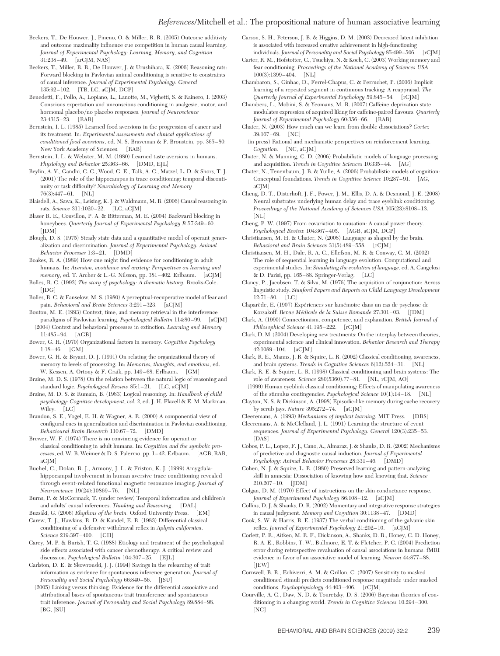- Beckers, T., De Houwer, J., Pineno, O. & Miller, R. R. (2005) Outcome additivity and outcome maximality influence cue competition in human causal learning. Journal of Experimental Psychology: Learning, Memory, and Cognition 31:238-49. [arCJM, NAS]
- Beckers, T., Miller, R. R., De Houwer, J. & Urushihara, K. (2006) Reasoning rats: Forward blocking in Pavlovian animal conditioning is sensitive to constraints of causal inference. Journal of Experimental Psychology: General 135:92 – 102. [TB, LC, aCJM, DCP]
- Benedetti, F., Pollo, A., Lopiano, L., Lanotte, M., Vighetti, S. & Rainero, I. (2003) Conscious expectation and unconscious conditioning in analgesic, motor, and hormonal placebo/no placebo responses. Journal of Neuroscience 23:4315 – 23. [RAB]
- Bernstein, I. L. (1985) Learned food aversions in the progression of cancer and its treatment. In: Experimental assessments and clinical applications of conditioned food aversions, ed. N. S. Braveman & P. Bronstein, pp. 365 – 80. New York Academy of Sciences. [RAB]
- Bernstein, I. L. & Webster, M. M. (1980) Learned taste aversions in humans. Physiology and Behavior 25:363-66. [DMD, EJL]
- Beylin, A. V., Gandhi, C. C., Wood, G. E., Talk, A. C., Matzel, L. D. & Shors, T. J. (2001) The role of the hippocampus in trace conditioning: temporal discontinuity or task difficulty? Neurobiology of Learning and Memory 76(3):447-61. [NL]
- Blaisdell, A., Sawa, K., Leising, K. J. & Waldmann, M. R. (2006) Causal reasoning in rats. Science 311:1020-22. [LC, aCJM]
- Blaser R. E., Couvillon, P. A. & Bitterman, M. E. (2004) Backward blocking in honeybees. Quarterly Journal of Experimental Psychology B 57:349 – 60. [JDM]
- Blough, D. S. (1975) Steady state data and a quantitative model of operant generalization and discrimination. Journal of Experimental Psychology: Animal Behavior Processes 1:3-21. [DMD]
- Boakes, R. A. (1989) How one might find evidence for conditioning in adult humans. In: Aversion, avoidance and anxiety: Perspectives on learning and memory, ed. T. Archer & L.-G. Nilsson, pp. 381-402. Erlbaum. [aCJM]
- Bolles, R. C. (1993) The story of psychology: A thematic history. Brooks-Cole. [JDG]
- Bolles, R. C. & Fanselow, M. S. (1980) A perceptual-recuperative model of fear and pain. Behavioral and Brain Sciences 3:291-323. [aCJM]
- Bouton, M. E. (1993) Context, time, and memory retrieval in the interference paradigms of Pavlovian learning. Psychological Bulletin 114:80-99. [aCJM] (2004) Context and behavioral processes in extinction. Learning and Memory 11:485 – 94. [AGB]
- Bower, G. H. (1970) Organizational factors in memory. Cognitive Psychology 1:18-46. [GM]
- Bower, G. H. & Bryant, D. J. (1991) On relating the organizational theory of memory to levels of processing. In: Memories, thoughts, and emotions, ed. W. Kessen, A. Ortony & F. Craik, pp. 149-68. Erlbaum. [GM]
- Braine, M. D. S. (1978) On the relation between the natural logic of reasoning and standard logic. Psychological Review 85:1-21. [LC, aCJM]
- Braine, M. D. S. & Rumain, B. (1983) Logical reasoning. In: Handbook of child psychology: Cognitive development, vol. 3, ed. J. H. Flavell & E. M. Markman. Wiley. [LC]
- Brandon, S. E., Vogel, E. H. & Wagner, A. R. (2000) A componential view of configural cues in generalization and discrimination in Pavlovian conditioning. Behavioural Brain Research 110:67 – 72. [DMD]
- Brewer, W. F. (1974) There is no convincing evidence for operant or classical conditioning in adult humans. In: Cognition and the symbolic processes, ed. W. B. Weimer & D. S. Palermo, pp. 1 – 42. Erlbaum. [AGB, RAB, aCJM]
- Buchel, C., Dolan, R. J., Armony, J. L. & Friston, K. J. (1999) Amygdalahippocampal involvement in human aversive trace conditioning revealed through event-related functional magnetic resonance imaging. Journal of Neuroscience 19(24):10869 – 76. [NL]
- Burns, P. & McCormack, T. (under review) Temporal information and children's and adults' causal inferences. Thinking and Reasoning. [DAL]
- Buzsáki, G. (2006) Rhythms of the brain. Oxford University Press. [EM] Carew, T. J., Hawkins, R. D. & Kandel, E. R. (1983) Differential classical
- conditioning of a defensive withdrawal reflex in Aplysia californica. Science 219:397-400. [GH]
- Carey, M. P. & Burish, T. G. (1988) Etiology and treatment of the psychological side effects associated with cancer chemotherapy: A critical review and discussion. Psychological Bulletin 104:307-25. [EJL]
- Carlston, D. E. & Skowronski, J. J. (1994) Savings in the relearning of trait information as evidence for spontaneous inference generation. Journal of Personality and Social Psychology 66:840-56. [JSU]
- (2005) Linking versus thinking: Evidence for the differential associative and attributional bases of spontaneous trait transference and spontaneous trait inference. Journal of Personality and Social Psychology 89:884 – 98. [BG, [SU]
- Carson, S. H., Peterson, J. B. & Higgins, D. M. (2003) Decreased latent inhibition is associated with increased creative achievement in high-functioning individuals. Journal of Personality and Social Psychology 85:499–506. [rCJM]
- Carter, R. M., Hofstotter, C., Tsuchiya, N. & Koch, C. (2003) Working memory and fear conditioning. Proceedings of the National Academy of Sciences USA 100(3):1399-404. [NL]
- Chambaron, S., Ginhac, D., Ferrel-Chapus, C. & Perruchet, P. (2006) Implicit learning of a repeated segment in continuous tracking: A reappraisal. The Quarterly Journal of Experimental Psychology 59:845-54. [rCJM]
- Chambers, L., Mobini, S. & Yeomans, M. R. (2007) Caffeine deprivation state modulates expression of acquired liking for caffeine-paired flavours. Quarterly Journal of Experimental Psychology 60:356-66. [RAB]
- Chater, N. (2003) How much can we learn from double dissociations? Cortex 39:167 – 69. [NC]
- (in press) Rational and mechanistic perspectives on reinforcement learning. Cognition. [NC, aCJM]
- Chater, N. & Manning, C. D. (2006) Probabilistic models of language processing and acquisition. Trends in Cognitive Sciences 10:335 – 44. [AG]
- Chater, N., Tenenbaum, J. B. & Yuille, A. (2006) Probabilistic models of cognition: Conceptual foundations. Trends in Cognitive Science 10:287-91. [AG, aCIM]
- Cheng, D. T., Disterhoft, J. F., Power, J. M., Ellis, D. A. & Desmond, J. E. (2008) Neural substrates underlying human delay and trace eyeblink conditioning. Proceedings of the National Academy of Sciences USA 105(23):8108– 13. [NL]
- Cheng, P. W. (1997) From covariation to causation: A causal power theory. Psychological Review 104:367-405. [AGB, aCJM, DCP]
- Christiansen, M. H. & Chater, N. (2008) Language as shaped by the brain. Behavioral and Brain Sciences 31(5):489-558. [rCJM]
- Christiansen, M. H., Dale, R. A. C., Ellefson, M. R. & Conway, C. M. (2002) The role of sequential learning in language evolution: Computational and experimental studies. In: Simulating the evolution of language, ed. A. Cangelosi & D. Parisi, pp. 165 – 88. Springer-Verlag. [LC]
- Clancy, P., Jacobsen, T. & Silva, M. (1976) The acquisition of conjunction: Across linguistic study. Stanford Papers and Reports on Child Language Development 12:71-80. [LC]
- Claparède, E. (1907) Expériences sur lamémoire dans un cas de psychose de Korsakoff. Revue Médicale de la Suisse Romande 27:301-03. [JDM]
- Clark, A. (1990) Connectionism, competence, and explanation. British Journal of Philosophical Science 41:195-222. [rCJM]
- Clark, D. M. (2004) Developing new treatments: On the interplay between theories, experimental science and clinical innovation. Behavior Research and Therapy 42:1089– 104. [aCJM]
- Clark, R. E., Manns, J. R. & Squire, L. R. (2002) Classical conditioning, awareness, and brain systems. Trends in Cognitive Sciences  $6(12):524-31.$  [NL]
- Clark, R. E. & Squire, L. R. (1998) Classical conditioning and brain systems: The role of awareness. Science 280(5360):77– 81. [NL, rCJM, AO]
- (1999) Human eyeblink classical conditioning: Effects of manipulating awareness of the stimulus contingencies. Psychological Science 10(1):14 – 18. [NL]
- Clayton, N. S. & Dickinson, A. (1998) Episodic-like memory during cache recovery by scrub jays. Nature  $395:272-74.$  [aCJM]
- Cleeremans, A. (1993) Mechanisms of implicit learning. MIT Press. [DRS]
- Cleeremans, A. & McClelland, J. L. (1991) Learning the structure of event sequences. Journal of Experimental Psychology: General 120(3):235-53. [DAS]
- Cobos, P. L., Lopez, F. J., Cano, A., Almaraz, J. & Shanks, D. R. (2002) Mechanisms of predictive and diagnostic causal induction. Journal of Experimental Psychology: Animal Behavior Processes 28:331 – 46. [DMD]
- Cohen, N. J. & Squire, L. R. (1980) Preserved learning and pattern-analyzing skill in amnesia: Dissociation of knowing how and knowing that. Science 210:207– 10. [JDM]
- Colgan, D. M. (1970) Effect of instructions on the skin conductance response. Journal of Experimental Psychology 86:108-12. [aCJM]
- Collins, D. J. & Shanks, D. R. (2002) Momentary and integrative response strategies in causal judgment. Memory and Cognition 30:1138 –47. [DMD]
- Cook, S. W. & Harris, R. E. (1937) The verbal conditioning of the galvanic skin reflex. Journal of Experimental Psychology 21:202-10. [aCJM]
- Corlett, P. R., Aitken, M. R. F., Dickinson, A., Shanks, D. R., Honey, G. D. Honey, R. A. E., Robbins, T. W., Bullmore, E. T. & Fletcher, P. C. (2004) Prediction error during retrospective revaluation of causal associations in humans: fMRI evidence in favor of an associative model of learning. Neuron 44:877 – 88. [JEW]
- Cornwell, B. R., Echiverri, A. M. & Grillon, C. (2007) Sensitivity to masked conditioned stimuli predicts conditioned response magnitude under masked conditions. Psychophysiology 44:403-406. [rCJM]
- Courville, A. C., Daw, N. D. & Touretzky, D. S. (2006) Bayesian theories of conditioning in a changing world. Trends in Cognitive Sciences 10:294 – 300. [NC]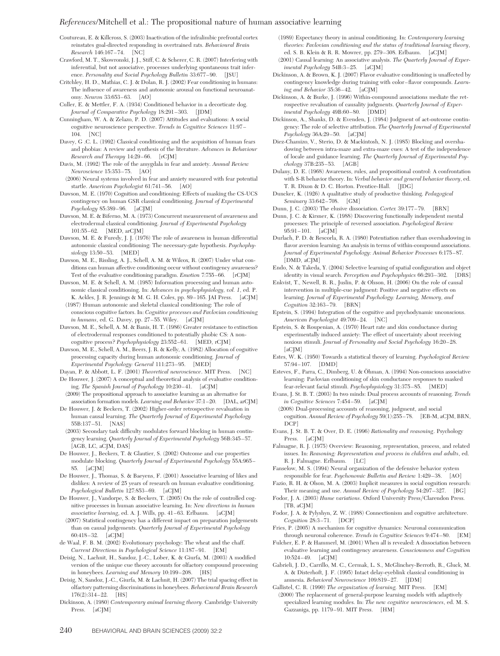- Coutureau, E. & Killcross, S. (2003) Inactivation of the infralimbic prefrontal cortex reinstates goal-directed responding in overtrained rats. Behavioural Brain Research 146:167-74. [NC]
- Crawford, M. T., Skowronski, J. J., Stiff, C. & Scherer, C. R. (2007) Interfering with inferential, but not associative, processes underlying spontaneous trait inference. Personality and Social Psychology Bulletin 33:677-90. [JSU]
- Critchley, H. D., Mathias, C. J. & Dolan, R. J. (2002) Fear conditioning in humans: The influence of awareness and autonomic arousal on functional neuroanatomy. Neuron 33:653-63. [AO]
- Culler, E. & Mettler, F. A. (1934) Conditioned behavior in a decorticate dog. Journal of Comparative Psychology 18:291 – 303. [JDM]
- Cunningham, W. A. & Zelazo, P. D. (2007) Attitudes and evaluations: A social cognitive neuroscience perspective. Trends in Cognitive Sciences 11:97 – 104. [NC]
- Davey, G .C. L. (1992) Classical conditioning and the acquisition of human fears and phobias: A review and synthesis of the literature. Advances in Behaviour Research and Therapy 14:29-66. [rCJM]
- Davis, M. (1992) The role of the amygdala in fear and anxiety. Annual Review Neuroscience 15:353-75. [AO]
- (2006) Neural systems involved in fear and anxiety measured with fear potential startle. American Psychologist 61:741 –56. [AO]
- Dawson, M. E. (1970) Cognition and conditioning: Effects of masking the CS-UCS contingency on human GSR classical conditioning. Journal of Experimental Psychology 85:389-96. [aCJM]
- Dawson, M. E. & Biferno, M. A. (1973) Concurrent measurement of awareness and electrodermal classical conditioning. Journal of Experimental Psychology 101:55-62. [MED, arCJM]
- Dawson, M. E. & Furedy, J. J. (1976) The role of awareness in human differential autonomic classical conditioning: The necessary-gate hypothesis. Psychophysiology 13:50-53. [MED]
- Dawson, M. E., Rissling, A. J., Schell, A. M. & Wilcox, R. (2007) Under what conditions can human affective conditioning occur without contingency awareness? Test of the evaluative conditioning paradigm. *Emotion* 7:755–66. [rCJM]
- Dawson, M. E. & Schell, A. M. (1985) Information processing and human autonomic classical conditioning. In: Advances in psychophysiology, vol. 1, ed. P. K. Ackles, J. R. Jennings & M. G. H. Coles, pp. 89-165. JAI Press. [aCJM]

(1987) Human autonomic and skeletal classical conditioning: The role of conscious cognitive factors. In: Cognitive processes and Pavlovian conditioning  $in\; humans,\;$ ed. G. Davey, pp. 27–55. Wiley. $[\;aCJM]\;$ 

Dawson, M. E., Schell, A. M. & Banis, H. T. (1986) Greater resistance to extinction of electrodermal responses conditioned to potentially phobic CS: A noncognitive process? Psychophysiology 23:552 –61. [MED, rCJM]

- Dawson, M. E., Schell, A. M., Beers, J. R. & Kelly, A. (1982) Allocation of cognitive processing capacity during human autonomic conditioning. Journal of Experimental Psychology: General 111:273-95. [MED]
- Dayan, P. & Abbott, L. F. (2001) Theoretical neuroscience. MIT Press. [NC]
- De Houwer, J. (2007) A conceptual and theoretical analysis of evaluative conditioning. The Spanish Journal of Psychology 10:230–41. [aCJM] (2009) The propositional approach to associative learning as an alternative for
- association formation models. Learning and Behavior 37:1-20. [DAL, arCJM]
- De Houwer, J. & Beckers, T. (2002) Higher-order retrospective revaluation in human causal learning. The Quarterly Journal of Experimental Psychology 55B:137-51. [NAS]
- (2003) Secondary task difficulty modulates forward blocking in human contingency learning. Quarterly Journal of Experimental Psychology 56B:345-57. [AGB, LC, aCJM, DAS]
- De Houwer, J., Beckers, T. & Glautier, S. (2002) Outcome and cue properties modulate blocking. Quarterly Journal of Experimental Psychology 55A:965 – 85. [aCJM]
- De Houwer, J., Thomas, S. & Baeyens, F. (2001) Associative learning of likes and dislikes: A review of 25 years of research on human evaluative conditioning. Psychological Bulletin 127:853-69. [aCJM]
- De Houwer, J., Vandorpe, S. & Beckers, T. (2005) On the role of controlled cognitive processes in human associative learning. In: New directions in human associative learning, ed. A. J. Wills, pp. 41– 63. Erlbaum. [aCJM]
- (2007) Statistical contingency has a different impact on preparation judgements than on causal judgements. Quarterly Journal of Experimental Psychology 60:418 – 32. [aCJM]
- de Waal, F. B. M. (2002) Evolutionary psychology: The wheat and the chaff. Current Directions in Psychological Science 11:187 – 91. [EM]
- Deisig, N., Lachnit, H., Sandoz, J.-C., Lober, K. & Giurfa, M. (2003) A modified version of the unique cue theory accounts for olfactory compound processing in honeybees. Learning and Memory 10:199-208. [HS]
- Deisig, N, Sandoz, J.-C., Giurfa, M. & Lachnit, H. (2007) The trial spacing effect in olfactory patterning discriminations in honeybees. Behavioural Brain Research 176(2):314– 22. [HS]
- Dickinson, A. (1980) Contemporary animal learning theory. Cambridge University Press. [aCJM]
- (1989) Expectancy theory in animal conditioning. In: Contemporary learning theories: Pavlovian conditioning and the status of traditional learning theory, ed. S. B. Klein & R. R. Mowrer, pp. 279 – 308. Erlbaum. [aCJM] (2001) Causal learning: An associative analysis. The Quarterly Journal of Exper-
- imental Psychology 54B:3-25. [aCJM] Dickinson, A. & Brown, K. J. (2007) Flavor evaluative conditioning is unaffected by
- contingency knowledge during training with color –flavor compounds. Learning and Behavior 35:36-42. [aCJM]
- Dickinson, A. & Burke, J. (1996) Within-compound associations mediate the retrospective revaluation of causality judgments. Quarterly Journal of Experimental Psychology 49B:60-80. [DMD]
- Dickinson, A., Shanks, D. & Evenden, J. (1984) Judgment of act-outcome contingency: The role of selective attribution. The Quarterly Journal of Experimental Psychology 36A:29-50. [aCJM]
- Diez-Chamizo, V., Sterio, D. & Mackintosh, N. J. (1985) Blocking and overshadowing between intra-maze and extra-maze cues: A test of the independence of locale and guidance learning. The Quarterly Journal of Experimental Psychology 37B:235-53. [AGB]
- Dulany, D. E. (1968) Awareness, rules, and propositional control: A confrontation with S-R behavior theory. In: Verbal behavior and general behavior theory, ed. T. R. Dixon & D. C. Horton. Prentice-Hall. [JDG]
- Duncker, K. (1926) A qualitative study of productive thinking. Pedagogical Seminary 33:642-708. [GM]
- Dunn, J. C. (2003) The elusive dissociation. Cortex 39:177-79. [BRN]
- Dunn, J. C. & Kirsner, K. (1988) Discovering functionally independent mental processes: The principle of reversed association. Psychological Review 95:91-101. [aCJM]
- Durlach, P. D. & Rescorla, R. A. (1980) Potentiation rather than overshadowing in flavor aversion learning: An analysis in terms of within-compound associations. Journal of Experimental Psychology: Animal Behavior Processes 6:175– 87. [DMD, aCJM]
- Endo, N. & Takeda, Y. (2004) Selective learning of spatial configuration and object identity in visual search. Perception and Psychophysics 66:293-302. [DRS]
- Enkvist, T., Newell, B. R., Juslin, P. & Olsson, H. (2006) On the role of causal intervention in multiple-cue judgment: Positive and negative effects on learning. Journal of Experimental Psychology: Learning, Memory, and Cognition 32:163-79. [BRN]
- Epstein, S. (1994) Integration of the cognitive and psychodynamic unconscious. American Psychologist 49:709-24. [NC]
- Epstein, S. & Roupenian, A. (1970) Heart rate and skin conductance during experimentally induced anxiety: The effect of uncertainty about receiving noxious stimuli. Journal of Personality and Social Psychology 16:20-28. [aCJM]
- Estes, W. K. (1950) Towards a statistical theory of learning. Psychological Review 57:94– 107. [DMD]
- Esteves, F., Parra, C., Dimberg, U. & Öhman, A. (1994) Non-conscious associative learning: Pavlovian conditioning of skin conductance responses to masked fear-relevant facial stimuli. Psychophysiology 31:375 – 85. [MED]
- Evans, J. St. B. T. (2003) In two minds: Dual process accounts of reasoning. Trends  $in$  Cognitive Sciences 7:454–59.  $\,$  [aCJM]  $\,$

(2008) Dual-processing accounts of reasoning, judgment, and social cognition. Annual Review of Psychology 59(1):255 – 78. [EB-M, aCJM, BRN, DCP]

- Evans, J. St. B. T. & Over, D. E. (1996) Rationality and reasoning. Psychology Press. [aCJM]
- Falmagne, R. J. (1975) Overview: Reasoning, representation, process, and related issues. In: Reasoning: Representation and process in children and adults, ed. R. J. Falmagne. Erlbaum. [LC]
- Fanselow, M. S. (1994) Neural organization of the defensive behavior system responsible for fear. Psychonomic Bulletin and Review 1:429-38.
- Fazio, R. H. & Olson, M. A. (2003) Implicit measures in social cognition research: Their meaning and use. Annual Review of Psychology 54:297-327. [BG]
- Fodor, J. A. (2003) Hume variations. Oxford University Press/Clarendon Press. [TB, aCJM]
- Fodor, J. A. & Pylyshyn, Z. W. (1988) Connectionism and cognitive architecture. Cognition 28:3-71. [DCP]
- Fries, P. (2005) A mechanism for cognitive dynamics: Neuronal communication through neuronal coherence. Trends in Cognitive Sciences 9:474 – 80. [EM]
- Fulcher, E. P. & Hammerl, M. (2001) When all is revealed: A dissociation between evaluative learning and contingency awareness. Consciousness and Cognition 10:524 – 49. [aCJM]
- Gabrieli, J. D., Carrillo, M. C., Cermak, L. S., McGlinchey-Berroth, R., Gluck, M. A. & Disterhoft, J. F. (1995) Intact delay-eyeblink classical conditioning in amnesia. Behavioral Neuroscience 109:819-27. [JDM]
- Gallistel, C. R. (1990) The organization of learning. MIT Press. [EM] (2000) The replacement of general-purpose learning models with adaptively specialized learning modules. In: The new cognitive neurosciences, ed. M. S. Gazzaniga, pp. 1179-91. MIT Press. [HM]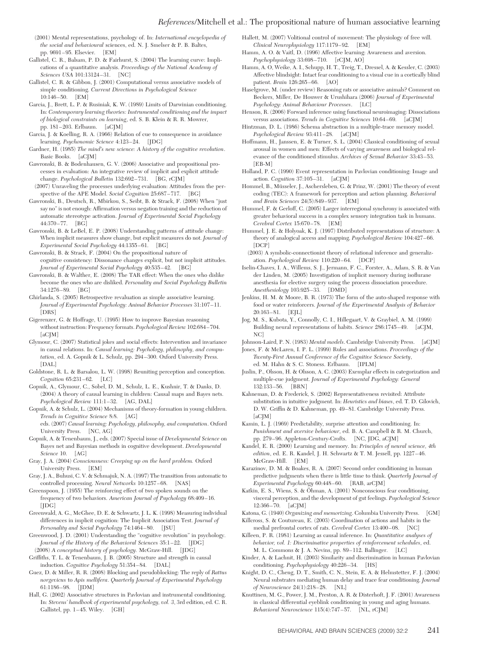(2001) Mental representations, psychology of. In: International encyclopedia of the social and behavioural sciences, ed. N. J. Smelser & P. B. Baltes, pp. 9691-95. Elsevier. [EM]

Gallistel, C. R., Balsam, P. D. & Fairhurst, S. (2004) The learning curve: Implications of a quantitative analysis. Proceedings of the National Academy of Sciences USA 101:13124-31. [NC]

- Gallistel, C. R. & Gibbon, J. (2001) Computational versus associative models of simple conditioning. Current Directions in Psychological Science 10:146-50. [EM]
- Garcia, J., Brett, L. P. & Rusiniak, K. W. (1989) Limits of Darwinian conditioning. In: Contemporary learning theories: Instrumental conditioning and the impact of biological constraints on learning, ed. S. B. Klein & R. R. Mowrer, pp. 181-203. Erlbaum. [aCJM]
- Garcia, J. & Koelling, R. A. (1966) Relation of cue to consequence in avoidance learning. Psychonomic Science 4:123-24. [JDG]
- Gardner, H. (1985) The mind's new science: A history of the cognitive revolution. Basic Books. [aCJM]
- Gawronski, B. & Bodenhausen, G. V. (2006) Associative and propositional processes in evaluation: An integrative review of implicit and explicit attitude change. Psychological Bulletin 132:692-731. [BG, rCJM]
- (2007) Unraveling the processes underlying evaluation: Attitudes from the perspective of the APE Model. Social Cognition 25:687-717. [BG]
- Gawronski, B., Deutsch, R., Mbirkou, S., Seibt, B. & Strack, F. (2008) When "just say no" is not enough: Affirmation versus negation training and the reduction of automatic stereotype activation. Journal of Experimental Social Psychology 44:370-77. [BG]
- Gawronski, B. & LeBel, E. P. (2008) Understanding patterns of attitude change: When implicit measures show change, but explicit measures do not. Journal of Experimental Social Psychology 44:1355 – 61. [BG]
- Gawronski, B. & Strack, F. (2004) On the propositional nature of cognitive consistency: Dissonance changes explicit, but not implicit attitudes. Journal of Experimental Social Psychology 40:535 – 42. [BG]
- Gawronski, B. & Walther, E. (2008) The TAR effect: When the ones who dislike become the ones who are disliked. Personality and Social Psychology Bulletin 34:1276 – 89. [BG]
- Ghirlanda, S. (2005) Retrospective revaluation as simple associative learning. Journal of Experimental Psychology: Animal Behavior Processes 31:107 –11. [DRS]
- Gigerenzer, G. & Hoffrage, U. (1995) How to improve Bayesian reasoning without instruction: Frequency formats. Psychological Review 102:684-704. [aCIM]
- Glymour, C. (2007) Statistical jokes and social effects: Intervention and invariance in causal relations. In: Causal learning: Psychology, philosophy, and computation, ed. A. Gopnik & L. Schulz, pp. 294 –300. Oxford University Press. [DAL]
- Goldstone, R. L. & Barsalou, L. W. (1998) Reuniting perception and conception. Cognition 65:231 –62. [LC]
- Gopnik, A., Glymour, C., Sobel, D. M., Schulz, L. E., Kushnir, T. & Danks, D. (2004) A theory of causal learning in children: Causal maps and Bayes nets. Psychological Review 111:1-32. [AG, DAL]
- Gopnik, A. & Schulz, L. (2004) Mechanisms of theory-formation in young children. Trends in Cognitive Science 8:8. [AG] eds. (2007) Causal learning: Psychology, philosophy, and computation. Oxford
- University Press. [NC, AG]
- Gopnik, A. & Tenenbaum, J., eds. (2007) Special issue of Developmental Science on Bayes net and Bayesian methods in cognitive development. Developmental Science 10. [AG]
- Gray, J. A. (2004) Consciousness: Creeping up on the hard problem. Oxford University Press. [EM]
- Gray, J. A., Buhusi, C. V. & Schmajuk, N. A. (1997) The transition from automatic to controlled processing. Neural Networks 10:1257-68. [NAS]
- Greenspoon, J. (1955) The reinforcing effect of two spoken sounds on the frequency of two behaviors. American Journal of Psychology 68:409-16. [JDG]
- Greenwald, A. G., McGhee, D. E. & Schwartz, J. L. K. (1998) Measuring individual differences in implicit cognition: The Implicit Association Test. Journal of Personality and Social Psychology 74:1464-80. [JSU]
- Greenwood, J. D. (2001) Understanding the "cognitive revolution" in psychology. Journal of the History of the Behavioral Sciences 35:1-22. [JDG] (2008) A conceptual history of psychology. McGraw-Hill. [JDG]
- Griffiths, T. L. & Tenenbaum, J. B. (2005) Structure and strength in causal induction. Cognitive Psychology 51:354-84. [DAL]
- Guez, D. & Miller, R. R. (2008) Blocking and pseudoblocking: The reply of Rattus norgevicus to Apis mellifera. Quarterly Journal of Experimental Psychology 61:1186 – 98. [JDM]
- Hall, G. (2002) Associative structures in Pavlovian and instrumental conditioning. In: Stevens' handbook of experimental psychology, vol. 3, 3rd edition, ed. C. R. Gallistel, pp. 1-45. Wiley. [GH]
- Hallett, M. (2007) Volitional control of movement: The physiology of free will. Clinical Neurophysiology 117:1179-92. [EM]
- Hamm, A. O. & Vaitl, D. (1996) Affective learning: Awareness and aversion. Psychophysiology 33:698-710. [rCJM, AO]
- Hamm, A. O, Weike, A. I., Schupp, H. T., Treig, T., Dressel, A. & Kessler, C. (2003) Affective blindsight: Intact fear conditioning to a visual cue in a cortically blind patient. Brain 126:265-66. [AO]
- Haselgrove, M. (under review) Reasoning rats or associative animals? Comment on Beckers, Miller, De Houwer & Urushihara (2006) Journal of Experimental Psychology: Animal Behaviour Processes. [LC]
- Henson, R. (2006) Forward inference using functional neuroimaging: Dissociations versus associations. Trends in Cognitive Sciences 10:64-69. [aCJM]
- Hintzman, D. L. (1986) Schema abstraction in a multiple-trace memory model. Psychological Review 93:411-28. [aCJM]
- Hoffmann, H., Janssen, E. & Turner, S. L. (2004) Classical conditioning of sexual arousal in women and men: Effects of varying awareness and biological relevance of the conditioned stimulus. Archives of Sexual Behavior 33:43-53. [EB-M]
- Holland, P. C. (1990) Event representation in Pavlovian conditioning: Image and action. Cognition 37:105-31. [aCJM]
- Hommel, B., Müsseler, J., Aschersleben, G. & Prinz, W. (2001) The theory of event coding (TEC): A framework for perception and action planning. Behavioral and Brain Sciences 24(5):849 – 937. [EM]
- Hummel, F. & Gerloff, C. (2005) Larger interregional synchrony is associated with greater behavioral success in a complex sensory integration task in humans. Cerebral Cortex 15:670-78. [EM]
- Hummel, J. E. & Holyoak, K. J. (1997) Distributed representations of structure: A theory of analogical access and mapping. Psychological Review 104:427-66. [DCP]
- (2003) A symbolic-connectionist theory of relational inference and generalization. Psychological Review 110:220 – 64. [DCP]
- Iselin-Chaves, I. A., Willems, S. J., Jermann, F. C., Forster, A., Adam, S. R. & Van der Linden, M. (2005) Investigation of implicit memory during isoflurane anesthesia for elective surgery using the process dissociation procedure. Anesthesiology 103:925-33. [DMD]
- Jenkins, H. M. & Moore, B. R. (1973) The form of the auto-shaped response with food or water reinforcers. Journal of the Experimental Analysis of Behavior 20:163-81. [EJL]
- Jog, M. S., Kubota, Y., Connolly, C. I., Hillegaart, V. & Graybiel, A. M. (1999) Building neural representations of habits. Science 286:1745-49. [aCJM, NC]
- Johnson-Laird, P. N. (1983) Mental models. Cambridge University Press. [aCJM]
- Jones, F. & McLaren, I. P. L. (1999) Rules and associations. Proceedings of the Twenty-First Annual Conference of the Cognitive Science Society, ed. M. Hahn & S. C. Stoness. Erlbaum. [IPLM]
- Juslin, P., Olsson, H. & Olsson, A. C. (2003) Exemplar effects in categorization and multiple-cue judgment. Journal of Experimental Psychology: General 132:133-56. [BRN]
- Kahneman, D. & Frederick, S. (2002) Representativeness revisited: Attribute substitution in intuitive judgment. In: Heuristics and biases, ed. T. D. Gilovich, D. W. Griffin & D. Kahneman, pp. 49–81. Cambridge University Press.  $\lceil aC[M] \rceil$
- Kamin, L. J. (1969) Predictability, surprise attention and conditioning. In: Punishment and aversive behaviour, ed. B. A. Campbell & R. M. Church, pp. 279 – 96. Appleton-Century-Crofts. [NC, JDG, aCJM]
- Kandel, E. R. (2000) Learning and memory. In: Principles of neural science, 4th  $edition,$ ed. E. R. Kandel, J. H. Schwartz & T. M. Jessell, pp. 1227–46. McGraw-Hill. [EM]
- Karazinov, D. M. & Boakes, R. A. (2007) Second order conditioning in human predictive judgments when there is little time to think. Quarterly Journal of Experimental Psychology 60:448 – 60. [RAB, arCJM]
- Katkin, E. S., Wiens, S. & Öhman, A. (2001) Nonconscious fear conditioning, visceral perception, and the development of gut feelings. Psychological Science 12:366-70. [aCJM]
- Katona, G. (1940) Organizing and memorizing. Columbia University Press. [GM] Killcross, S. & Coutureau, E. (2003) Coordination of actions and habits in the
- medial prefrontal cortex of rats. Cerebral Cortex 13:400-08. [NC] Killeen, P. R. (1981) Learning as causal inference. In: Quantitative analyses of
- behavior, vol. 1: Discriminative properties of reinforcement schedules, ed. M. L. Commons & J. A. Nevins, pp. 89– 112. Ballinger. [LC]
- Kinder, A. & Lachnit, H. (2003) Similarity and discrimination in human Pavlovian conditioning. Psychophysiology 40:226 –34. [HS]
- Knight, D. C., Cheng, D. T., Smith, C. N., Stein, E. A. & Helmstetter, F. J. (2004) Neural substrates mediating human delay and trace fear conditioning. Journal of Neuroscience 24(1):218– 28. [NL]
- Knuttinen, M. G., Power, J. M., Preston, A. R. & Disterhoft, J. F. (2001) Awareness in classical differential eyeblink conditioning in young and aging humans. Behavioral Neuroscience 115(4):747-57. [NL, rCJM]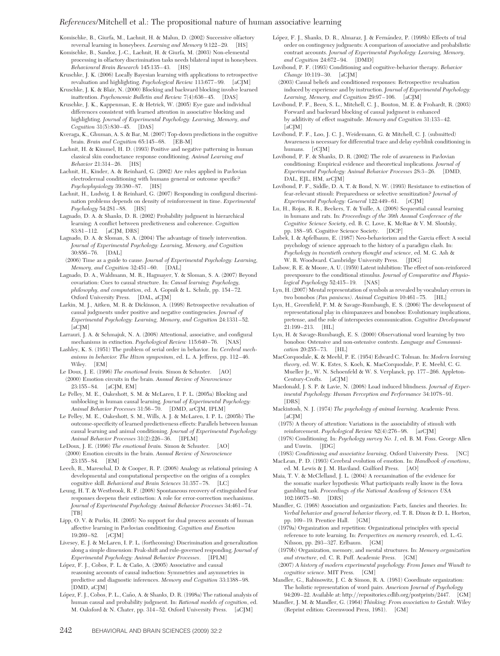Komischke, B., Giurfa, M., Lachnit, H. & Malun, D. (2002) Successive olfactory reversal learning in honeybees. Learning and Memory 9:122 – 29. [HS]

Komischke, B., Sandoz, J.-C., Lachnit, H. & Giurfa, M. (2003) Non-elemental processing in olfactory discrimination tasks needs bilateral input in honeybees. Behavioural Brain Research 145:135-43. [HS]

Kruschke, J. K. (2006) Locally Bayesian learning with applications to retrospective revaluation and highlighting. Psychological Review 113:677 – 99. [aCJM]

Kruschke, J. K. & Blair, N. (2000) Blocking and backward blocking involve learned inattention. Psychonomic Bulletin and Review 7(4):636 – 45. [DAS]

Kruschke, J. K., Kappenman, E. & Hetrick, W. (2005) Eye gaze and individual differences consistent with learned attention in associative blocking and highlighting. Journal of Experimental Psychology: Learning, Memory, and Cognition 31(5):830-45. [DAS]

Kveraga, K., Ghuman, A. S. & Bar, M. (2007) Top-down predictions in the cognitive brain. Brain and Cognition 65:145-68. [EB-M]

Lachnit, H. & Kimmel, H. D. (1993) Positive and negative patterning in human classical skin conductance response conditioning. Animal Learning and Behavior 21:314 – 26. [HS]

Lachnit, H., Kinder, A. & Reinhard, G. (2002) Are rules applied in Pavlovian electrodermal conditioning with humans general or outcome specific? Psychophysiology 39:380-87. [HS]

Lachnit, H., Ludwig, I. & Reinhard, G. (2007) Responding in configural discrimination problems depends on density of reinforcement in time. Experimental Psychology 54:281-88. [HS]

Lagnado, D. A. & Shanks, D. R. (2002) Probability judgment in hierarchical learning: A conflict between predictiveness and coherence. Cognition 83:81 –112. [aCJM, DRS]

Lagnado, D. A. & Sloman, S. A. (2004) The advantage of timely intervention. Journal of Experimental Psychology: Learning, Memory, and Cognition 30:856 – 76. [DAL]

(2006) Time as a guide to cause. Journal of Experimental Psychology: Learning, Memory, and Cognition 32:451-60. [DAL]

Lagnado, D. A., Waldmann, M. R., Hagmayer, Y. & Sloman, S. A. (2007) Beyond covariation: Cues to causal structure. In: Causal learning: Psychology, philosophy, and computation, ed. A. Gopnik & L. Schulz, pp. 154-72. Oxford University Press. [DAL, aCJM]

Larkin, M. J., Aitken, M. R. & Dickinson, A. (1998) Retrospective revaluation of causal judgments under positive and negative contingencies. Journal of Experimental Psychology: Learning, Memory, and Cognition 24:1331-52.  $[aC[M]$ 

Larrauri, J. A. & Schmajuk, N. A. (2008) Attentional, associative, and configural mechanisms in extinction. Psychological Review 115:640-76. [NAS]

Lashley, K. S. (1951) The problem of serial order in behavior. In: Cerebral mechanisms in behavior. The Hixon symposium, ed. L. A. Jeffress, pp. 112 –46. Wiley. [EM]

Le Doux, J. E. (1996) The emotional brain. Simon & Schuster. [AO] (2000) Emotion circuits in the brain. Annual Review of Neuroscience 23:155 – 84. [aCJM, EM]

Le Pelley, M. E., Oakeshott, S. M. & McLaren, I. P. L. (2005a) Blocking and unblocking in human causal learning. Journal of Experimental Psychology: Animal Behavior Processes 31:56-70. [DMD, arCJM, IPLM]

Le Pelley, M. E., Oakeshott, S. M., Wills, A. J. & McLaren, I. P. L. (2005b) The outcome-specificity of learned predictiveness effects: Parallels between human causal learning and animal conditioning. Journal of Experimental Psychology: Animal Behavior Processes  $31(2):226-36.$  [IPLM]

LeDoux, J. E. (1996) The emotional brain. Simon & Schuster. [AO] (2000) Emotion circuits in the brain. Annual Review of Neuroscience 23:155 – 84. [EM]

Leech, R., Mareschal, D. & Cooper, R. P. (2008) Analogy as relational priming: A developmental and computational perspective on the origins of a complex cognitive skill. Behavioral and Brain Sciences 31:357– 78. [LC]

Leung, H. T. & Westbrook, R. F. (2008) Spontaneous recovery of extinguished fear responses deepens their extinction: A role for error-correction mechanisms. Journal of Experimental Psychology: Animal Behavior Processes 34:461 – 74.  $[TB]$ 

Lipp, O. V. & Purkis, H. (2005) No support for dual process accounts of human affective learning in Pavlovian conditioning. Cognition and Emotion 19:269-82. [rCJM]

Livesey, E. J. & McLaren, I. P. L. (forthcoming) Discrimination and generalization along a simple dimension: Peak-shift and rule-governed responding. Journal of Experimental Psychology: Animal Behavior Processes. [IPLM]

López, F. J., Cobos, P. L. & Caño, A. (2005) Associative and causal reasoning accounts of causal induction: Symmetries and asymmetries in predictive and diagnostic inferences. Memory and Cognition 33:1388-98. [DMD, aCIM]

López, F. J., Cobos, P. L., Caño, A. & Shanks, D. R. (1998a) The rational analysis of human causal and probability judgment. In: Rational models of cognition, ed. M. Oaksford & N. Chater, pp. 314 – 52. Oxford University Press. [aCJM]

Lovibond, P. F. (1993) Conditioning and cognitive-behavior therapy. Behavior Change 10:119-30. [aCJM]

(2003) Causal beliefs and conditioned responses: Retrospective revaluation induced by experience and by instruction. Journal of Experimental Psychology: Learning, Memory, and Cognition 29:97-106. [aCJM]

Lovibond, P. F., Been, S. L., Mitchell, C. J., Bouton, M. E. & Frohardt, R. (2003) Forward and backward blocking of causal judgment is enhanced by additivity of effect magnitude. Memory and Cognition 31:133 – 42. [aCIM]

Lovibond, P. F., Loo, J. C. J., Weidemann, G. & Mitchell, C. J. (submitted) Awareness is necessary for differential trace and delay eyeblink conditioning in humans. [rCIM]

Lovibond, P. F. & Shanks, D. R. (2002) The role of awareness in Pavlovian conditioning: Empirical evidence and theoretical implications. Journal of Experimental Psychology: Animal Behavior Processes 28:3 – 26. [DMD, DAL, EJL, HM, arCJM]

Lovibond, P. F., Siddle, D. A. T. & Bond, N. W. (1993) Resistance to extinction of fear-relevant stimuli: Preparedness or selective sensitization? Journal of Experimental Psychology: General 122:449-61. [rCJM]

Lu, H., Rojas, R. R., Beckers, T. & Yuille, A. (2008) Sequential causal learning in humans and rats. In: Proceedings of the 30th Annual Conference of the Cognitive Science Society, ed. B. C. Love, K. McRae & V. M. Sloutsky, pp. 188 – 95. Cognitive Science Society. [DCP]

Lubek, I. & Apfelbaum, E. (1987) Neo-behaviorism and the Garcia effect: A social psychology of science approach to the history of a paradigm clash. In: Psychology in twentieth century thought and science, ed. M. G. Ash & W. R. Woodward. Cambridge University Press. [JDG]

Lubow, R. E. & Moore, A. U. (1959) Latent inhibition: The effect of non-reinforced preexposure to the conditional stimulus. Journal of Comparative and Physiological Psychology 52:415-19. [NAS]

- Lyn, H. (2007) Mental representation of symbols as revealed by vocabulary errors in two bonobos (Pan paniscus). Animal Cognition 10:461-75. [HL]
- Lyn, H., Greenfield, P. M. & Savage-Rumbaugh, E. S. (2006) The development of representational play in chimpanzees and bonobos: Evolutionary implications, pretense, and the role of interspecies communication. Cognitive Development 21:199-213. [HL]
- Lyn, H. & Savage-Rumbaugh, E. S. (2000) Observational word learning by two bonobos: Ostensive and non-ostensive contexts. Language and Communication 20:255– 73. [HL]

MacCorquodale, K. & Meehl, P. E. (1954) Edward C. Tolman. In: Modern learning theory, ed. W. K. Estes, S. Koch, K. MacCorquodale, P. E. Meehl, C. G. Mueller Jr., W. N. Schoenfeld & W. S. Verplanck, pp. 177 – 266. Appleton-Century-Crofts. [aCJM]

Macdonald, J. S. P. & Lavie, N. (2008) Load induced blindness. Journal of Experimental Psychology: Human Perception and Performance 34:1078– 91. [DRS]

Mackintosh, N. J. (1974) The psychology of animal learning. Academic Press.  $[aC[M]$ 

(1975) A theory of attention: Variations in the associability of stimuli with reinforcement. Psychological Review 82(4):276-98. [arCJM]

(1978) Conditioning. In: Psychology survey No. 1, ed. B. M. Foss. George Allen and Unwin. [JDG]

(1983) Conditioning and associative learning. Oxford University Press. [NC] MacLean, P. D. (1993) Cerebral evolution of emotion. In: Handbook of emotions, ed. M. Lewis & J. M. Haviland. Guilford Press. [AO]

Maia, T. V. & McClelland, J. L. (2004) A reexamination of the evidence for the somatic marker hypothesis: What participants really know in the Iowa gambling task. Proceedings of the National Academy of Sciences USA 102:16075-80. [DRS]

Mandler, G. (1968) Association and organization: Facts, fancies and theories. In: Verbal behavior and general behavior theory, ed. T. R. Dixon & D. L. Horton, pp. 109 – 19. Prentice Hall. [GM]

(1979a) Organization and repetition: Organizational principles with special reference to rote learning. In: Perspectives on memory research, ed. L.-G. Nilsson, pp. 293 – 327. Erlbaum. [GM]

(1979b) Organization, memory, and mental structures. In: Memory organization and structure, ed. C. R. Puff. Academic Press. [GM]

(2007) A history of modern experimental psychology: From James and Wundt to cognitive science. MIT Press. [GM]

Mandler, G., Rabinowitz, J. C. & Simon, R. A. (1981) Coordinate organization: The holistic representation of word pairs. American Journal of Psychology 94:209–22. Available at: http://repositories.cdlib.org/postprints/2447. [GM]

Mandler, J. M. & Mandler, G. (1964) Thinking: From association to Gestalt. Wiley (Reprint edition: Greenwood Press, 1981). [GM]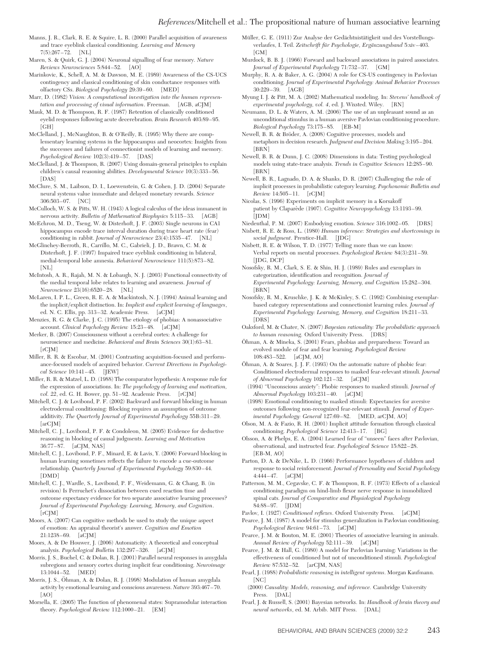- Manns, J. R., Clark, R. E. & Squire, L. R. (2000) Parallel acquisition of awareness and trace eyeblink classical conditioning. Learning and Memory  $7(5):267 - 72.$  [NL]
- Maren, S. & Quirk, G. J. (2004) Neuronal signalling of fear memory. Nature Reviews Neurosciences 5:844-52. [AO]
- Marinkovic, K., Schell, A. M. & Dawson, M. E. (1989) Awareness of the CS-UCS contingency and classical conditioning of skin conductance responses with olfactory CSs. Biological Psychology 29:39 – 60. [MED]
- Marr, D. (1982) Vision: A computational investigation into the human representation and processing of visual information. Freeman. [AGB, aCJM]
- Mauk, M. D. & Thompson, R. F. (1987) Retention of classically conditioned eyelid responses following acute decerebration. Brain Research 403:89 –95. [GH]
- McClelland, J., McNaughton, B. & O'Reilly, R. (1995) Why there are complementary learning systems in the hippocampus and neocortex: Insights from the successes and failures of connectionist models of learning and memory. Psychological Review 102(3):419-57. [DAS]
- McClelland, J. & Thompson, R. (2007) Using domain-general principles to explain children's causal reasoning abilities. Developmental Science 10(3):333 – 56. [DAS]
- McClure, S. M., Laibson, D. I., Loewenstein, G. & Cohen, J. D. (2004) Separate neural systems value immediate and delayed monetary rewards. Science 306:503 – 07. [NC]
- McCulloch, W. S. & Pitts, W. H. (1943) A logical calculus of the ideas immanent in nervous activity. Bulletin of Mathematical Biophysics 5:115-33. [AGB]
- McEchron, M. D., Tseng, W. & Disterhoft, J. F. (2003) Single neurons in CA1 hippocampus encode trace interval duration during trace heart rate (fear) conditioning in rabbit. Journal of Neuroscience 23(4):1535-47. [NL]
- McGlinchey-Berroth, R., Carrillo, M. C., Gabrieli, J. D., Brawn, C. M. & Disterhoft, J. F. (1997) Impaired trace eyeblink conditioning in bilateral, medial-temporal lobe amnesia. Behavioral Neuroscience 111(5):873 – 82. [NL]
- McIntosh, A. R., Rajah, M. N. & Lobaugh, N. J. (2003) Functional connectivity of the medial temporal lobe relates to learning and awareness. Journal of Neuroscience 23(16):6520 – 28. [NL]
- McLaren, I. P. L., Green, R. E. A. & Mackintosh, N. J. (1994) Animal learning and the implicit/explicit distinction. In: Implicit and explicit learning of languages, ed. N. C. Ellis, pp. 313 – 32. Academic Press. [aCJM]
- Menzies, R. G. & Clarke, J. C. (1995) The etiology of phobias: A nonassociative account. Clinical Psychology Review 15:23-48. [aCJM]
- Merker, B. (2007) Consciousness without a cerebral cortex: A challenge for neuroscience and medicine. Behavioral and Brain Sciences 30(1):63–81. [rCJM]
- Miller, R. R. & Escobar, M. (2001) Contrasting acquisition-focused and performance-focused models of acquired behavior. Current Directions in Psychologi $cal Science$  10:141-45. [JEW]
- Miller, R. R. & Matzel, L. D. (1988) The comparator hypothesis: A response rule for the expression of associations. In: The psychology of learning and motivation, vol. 22, ed. G. H. Bower, pp. 51-92. Academic Press. [rCJM]
- Mitchell, C. J. & Lovibond, P. F. (2002) Backward and forward blocking in human electrodermal conditioning: Blocking requires an assumption of outcome additivity. The Quarterly Journal of Experimental Psychology 55B:311 – 29. [arCJM]
- Mitchell, C. J., Lovibond, P. F. & Condoleon, M. (2005) Evidence for deductive reasoning in blocking of causal judgments. Learning and Motivation 36:77-87. [aCJM, NAS]
- Mitchell, C. J., Lovibond, P. F., Minard, E. & Lavis, Y. (2006) Forward blocking in human learning sometimes reflects the failure to encode a cue-outcome relationship. Quarterly Journal of Experimental Psychology 59:830 – 44. [DMD]
- Mitchell, C. J., Wardle, S., Lovibond, P. F., Weidemann, G. & Chang, B. (in revision) Is Perruchet's dissociation between cued reaction time and outcome expectancy evidence for two separate associative learning processes? Journal of Experimental Psychology: Learning, Memory, and Cognition. [rCJM]
- Moors, A. (2007) Can cognitive methods be used to study the unique aspect of emotion: An appraisal theorist's answer. Cognition and Emotion 21:1238 – 69. [aCJM]
- Moors, A. & De Houwer, J. (2006) Automaticity: A theoretical and conceptual analysis. Psychological Bulletin 132:297 – 326. [aCJM]
- Morris, J. S., Buchel, C. & Dolan, R. J. (2001) Parallel neural responses in amygdala subregions and sensory cortex during implicit fear conditioning. Neuroimage 13:1044 – 52. [MED]
- Morris, J. S., Öhman, A. & Dolan, R. J. (1998) Modulation of human amygdala activity by emotional learning and conscious awareness. Nature 393:467 –70.  $[AO]$
- Morsella, E. (2005) The function of phenomenal states: Supramodular interaction theory. Psychological Review 112:1000-21. [EM]
- Müller, G. E. (1911) Zur Analyse der Gedächtnistätigkeit und des Vorstellungsverlaufes, I. Teil. Zeitschrift für Psychologie, Ergänzungsband 5:xiv-403.  $[GM]$
- Murdock, B. B. J. (1966) Forward and backward associations in paired associates. Journal of Experimental Psychology 71:732-37. [GM]
- Murphy, R. A. & Baker, A. G. (2004) A role for CS-US contingency in Pavlovian conditioning. Journal of Experimental Psychology: Animal Behavior Processes 30:229 – 39. [AGB]
- Myung I. J. & Pitt, M. A. (2002) Mathematical modeling. In: Stevens' handbook of experimental psychology, vol. 4, ed. J. Wixsted. Wiley. [RN]
- Neumann, D. L. & Waters, A. M. (2006) The use of an unpleasant sound as an unconditional stimulus in a human aversive Pavlovian conditioning procedure. Biological Psychology 73:175– 85. [EB-M]
- Newell, B. R. & Bröder, A. (2008) Cognitive processes, models and metaphors in decision research. Judgment and Decision Making 3:195 – 204. [BRN]
- Newell, B. R. & Dunn, J. C. (2008) Dimensions in data: Testing psychological models using state-trace analysis. Trends in Cognitive Sciences 12:285 – 90. [BRN]
- Newell, B. R., Lagnado, D. A. & Shanks, D. R. (2007) Challenging the role of implicit processes in probabilistic category learning. Psychonomic Bulletin and Review 14:505-11. [rCJM]
- Nicolas, S. (1996) Experiments on implicit memory in a Korsakoff patient by Claparède (1907). Cognitive Neuropsychology 13:1193-99. [JDM]
- Niedenthal, P. M. (2007) Embodying emotion. Science 316:1002 –05. [DRS]
- Nisbett, R. E. & Ross, L. (1980) Human inference: Strategies and shortcomings in social judgment. Prentice-Hall. [JDG]
- Nisbett, R. E. & Wilson, T. D. (1977) Telling more than we can know: Verbal reports on mental processes. Psychological Review 84(3):231 –59. [JDG, DCP]
- Nosofsky, R. M., Clark, S. E. & Shin, H. J. (1989) Rules and exemplars in categorization, identification and recognition. Journal of Experimental Psychology: Learning, Memory, and Cognition 15:282 – 304. [BRN]
- Nosofsky, R. M., Kruschke, J. K. & McKinley, S. C. (1992) Combining exemplarbased category representations and connectionist learning rules. Journal of Experimental Psychology: Learning, Memory, and Cognition 18:211 – 33. [DRS]
- Oaksford, M. & Chater, N. (2007) Bayesian rationality: The probabilistic approach to human reasoning. Oxford University Press. [DRS]
- Öhman, A. & Mineka, S. (2001) Fears, phobias and preparedness: Toward an evolved module of fear and fear learning. Psychological Review 108:483-522. [aCJM, AO]
- Öhman, A. & Soares, J. J. F. (1993) On the automatic nature of phobic fear: Conditioned electrodermal responses to masked fear-relevant stimuli. Journal of Abnormal Psychology 102:121– 32. [aCJM]
	- (1994) "Unconscious anxiety": Phobic responses to masked stimuli. Journal of Abnormal Psychology 103:231-40. [aCJM]
	- (1998) Emotional conditioning to masked stimuli: Expectancies for aversive outcomes following non-recognized fear-relevant stimuli. Journal of Experimental Psychology: General 127:69 – 82. [MED, arCJM, AO]
- Olson, M. A. & Fazio, R. H. (2001) Implicit attitude formation through classical conditioning. Psychological Science 12:413-17. [BG]
- Olsson, A. & Phelps, E. A. (2004) Learned fear of "unseen" faces after Pavlovian, observational, and instructed fear. Psychological Science 15:822 – 28. [EB-M, AO]
- Parton, D. A. & DeNike, L. D. (1966) Performance hypotheses of children and response to social reinforcement. Journal of Personality and Social Psychology 4:444-47. [aCJM]
- Patterson, M. M., Cegavske, C. F. & Thompson, R. F. (1973) Effects of a classical conditioning paradigm on hind-limb flexor nerve response in immobilized spinal cats. Journal of Comparative and Physiological Psychology 84:88-97. [JDM]
- Pavlov, I. (1927) Conditioned reflexes. Oxford University Press. [aCJM]
- Pearce, J. M. (1987) A model for stimulus generalization in Pavlovian conditioning. Psychological Review 94:61-73. [aCJM]
- Pearce, J. M. & Bouton, M. E. (2001) Theories of associative learning in animals. Annual Review of Psychology 52:111-39. [aCJM]
- Pearce, J. M. & Hall, G. (1980) A model for Pavlovian learning: Variations in the effectiveness of conditioned but not of unconditioned stimuli. Psychological Review 87:532-52. [arCJM, NAS]
- Pearl, J. (1988) Probabilistic reasoning in intelligent systems. Morgan Kaufmann. [NC]
- (2000) Causality: Models, reasoning, and inference. Cambridge University Press. [DAL]
- Pearl, J. & Russell, S. (2001) Bayesian networks. In: Handbook of brain theory and neural networks, ed. M. Arbib. MIT Press. [DAL]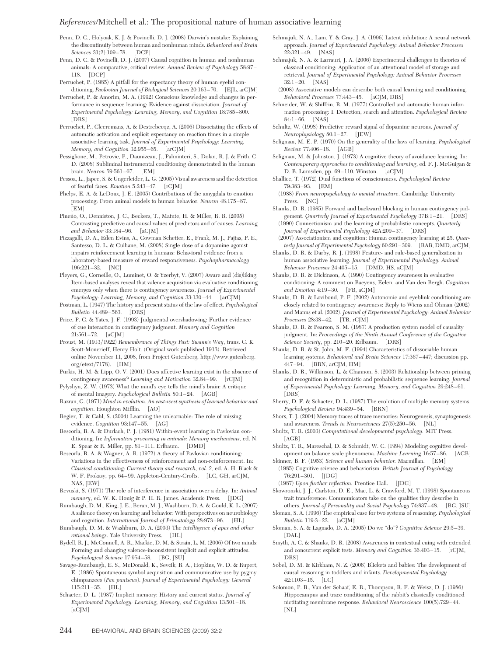Penn, D. C., Holyoak, K. J. & Povinelli, D. J. (2008) Darwin's mistake: Explaining the discontinuity between human and nonhuman minds. Behavioral and Brain Sciences 31(2):109-78. [DCP]

- Penn, D. C. & Povinelli, D. J. (2007) Causal cognition in human and nonhuman animals: A comparative, critical review. Annual Review of Psychology 58:97 – 118. [DCP]
- Perruchet, P. (1985) A pitfall for the expectancy theory of human eyelid conditioning. Pavlovian Journal of Biological Sciences 20:163-70. [EJL, arCJM]

Perruchet, P. & Amorim, M. A. (1992) Conscious knowledge and changes in performance in sequence learning: Evidence against dissociation. Journal of Experimental Psychology: Learning, Memory, and Cognition 18:785 – 800. [DRS]

Perruchet, P., Cleeremans, A. & Destrebecqz, A. (2006) Dissociating the effects of automatic activation and explicit expectancy on reaction times in a simple associative learning task. Journal of Experimental Psychology: Learning, Memory, and Cognition 32:955-65. [arCJM]

Pessiglione, M., Petrovic, P., Daunizeau, J., Palminteri, S., Dolan, R. J. & Frith, C. D. (2008) Subliminal instrumental conditioning demonstrated in the human brain. Neuron 59:561-67. [EM]

Pessoa, L., Japee, S. & Ungerleider, L. G. (2005) Visual awareness and the detection of fearful faces. Emotion 5:243-47. [rCJM]

Phelps, E. A. & LeDoux, J. E. (2005) Contributions of the amygdala to emotion processing: From animal models to human behavior. Neuron 48:175 –87.  $[EM]$ 

Pineño, O., Denniston, J. C., Beckers, T., Matute, H. & Miller, R. R. (2005) Contrasting predictive and causal values of predictors and of causes. Learning and Behavior 33:184-96. [aCJM]

Pizzagalli, D. A., Eden Evins, A., Cowman Schetter, E., Frank, M. J., Pajtas, P. E., Santesso, D. L. & Culhane, M. (2008) Single dose of a dopamine agonist impairs reinforcement learning in humans: Behavioral evidence from a laboratory-based measure of reward responsiveness. Psychopharmacology 196:221 – 32. [NC]

Pleyers, G., Corneille, O., Luminet, O. & Yzerbyt, V. (2007) Aware and (dis)liking: Item-based analyses reveal that valence acquisition via evaluative conditioning emerges only when there is contingency awareness. Journal of Experimental Psychology: Learning, Memory, and Cognition 33:130-44. [arCJM]

Postman, L. (1947) The history and present status of the law of effect. Psychological Bulletin 44:489-563. [DRS]

Price, P. C. & Yates, J. F. (1993) Judgmental overshadowing: Further evidence of cue interaction in contingency judgment. Memory and Cognition  $21:561 - 72.$  [aCJM]

Proust, M. (1913/1922) Remembrance of Things Past: Swann's Way, trans. C. K. Scott-Moncrieff, Henry Holt. (Original work published 1913). Retrieved online November 11, 2008, from Project Gutenberg, http://www.gutenberg. org/etext/7178). [HM]

Purkis, H. M. & Lipp, O. V. (2001) Does affective learning exist in the absence of contingency awareness? Learning and Motivation 32:84-99. [rCJM]

Pylyshyn, Z. W. (1973) What the mind's eye tells the mind's brain: A critique of mental imagery. Psychological Bulletin 80:1-24. [AGB]

Razran, G. (1971) Mind in evolution. An east-west synthesis of learned behavior and cognition. Houghton Mifflin. [AO]

Regier, T. & Gahl, S. (2004) Learning the unlearnable: The role of missing evidence. Cognition 93:147-55. [AG]

Rescorla, R. A. & Durlach, P. J. (1981) Within-event learning in Pavlovian conditioning. In: Information processing in animals: Memory mechanisms, ed. N. E. Spear & R. Miller, pp. 81-111. Erlbaum. [DMD]

Rescorla, R. A. & Wagner, A. R. (1972) A theory of Pavlovian conditioning: Variations in the effectiveness of reinforcement and non-reinforcement. In: Classical conditioning: Current theory and research, vol. 2, ed. A. H. Black & W. F. Prokasy, pp. 64 – 99. Appleton-Century-Crofts. [LC, GH, arCJM, NAS, JEW]

Revuski, S. (1971) The role of interference in association over a delay. In: Animal memory, ed. W. K. Honig & P. H. R. James. Academic Press. [JDG]

Rumbaugh, D. M., King, J. E., Beran, M. J., Washburn, D. A. & Gould, K. L. (2007) A salience theory on learning and behavior: With perspectives on neurobiology and cognition. International Journal of Primatology 28:973-96. [HL]

Rumbaugh, D. M. & Washburn, D. A. (2003) The intelligence of apes and other rational beings. Yale University Press. [HL]

Rydell, R. J., McConnell, A. R., Mackie, D. M. & Strain, L. M. (2006) Of two minds: Forming and changing valence-inconsistent implicit and explicit attitudes. Psychological Science 17:954-58. [BG, JSU]

Savage-Rumbaugh, E. S., McDonald, K., Sevcik, R. A., Hopkins, W. D. & Rupert, E. (1986) Spontaneous symbol acquisition and communicative use by pygmy chimpanzees (Pan paniscus). Journal of Experimental Psychology: General 115:211-35. [HL]

Schacter, D. L. (1987) Implicit memory: History and current status. Journal of Experimental Psychology: Learning, Memory, and Cognition 13:501-18.  $[aC[M]$ 

Schmajuk, N. A. & Larrauri, J. A. (2006) Experimental challenges to theories of classical conditioning: Application of an attentional model of storage and retrieval. Journal of Experimental Psychology: Animal Behavior Processes  $32:1 - 20.$  [NAS]

(2008) Associative models can describe both causal learning and conditioning. Behavioral Processes 77:443-45. [aCJM, DRS]

Schneider, W. & Shiffrin, R. M. (1977) Controlled and automatic human information processing: I. Detection, search and attention. Psychological Review 84:1-66. [NAS]

Schultz, W. (1998) Predictive reward signal of dopamine neurons. Journal of Neurophysiology 80:1-27. [JEW]

Seligman, M. E. P. (1970) On the generality of the laws of learning. Psychological Review 77:406-18. [AGB]

Seligman, M. & Johnston, J. (1973) A cognitive theory of avoidance learning. In: Contemporary approaches to conditioning and learning, ed. F. J. McGuigan & D. B. Lumsden, pp. 69-110. Winston. [aCJM]

Shallice, T. (1972) Dual functions of consciousness. Psychological Review 79:383 – 93. [EM]

(1988) From neuropsychology to mental structure. Cambridge University Press. [NC]

Shanks, D. R. (1985) Forward and backward blocking in human contingency judgement. Quarterly Journal of Experimental Psychology 37B:1-21. [DRS]

(1990) Connectionism and the learning of probabilistic concepts. Quarterly Journal of Experimental Psychology 42A:209-37. [DRS] (2007) Associationism and cognition: Human contingency learning at 25. Quar-

terly Journal of Experimental Psychology 60:291 – 309. [RAB, DMD, arCJM]

Shanks, D. R. & Darby, R. J. (1998) Feature- and rule-based generalization in human associative learning. Journal of Experimental Psychology: Animal Behavior Processes 24:405-15. [DMD, HS, aCJM]

Shanks, D. R. & Dickinson, A. (1990) Contingency awareness in evaluative conditioning: A comment on Baeyens, Eelen, and Van den Bergh. Cognition and Emotion 4:19-30. [FB, aCJM]

Shanks, D. R. & Lovibond, P. F. (2002) Autonomic and eyeblink conditioning are closely related to contingency awareness: Reply to Wiens and Öhman (2002) and Manns et al. (2002). Journal of Experimental Psychology: Animal Behavior Processes 28:38-42. [TB, rCJM]

Shanks, D. R. & Pearson, S. M. (1987) A production system model of causality judgment. In: Proceedings of the Ninth Annual Conference of the Cognitive Science Society, pp. 210-20. Erlbaum. [DRS]

Shanks, D. R. & St. John, M. F. (1994) Characteristics of dissociable human learning systems. Behavioral and Brain Sciences 17:367 – 447; discussion pp. 447-94. [BRN, arCJM, HM]

Shanks, D. R., Wilkinson, L. & Channon, S. (2003) Relationship between priming and recognition in deterministic and probabilistic sequence learning. Journal of Experimental Psychology: Learning, Memory, and Cognition 29:248– 61. [DRS]

Sherry, D. F. & Schacter, D. L. (1987) The evolution of multiple memory systems. Psychological Review 94:439-54. [BRN]

Shors, T. J. (2004) Memory traces of trace memories: Neurogenesis, synaptogenesis and awareness. Trends in Neurosciences 27(5):250-56. [NL]

Shultz, T. R. (2003) Computational developmental psychology. MIT Press. [AGB]

Shultz, T. R., Mareschal, D. & Schmidt, W. C. (1994) Modeling cognitive development on balance scale phenomena. Machine Learning 16:57– 86. [AGB]

Skinner, B. F. (1953) Science and human behavior. Macmillan. [EM] (1985) Cognitive science and behaviorism. British Journal of Psychology 76:291 – 301. [JDG]

(1987) Upon further reflection. Prentice Hall. [JDG]

Skowronski, J. J., Carlston, D. E., Mae, L. & Crawford, M. T. (1998) Spontaneous trait transference: Communicators take on the qualities they describe in others. Journal of Personality and Social Psychology 74:837 – 48. [BG, JSU]

Sloman, S. A. (1996) The empirical case for two systems of reasoning. Psychological Bulletin 119:3-22. [aCJM]

Sloman, S. A. & Lagnado, D. A. (2005) Do we "do"? Cognitive Science 29:5– 39. [DAL]

Smyth, A. C. & Shanks, D. R. (2008) Awareness in contextual cuing with extended and concurrent explicit tests. Memory and Cognition 36:403-15. [rCJM, DRS]

Sobel, D. M. & Kirkham, N. Z. (2006) Blickets and babies: The development of causal reasoning in toddlers and infants. Developmental Psychology 42:1103 –15. [LC]

Solomon, P. R., Van der Schaaf, E. R., Thompson, R. F. & Weisz, D. J. (1986) Hippocampus and trace conditioning of the rabbit's classically conditioned nictitating membrane response. Behavioral Neuroscience 100(5):729 – 44.  $[NL]$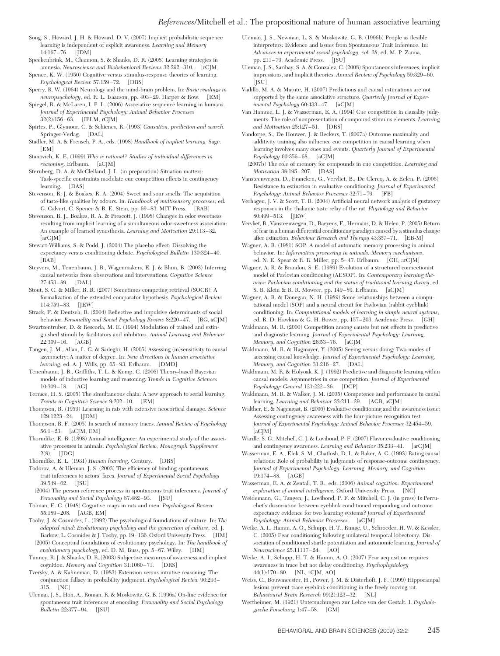Song, S., Howard, J. H. & Howard, D. V. (2007) Implicit probabilistic sequence learning is independent of explicit awareness. Learning and Memory 14:167-76. [JDM]

Speekenbrink, M., Channon, S. & Shanks, D. R. (2008) Learning strategies in amnesia. Neuroscience and Biobehavioral Reviews 32:292 – 310. [rCJM]

- Spence, K. W. (1950) Cognitive versus stimulus-response theories of learning. Psychological Review 57:159-72. [DRS]
- Sperry, R. W. (1964) Neurology and the mind-brain problem. In: Basic readings in neuropsychology, ed. R. L. Isaacson, pp. 403-29. Harper & Row. [EM]

Spiegel, R. & McLaren, I. P. L. (2006) Associative sequence learning in humans. Journal of Experimental Psychology: Animal Behavior Processes 32(2):156-63. [IPLM, rCJM]

- Spirtes, P., Glymour, C. & Schienes, R. (1993) Causation, prediction and search. Springer-Verlag. [DAL]
- Stadler, M. A. & Frensch, P. A., eds. (1998) Handbook of implicit learning. Sage.  $[EM]$

Stanovich, K. E. (1999) Who is rational? Studies of individual differences in reasoning. Erlbaum. [aCJM]

Sternberg, D. A. & McClelland, J. L. (in preparation) Situation matters: Task-specific constraints modulate cue competition effects in contingency learning. [DAS]

Stevenson, R. J. & Boakes, R. A. (2004) Sweet and sour smells: The acquisition of taste-like qualities by odours. In: Handbook of multisensory processes, ed. G. Calvert, C. Spence & B. E. Stein, pp. 69 – 83. MIT Press. [RAB]

Stevenson, R. J., Boakes, R. A. & Prescott, J. (1998) Changes in odor sweetness resulting from implicit learning of a simultaneous odor-sweetness association: An example of learned synesthesia. Learning and Motivation 29:113-32. [arCJM]

Stewart-Williams, S. & Podd, J. (2004) The placebo effect: Dissolving the expectancy versus conditioning debate. Psychological Bulletin 130:324-40. [RAB]

Steyvers, M., Tenenbaum, J. B., Wagenmakers, E. J. & Blum, B. (2003) Inferring causal networks from observations and interventions. Cognitive Science 27:453 – 89. [DAL]

Stout, S. C. & Miller, R. R. (2007) Sometimes competing retrieval (SOCR): A formalization of the extended comparator hypothesis. Psychological Review 114:759 – 83. [JEW]

Strack, F. & Deutsch, R. (2004) Reflective and impulsive determinants of social behavior. Personality and Social Psychology Review 8:220-47. [BG, aCJM]

- Swartzentruber, D. & Rescorla, M. E. (1994) Modulation of trained and extinguished stimuli by facilitators and inhibitors. Animal Learning and Behavior 22:309 – 16. [AGB]
- Tangen, J. M., Allan, L. G. & Sadeghi, H. (2005) Assessing (in)sensitivity to causal asymmetry: A matter of degree. In: New directions in human associative learning, ed. A. J. Wills, pp. 65 – 93. Erlbaum. [DMD]

Tenenbaum, J. B., Griffiths, T. L. & Kemp, C. (2006) Theory-based Bayesian models of inductive learning and reasoning. Trends in Cognitive Sciences 10:309 – 18. [AG]

Terrace, H. S. (2005) The simultaneous chain: A new approach to serial learning. Trends in Cognitive Science 9:202– 10. [EM]

Thompson, R. (1959) Learning in rats with extensive neocortical damage. Science 129:1223 – 24. [JDM]

Thompson, R. F. (2005) In search of memory traces. Annual Review of Psychology 56:1 – 23. [aCJM, EM]

Thorndike, E. B. (1898) Animal intelligence: An experimental study of the associative processes in animals. Psychological Review, Monograph Supplement 2(8). [JDG]

Thorndike, E. L. (1931) Human learning. Century. [DRS]

Todorov, A. & Uleman, J. S. (2003) The efficiency of binding spontaneous trait inferences to actors' faces. Journal of Experimental Social Psychology 39:549-62. [JSU]

(2004) The person reference process in spontaneous trait inferences. Journal of Personality and Social Psychology 87:482-93. [JSU]

- Tolman, E. C. (1948) Cognitive maps in rats and men. Psychological Review 55:189 – 208. [AGB, EM]
- Tooby, J. & Cosmides, L. (1992) The psychological foundations of culture. In: The adapted mind: Evolutionary psychology and the generation of culture, ed. J. Barkow, L. Cosmides & J. Tooby, pp. 19–136. Oxford University Press. [HM] (2005) Conceptual foundations of evolutionary psychology. In: The handbook of evolutionary psychology, ed. D. M. Buss, pp. 5 –67. Wiley. [HM]

Tunney, R. J. & Shanks, D. R. (2003) Subjective measures of awareness and implicit cognition. Memory and Cognition 31:1060-71. [DRS]

Tversky, A. & Kahneman, D. (1983) Extension versus intuitive reasoning: The conjunction fallacy in probability judgment. Psychological Review 90:293– 315. [NC]

Uleman, J. S., Hon, A., Roman, R. & Moskowitz, G. B. (1996a) On-line evidence for spontaneous trait inferences at encoding. Personality and Social Psychology Bulletin 22:377 – 94. [JSU]

Uleman, J. S., Newman, L. S. & Moskowitz, G. B. (1996b) People as flexible interpreters: Evidence and issues from Spontaneous Trait Inference. In: Advances in experimental social psychology, vol. 28, ed. M. P. Zanna, pp. 211-79. Academic Press. [JSU]

Uleman, J. S., Saribay, S. A. & Gonzalez, C. (2008) Spontaneous inferences, implicit impressions, and implicit theories. Annual Review of Psychology 59:329– 60.  $[$ [ $S$ U $]$ 

- Vadillo, M. A. & Matute, H. (2007) Predictions and causal estimations are not supported by the same associative structure. Quarterly Journal of Experimental Psychology 60:433-47. [aCJM]
- Van Hamme, L. J. & Wasserman, E. A. (1994) Cue competition in causality judgments: The role of nonpresentation of compound stimulus elements. Learning and Motivation 25:127-51. [DRS]

Vandorpe, S., De Houwer, J. & Beckers, T. (2007a) Outcome maximality and additivity training also influence cue competition in causal learning when learning involves many cues and events. Quarterly Journal of Experimental Psychology 60:356-68. [aCJM]

- (2007b) The role of memory for compounds in cue competition. Learning and Motivation 38:195-207. [DAS]
- Vansteenwegen, D., Francken, G., Vervliet, B., De Clercq, A. & Eelen, P. (2006) Resistance to extinction in evaluative conditioning. Journal of Experimental Psychology: Animal Behavior Processes 32:71-79. [FB]
- Verhagen, J. V. & Scott, T. R. (2004) Artificial neural network analysis of gustatory responses in the thalamic taste relay of the rat. Physiology and Behavior 80:499 – 513. [JEW]

Vervliet, B., Vansteenwegen, D., Baeyens, F., Hermans, D. & Helen, P. (2005) Return of fear in a human differential conditioning paradigm caused by a stimulus change after extinction. Behaviour Research and Therapy 43:357–71. [EB-M]

Wagner, A. R. (1981) SOP: A model of automatic memory processing in animal behavior. In: Information processing in animals: Memory mechanisms, ed. N. E. Spear & R. R. Miller, pp. 5 – 47. Erlbaum. [GH, arCJM]

Wagner, A. R. & Brandon, S. E. (1989) Evolution of a structured connectionist model of Pavlovian conditioning (AESOP). In: Contemporary learning theories: Pavlovian conditioning and the status of traditional learning theory, ed. S. B. Klein & R. R. Mowrer, pp. 149 – 89. Erlbaum. [aCJM]

Wagner, A. R. & Donegan, N. H. (1989) Some relationships between a computational model (SOP) and a neural circuit for Pavlovian (rabbit eyeblink) conditioning. In: Computational models of learning in simple neural systems, ed. R. D. Hawkins & G. H. Bower, pp. 157 – 203. Academic Press. [GH]

- Waldmann, M. R. (2000) Competition among causes but not effects in predictive and diagnostic learning. Journal of Experimental Psychology: Learning, Memory, and Cognition 26:53-76. [aCJM]
- Waldmann, M. R. & Hagmayer, Y. (2005) Seeing versus doing: Two modes of accessing causal knowledge. Journal of Experimental Psychology: Learning, Memory, and Cognition 31:216-27. [DAL]
- Waldmann, M. R. & Holyoak, K. J. (1992) Predictive and diagnostic learning within causal models: Asymmetries in cue competition. Journal of Experimental Psychology: General 121:222 – 36. [DCP]

Waldmann, M. R. & Walker, J. M. (2005) Competence and performance in causal learning. Learning and Behavior 33:211-29. [AGB, aCJM]

- Walther, E. & Nagengast, B. (2006) Evaluative conditioning and the awareness issue: Assessing contingency awareness with the four-picture recognition test. Journal of Experimental Psychology: Animal Behavior Processes 32:454–59. [aCIM]
- Wardle, S. G., Mitchell, C. J. & Lovibond, P. F. (2007) Flavor evaluative conditioning and contingency awareness. Learning and Behavior 35:233–41. [arCJM]
- Wasserman, E. A., Elek, S. M., Chatlosh, D. L. & Baker, A. G. (1993) Rating causal relations: Role of probability in judgments of response-outcome contingency. Journal of Experimental Psychology: Learning, Memory, and Cognition 19:174 – 88. [AGB]
- Wasserman, E. A. & Zentall, T. R., eds. (2006) Animal cognition: Experimental exploration of animal intelligence. Oxford University Press. [NC]
- Weidemann, G., Tangen, J., Lovibond, P. F. & Mitchell, C. J. (in press) Is Perruchet's dissociation between eyeblink conditioned responding and outcome expectancy evidence for two learning systems? Journal of Experimental Psychology: Animal Behavior Processes. [aCJM]
- Weike. A. I., Hamm. A. O., Schupp, H. T., Runge, U., Schroeder, H. W. & Kessler, C. (2005) Fear conditioning following unilateral temporal lobectomy: Dissociation of conditioned startle potentiation and autonomic learning. Journal of Neuroscience 25:11117-24. [AO]
- Weike, A. I., Schupp, H. T. & Hamm, A. O. (2007) Fear acquisition requires awareness in trace but not delay conditioning. Psychophysiology 44(1):170-80. [NL, rCJM, AO]

Weiss, C., Bouwmeester, H., Power, J. M. & Disterhoft, J. F. (1999) Hippocampal lesions prevent trace eyeblink conditioning in the freely moving rat. Behavioural Brain Research 99(2):123– 32. [NL]

Wertheimer, M. (1921) Untersuchungen zur Lehre von der Gestalt. I. Psychologische Forschung 1:47-58. [GM]